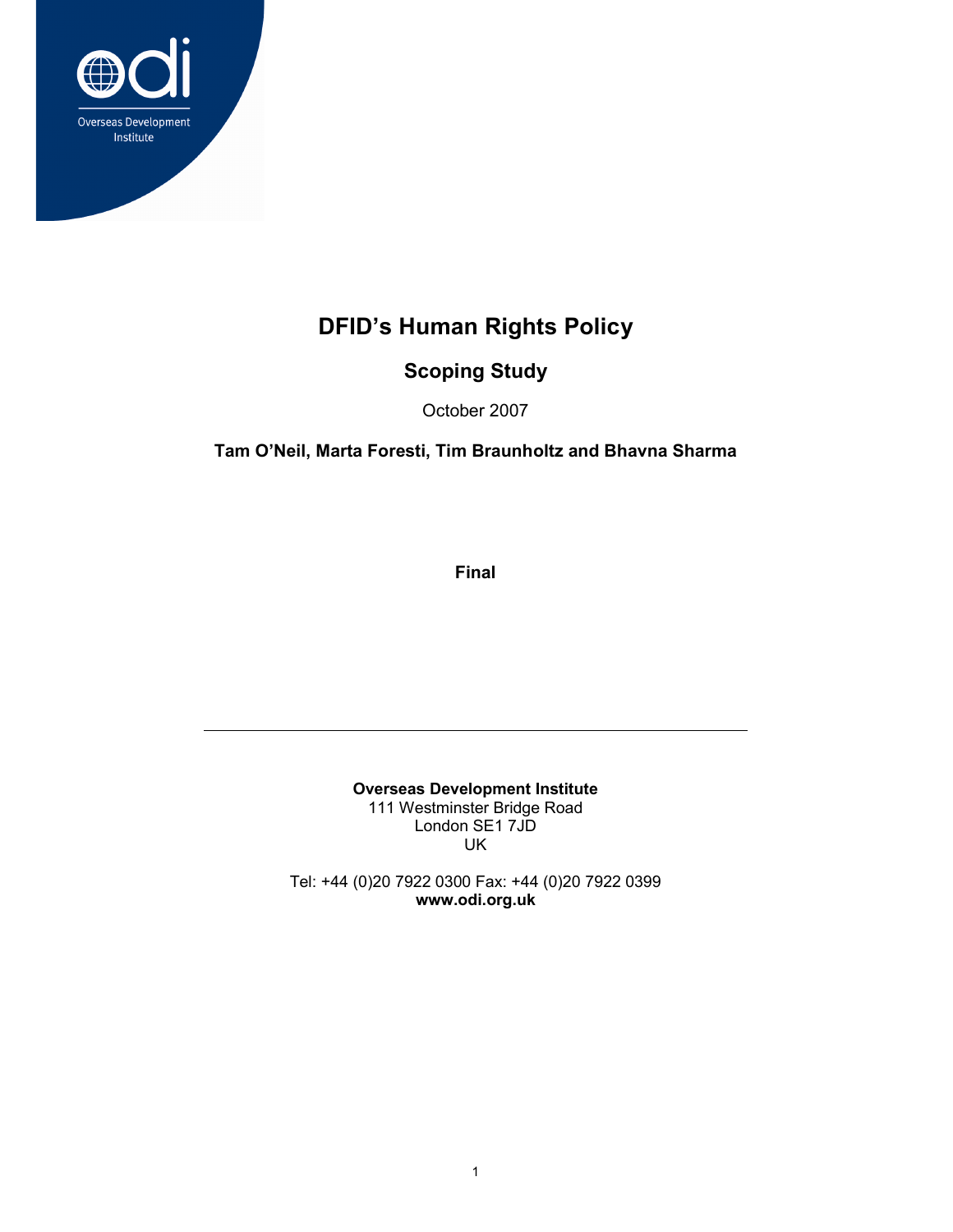

# DFID's Human Rights Policy

## Scoping Study

October 2007

Tam O'Neil, Marta Foresti, Tim Braunholtz and Bhavna Sharma

Final

Overseas Development Institute 111 Westminster Bridge Road London SE1 7JD UK

Tel: +44 (0)20 7922 0300 Fax: +44 (0)20 7922 0399 www.odi.org.uk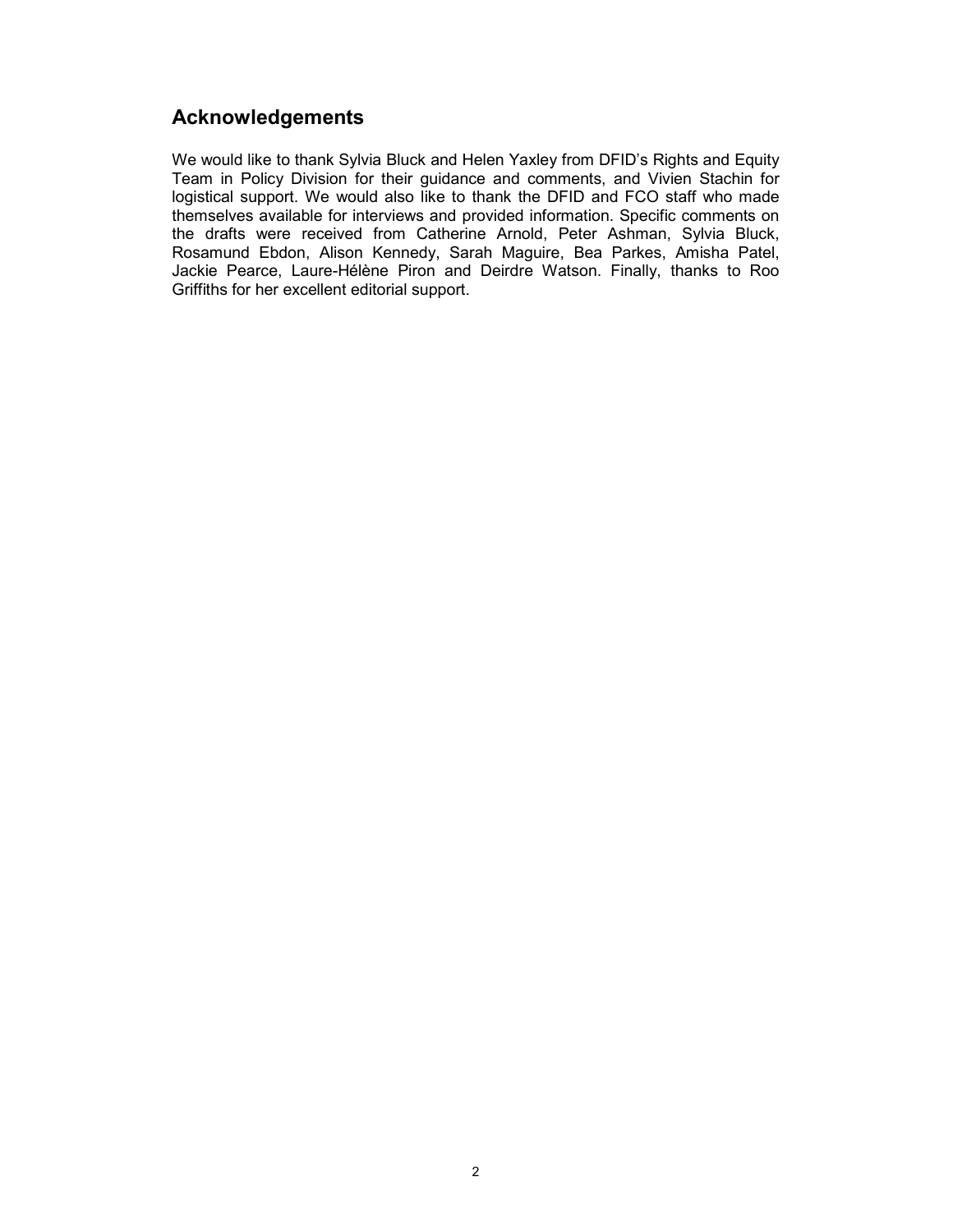## Acknowledgements

We would like to thank Sylvia Bluck and Helen Yaxley from DFID's Rights and Equity Team in Policy Division for their guidance and comments, and Vivien Stachin for logistical support. We would also like to thank the DFID and FCO staff who made themselves available for interviews and provided information. Specific comments on the drafts were received from Catherine Arnold, Peter Ashman, Sylvia Bluck, Rosamund Ebdon, Alison Kennedy, Sarah Maguire, Bea Parkes, Amisha Patel, Jackie Pearce, Laure-Hélène Piron and Deirdre Watson. Finally, thanks to Roo Griffiths for her excellent editorial support.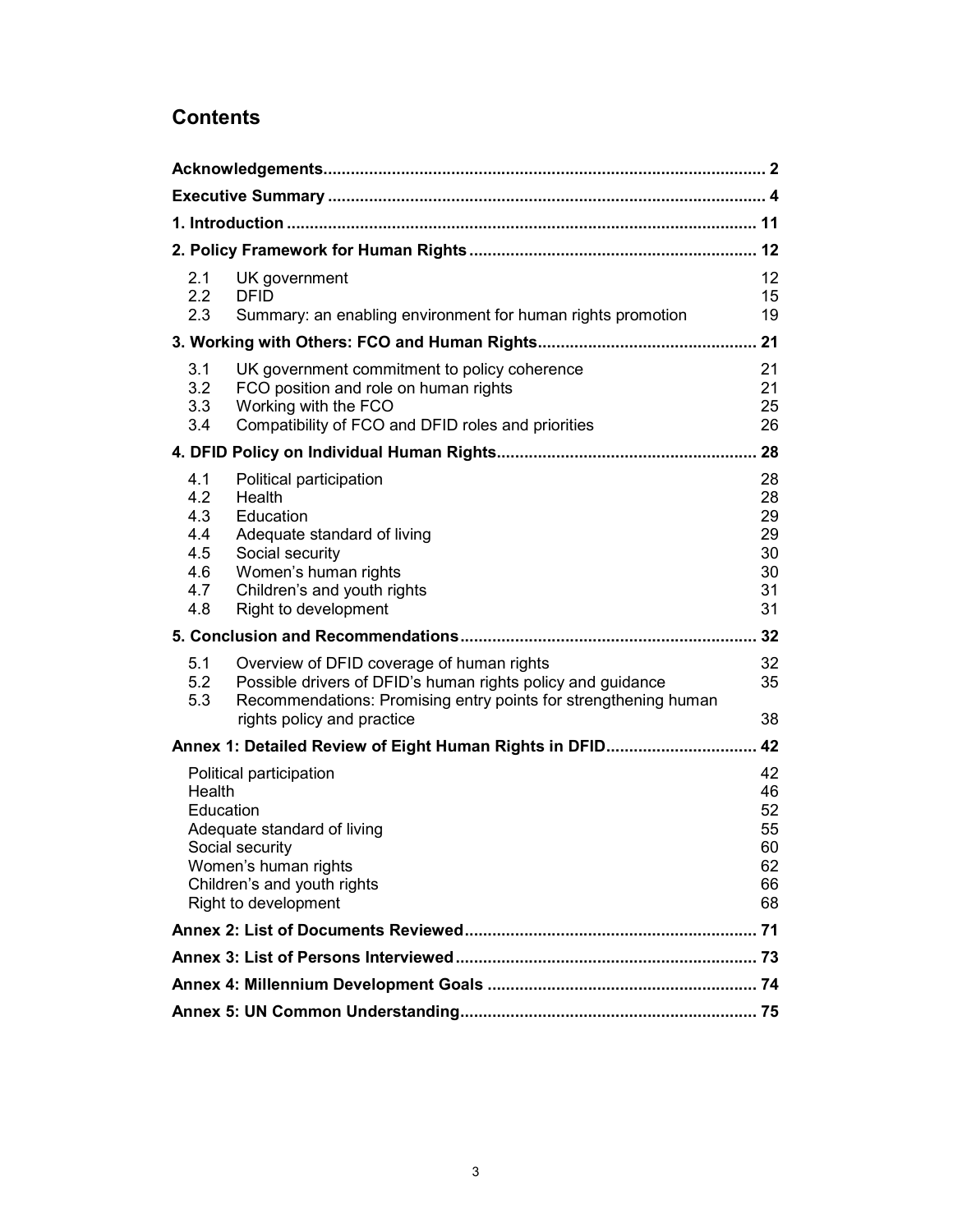## **Contents**

| 2.1<br>2.2<br>2.3                                                                                                                                                               | UK government<br><b>DFID</b><br>Summary: an enabling environment for human rights promotion                                                                                                               | 12<br>15<br>19                               |  |
|---------------------------------------------------------------------------------------------------------------------------------------------------------------------------------|-----------------------------------------------------------------------------------------------------------------------------------------------------------------------------------------------------------|----------------------------------------------|--|
|                                                                                                                                                                                 |                                                                                                                                                                                                           |                                              |  |
| 3.1<br>3.2<br>3.3<br>3.4                                                                                                                                                        | UK government commitment to policy coherence<br>FCO position and role on human rights<br>Working with the FCO<br>Compatibility of FCO and DFID roles and priorities                                       | 21<br>21<br>25<br>26                         |  |
|                                                                                                                                                                                 |                                                                                                                                                                                                           |                                              |  |
| 4.1<br>4.2<br>4.3<br>4.4<br>4.5<br>4.6<br>4.7<br>4.8                                                                                                                            | Political participation<br>Health<br>Education<br>Adequate standard of living<br>Social security<br>Women's human rights<br>Children's and youth rights<br>Right to development                           | 28<br>28<br>29<br>29<br>30<br>30<br>31<br>31 |  |
| 32                                                                                                                                                                              |                                                                                                                                                                                                           |                                              |  |
| 5.1<br>5.2<br>5.3                                                                                                                                                               | Overview of DFID coverage of human rights<br>Possible drivers of DFID's human rights policy and guidance<br>Recommendations: Promising entry points for strengthening human<br>rights policy and practice | 32<br>35<br>38                               |  |
| 42<br>Annex 1: Detailed Review of Eight Human Rights in DFID                                                                                                                    |                                                                                                                                                                                                           |                                              |  |
| Political participation<br>Health<br>Education<br>Adequate standard of living<br>Social security<br>Women's human rights<br>Children's and youth rights<br>Right to development |                                                                                                                                                                                                           | 42<br>46<br>52<br>55<br>60<br>62<br>66<br>68 |  |
|                                                                                                                                                                                 |                                                                                                                                                                                                           |                                              |  |
|                                                                                                                                                                                 |                                                                                                                                                                                                           |                                              |  |
|                                                                                                                                                                                 |                                                                                                                                                                                                           |                                              |  |
|                                                                                                                                                                                 |                                                                                                                                                                                                           |                                              |  |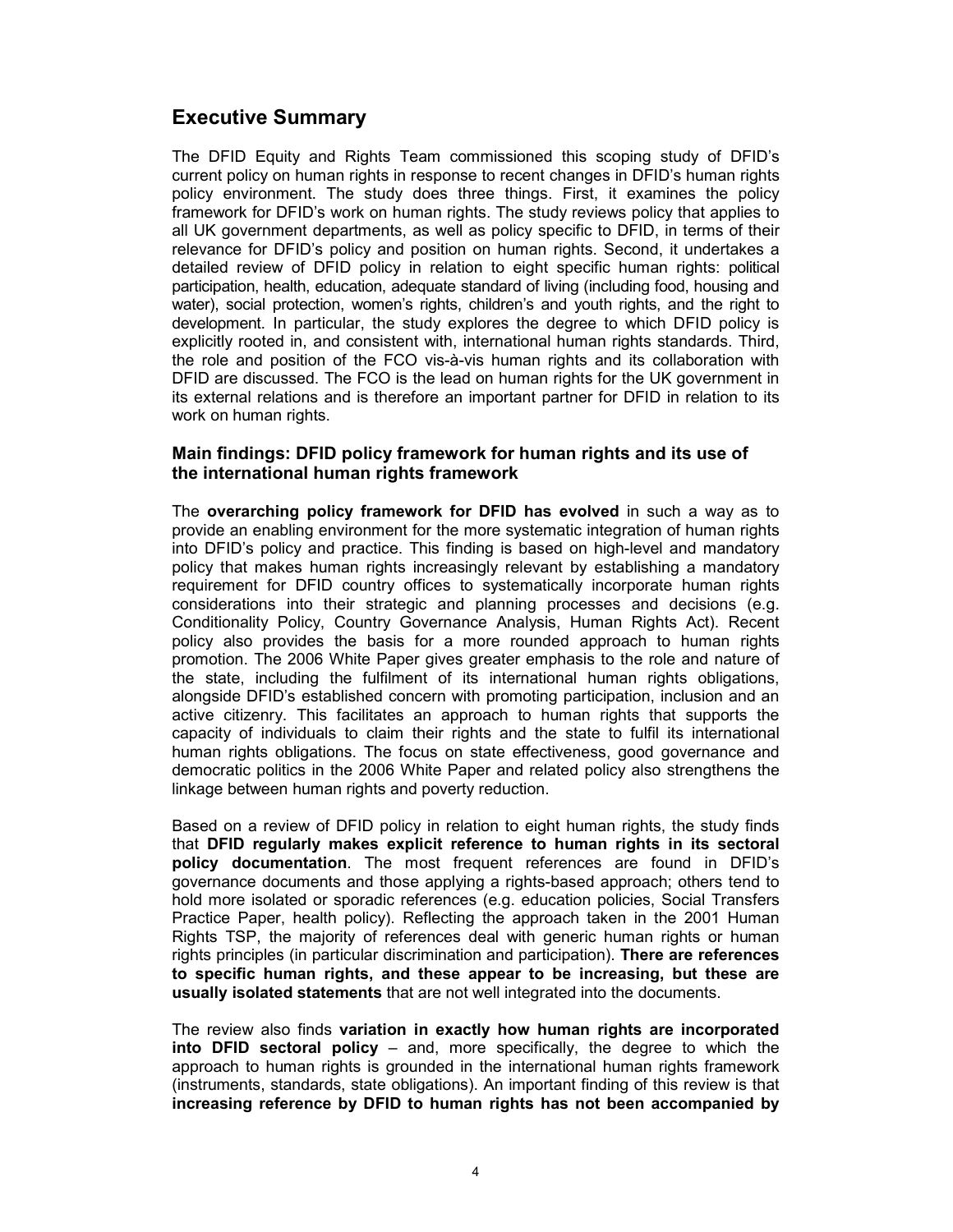## Executive Summary

The DFID Equity and Rights Team commissioned this scoping study of DFID's current policy on human rights in response to recent changes in DFID's human rights policy environment. The study does three things. First, it examines the policy framework for DFID's work on human rights. The study reviews policy that applies to all UK government departments, as well as policy specific to DFID, in terms of their relevance for DFID's policy and position on human rights. Second, it undertakes a detailed review of DFID policy in relation to eight specific human rights: political participation, health, education, adequate standard of living (including food, housing and water), social protection, women's rights, children's and youth rights, and the right to development. In particular, the study explores the degree to which DFID policy is explicitly rooted in, and consistent with, international human rights standards. Third, the role and position of the FCO vis-à-vis human rights and its collaboration with DFID are discussed. The FCO is the lead on human rights for the UK government in its external relations and is therefore an important partner for DFID in relation to its work on human rights.

### Main findings: DFID policy framework for human rights and its use of the international human rights framework

The overarching policy framework for DFID has evolved in such a way as to provide an enabling environment for the more systematic integration of human rights into DFID's policy and practice. This finding is based on high-level and mandatory policy that makes human rights increasingly relevant by establishing a mandatory requirement for DFID country offices to systematically incorporate human rights considerations into their strategic and planning processes and decisions (e.g. Conditionality Policy, Country Governance Analysis, Human Rights Act). Recent policy also provides the basis for a more rounded approach to human rights promotion. The 2006 White Paper gives greater emphasis to the role and nature of the state, including the fulfilment of its international human rights obligations, alongside DFID's established concern with promoting participation, inclusion and an active citizenry. This facilitates an approach to human rights that supports the capacity of individuals to claim their rights and the state to fulfil its international human rights obligations. The focus on state effectiveness, good governance and democratic politics in the 2006 White Paper and related policy also strengthens the linkage between human rights and poverty reduction.

Based on a review of DFID policy in relation to eight human rights, the study finds that DFID regularly makes explicit reference to human rights in its sectoral policy documentation. The most frequent references are found in DFID's governance documents and those applying a rights-based approach; others tend to hold more isolated or sporadic references (e.g. education policies, Social Transfers Practice Paper, health policy). Reflecting the approach taken in the 2001 Human Rights TSP, the majority of references deal with generic human rights or human rights principles (in particular discrimination and participation). There are references to specific human rights, and these appear to be increasing, but these are usually isolated statements that are not well integrated into the documents.

The review also finds variation in exactly how human rights are incorporated into DFID sectoral policy – and, more specifically, the degree to which the approach to human rights is grounded in the international human rights framework (instruments, standards, state obligations). An important finding of this review is that increasing reference by DFID to human rights has not been accompanied by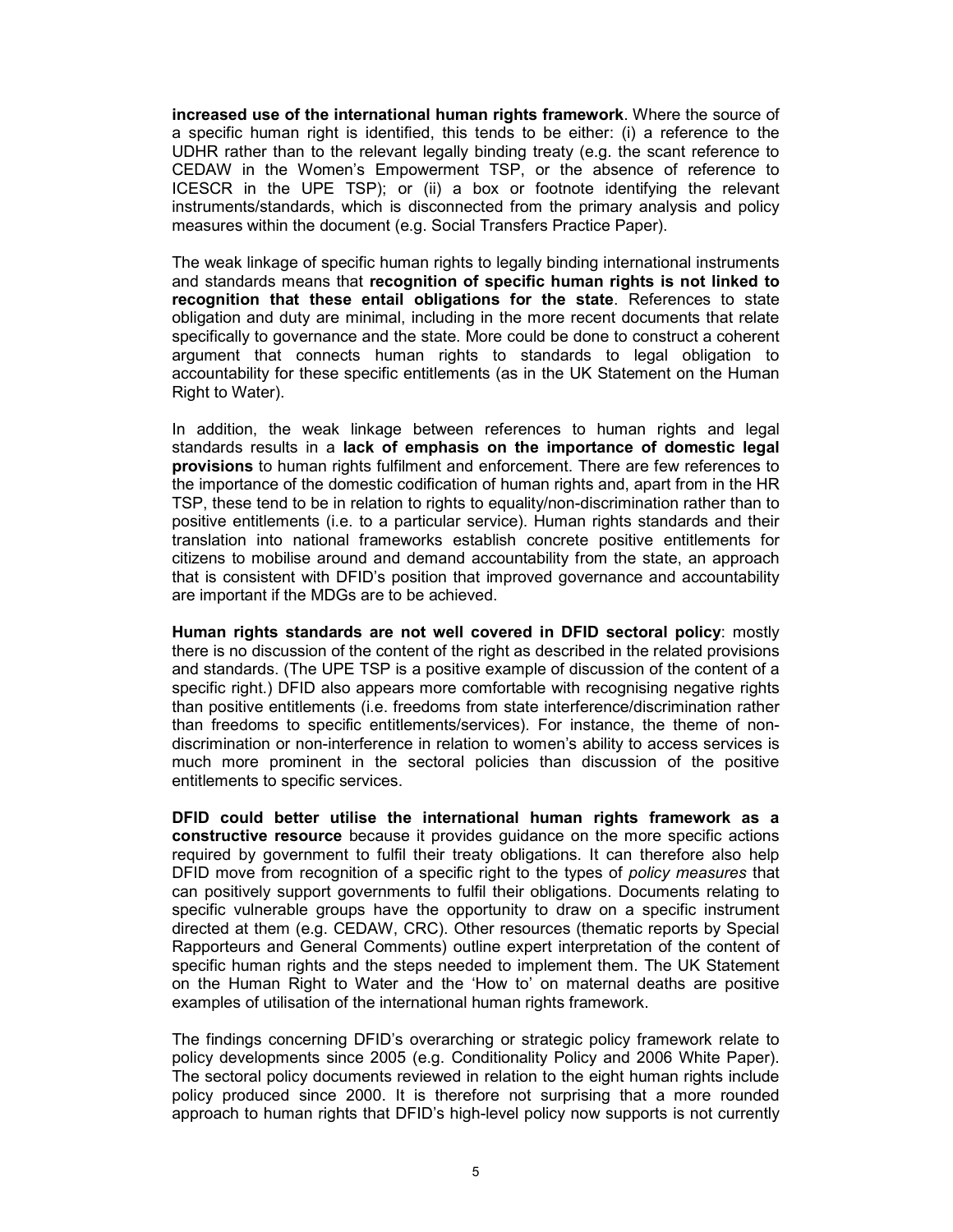increased use of the international human rights framework. Where the source of a specific human right is identified, this tends to be either: (i) a reference to the UDHR rather than to the relevant legally binding treaty (e.g. the scant reference to CEDAW in the Women's Empowerment TSP, or the absence of reference to ICESCR in the UPE TSP); or (ii) a box or footnote identifying the relevant instruments/standards, which is disconnected from the primary analysis and policy measures within the document (e.g. Social Transfers Practice Paper).

The weak linkage of specific human rights to legally binding international instruments and standards means that recognition of specific human rights is not linked to recognition that these entail obligations for the state. References to state obligation and duty are minimal, including in the more recent documents that relate specifically to governance and the state. More could be done to construct a coherent argument that connects human rights to standards to legal obligation to accountability for these specific entitlements (as in the UK Statement on the Human Right to Water).

In addition, the weak linkage between references to human rights and legal standards results in a lack of emphasis on the importance of domestic legal provisions to human rights fulfilment and enforcement. There are few references to the importance of the domestic codification of human rights and, apart from in the HR TSP, these tend to be in relation to rights to equality/non-discrimination rather than to positive entitlements (i.e. to a particular service). Human rights standards and their translation into national frameworks establish concrete positive entitlements for citizens to mobilise around and demand accountability from the state, an approach that is consistent with DFID's position that improved governance and accountability are important if the MDGs are to be achieved.

Human rights standards are not well covered in DFID sectoral policy: mostly there is no discussion of the content of the right as described in the related provisions and standards. (The UPE TSP is a positive example of discussion of the content of a specific right.) DFID also appears more comfortable with recognising negative rights than positive entitlements (i.e. freedoms from state interference/discrimination rather than freedoms to specific entitlements/services). For instance, the theme of nondiscrimination or non-interference in relation to women's ability to access services is much more prominent in the sectoral policies than discussion of the positive entitlements to specific services.

DFID could better utilise the international human rights framework as a constructive resource because it provides guidance on the more specific actions required by government to fulfil their treaty obligations. It can therefore also help DFID move from recognition of a specific right to the types of policy measures that can positively support governments to fulfil their obligations. Documents relating to specific vulnerable groups have the opportunity to draw on a specific instrument directed at them (e.g. CEDAW, CRC). Other resources (thematic reports by Special Rapporteurs and General Comments) outline expert interpretation of the content of specific human rights and the steps needed to implement them. The UK Statement on the Human Right to Water and the 'How to' on maternal deaths are positive examples of utilisation of the international human rights framework.

The findings concerning DFID's overarching or strategic policy framework relate to policy developments since 2005 (e.g. Conditionality Policy and 2006 White Paper). The sectoral policy documents reviewed in relation to the eight human rights include policy produced since 2000. It is therefore not surprising that a more rounded approach to human rights that DFID's high-level policy now supports is not currently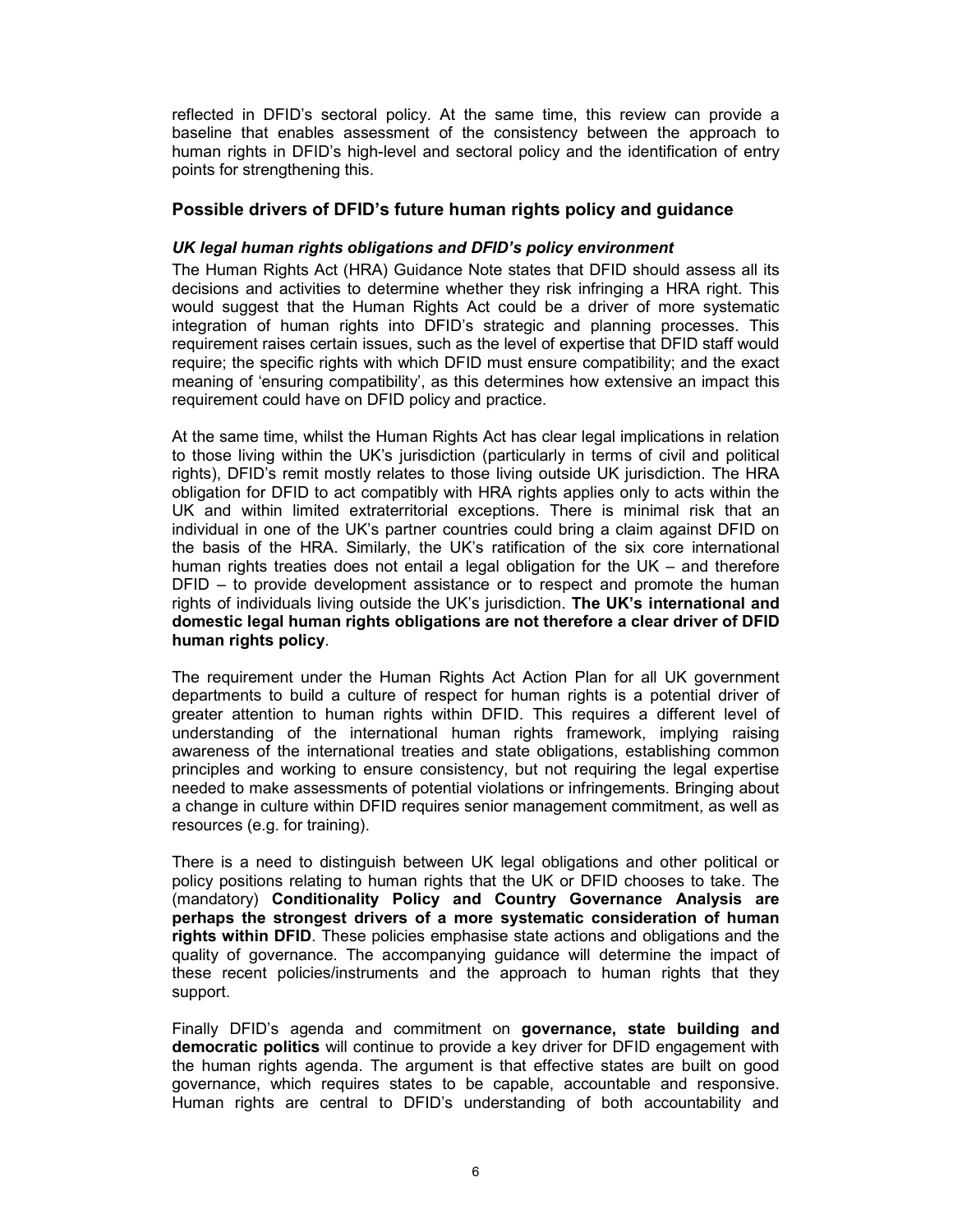reflected in DFID's sectoral policy. At the same time, this review can provide a baseline that enables assessment of the consistency between the approach to human rights in DFID's high-level and sectoral policy and the identification of entry points for strengthening this.

### Possible drivers of DFID's future human rights policy and guidance

### UK legal human rights obligations and DFID's policy environment

The Human Rights Act (HRA) Guidance Note states that DFID should assess all its decisions and activities to determine whether they risk infringing a HRA right. This would suggest that the Human Rights Act could be a driver of more systematic integration of human rights into DFID's strategic and planning processes. This requirement raises certain issues, such as the level of expertise that DFID staff would require; the specific rights with which DFID must ensure compatibility; and the exact meaning of 'ensuring compatibility', as this determines how extensive an impact this requirement could have on DFID policy and practice.

At the same time, whilst the Human Rights Act has clear legal implications in relation to those living within the UK's jurisdiction (particularly in terms of civil and political rights), DFID's remit mostly relates to those living outside UK jurisdiction. The HRA obligation for DFID to act compatibly with HRA rights applies only to acts within the UK and within limited extraterritorial exceptions. There is minimal risk that an individual in one of the UK's partner countries could bring a claim against DFID on the basis of the HRA. Similarly, the UK's ratification of the six core international human rights treaties does not entail a legal obligation for the UK – and therefore DFID – to provide development assistance or to respect and promote the human rights of individuals living outside the UK's jurisdiction. The UK's international and domestic legal human rights obligations are not therefore a clear driver of DFID human rights policy.

The requirement under the Human Rights Act Action Plan for all UK government departments to build a culture of respect for human rights is a potential driver of greater attention to human rights within DFID. This requires a different level of understanding of the international human rights framework, implying raising awareness of the international treaties and state obligations, establishing common principles and working to ensure consistency, but not requiring the legal expertise needed to make assessments of potential violations or infringements. Bringing about a change in culture within DFID requires senior management commitment, as well as resources (e.g. for training).

There is a need to distinguish between UK legal obligations and other political or policy positions relating to human rights that the UK or DFID chooses to take. The (mandatory) Conditionality Policy and Country Governance Analysis are perhaps the strongest drivers of a more systematic consideration of human rights within DFID. These policies emphasise state actions and obligations and the quality of governance. The accompanying guidance will determine the impact of these recent policies/instruments and the approach to human rights that they support.

Finally DFID's agenda and commitment on governance, state building and democratic politics will continue to provide a key driver for DFID engagement with the human rights agenda. The argument is that effective states are built on good governance, which requires states to be capable, accountable and responsive. Human rights are central to DFID's understanding of both accountability and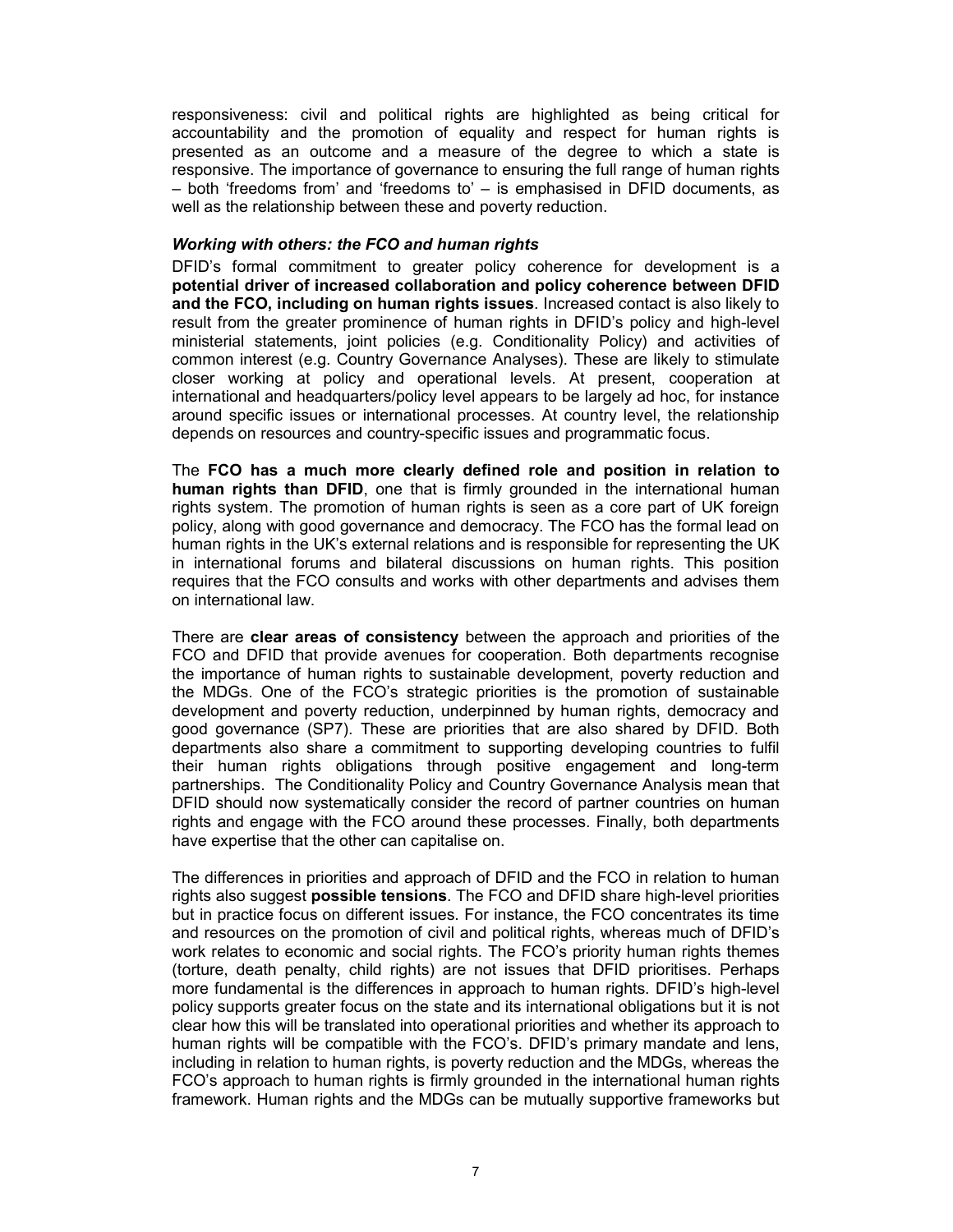responsiveness: civil and political rights are highlighted as being critical for accountability and the promotion of equality and respect for human rights is presented as an outcome and a measure of the degree to which a state is responsive. The importance of governance to ensuring the full range of human rights – both 'freedoms from' and 'freedoms to' – is emphasised in DFID documents, as well as the relationship between these and poverty reduction.

#### Working with others: the FCO and human rights

DFID's formal commitment to greater policy coherence for development is a potential driver of increased collaboration and policy coherence between DFID and the FCO, including on human rights issues. Increased contact is also likely to result from the greater prominence of human rights in DFID's policy and high-level ministerial statements, joint policies (e.g. Conditionality Policy) and activities of common interest (e.g. Country Governance Analyses). These are likely to stimulate closer working at policy and operational levels. At present, cooperation at international and headquarters/policy level appears to be largely ad hoc, for instance around specific issues or international processes. At country level, the relationship depends on resources and country-specific issues and programmatic focus.

The FCO has a much more clearly defined role and position in relation to human rights than DFID, one that is firmly grounded in the international human rights system. The promotion of human rights is seen as a core part of UK foreign policy, along with good governance and democracy. The FCO has the formal lead on human rights in the UK's external relations and is responsible for representing the UK in international forums and bilateral discussions on human rights. This position requires that the FCO consults and works with other departments and advises them on international law.

There are clear areas of consistency between the approach and priorities of the FCO and DFID that provide avenues for cooperation. Both departments recognise the importance of human rights to sustainable development, poverty reduction and the MDGs. One of the FCO's strategic priorities is the promotion of sustainable development and poverty reduction, underpinned by human rights, democracy and good governance (SP7). These are priorities that are also shared by DFID. Both departments also share a commitment to supporting developing countries to fulfil their human rights obligations through positive engagement and long-term partnerships. The Conditionality Policy and Country Governance Analysis mean that DFID should now systematically consider the record of partner countries on human rights and engage with the FCO around these processes. Finally, both departments have expertise that the other can capitalise on.

The differences in priorities and approach of DFID and the FCO in relation to human rights also suggest possible tensions. The FCO and DFID share high-level priorities but in practice focus on different issues. For instance, the FCO concentrates its time and resources on the promotion of civil and political rights, whereas much of DFID's work relates to economic and social rights. The FCO's priority human rights themes (torture, death penalty, child rights) are not issues that DFID prioritises. Perhaps more fundamental is the differences in approach to human rights. DFID's high-level policy supports greater focus on the state and its international obligations but it is not clear how this will be translated into operational priorities and whether its approach to human rights will be compatible with the FCO's. DFID's primary mandate and lens, including in relation to human rights, is poverty reduction and the MDGs, whereas the FCO's approach to human rights is firmly grounded in the international human rights framework. Human rights and the MDGs can be mutually supportive frameworks but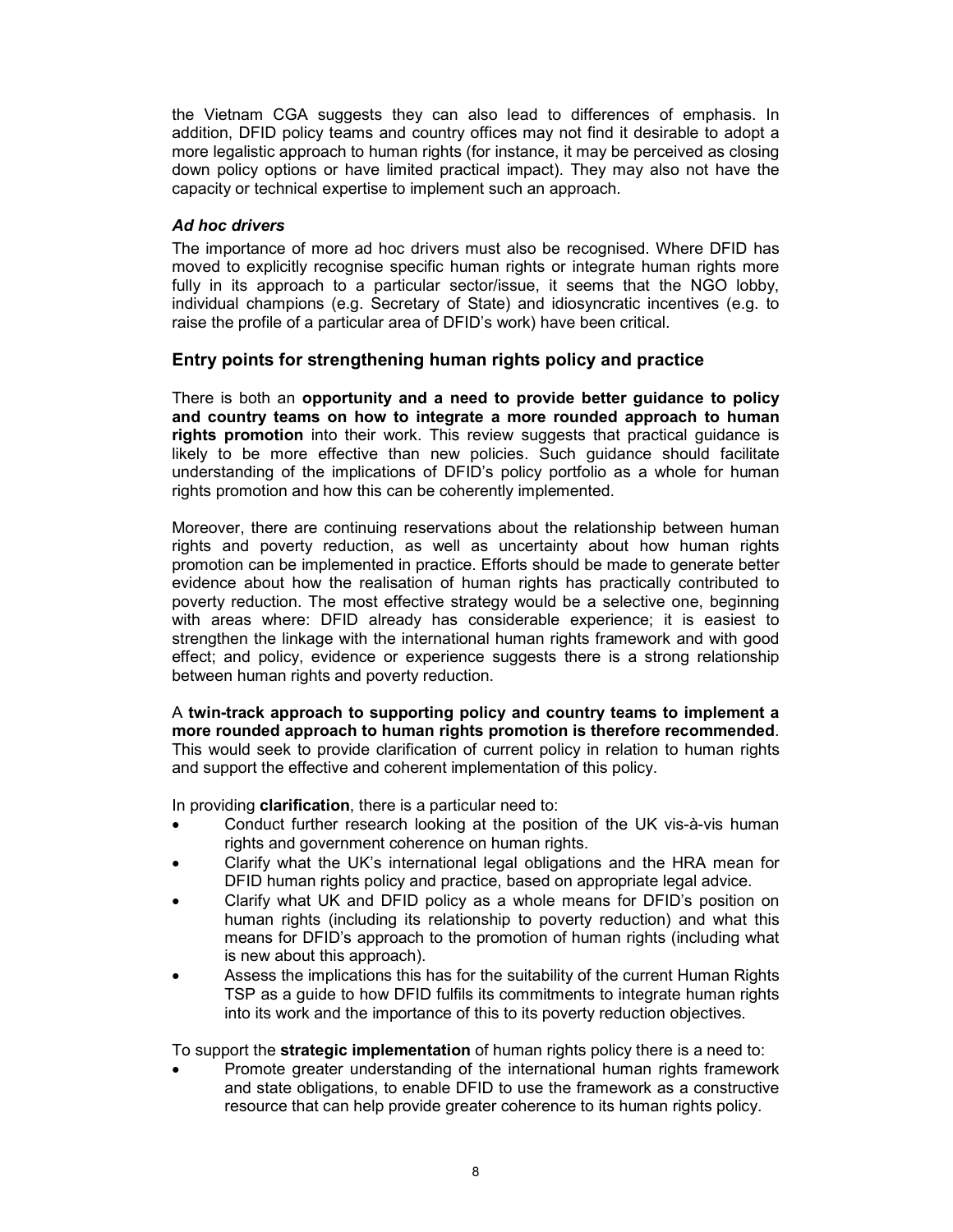the Vietnam CGA suggests they can also lead to differences of emphasis. In addition, DFID policy teams and country offices may not find it desirable to adopt a more legalistic approach to human rights (for instance, it may be perceived as closing down policy options or have limited practical impact). They may also not have the capacity or technical expertise to implement such an approach.

### Ad hoc drivers

The importance of more ad hoc drivers must also be recognised. Where DFID has moved to explicitly recognise specific human rights or integrate human rights more fully in its approach to a particular sector/issue, it seems that the NGO lobby, individual champions (e.g. Secretary of State) and idiosyncratic incentives (e.g. to raise the profile of a particular area of DFID's work) have been critical.

### Entry points for strengthening human rights policy and practice

There is both an opportunity and a need to provide better guidance to policy and country teams on how to integrate a more rounded approach to human rights promotion into their work. This review suggests that practical guidance is likely to be more effective than new policies. Such guidance should facilitate understanding of the implications of DFID's policy portfolio as a whole for human rights promotion and how this can be coherently implemented.

Moreover, there are continuing reservations about the relationship between human rights and poverty reduction, as well as uncertainty about how human rights promotion can be implemented in practice. Efforts should be made to generate better evidence about how the realisation of human rights has practically contributed to poverty reduction. The most effective strategy would be a selective one, beginning with areas where: DFID already has considerable experience; it is easiest to strengthen the linkage with the international human rights framework and with good effect; and policy, evidence or experience suggests there is a strong relationship between human rights and poverty reduction.

A twin-track approach to supporting policy and country teams to implement a more rounded approach to human rights promotion is therefore recommended. This would seek to provide clarification of current policy in relation to human rights and support the effective and coherent implementation of this policy.

In providing clarification, there is a particular need to:

- Conduct further research looking at the position of the UK vis-à-vis human rights and government coherence on human rights.
- Clarify what the UK's international legal obligations and the HRA mean for DFID human rights policy and practice, based on appropriate legal advice.
- Clarify what UK and DFID policy as a whole means for DFID's position on human rights (including its relationship to poverty reduction) and what this means for DFID's approach to the promotion of human rights (including what is new about this approach).
- Assess the implications this has for the suitability of the current Human Rights TSP as a guide to how DFID fulfils its commitments to integrate human rights into its work and the importance of this to its poverty reduction objectives.

To support the **strategic implementation** of human rights policy there is a need to:

• Promote greater understanding of the international human rights framework and state obligations, to enable DFID to use the framework as a constructive resource that can help provide greater coherence to its human rights policy.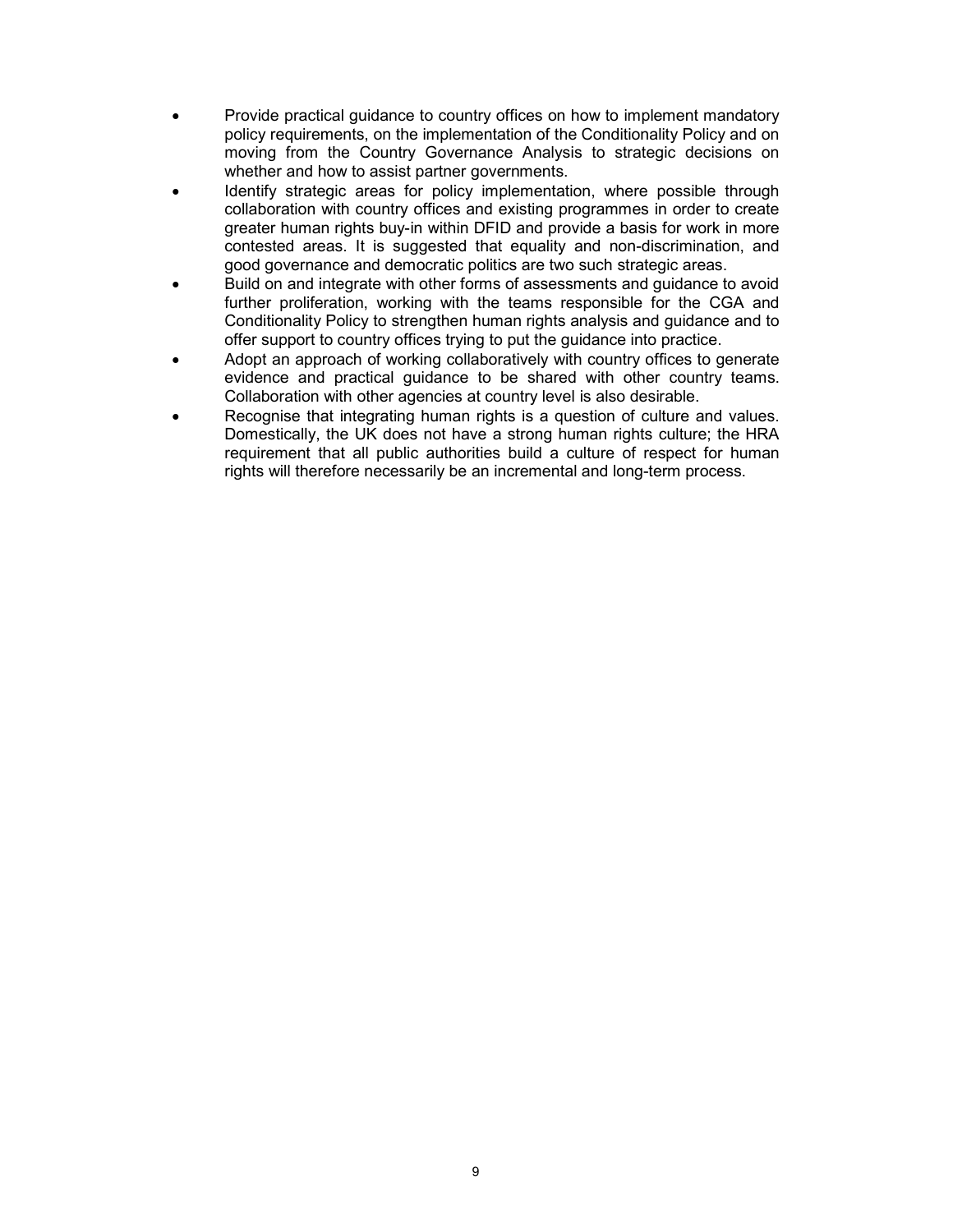- Provide practical guidance to country offices on how to implement mandatory policy requirements, on the implementation of the Conditionality Policy and on moving from the Country Governance Analysis to strategic decisions on whether and how to assist partner governments.
- Identify strategic areas for policy implementation, where possible through collaboration with country offices and existing programmes in order to create greater human rights buy-in within DFID and provide a basis for work in more contested areas. It is suggested that equality and non-discrimination, and good governance and democratic politics are two such strategic areas.
- Build on and integrate with other forms of assessments and guidance to avoid further proliferation, working with the teams responsible for the CGA and Conditionality Policy to strengthen human rights analysis and guidance and to offer support to country offices trying to put the guidance into practice.
- Adopt an approach of working collaboratively with country offices to generate evidence and practical guidance to be shared with other country teams. Collaboration with other agencies at country level is also desirable.
- Recognise that integrating human rights is a question of culture and values. Domestically, the UK does not have a strong human rights culture; the HRA requirement that all public authorities build a culture of respect for human rights will therefore necessarily be an incremental and long-term process.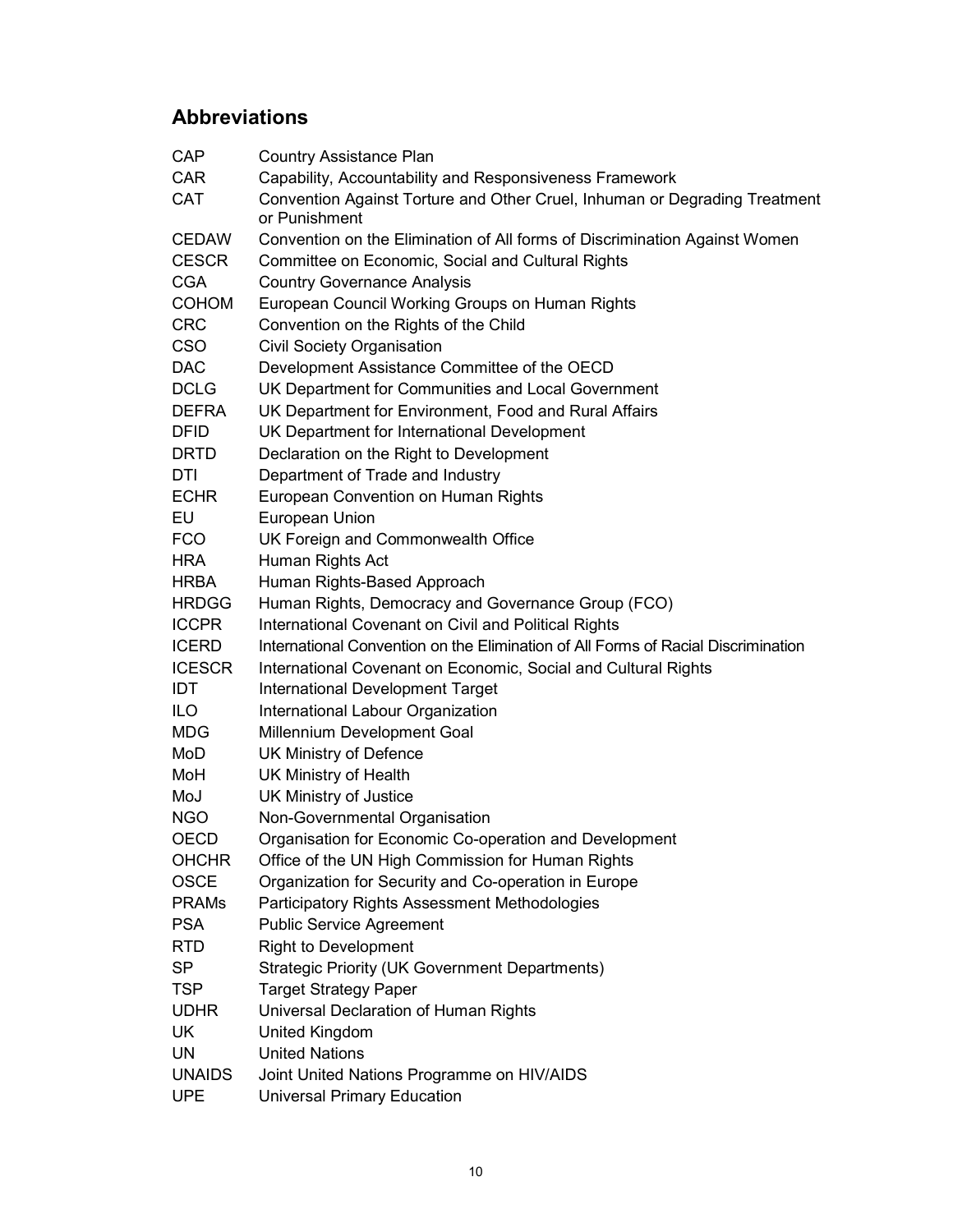## Abbreviations

| <b>CAP</b>    | <b>Country Assistance Plan</b>                                                              |
|---------------|---------------------------------------------------------------------------------------------|
| <b>CAR</b>    | Capability, Accountability and Responsiveness Framework                                     |
| <b>CAT</b>    | Convention Against Torture and Other Cruel, Inhuman or Degrading Treatment<br>or Punishment |
| <b>CEDAW</b>  | Convention on the Elimination of All forms of Discrimination Against Women                  |
| <b>CESCR</b>  | Committee on Economic, Social and Cultural Rights                                           |
| <b>CGA</b>    | <b>Country Governance Analysis</b>                                                          |
| <b>COHOM</b>  | European Council Working Groups on Human Rights                                             |
| <b>CRC</b>    | Convention on the Rights of the Child                                                       |
| <b>CSO</b>    | Civil Society Organisation                                                                  |
| <b>DAC</b>    | Development Assistance Committee of the OECD                                                |
| <b>DCLG</b>   | UK Department for Communities and Local Government                                          |
| <b>DEFRA</b>  | UK Department for Environment, Food and Rural Affairs                                       |
| <b>DFID</b>   | UK Department for International Development                                                 |
| <b>DRTD</b>   | Declaration on the Right to Development                                                     |
| DTI           | Department of Trade and Industry                                                            |
| <b>ECHR</b>   | European Convention on Human Rights                                                         |
| EU            | European Union                                                                              |
| <b>FCO</b>    | UK Foreign and Commonwealth Office                                                          |
| <b>HRA</b>    | Human Rights Act                                                                            |
| <b>HRBA</b>   | Human Rights-Based Approach                                                                 |
| <b>HRDGG</b>  | Human Rights, Democracy and Governance Group (FCO)                                          |
| <b>ICCPR</b>  | International Covenant on Civil and Political Rights                                        |
| <b>ICERD</b>  | International Convention on the Elimination of All Forms of Racial Discrimination           |
| <b>ICESCR</b> | International Covenant on Economic, Social and Cultural Rights                              |
| IDT           | <b>International Development Target</b>                                                     |
| <b>ILO</b>    | International Labour Organization                                                           |
| <b>MDG</b>    | Millennium Development Goal                                                                 |
| MoD           | UK Ministry of Defence                                                                      |
| MoH           | <b>UK Ministry of Health</b>                                                                |
| MoJ           | UK Ministry of Justice                                                                      |
| <b>NGO</b>    | Non-Governmental Organisation                                                               |
| OECD          | Organisation for Economic Co-operation and Development                                      |
| <b>OHCHR</b>  | Office of the UN High Commission for Human Rights                                           |
| <b>OSCE</b>   | Organization for Security and Co-operation in Europe                                        |
| <b>PRAMs</b>  | Participatory Rights Assessment Methodologies                                               |
| <b>PSA</b>    | <b>Public Service Agreement</b>                                                             |
| <b>RTD</b>    | <b>Right to Development</b>                                                                 |
| <b>SP</b>     | <b>Strategic Priority (UK Government Departments)</b>                                       |
| <b>TSP</b>    | <b>Target Strategy Paper</b>                                                                |
| <b>UDHR</b>   | Universal Declaration of Human Rights                                                       |
| <b>UK</b>     | United Kingdom                                                                              |
| <b>UN</b>     | <b>United Nations</b>                                                                       |
| <b>UNAIDS</b> | Joint United Nations Programme on HIV/AIDS                                                  |
| <b>UPE</b>    | <b>Universal Primary Education</b>                                                          |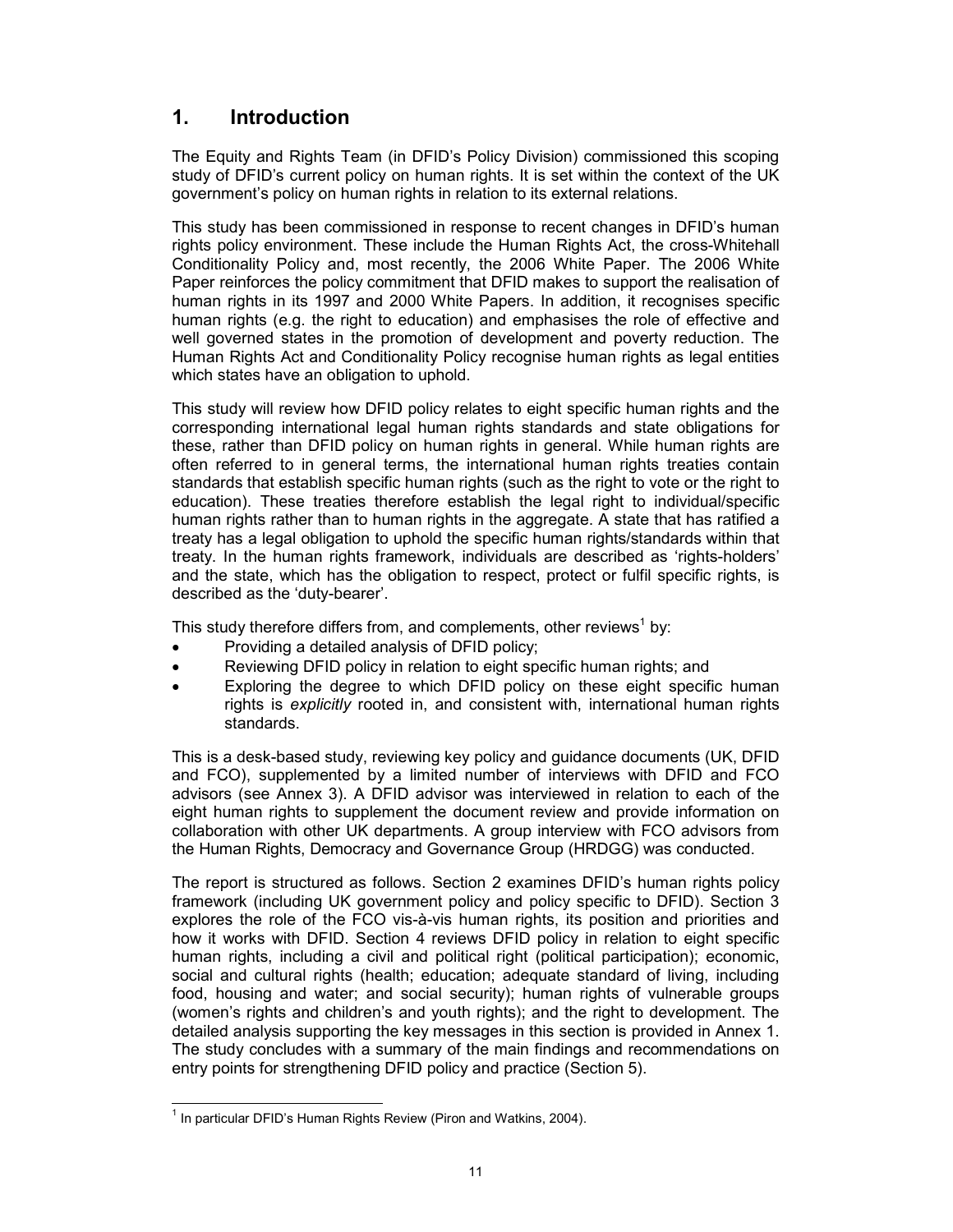## 1. Introduction

The Equity and Rights Team (in DFID's Policy Division) commissioned this scoping study of DFID's current policy on human rights. It is set within the context of the UK government's policy on human rights in relation to its external relations.

This study has been commissioned in response to recent changes in DFID's human rights policy environment. These include the Human Rights Act, the cross-Whitehall Conditionality Policy and, most recently, the 2006 White Paper. The 2006 White Paper reinforces the policy commitment that DFID makes to support the realisation of human rights in its 1997 and 2000 White Papers. In addition, it recognises specific human rights (e.g. the right to education) and emphasises the role of effective and well governed states in the promotion of development and poverty reduction. The Human Rights Act and Conditionality Policy recognise human rights as legal entities which states have an obligation to uphold.

This study will review how DFID policy relates to eight specific human rights and the corresponding international legal human rights standards and state obligations for these, rather than DFID policy on human rights in general. While human rights are often referred to in general terms, the international human rights treaties contain standards that establish specific human rights (such as the right to vote or the right to education). These treaties therefore establish the legal right to individual/specific human rights rather than to human rights in the aggregate. A state that has ratified a treaty has a legal obligation to uphold the specific human rights/standards within that treaty. In the human rights framework, individuals are described as 'rights-holders' and the state, which has the obligation to respect, protect or fulfil specific rights, is described as the 'duty-bearer'.

This study therefore differs from, and complements, other reviews<sup>1</sup> by:

- Providing a detailed analysis of DFID policy;
- Reviewing DFID policy in relation to eight specific human rights; and
- Exploring the degree to which DFID policy on these eight specific human rights is explicitly rooted in, and consistent with, international human rights standards.

This is a desk-based study, reviewing key policy and guidance documents (UK, DFID and FCO), supplemented by a limited number of interviews with DFID and FCO advisors (see Annex 3). A DFID advisor was interviewed in relation to each of the eight human rights to supplement the document review and provide information on collaboration with other UK departments. A group interview with FCO advisors from the Human Rights, Democracy and Governance Group (HRDGG) was conducted.

The report is structured as follows. Section 2 examines DFID's human rights policy framework (including UK government policy and policy specific to DFID). Section 3 explores the role of the FCO vis-à-vis human rights, its position and priorities and how it works with DFID. Section 4 reviews DFID policy in relation to eight specific human rights, including a civil and political right (political participation); economic, social and cultural rights (health; education; adequate standard of living, including food, housing and water; and social security); human rights of vulnerable groups (women's rights and children's and youth rights); and the right to development. The detailed analysis supporting the key messages in this section is provided in Annex 1. The study concludes with a summary of the main findings and recommendations on entry points for strengthening DFID policy and practice (Section 5).

 $\overline{a}$  $<sup>1</sup>$  In particular DFID's Human Rights Review (Piron and Watkins, 2004).</sup>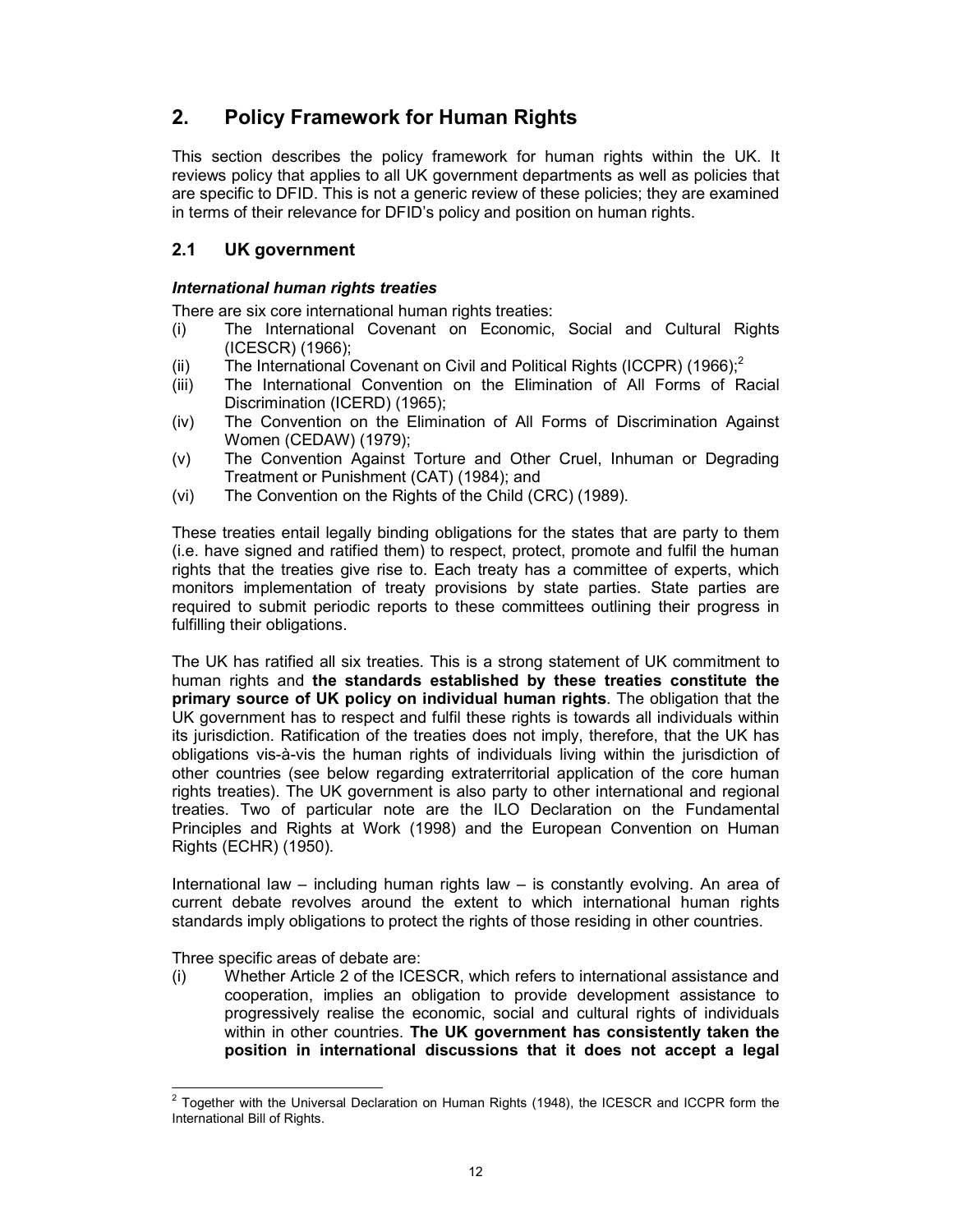## 2. Policy Framework for Human Rights

This section describes the policy framework for human rights within the UK. It reviews policy that applies to all UK government departments as well as policies that are specific to DFID. This is not a generic review of these policies; they are examined in terms of their relevance for DFID's policy and position on human rights.

## 2.1 UK government

### International human rights treaties

There are six core international human rights treaties:

- (i) The International Covenant on Economic, Social and Cultural Rights (ICESCR) (1966);
- (ii) The International Covenant on Civil and Political Rights (ICCPR) (1966);<sup>2</sup>
- (iii) The International Convention on the Elimination of All Forms of Racial Discrimination (ICERD) (1965);
- (iv) The Convention on the Elimination of All Forms of Discrimination Against Women (CEDAW) (1979);
- (v) The Convention Against Torture and Other Cruel, Inhuman or Degrading Treatment or Punishment (CAT) (1984); and
- (vi) The Convention on the Rights of the Child (CRC) (1989).

These treaties entail legally binding obligations for the states that are party to them (i.e. have signed and ratified them) to respect, protect, promote and fulfil the human rights that the treaties give rise to. Each treaty has a committee of experts, which monitors implementation of treaty provisions by state parties. State parties are required to submit periodic reports to these committees outlining their progress in fulfilling their obligations.

The UK has ratified all six treaties. This is a strong statement of UK commitment to human rights and the standards established by these treaties constitute the primary source of UK policy on individual human rights. The obligation that the UK government has to respect and fulfil these rights is towards all individuals within its jurisdiction. Ratification of the treaties does not imply, therefore, that the UK has obligations vis-à-vis the human rights of individuals living within the jurisdiction of other countries (see below regarding extraterritorial application of the core human rights treaties). The UK government is also party to other international and regional treaties. Two of particular note are the ILO Declaration on the Fundamental Principles and Rights at Work (1998) and the European Convention on Human Rights (ECHR) (1950).

International law – including human rights law – is constantly evolving. An area of current debate revolves around the extent to which international human rights standards imply obligations to protect the rights of those residing in other countries.

Three specific areas of debate are:

(i) Whether Article 2 of the ICESCR, which refers to international assistance and cooperation, implies an obligation to provide development assistance to progressively realise the economic, social and cultural rights of individuals within in other countries. The UK government has consistently taken the position in international discussions that it does not accept a legal

 2 Together with the Universal Declaration on Human Rights (1948), the ICESCR and ICCPR form the International Bill of Rights.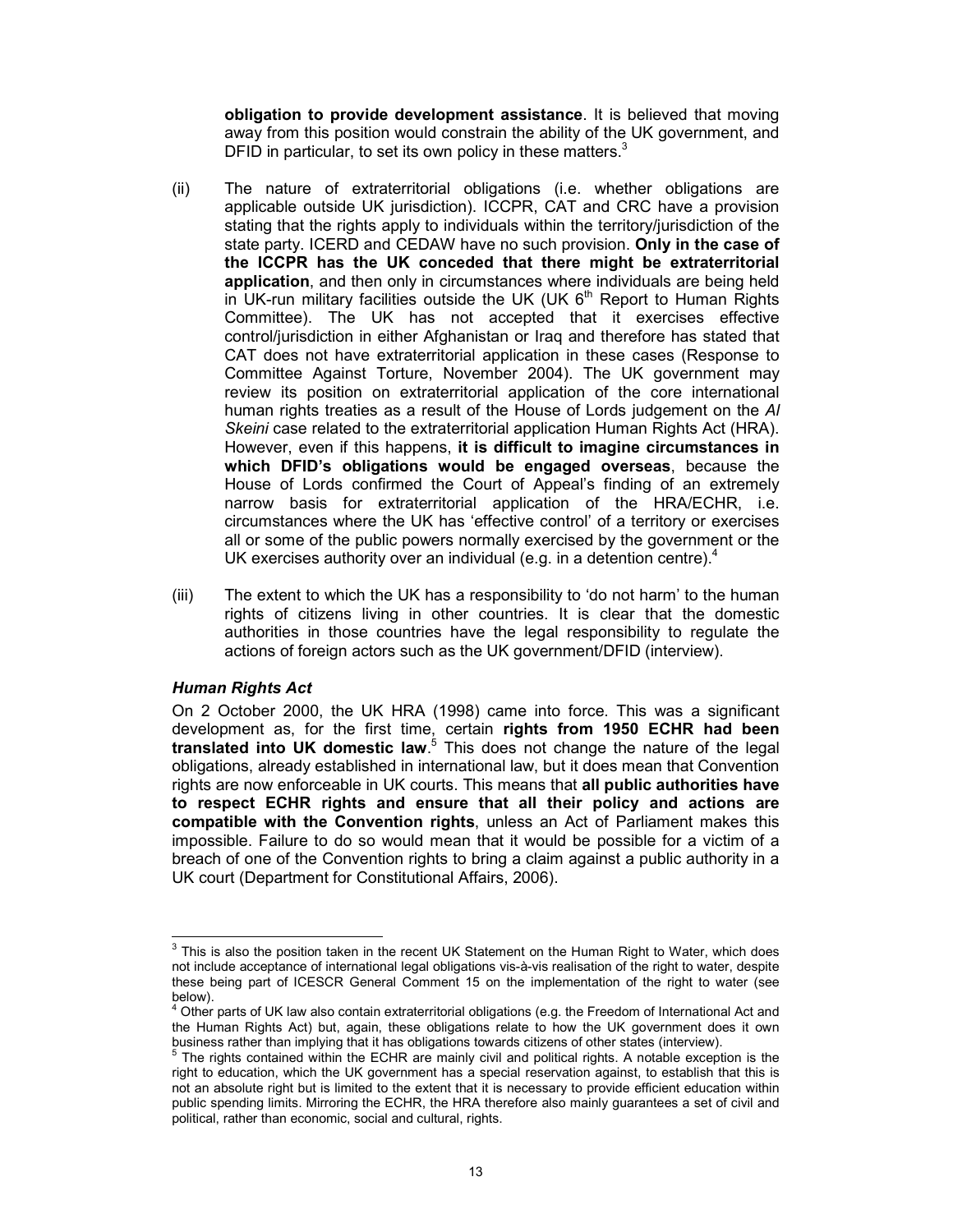obligation to provide development assistance. It is believed that moving away from this position would constrain the ability of the UK government, and DFID in particular, to set its own policy in these matters.<sup>3</sup>

- (ii) The nature of extraterritorial obligations (i.e. whether obligations are applicable outside UK jurisdiction). ICCPR, CAT and CRC have a provision stating that the rights apply to individuals within the territory/jurisdiction of the state party. ICERD and CEDAW have no such provision. Only in the case of the ICCPR has the UK conceded that there might be extraterritorial application, and then only in circumstances where individuals are being held in UK-run military facilities outside the UK (UK  $6<sup>th</sup>$  Report to Human Rights Committee). The UK has not accepted that it exercises effective control/jurisdiction in either Afghanistan or Iraq and therefore has stated that CAT does not have extraterritorial application in these cases (Response to Committee Against Torture, November 2004). The UK government may review its position on extraterritorial application of the core international human rights treaties as a result of the House of Lords judgement on the Al Skeini case related to the extraterritorial application Human Rights Act (HRA). However, even if this happens, it is difficult to imagine circumstances in which DFID's obligations would be engaged overseas, because the House of Lords confirmed the Court of Appeal's finding of an extremely narrow basis for extraterritorial application of the HRA/ECHR, i.e. circumstances where the UK has 'effective control' of a territory or exercises all or some of the public powers normally exercised by the government or the UK exercises authority over an individual (e.g. in a detention centre). $4$
- (iii) The extent to which the UK has a responsibility to 'do not harm' to the human rights of citizens living in other countries. It is clear that the domestic authorities in those countries have the legal responsibility to regulate the actions of foreign actors such as the UK government/DFID (interview).

#### Human Rights Act

On 2 October 2000, the UK HRA (1998) came into force. This was a significant development as, for the first time, certain rights from 1950 ECHR had been translated into UK domestic law.<sup>5</sup> This does not change the nature of the legal obligations, already established in international law, but it does mean that Convention rights are now enforceable in UK courts. This means that all public authorities have to respect ECHR rights and ensure that all their policy and actions are compatible with the Convention rights, unless an Act of Parliament makes this impossible. Failure to do so would mean that it would be possible for a victim of a breach of one of the Convention rights to bring a claim against a public authority in a UK court (Department for Constitutional Affairs, 2006).

<sup>-&</sup>lt;br>3 This is also the position taken in the recent UK Statement on the Human Right to Water, which does not include acceptance of international legal obligations vis-à-vis realisation of the right to water, despite these being part of ICESCR General Comment 15 on the implementation of the right to water (see below).<br><sup>4</sup> Other

Other parts of UK law also contain extraterritorial obligations (e.g. the Freedom of International Act and the Human Rights Act) but, again, these obligations relate to how the UK government does it own business rather than implying that it has obligations towards citizens of other states (interview).

<sup>&</sup>lt;sup>5</sup> The rights contained within the ECHR are mainly civil and political rights. A notable exception is the right to education, which the UK government has a special reservation against, to establish that this is not an absolute right but is limited to the extent that it is necessary to provide efficient education within public spending limits. Mirroring the ECHR, the HRA therefore also mainly guarantees a set of civil and political, rather than economic, social and cultural, rights.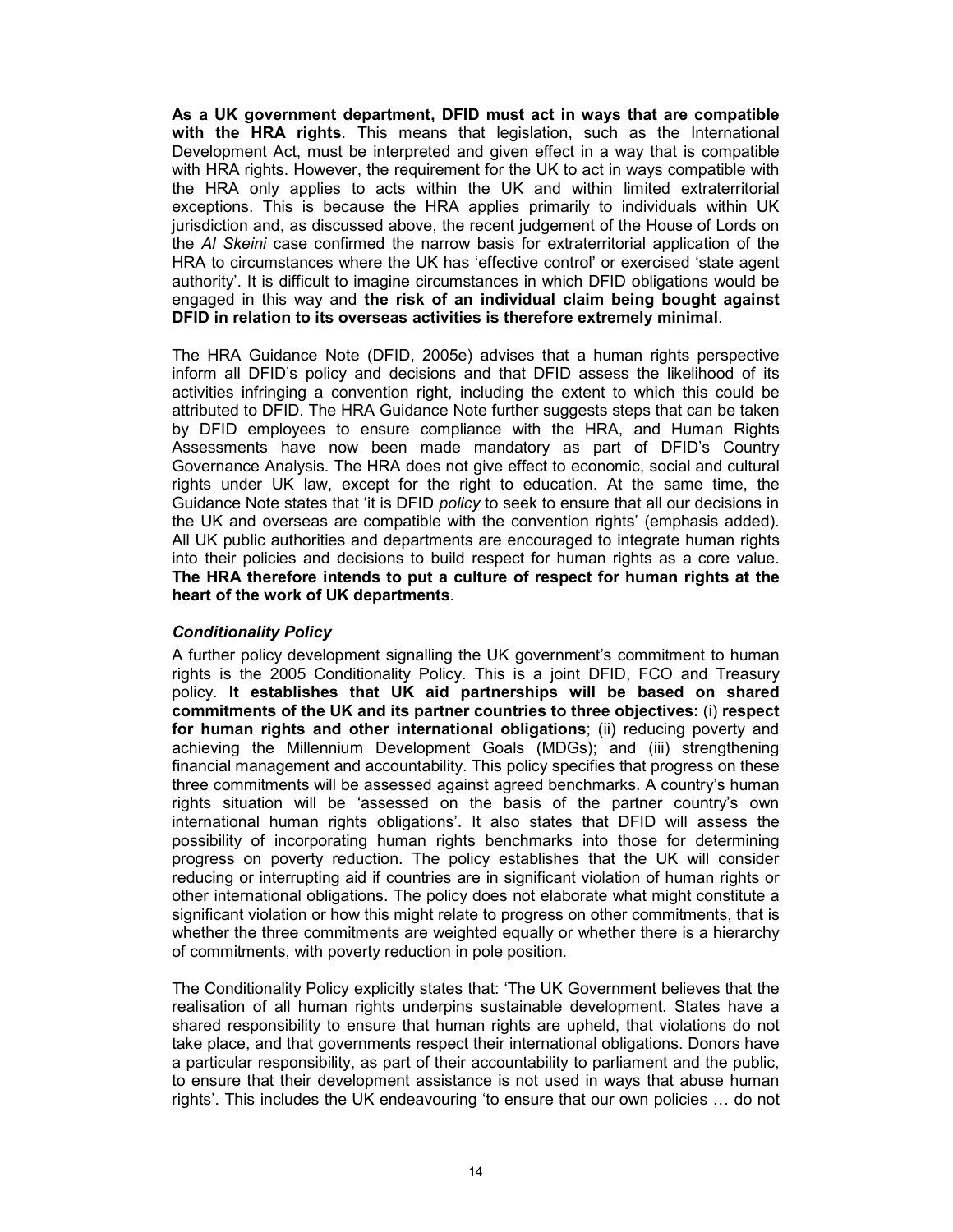As a UK government department, DFID must act in ways that are compatible with the HRA rights. This means that legislation, such as the International Development Act, must be interpreted and given effect in a way that is compatible with HRA rights. However, the requirement for the UK to act in ways compatible with the HRA only applies to acts within the UK and within limited extraterritorial exceptions. This is because the HRA applies primarily to individuals within UK jurisdiction and, as discussed above, the recent judgement of the House of Lords on the Al Skeini case confirmed the narrow basis for extraterritorial application of the HRA to circumstances where the UK has 'effective control' or exercised 'state agent authority'. It is difficult to imagine circumstances in which DFID obligations would be engaged in this way and the risk of an individual claim being bought against DFID in relation to its overseas activities is therefore extremely minimal.

The HRA Guidance Note (DFID, 2005e) advises that a human rights perspective inform all DFID's policy and decisions and that DFID assess the likelihood of its activities infringing a convention right, including the extent to which this could be attributed to DFID. The HRA Guidance Note further suggests steps that can be taken by DFID employees to ensure compliance with the HRA, and Human Rights Assessments have now been made mandatory as part of DFID's Country Governance Analysis. The HRA does not give effect to economic, social and cultural rights under UK law, except for the right to education. At the same time, the Guidance Note states that 'it is DFID policy to seek to ensure that all our decisions in the UK and overseas are compatible with the convention rights' (emphasis added). All UK public authorities and departments are encouraged to integrate human rights into their policies and decisions to build respect for human rights as a core value. The HRA therefore intends to put a culture of respect for human rights at the heart of the work of UK departments.

### Conditionality Policy

A further policy development signalling the UK government's commitment to human rights is the 2005 Conditionality Policy. This is a joint DFID, FCO and Treasury policy. It establishes that UK aid partnerships will be based on shared commitments of the UK and its partner countries to three objectives: (i) respect for human rights and other international obligations; (ii) reducing poverty and achieving the Millennium Development Goals (MDGs); and (iii) strengthening financial management and accountability. This policy specifies that progress on these three commitments will be assessed against agreed benchmarks. A country's human rights situation will be 'assessed on the basis of the partner country's own international human rights obligations'. It also states that DFID will assess the possibility of incorporating human rights benchmarks into those for determining progress on poverty reduction. The policy establishes that the UK will consider reducing or interrupting aid if countries are in significant violation of human rights or other international obligations. The policy does not elaborate what might constitute a significant violation or how this might relate to progress on other commitments, that is whether the three commitments are weighted equally or whether there is a hierarchy of commitments, with poverty reduction in pole position.

The Conditionality Policy explicitly states that: 'The UK Government believes that the realisation of all human rights underpins sustainable development. States have a shared responsibility to ensure that human rights are upheld, that violations do not take place, and that governments respect their international obligations. Donors have a particular responsibility, as part of their accountability to parliament and the public, to ensure that their development assistance is not used in ways that abuse human rights'. This includes the UK endeavouring 'to ensure that our own policies … do not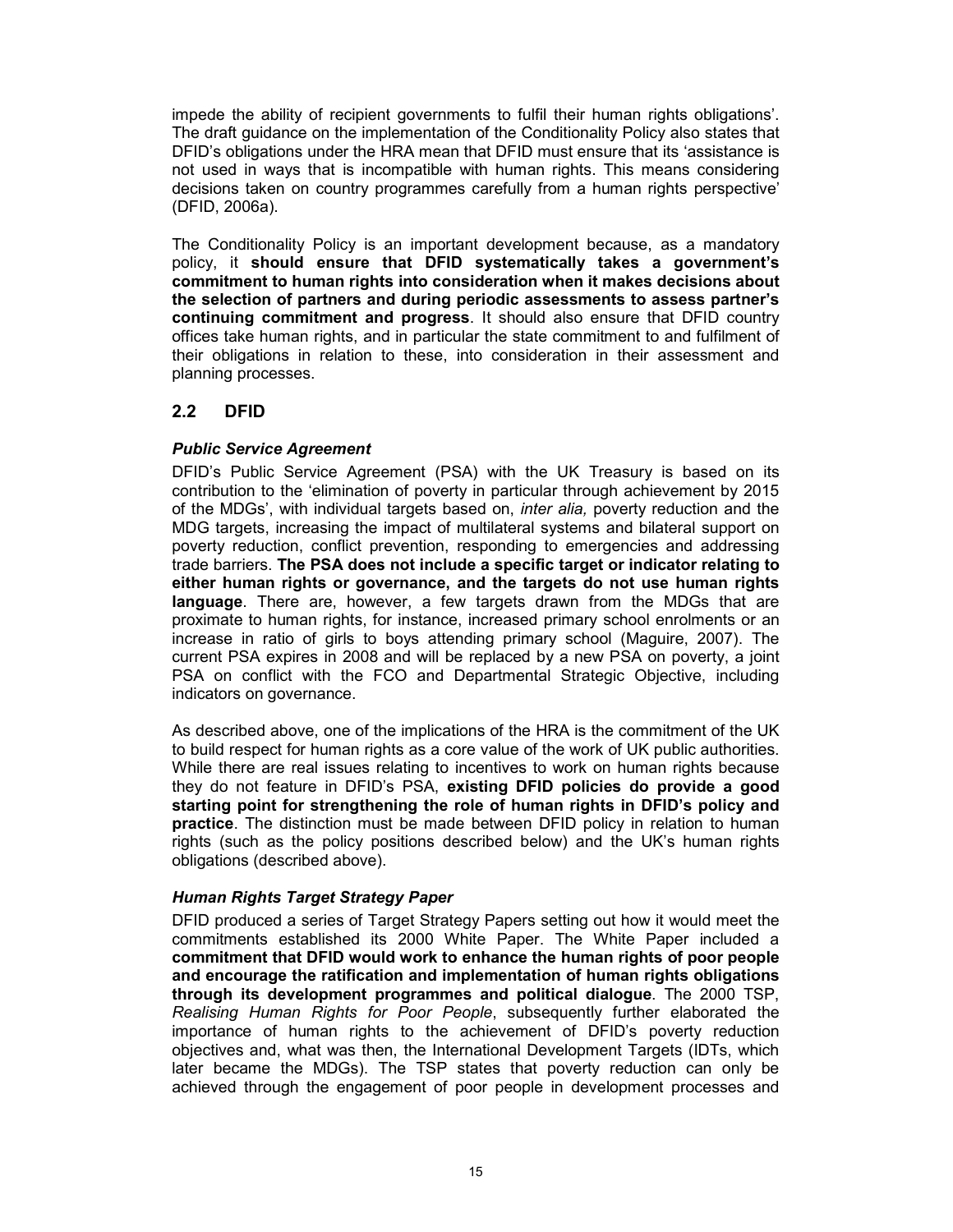impede the ability of recipient governments to fulfil their human rights obligations'. The draft guidance on the implementation of the Conditionality Policy also states that DFID's obligations under the HRA mean that DFID must ensure that its 'assistance is not used in ways that is incompatible with human rights. This means considering decisions taken on country programmes carefully from a human rights perspective' (DFID, 2006a).

The Conditionality Policy is an important development because, as a mandatory policy, it should ensure that DFID systematically takes a government's commitment to human rights into consideration when it makes decisions about the selection of partners and during periodic assessments to assess partner's continuing commitment and progress. It should also ensure that DFID country offices take human rights, and in particular the state commitment to and fulfilment of their obligations in relation to these, into consideration in their assessment and planning processes.

## 2.2 DFID

### Public Service Agreement

DFID's Public Service Agreement (PSA) with the UK Treasury is based on its contribution to the 'elimination of poverty in particular through achievement by 2015 of the MDGs', with individual targets based on, inter alia, poverty reduction and the MDG targets, increasing the impact of multilateral systems and bilateral support on poverty reduction, conflict prevention, responding to emergencies and addressing trade barriers. The PSA does not include a specific target or indicator relating to either human rights or governance, and the targets do not use human rights language. There are, however, a few targets drawn from the MDGs that are proximate to human rights, for instance, increased primary school enrolments or an increase in ratio of girls to boys attending primary school (Maguire, 2007). The current PSA expires in 2008 and will be replaced by a new PSA on poverty, a joint PSA on conflict with the FCO and Departmental Strategic Objective, including indicators on governance.

As described above, one of the implications of the HRA is the commitment of the UK to build respect for human rights as a core value of the work of UK public authorities. While there are real issues relating to incentives to work on human rights because they do not feature in DFID's PSA, existing DFID policies do provide a good starting point for strengthening the role of human rights in DFID's policy and practice. The distinction must be made between DFID policy in relation to human rights (such as the policy positions described below) and the UK's human rights obligations (described above).

### Human Rights Target Strategy Paper

DFID produced a series of Target Strategy Papers setting out how it would meet the commitments established its 2000 White Paper. The White Paper included a commitment that DFID would work to enhance the human rights of poor people and encourage the ratification and implementation of human rights obligations through its development programmes and political dialogue. The 2000 TSP, Realising Human Rights for Poor People, subsequently further elaborated the importance of human rights to the achievement of DFID's poverty reduction objectives and, what was then, the International Development Targets (IDTs, which later became the MDGs). The TSP states that poverty reduction can only be achieved through the engagement of poor people in development processes and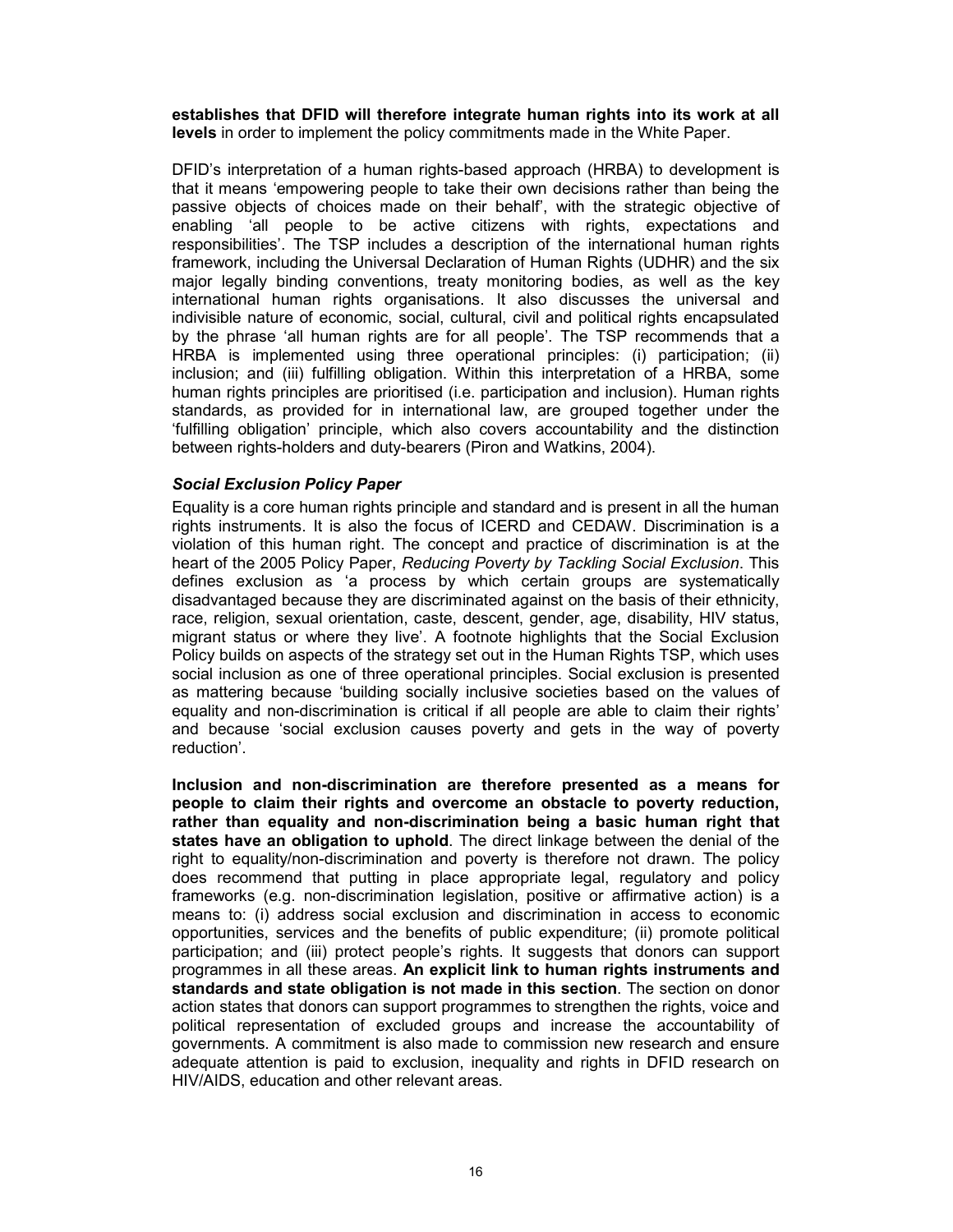establishes that DFID will therefore integrate human rights into its work at all levels in order to implement the policy commitments made in the White Paper.

DFID's interpretation of a human rights-based approach (HRBA) to development is that it means 'empowering people to take their own decisions rather than being the passive objects of choices made on their behalf', with the strategic objective of enabling 'all people to be active citizens with rights, expectations and responsibilities'. The TSP includes a description of the international human rights framework, including the Universal Declaration of Human Rights (UDHR) and the six major legally binding conventions, treaty monitoring bodies, as well as the key international human rights organisations. It also discusses the universal and indivisible nature of economic, social, cultural, civil and political rights encapsulated by the phrase 'all human rights are for all people'. The TSP recommends that a HRBA is implemented using three operational principles: (i) participation; (ii) inclusion; and (iii) fulfilling obligation. Within this interpretation of a HRBA, some human rights principles are prioritised (i.e. participation and inclusion). Human rights standards, as provided for in international law, are grouped together under the 'fulfilling obligation' principle, which also covers accountability and the distinction between rights-holders and duty-bearers (Piron and Watkins, 2004).

### Social Exclusion Policy Paper

Equality is a core human rights principle and standard and is present in all the human rights instruments. It is also the focus of ICERD and CEDAW. Discrimination is a violation of this human right. The concept and practice of discrimination is at the heart of the 2005 Policy Paper, Reducing Poverty by Tackling Social Exclusion. This defines exclusion as 'a process by which certain groups are systematically disadvantaged because they are discriminated against on the basis of their ethnicity, race, religion, sexual orientation, caste, descent, gender, age, disability, HIV status, migrant status or where they live'. A footnote highlights that the Social Exclusion Policy builds on aspects of the strategy set out in the Human Rights TSP, which uses social inclusion as one of three operational principles. Social exclusion is presented as mattering because 'building socially inclusive societies based on the values of equality and non-discrimination is critical if all people are able to claim their rights' and because 'social exclusion causes poverty and gets in the way of poverty reduction'.

Inclusion and non-discrimination are therefore presented as a means for people to claim their rights and overcome an obstacle to poverty reduction, rather than equality and non-discrimination being a basic human right that states have an obligation to uphold. The direct linkage between the denial of the right to equality/non-discrimination and poverty is therefore not drawn. The policy does recommend that putting in place appropriate legal, regulatory and policy frameworks (e.g. non-discrimination legislation, positive or affirmative action) is a means to: (i) address social exclusion and discrimination in access to economic opportunities, services and the benefits of public expenditure; (ii) promote political participation; and (iii) protect people's rights. It suggests that donors can support programmes in all these areas. An explicit link to human rights instruments and standards and state obligation is not made in this section. The section on donor action states that donors can support programmes to strengthen the rights, voice and political representation of excluded groups and increase the accountability of governments. A commitment is also made to commission new research and ensure adequate attention is paid to exclusion, inequality and rights in DFID research on HIV/AIDS, education and other relevant areas.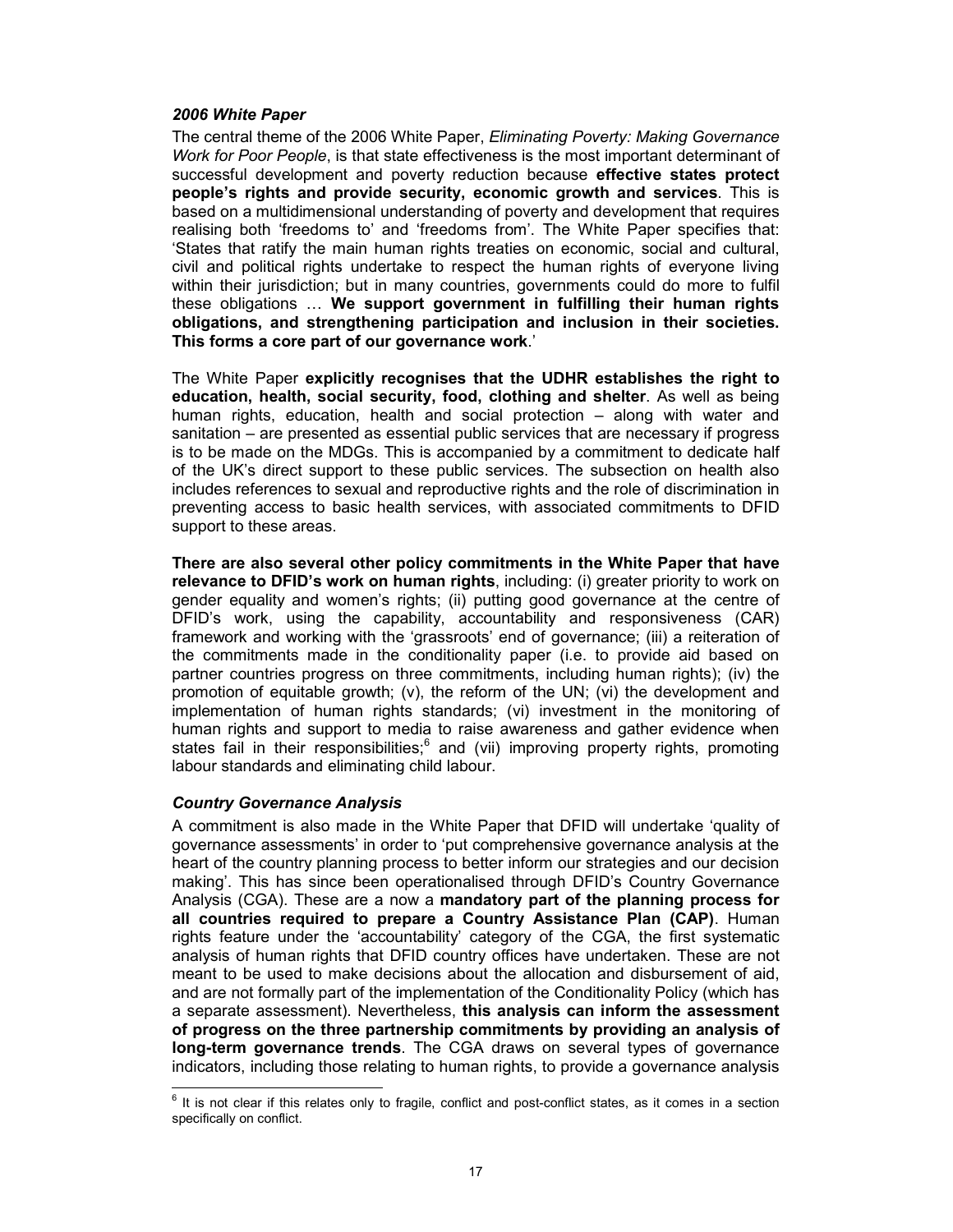#### 2006 White Paper

The central theme of the 2006 White Paper, Eliminating Poverty: Making Governance Work for Poor People, is that state effectiveness is the most important determinant of successful development and poverty reduction because effective states protect people's rights and provide security, economic growth and services. This is based on a multidimensional understanding of poverty and development that requires realising both 'freedoms to' and 'freedoms from'. The White Paper specifies that: 'States that ratify the main human rights treaties on economic, social and cultural, civil and political rights undertake to respect the human rights of everyone living within their jurisdiction; but in many countries, governments could do more to fulfil these obligations … We support government in fulfilling their human rights obligations, and strengthening participation and inclusion in their societies. This forms a core part of our governance work.'

The White Paper explicitly recognises that the UDHR establishes the right to education, health, social security, food, clothing and shelter. As well as being human rights, education, health and social protection – along with water and sanitation – are presented as essential public services that are necessary if progress is to be made on the MDGs. This is accompanied by a commitment to dedicate half of the UK's direct support to these public services. The subsection on health also includes references to sexual and reproductive rights and the role of discrimination in preventing access to basic health services, with associated commitments to DFID support to these areas.

There are also several other policy commitments in the White Paper that have relevance to DFID's work on human rights, including: (i) greater priority to work on gender equality and women's rights; (ii) putting good governance at the centre of DFID's work, using the capability, accountability and responsiveness (CAR) framework and working with the 'grassroots' end of governance; (iii) a reiteration of the commitments made in the conditionality paper (i.e. to provide aid based on partner countries progress on three commitments, including human rights); (iv) the promotion of equitable growth; (v), the reform of the UN; (vi) the development and implementation of human rights standards; (vi) investment in the monitoring of human rights and support to media to raise awareness and gather evidence when states fail in their responsibilities;<sup>6</sup> and (vii) improving property rights, promoting labour standards and eliminating child labour.

#### Country Governance Analysis

A commitment is also made in the White Paper that DFID will undertake 'quality of governance assessments' in order to 'put comprehensive governance analysis at the heart of the country planning process to better inform our strategies and our decision making'. This has since been operationalised through DFID's Country Governance Analysis (CGA). These are a now a mandatory part of the planning process for all countries required to prepare a Country Assistance Plan (CAP). Human rights feature under the 'accountability' category of the CGA, the first systematic analysis of human rights that DFID country offices have undertaken. These are not meant to be used to make decisions about the allocation and disbursement of aid, and are not formally part of the implementation of the Conditionality Policy (which has a separate assessment). Nevertheless, this analysis can inform the assessment of progress on the three partnership commitments by providing an analysis of long-term governance trends. The CGA draws on several types of governance indicators, including those relating to human rights, to provide a governance analysis

 6 It is not clear if this relates only to fragile, conflict and post-conflict states, as it comes in a section specifically on conflict.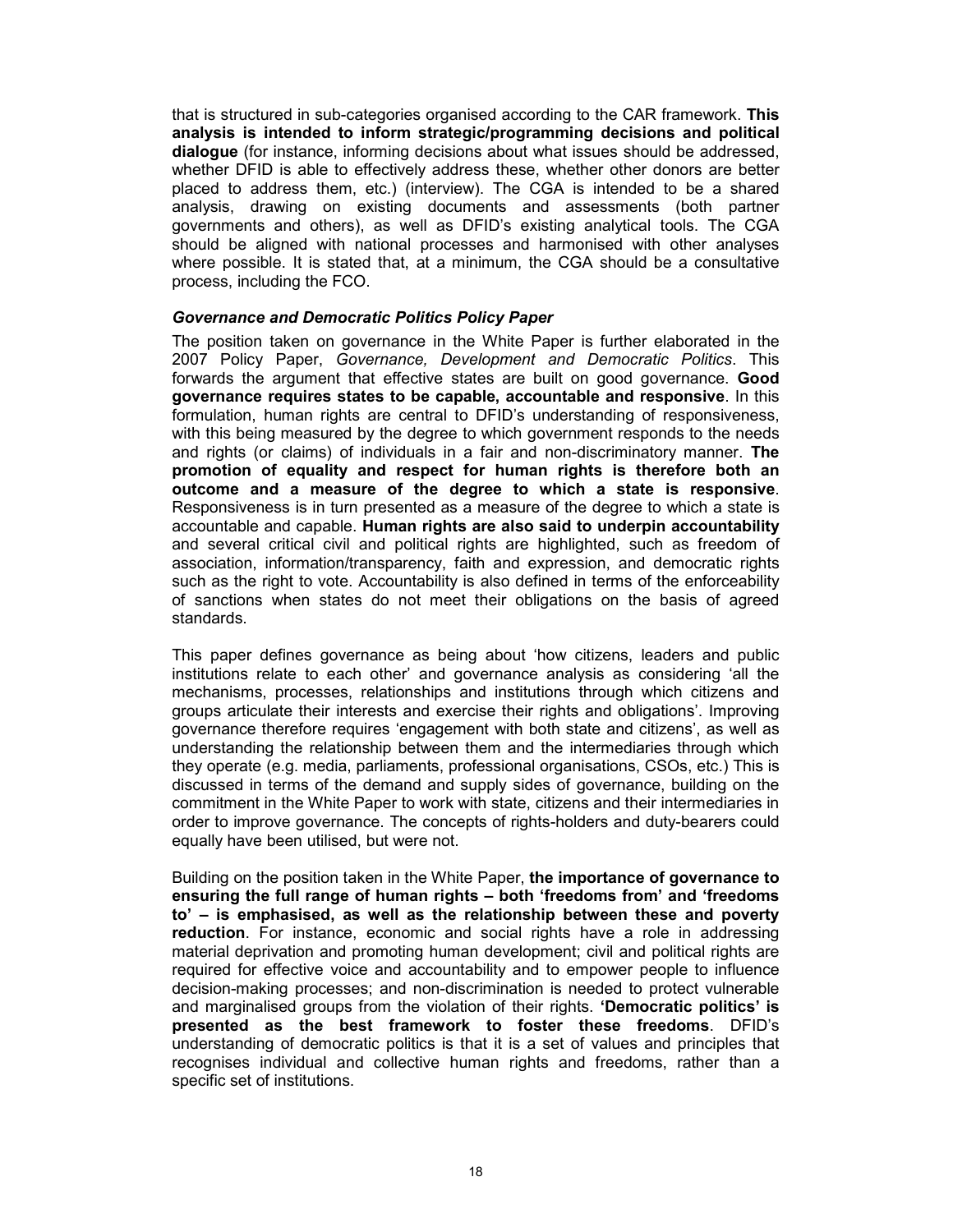that is structured in sub-categories organised according to the CAR framework. This analysis is intended to inform strategic/programming decisions and political dialogue (for instance, informing decisions about what issues should be addressed, whether DFID is able to effectively address these, whether other donors are better placed to address them, etc.) (interview). The CGA is intended to be a shared analysis, drawing on existing documents and assessments (both partner governments and others), as well as DFID's existing analytical tools. The CGA should be aligned with national processes and harmonised with other analyses where possible. It is stated that, at a minimum, the CGA should be a consultative process, including the FCO.

#### Governance and Democratic Politics Policy Paper

The position taken on governance in the White Paper is further elaborated in the 2007 Policy Paper, Governance, Development and Democratic Politics. This forwards the argument that effective states are built on good governance. **Good** governance requires states to be capable, accountable and responsive. In this formulation, human rights are central to DFID's understanding of responsiveness, with this being measured by the degree to which government responds to the needs and rights (or claims) of individuals in a fair and non-discriminatory manner. The promotion of equality and respect for human rights is therefore both an outcome and a measure of the degree to which a state is responsive. Responsiveness is in turn presented as a measure of the degree to which a state is accountable and capable. Human rights are also said to underpin accountability and several critical civil and political rights are highlighted, such as freedom of association, information/transparency, faith and expression, and democratic rights such as the right to vote. Accountability is also defined in terms of the enforceability of sanctions when states do not meet their obligations on the basis of agreed standards.

This paper defines governance as being about 'how citizens, leaders and public institutions relate to each other' and governance analysis as considering 'all the mechanisms, processes, relationships and institutions through which citizens and groups articulate their interests and exercise their rights and obligations'. Improving governance therefore requires 'engagement with both state and citizens', as well as understanding the relationship between them and the intermediaries through which they operate (e.g. media, parliaments, professional organisations, CSOs, etc.) This is discussed in terms of the demand and supply sides of governance, building on the commitment in the White Paper to work with state, citizens and their intermediaries in order to improve governance. The concepts of rights-holders and duty-bearers could equally have been utilised, but were not.

Building on the position taken in the White Paper, the importance of governance to ensuring the full range of human rights – both 'freedoms from' and 'freedoms to' – is emphasised, as well as the relationship between these and poverty reduction. For instance, economic and social rights have a role in addressing material deprivation and promoting human development; civil and political rights are required for effective voice and accountability and to empower people to influence decision-making processes; and non-discrimination is needed to protect vulnerable and marginalised groups from the violation of their rights. 'Democratic politics' is presented as the best framework to foster these freedoms. DFID's understanding of democratic politics is that it is a set of values and principles that recognises individual and collective human rights and freedoms, rather than a specific set of institutions.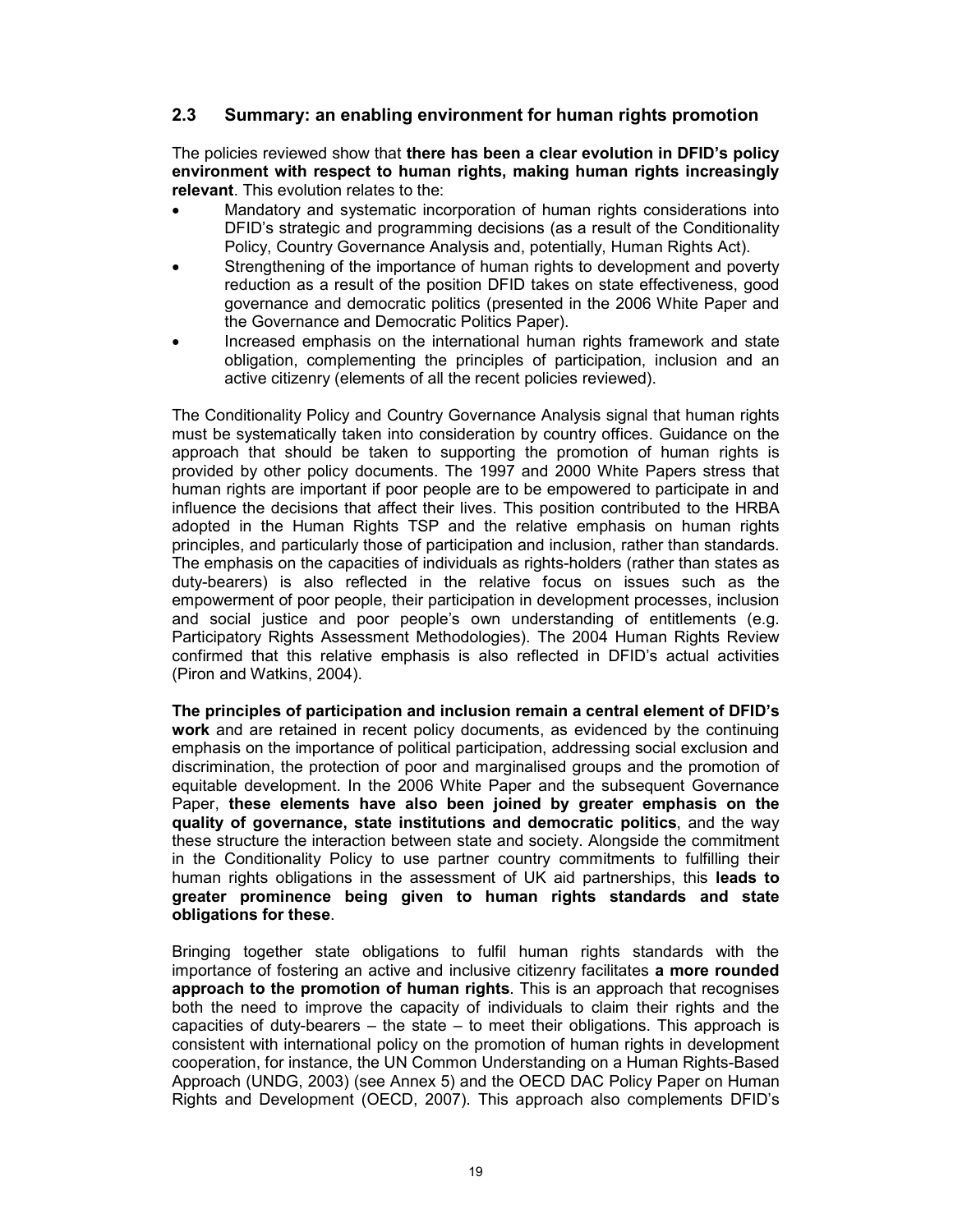## 2.3 Summary: an enabling environment for human rights promotion

The policies reviewed show that there has been a clear evolution in DFID's policy environment with respect to human rights, making human rights increasingly relevant. This evolution relates to the:

- Mandatory and systematic incorporation of human rights considerations into DFID's strategic and programming decisions (as a result of the Conditionality Policy, Country Governance Analysis and, potentially, Human Rights Act).
- Strengthening of the importance of human rights to development and poverty reduction as a result of the position DFID takes on state effectiveness, good governance and democratic politics (presented in the 2006 White Paper and the Governance and Democratic Politics Paper).
- Increased emphasis on the international human rights framework and state obligation, complementing the principles of participation, inclusion and an active citizenry (elements of all the recent policies reviewed).

The Conditionality Policy and Country Governance Analysis signal that human rights must be systematically taken into consideration by country offices. Guidance on the approach that should be taken to supporting the promotion of human rights is provided by other policy documents. The 1997 and 2000 White Papers stress that human rights are important if poor people are to be empowered to participate in and influence the decisions that affect their lives. This position contributed to the HRBA adopted in the Human Rights TSP and the relative emphasis on human rights principles, and particularly those of participation and inclusion, rather than standards. The emphasis on the capacities of individuals as rights-holders (rather than states as duty-bearers) is also reflected in the relative focus on issues such as the empowerment of poor people, their participation in development processes, inclusion and social justice and poor people's own understanding of entitlements (e.g. Participatory Rights Assessment Methodologies). The 2004 Human Rights Review confirmed that this relative emphasis is also reflected in DFID's actual activities (Piron and Watkins, 2004).

The principles of participation and inclusion remain a central element of DFID's work and are retained in recent policy documents, as evidenced by the continuing emphasis on the importance of political participation, addressing social exclusion and discrimination, the protection of poor and marginalised groups and the promotion of equitable development. In the 2006 White Paper and the subsequent Governance Paper, these elements have also been joined by greater emphasis on the quality of governance, state institutions and democratic politics, and the way these structure the interaction between state and society. Alongside the commitment in the Conditionality Policy to use partner country commitments to fulfilling their human rights obligations in the assessment of UK aid partnerships, this leads to greater prominence being given to human rights standards and state obligations for these.

Bringing together state obligations to fulfil human rights standards with the importance of fostering an active and inclusive citizenry facilitates a more rounded approach to the promotion of human rights. This is an approach that recognises both the need to improve the capacity of individuals to claim their rights and the capacities of duty-bearers – the state – to meet their obligations. This approach is consistent with international policy on the promotion of human rights in development cooperation, for instance, the UN Common Understanding on a Human Rights-Based Approach (UNDG, 2003) (see Annex 5) and the OECD DAC Policy Paper on Human Rights and Development (OECD, 2007). This approach also complements DFID's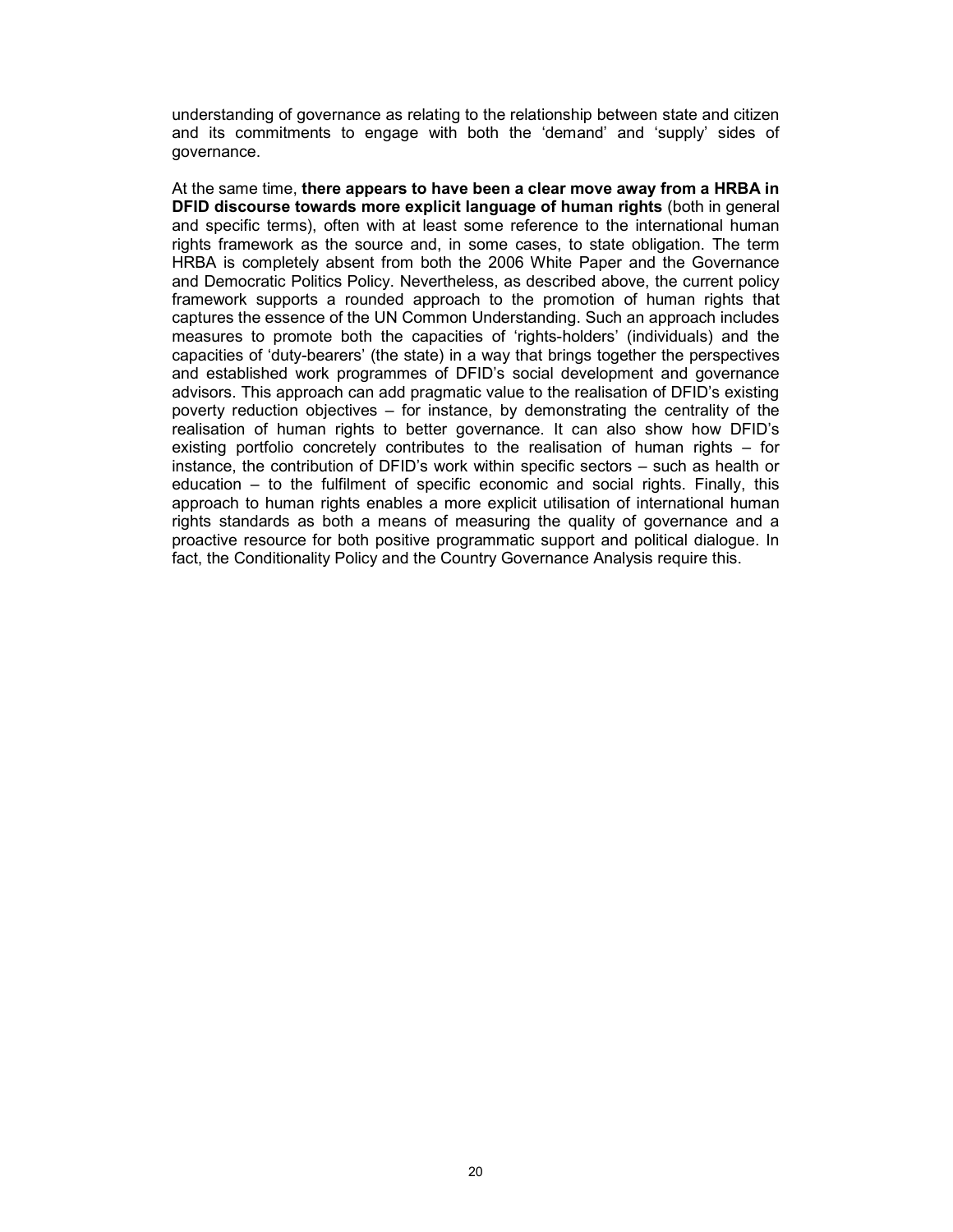understanding of governance as relating to the relationship between state and citizen and its commitments to engage with both the 'demand' and 'supply' sides of governance.

At the same time, there appears to have been a clear move away from a HRBA in DFID discourse towards more explicit language of human rights (both in general and specific terms), often with at least some reference to the international human rights framework as the source and, in some cases, to state obligation. The term HRBA is completely absent from both the 2006 White Paper and the Governance and Democratic Politics Policy. Nevertheless, as described above, the current policy framework supports a rounded approach to the promotion of human rights that captures the essence of the UN Common Understanding. Such an approach includes measures to promote both the capacities of 'rights-holders' (individuals) and the capacities of 'duty-bearers' (the state) in a way that brings together the perspectives and established work programmes of DFID's social development and governance advisors. This approach can add pragmatic value to the realisation of DFID's existing poverty reduction objectives – for instance, by demonstrating the centrality of the realisation of human rights to better governance. It can also show how DFID's existing portfolio concretely contributes to the realisation of human rights – for instance, the contribution of DFID's work within specific sectors – such as health or education – to the fulfilment of specific economic and social rights. Finally, this approach to human rights enables a more explicit utilisation of international human rights standards as both a means of measuring the quality of governance and a proactive resource for both positive programmatic support and political dialogue. In fact, the Conditionality Policy and the Country Governance Analysis require this.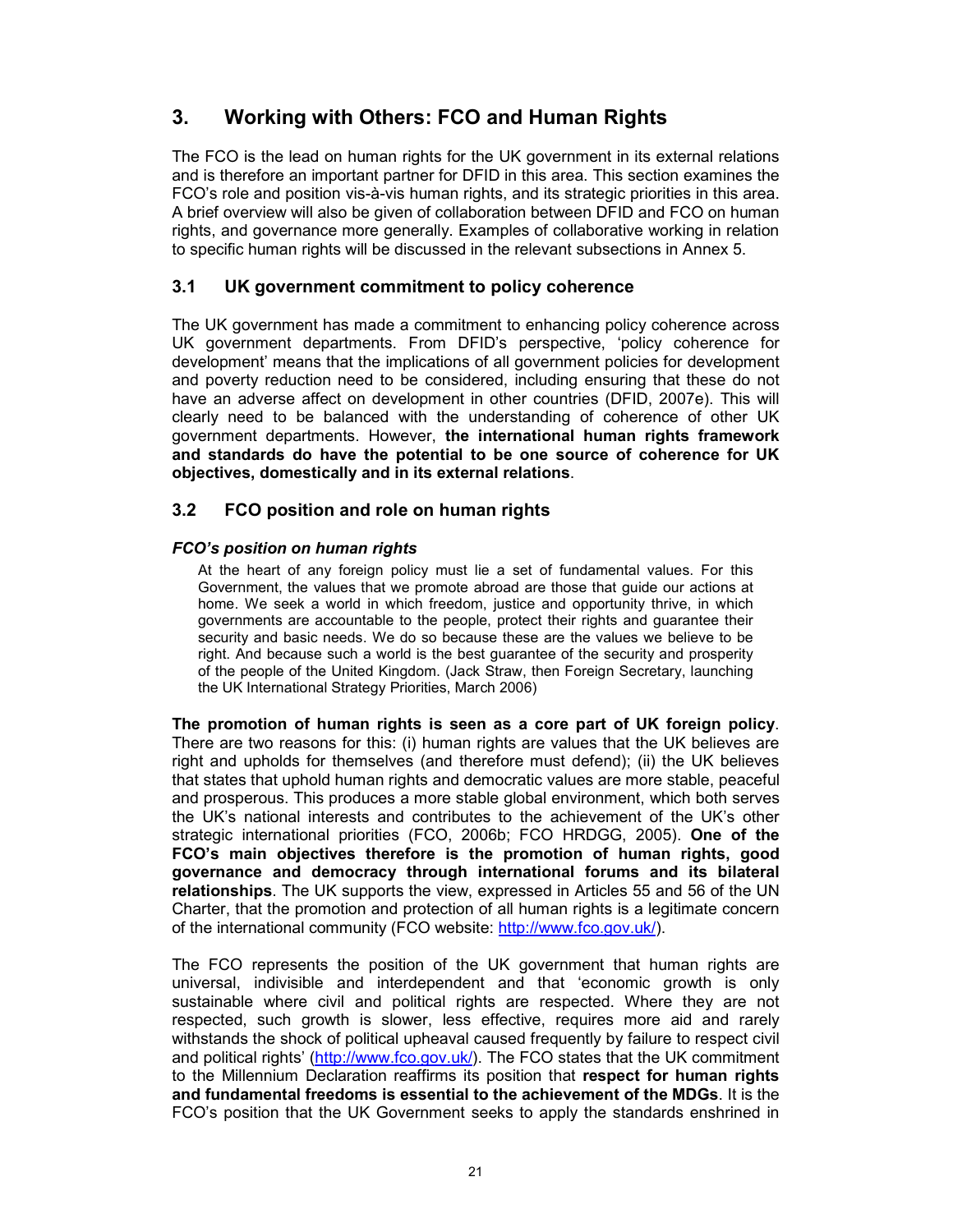## 3. Working with Others: FCO and Human Rights

The FCO is the lead on human rights for the UK government in its external relations and is therefore an important partner for DFID in this area. This section examines the FCO's role and position vis-à-vis human rights, and its strategic priorities in this area. A brief overview will also be given of collaboration between DFID and FCO on human rights, and governance more generally. Examples of collaborative working in relation to specific human rights will be discussed in the relevant subsections in Annex 5.

## 3.1 UK government commitment to policy coherence

The UK government has made a commitment to enhancing policy coherence across UK government departments. From DFID's perspective, 'policy coherence for development' means that the implications of all government policies for development and poverty reduction need to be considered, including ensuring that these do not have an adverse affect on development in other countries (DFID, 2007e). This will clearly need to be balanced with the understanding of coherence of other UK government departments. However, the international human rights framework and standards do have the potential to be one source of coherence for UK objectives, domestically and in its external relations.

## 3.2 FCO position and role on human rights

## FCO's position on human rights

At the heart of any foreign policy must lie a set of fundamental values. For this Government, the values that we promote abroad are those that guide our actions at home. We seek a world in which freedom, justice and opportunity thrive, in which governments are accountable to the people, protect their rights and guarantee their security and basic needs. We do so because these are the values we believe to be right. And because such a world is the best guarantee of the security and prosperity of the people of the United Kingdom. (Jack Straw, then Foreign Secretary, launching the UK International Strategy Priorities, March 2006)

The promotion of human rights is seen as a core part of UK foreign policy. There are two reasons for this: (i) human rights are values that the UK believes are right and upholds for themselves (and therefore must defend); (ii) the UK believes that states that uphold human rights and democratic values are more stable, peaceful and prosperous. This produces a more stable global environment, which both serves the UK's national interests and contributes to the achievement of the UK's other strategic international priorities (FCO, 2006b; FCO HRDGG, 2005). One of the FCO's main objectives therefore is the promotion of human rights, good governance and democracy through international forums and its bilateral relationships. The UK supports the view, expressed in Articles 55 and 56 of the UN Charter, that the promotion and protection of all human rights is a legitimate concern of the international community (FCO website: http://www.fco.gov.uk/).

The FCO represents the position of the UK government that human rights are universal, indivisible and interdependent and that 'economic growth is only sustainable where civil and political rights are respected. Where they are not respected, such growth is slower, less effective, requires more aid and rarely withstands the shock of political upheaval caused frequently by failure to respect civil and political rights' (http://www.fco.gov.uk/). The FCO states that the UK commitment to the Millennium Declaration reaffirms its position that respect for human rights and fundamental freedoms is essential to the achievement of the MDGs. It is the FCO's position that the UK Government seeks to apply the standards enshrined in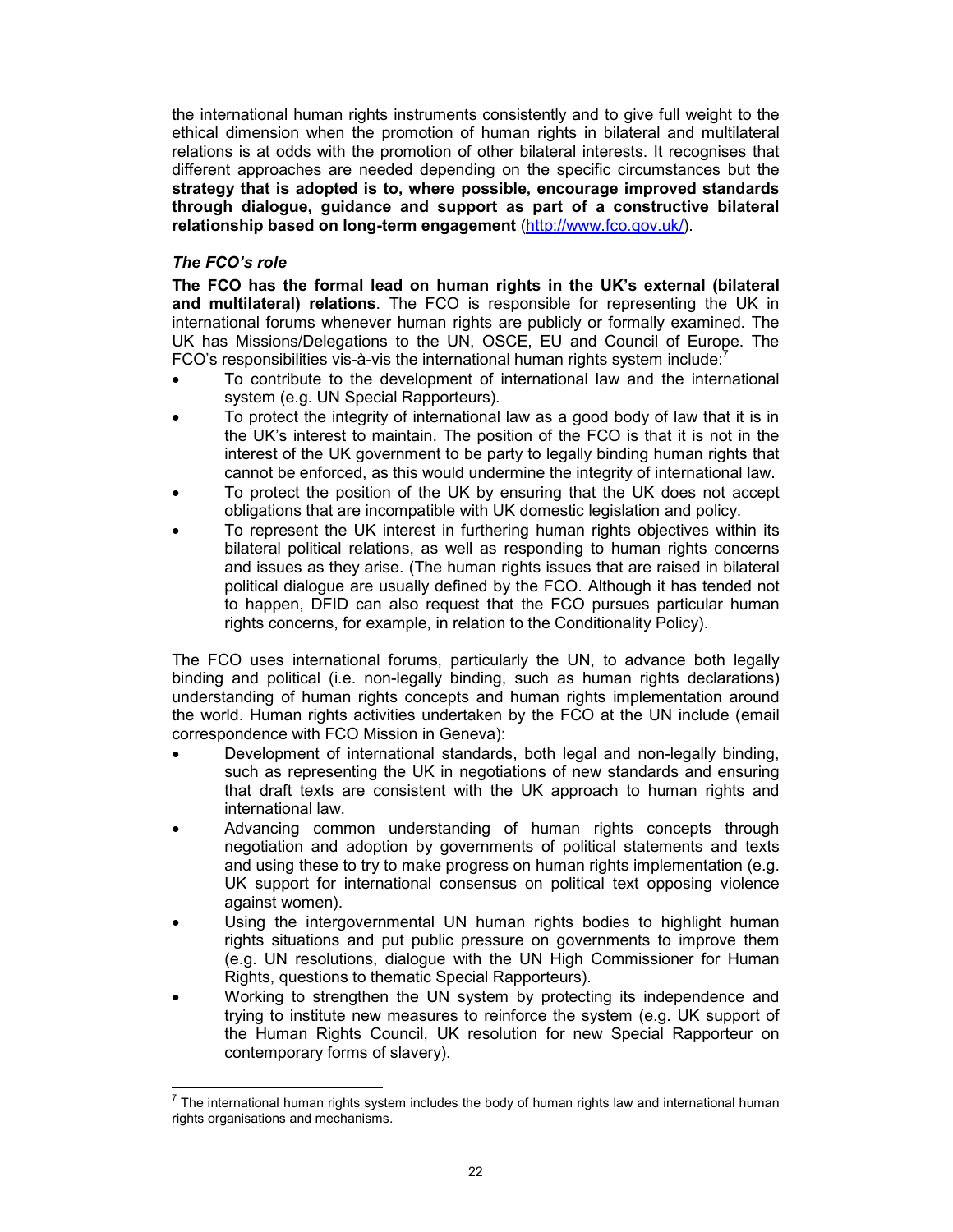the international human rights instruments consistently and to give full weight to the ethical dimension when the promotion of human rights in bilateral and multilateral relations is at odds with the promotion of other bilateral interests. It recognises that different approaches are needed depending on the specific circumstances but the strategy that is adopted is to, where possible, encourage improved standards through dialogue, guidance and support as part of a constructive bilateral relationship based on long-term engagement (http://www.fco.gov.uk/).

### The FCO's role

The FCO has the formal lead on human rights in the UK's external (bilateral and multilateral) relations. The FCO is responsible for representing the UK in international forums whenever human rights are publicly or formally examined. The UK has Missions/Delegations to the UN, OSCE, EU and Council of Europe. The FCO's responsibilities vis-à-vis the international human rights system include: $7$ 

- To contribute to the development of international law and the international system (e.g. UN Special Rapporteurs).
- To protect the integrity of international law as a good body of law that it is in the UK's interest to maintain. The position of the FCO is that it is not in the interest of the UK government to be party to legally binding human rights that cannot be enforced, as this would undermine the integrity of international law.
- To protect the position of the UK by ensuring that the UK does not accept obligations that are incompatible with UK domestic legislation and policy.
- To represent the UK interest in furthering human rights objectives within its bilateral political relations, as well as responding to human rights concerns and issues as they arise. (The human rights issues that are raised in bilateral political dialogue are usually defined by the FCO. Although it has tended not to happen, DFID can also request that the FCO pursues particular human rights concerns, for example, in relation to the Conditionality Policy).

The FCO uses international forums, particularly the UN, to advance both legally binding and political (i.e. non-legally binding, such as human rights declarations) understanding of human rights concepts and human rights implementation around the world. Human rights activities undertaken by the FCO at the UN include (email correspondence with FCO Mission in Geneva):

- Development of international standards, both legal and non-legally binding, such as representing the UK in negotiations of new standards and ensuring that draft texts are consistent with the UK approach to human rights and international law.
- Advancing common understanding of human rights concepts through negotiation and adoption by governments of political statements and texts and using these to try to make progress on human rights implementation (e.g. UK support for international consensus on political text opposing violence against women).
- Using the intergovernmental UN human rights bodies to highlight human rights situations and put public pressure on governments to improve them (e.g. UN resolutions, dialogue with the UN High Commissioner for Human Rights, questions to thematic Special Rapporteurs).
- Working to strengthen the UN system by protecting its independence and trying to institute new measures to reinforce the system (e.g. UK support of the Human Rights Council, UK resolution for new Special Rapporteur on contemporary forms of slavery).

 7 The international human rights system includes the body of human rights law and international human rights organisations and mechanisms.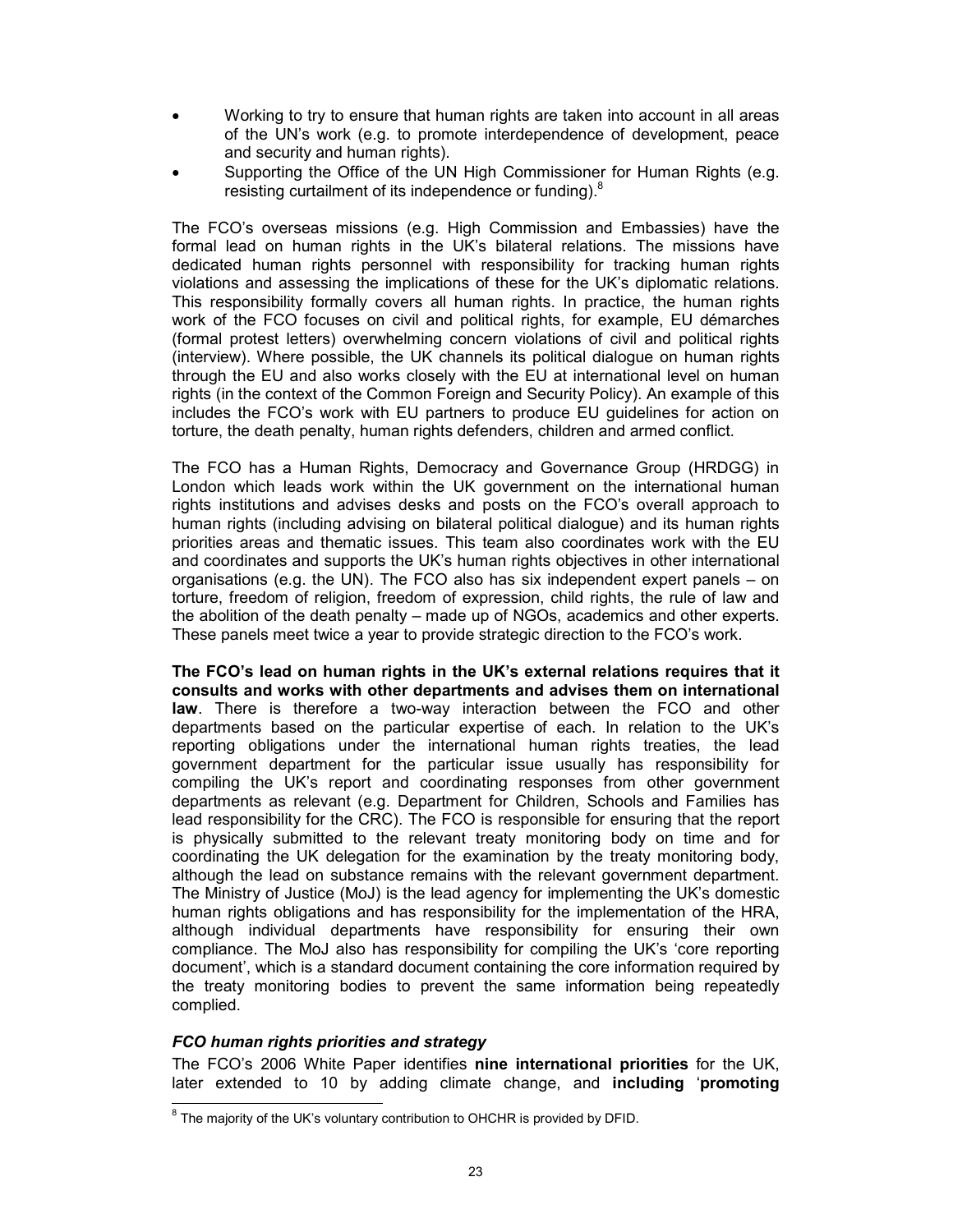- Working to try to ensure that human rights are taken into account in all areas of the UN's work (e.g. to promote interdependence of development, peace and security and human rights).
- Supporting the Office of the UN High Commissioner for Human Rights (e.g. resisting curtailment of its independence or funding).<sup>8</sup>

The FCO's overseas missions (e.g. High Commission and Embassies) have the formal lead on human rights in the UK's bilateral relations. The missions have dedicated human rights personnel with responsibility for tracking human rights violations and assessing the implications of these for the UK's diplomatic relations. This responsibility formally covers all human rights. In practice, the human rights work of the FCO focuses on civil and political rights, for example, EU démarches (formal protest letters) overwhelming concern violations of civil and political rights (interview). Where possible, the UK channels its political dialogue on human rights through the EU and also works closely with the EU at international level on human rights (in the context of the Common Foreign and Security Policy). An example of this includes the FCO's work with EU partners to produce EU guidelines for action on torture, the death penalty, human rights defenders, children and armed conflict.

The FCO has a Human Rights, Democracy and Governance Group (HRDGG) in London which leads work within the UK government on the international human rights institutions and advises desks and posts on the FCO's overall approach to human rights (including advising on bilateral political dialogue) and its human rights priorities areas and thematic issues. This team also coordinates work with the EU and coordinates and supports the UK's human rights objectives in other international organisations (e.g. the UN). The FCO also has six independent expert panels – on torture, freedom of religion, freedom of expression, child rights, the rule of law and the abolition of the death penalty – made up of NGOs, academics and other experts. These panels meet twice a year to provide strategic direction to the FCO's work.

The FCO's lead on human rights in the UK's external relations requires that it consults and works with other departments and advises them on international law. There is therefore a two-way interaction between the FCO and other departments based on the particular expertise of each. In relation to the UK's reporting obligations under the international human rights treaties, the lead government department for the particular issue usually has responsibility for compiling the UK's report and coordinating responses from other government departments as relevant (e.g. Department for Children, Schools and Families has lead responsibility for the CRC). The FCO is responsible for ensuring that the report is physically submitted to the relevant treaty monitoring body on time and for coordinating the UK delegation for the examination by the treaty monitoring body, although the lead on substance remains with the relevant government department. The Ministry of Justice (MoJ) is the lead agency for implementing the UK's domestic human rights obligations and has responsibility for the implementation of the HRA, although individual departments have responsibility for ensuring their own compliance. The MoJ also has responsibility for compiling the UK's 'core reporting document', which is a standard document containing the core information required by the treaty monitoring bodies to prevent the same information being repeatedly complied.

### FCO human rights priorities and strategy

The FCO's 2006 White Paper identifies nine international priorities for the UK, later extended to 10 by adding climate change, and including 'promoting

 $\overline{a}$  $8$  The majority of the UK's voluntary contribution to OHCHR is provided by DFID.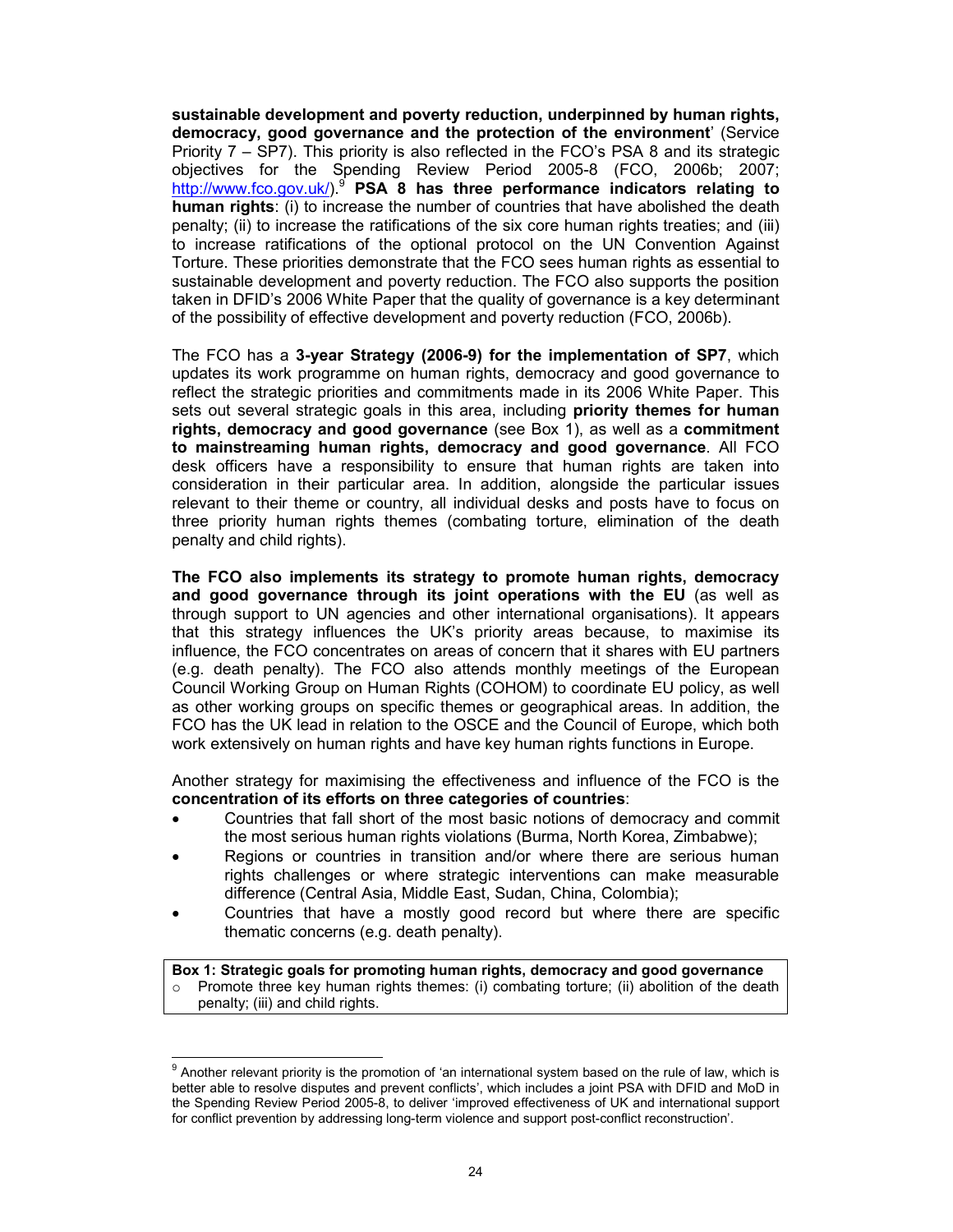sustainable development and poverty reduction, underpinned by human rights, democracy, good governance and the protection of the environment' (Service Priority 7 – SP7). This priority is also reflected in the FCO's PSA 8 and its strategic objectives for the Spending Review Period 2005-8 (FCO, 2006b; 2007; http://www.fco.gov.uk/).<sup>9</sup> PSA 8 has three performance indicators relating to human rights: (i) to increase the number of countries that have abolished the death penalty; (ii) to increase the ratifications of the six core human rights treaties; and (iii) to increase ratifications of the optional protocol on the UN Convention Against Torture. These priorities demonstrate that the FCO sees human rights as essential to sustainable development and poverty reduction. The FCO also supports the position taken in DFID's 2006 White Paper that the quality of governance is a key determinant of the possibility of effective development and poverty reduction (FCO, 2006b).

The FCO has a 3-year Strategy (2006-9) for the implementation of SP7, which updates its work programme on human rights, democracy and good governance to reflect the strategic priorities and commitments made in its 2006 White Paper. This sets out several strategic goals in this area, including priority themes for human rights, democracy and good governance (see Box 1), as well as a commitment to mainstreaming human rights, democracy and good governance. All FCO desk officers have a responsibility to ensure that human rights are taken into consideration in their particular area. In addition, alongside the particular issues relevant to their theme or country, all individual desks and posts have to focus on three priority human rights themes (combating torture, elimination of the death penalty and child rights).

The FCO also implements its strategy to promote human rights, democracy and good governance through its joint operations with the EU (as well as through support to UN agencies and other international organisations). It appears that this strategy influences the UK's priority areas because, to maximise its influence, the FCO concentrates on areas of concern that it shares with EU partners (e.g. death penalty). The FCO also attends monthly meetings of the European Council Working Group on Human Rights (COHOM) to coordinate EU policy, as well as other working groups on specific themes or geographical areas. In addition, the FCO has the UK lead in relation to the OSCE and the Council of Europe, which both work extensively on human rights and have key human rights functions in Europe.

Another strategy for maximising the effectiveness and influence of the FCO is the concentration of its efforts on three categories of countries:

- Countries that fall short of the most basic notions of democracy and commit the most serious human rights violations (Burma, North Korea, Zimbabwe);
- Regions or countries in transition and/or where there are serious human rights challenges or where strategic interventions can make measurable difference (Central Asia, Middle East, Sudan, China, Colombia);
- Countries that have a mostly good record but where there are specific thematic concerns (e.g. death penalty).

Box 1: Strategic goals for promoting human rights, democracy and good governance  $\circ$  Promote three key human rights themes: (i) combating torture; (ii) abolition of the death penalty; (iii) and child rights.

 9 Another relevant priority is the promotion of 'an international system based on the rule of law, which is better able to resolve disputes and prevent conflicts', which includes a joint PSA with DFID and MoD in the Spending Review Period 2005-8, to deliver 'improved effectiveness of UK and international support for conflict prevention by addressing long-term violence and support post-conflict reconstruction'.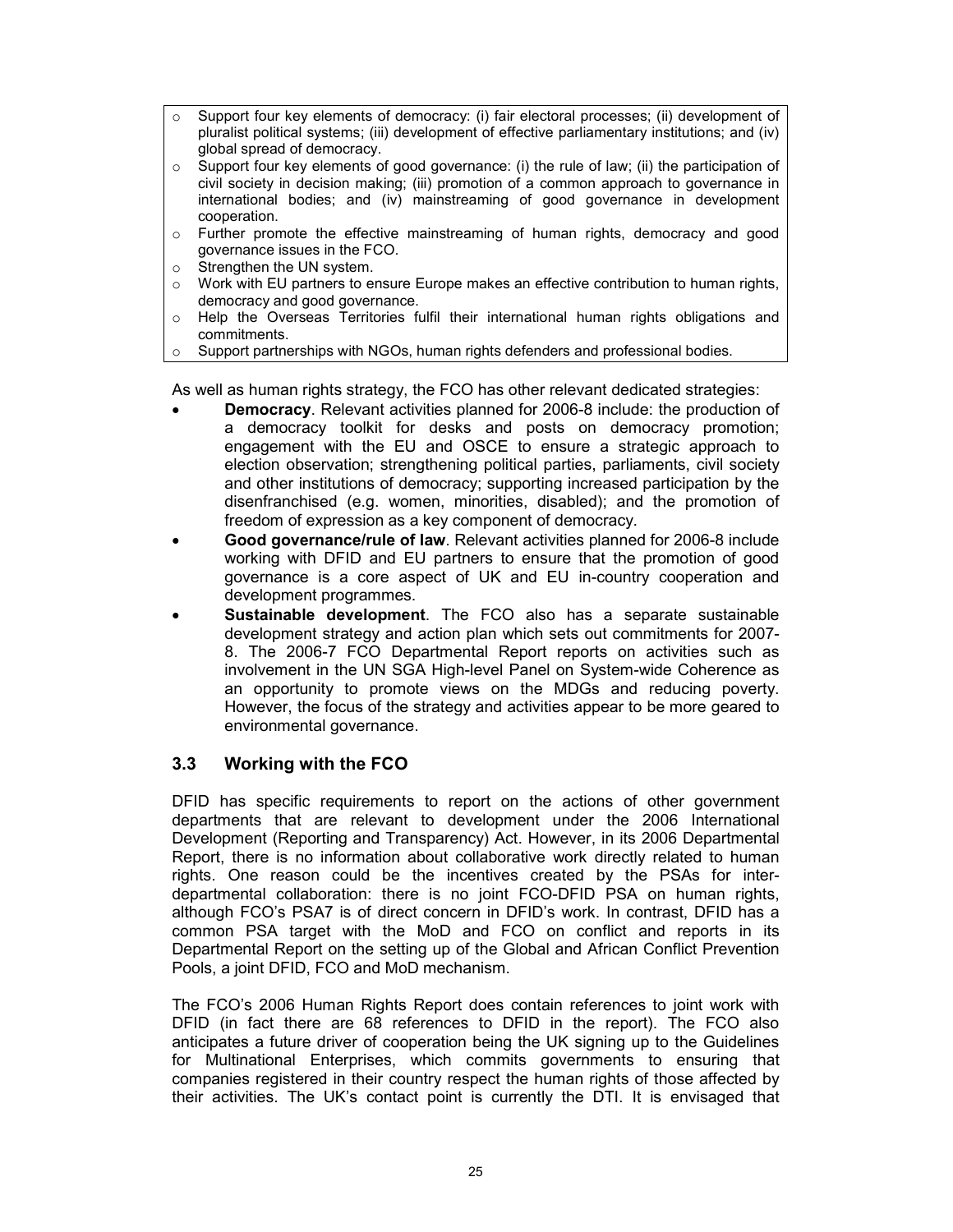- o Support four key elements of democracy: (i) fair electoral processes; (ii) development of pluralist political systems; (iii) development of effective parliamentary institutions; and (iv) global spread of democracy.
- $\circ$  Support four key elements of good governance: (i) the rule of law; (ii) the participation of civil society in decision making; (iii) promotion of a common approach to governance in international bodies; and (iv) mainstreaming of good governance in development cooperation.
- o Further promote the effective mainstreaming of human rights, democracy and good governance issues in the FCO.
- o Strengthen the UN system.
- o Work with EU partners to ensure Europe makes an effective contribution to human rights, democracy and good governance.
- o Help the Overseas Territories fulfil their international human rights obligations and commitments.
- o Support partnerships with NGOs, human rights defenders and professional bodies.

As well as human rights strategy, the FCO has other relevant dedicated strategies:

- **Democracy**. Relevant activities planned for 2006-8 include: the production of a democracy toolkit for desks and posts on democracy promotion; engagement with the EU and OSCE to ensure a strategic approach to election observation; strengthening political parties, parliaments, civil society and other institutions of democracy; supporting increased participation by the disenfranchised (e.g. women, minorities, disabled); and the promotion of freedom of expression as a key component of democracy.
- Good governance/rule of law. Relevant activities planned for 2006-8 include working with DFID and EU partners to ensure that the promotion of good governance is a core aspect of UK and EU in-country cooperation and development programmes.
- Sustainable development. The FCO also has a separate sustainable development strategy and action plan which sets out commitments for 2007- 8. The 2006-7 FCO Departmental Report reports on activities such as involvement in the UN SGA High-level Panel on System-wide Coherence as an opportunity to promote views on the MDGs and reducing poverty. However, the focus of the strategy and activities appear to be more geared to environmental governance.

## 3.3 Working with the FCO

DFID has specific requirements to report on the actions of other government departments that are relevant to development under the 2006 International Development (Reporting and Transparency) Act. However, in its 2006 Departmental Report, there is no information about collaborative work directly related to human rights. One reason could be the incentives created by the PSAs for interdepartmental collaboration: there is no joint FCO-DFID PSA on human rights, although FCO's PSA7 is of direct concern in DFID's work. In contrast, DFID has a common PSA target with the MoD and FCO on conflict and reports in its Departmental Report on the setting up of the Global and African Conflict Prevention Pools, a joint DFID, FCO and MoD mechanism.

The FCO's 2006 Human Rights Report does contain references to joint work with DFID (in fact there are 68 references to DFID in the report). The FCO also anticipates a future driver of cooperation being the UK signing up to the Guidelines for Multinational Enterprises, which commits governments to ensuring that companies registered in their country respect the human rights of those affected by their activities. The UK's contact point is currently the DTI. It is envisaged that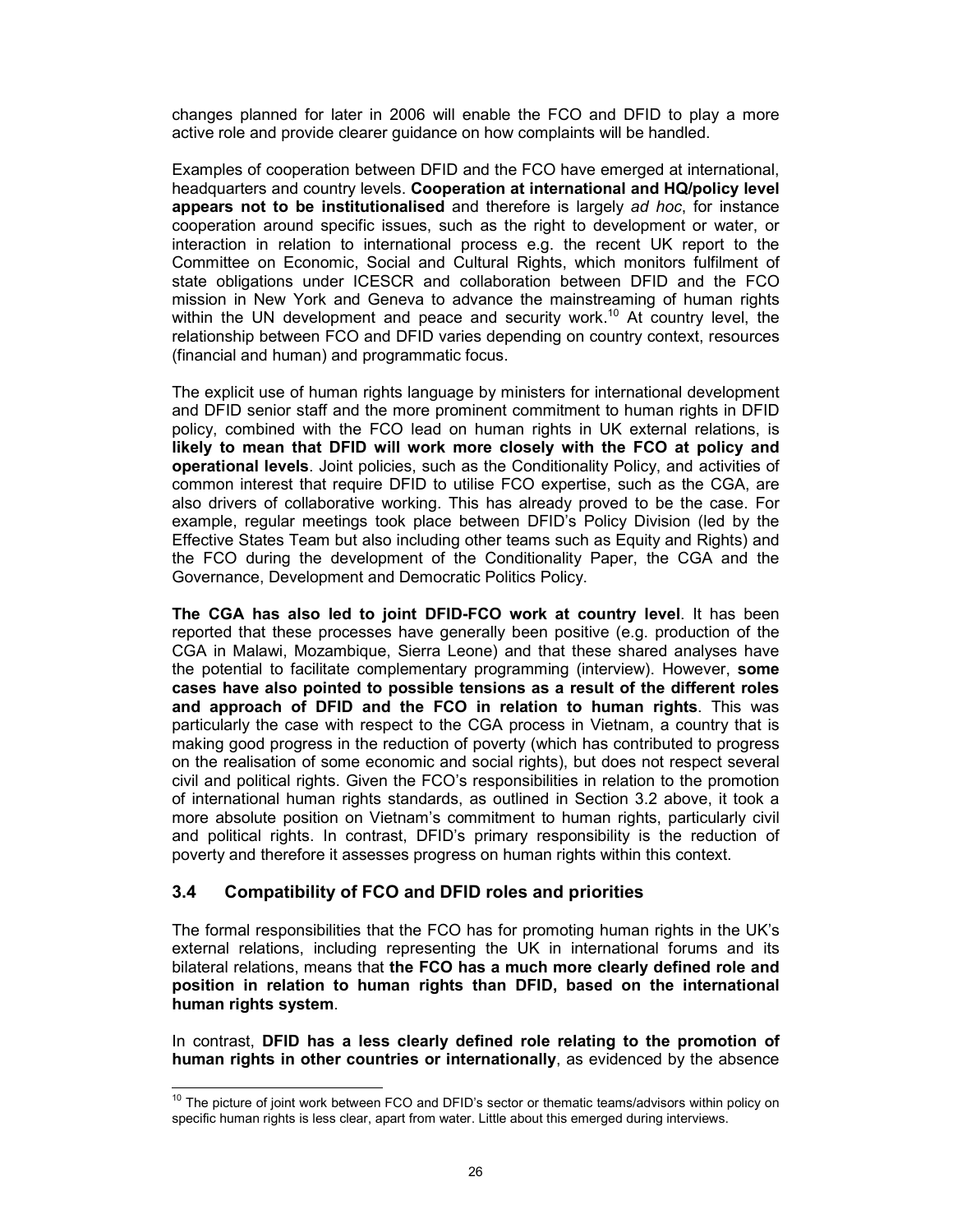changes planned for later in 2006 will enable the FCO and DFID to play a more active role and provide clearer guidance on how complaints will be handled.

Examples of cooperation between DFID and the FCO have emerged at international, headquarters and country levels. Cooperation at international and HQ/policy level appears not to be institutionalised and therefore is largely ad hoc, for instance cooperation around specific issues, such as the right to development or water, or interaction in relation to international process e.g. the recent UK report to the Committee on Economic, Social and Cultural Rights, which monitors fulfilment of state obligations under ICESCR and collaboration between DFID and the FCO mission in New York and Geneva to advance the mainstreaming of human rights within the UN development and peace and security work.<sup>10</sup> At country level, the relationship between FCO and DFID varies depending on country context, resources (financial and human) and programmatic focus.

The explicit use of human rights language by ministers for international development and DFID senior staff and the more prominent commitment to human rights in DFID policy, combined with the FCO lead on human rights in UK external relations, is likely to mean that DFID will work more closely with the FCO at policy and operational levels. Joint policies, such as the Conditionality Policy, and activities of common interest that require DFID to utilise FCO expertise, such as the CGA, are also drivers of collaborative working. This has already proved to be the case. For example, regular meetings took place between DFID's Policy Division (led by the Effective States Team but also including other teams such as Equity and Rights) and the FCO during the development of the Conditionality Paper, the CGA and the Governance, Development and Democratic Politics Policy.

The CGA has also led to joint DFID-FCO work at country level. It has been reported that these processes have generally been positive (e.g. production of the CGA in Malawi, Mozambique, Sierra Leone) and that these shared analyses have the potential to facilitate complementary programming (interview). However, some cases have also pointed to possible tensions as a result of the different roles and approach of DFID and the FCO in relation to human rights. This was particularly the case with respect to the CGA process in Vietnam, a country that is making good progress in the reduction of poverty (which has contributed to progress on the realisation of some economic and social rights), but does not respect several civil and political rights. Given the FCO's responsibilities in relation to the promotion of international human rights standards, as outlined in Section 3.2 above, it took a more absolute position on Vietnam's commitment to human rights, particularly civil and political rights. In contrast, DFID's primary responsibility is the reduction of poverty and therefore it assesses progress on human rights within this context.

## 3.4 Compatibility of FCO and DFID roles and priorities

The formal responsibilities that the FCO has for promoting human rights in the UK's external relations, including representing the UK in international forums and its bilateral relations, means that the FCO has a much more clearly defined role and position in relation to human rights than DFID, based on the international human rights system.

In contrast, DFID has a less clearly defined role relating to the promotion of human rights in other countries or internationally, as evidenced by the absence

 $\overline{1}$  $10$  The picture of joint work between FCO and DFID's sector or thematic teams/advisors within policy on specific human rights is less clear, apart from water. Little about this emerged during interviews.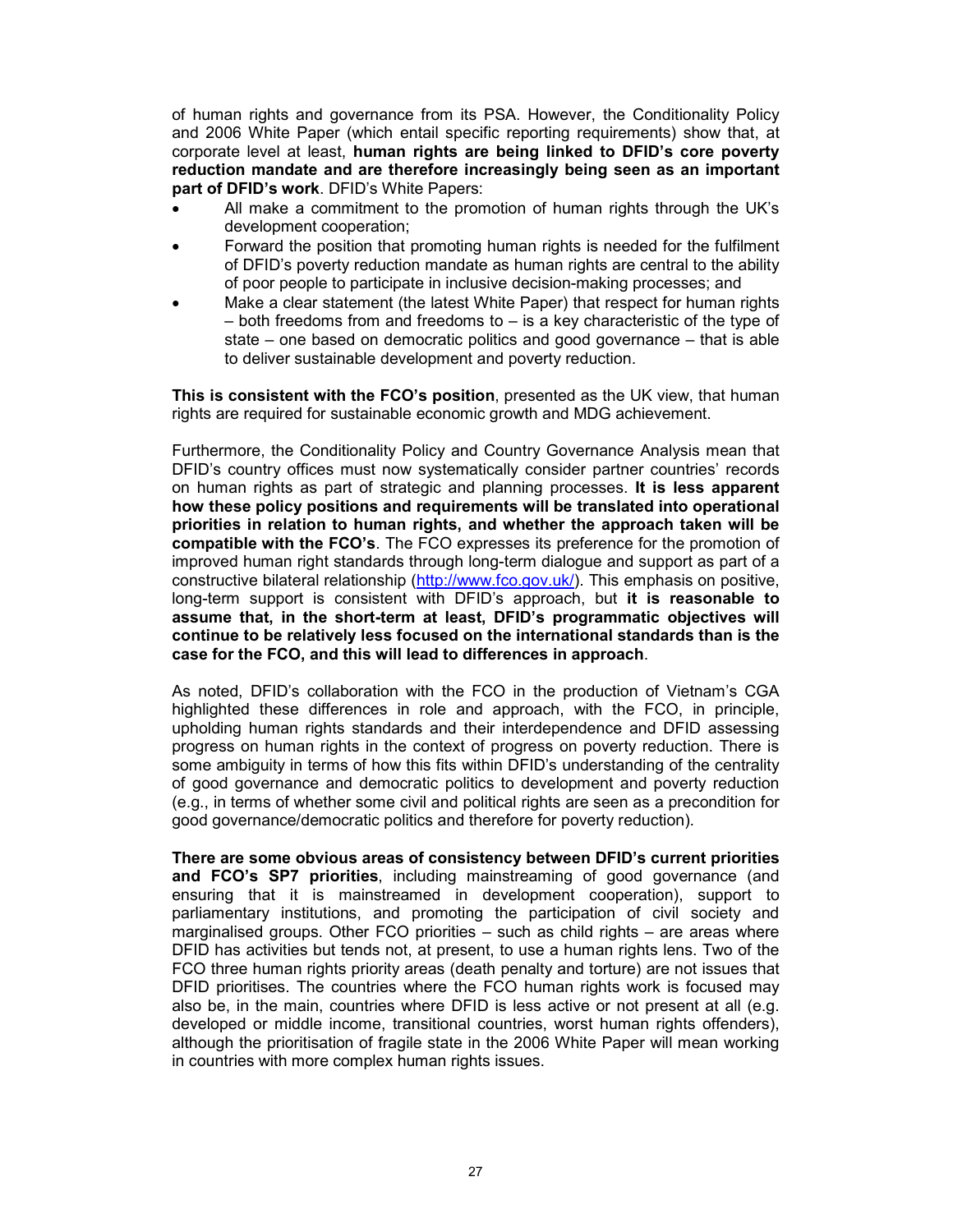of human rights and governance from its PSA. However, the Conditionality Policy and 2006 White Paper (which entail specific reporting requirements) show that, at corporate level at least, human rights are being linked to DFID's core poverty reduction mandate and are therefore increasingly being seen as an important part of DFID's work. DFID's White Papers:

- All make a commitment to the promotion of human rights through the UK's development cooperation;
- Forward the position that promoting human rights is needed for the fulfilment of DFID's poverty reduction mandate as human rights are central to the ability of poor people to participate in inclusive decision-making processes; and
- Make a clear statement (the latest White Paper) that respect for human rights – both freedoms from and freedoms to – is a key characteristic of the type of state – one based on democratic politics and good governance – that is able to deliver sustainable development and poverty reduction.

This is consistent with the FCO's position, presented as the UK view, that human rights are required for sustainable economic growth and MDG achievement.

Furthermore, the Conditionality Policy and Country Governance Analysis mean that DFID's country offices must now systematically consider partner countries' records on human rights as part of strategic and planning processes. It is less apparent how these policy positions and requirements will be translated into operational priorities in relation to human rights, and whether the approach taken will be compatible with the FCO's. The FCO expresses its preference for the promotion of improved human right standards through long-term dialogue and support as part of a constructive bilateral relationship (http://www.fco.gov.uk/). This emphasis on positive, long-term support is consistent with DFID's approach, but it is reasonable to assume that, in the short-term at least, DFID's programmatic objectives will continue to be relatively less focused on the international standards than is the case for the FCO, and this will lead to differences in approach.

As noted, DFID's collaboration with the FCO in the production of Vietnam's CGA highlighted these differences in role and approach, with the FCO, in principle, upholding human rights standards and their interdependence and DFID assessing progress on human rights in the context of progress on poverty reduction. There is some ambiguity in terms of how this fits within DFID's understanding of the centrality of good governance and democratic politics to development and poverty reduction (e.g., in terms of whether some civil and political rights are seen as a precondition for good governance/democratic politics and therefore for poverty reduction).

There are some obvious areas of consistency between DFID's current priorities and FCO's SP7 priorities, including mainstreaming of good governance (and ensuring that it is mainstreamed in development cooperation), support to parliamentary institutions, and promoting the participation of civil society and marginalised groups. Other FCO priorities – such as child rights – are areas where DFID has activities but tends not, at present, to use a human rights lens. Two of the FCO three human rights priority areas (death penalty and torture) are not issues that DFID prioritises. The countries where the FCO human rights work is focused may also be, in the main, countries where DFID is less active or not present at all (e.g. developed or middle income, transitional countries, worst human rights offenders), although the prioritisation of fragile state in the 2006 White Paper will mean working in countries with more complex human rights issues.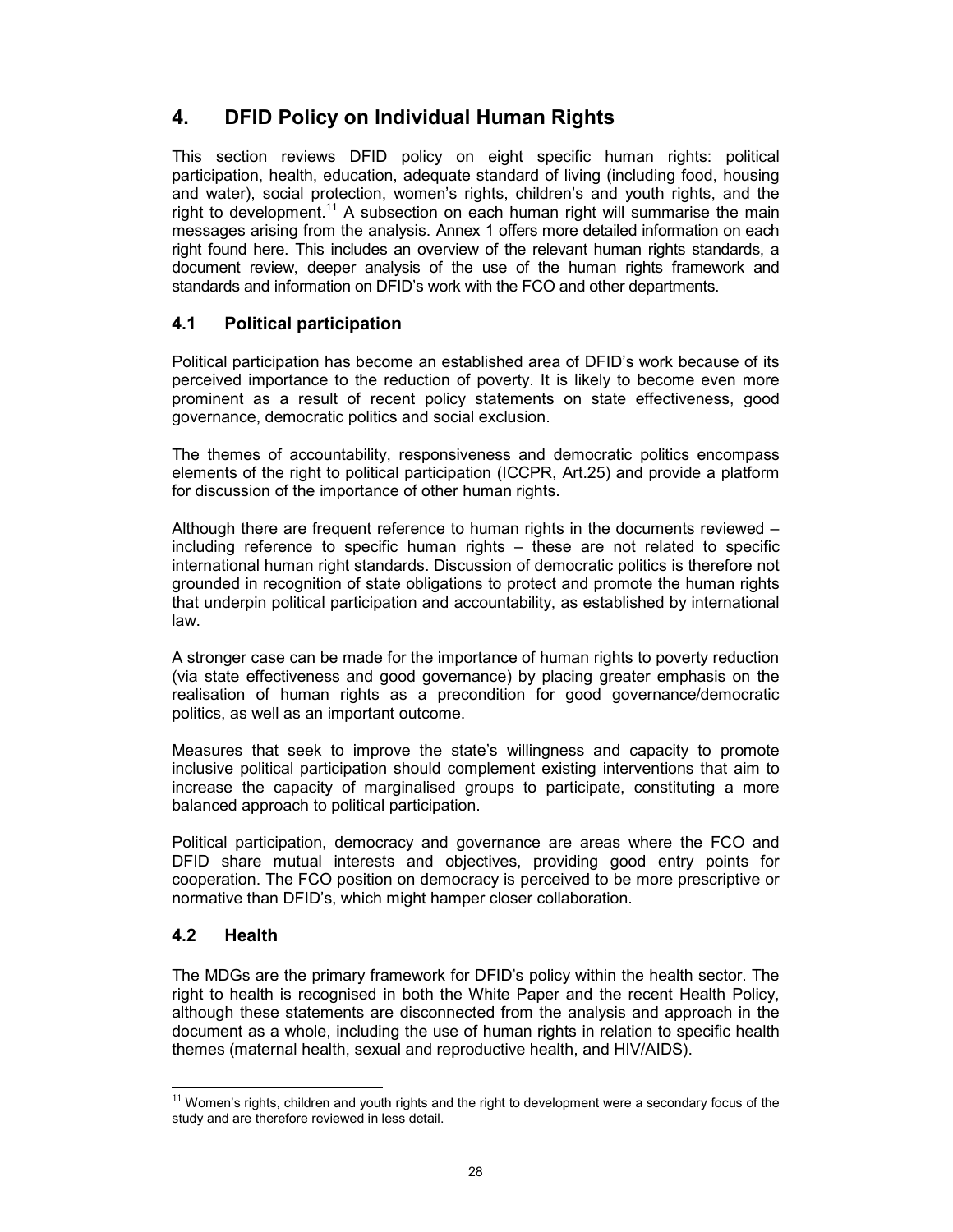## 4. DFID Policy on Individual Human Rights

This section reviews DFID policy on eight specific human rights: political participation, health, education, adequate standard of living (including food, housing and water), social protection, women's rights, children's and youth rights, and the right to development.<sup>11</sup> A subsection on each human right will summarise the main messages arising from the analysis. Annex 1 offers more detailed information on each right found here. This includes an overview of the relevant human rights standards, a document review, deeper analysis of the use of the human rights framework and standards and information on DFID's work with the FCO and other departments.

## 4.1 Political participation

Political participation has become an established area of DFID's work because of its perceived importance to the reduction of poverty. It is likely to become even more prominent as a result of recent policy statements on state effectiveness, good governance, democratic politics and social exclusion.

The themes of accountability, responsiveness and democratic politics encompass elements of the right to political participation (ICCPR, Art.25) and provide a platform for discussion of the importance of other human rights.

Although there are frequent reference to human rights in the documents reviewed – including reference to specific human rights – these are not related to specific international human right standards. Discussion of democratic politics is therefore not grounded in recognition of state obligations to protect and promote the human rights that underpin political participation and accountability, as established by international law.

A stronger case can be made for the importance of human rights to poverty reduction (via state effectiveness and good governance) by placing greater emphasis on the realisation of human rights as a precondition for good governance/democratic politics, as well as an important outcome.

Measures that seek to improve the state's willingness and capacity to promote inclusive political participation should complement existing interventions that aim to increase the capacity of marginalised groups to participate, constituting a more balanced approach to political participation.

Political participation, democracy and governance are areas where the FCO and DFID share mutual interests and objectives, providing good entry points for cooperation. The FCO position on democracy is perceived to be more prescriptive or normative than DFID's, which might hamper closer collaboration.

## 4.2 Health

The MDGs are the primary framework for DFID's policy within the health sector. The right to health is recognised in both the White Paper and the recent Health Policy, although these statements are disconnected from the analysis and approach in the document as a whole, including the use of human rights in relation to specific health themes (maternal health, sexual and reproductive health, and HIV/AIDS).

 $\overline{1}$  $11$  Women's rights, children and youth rights and the right to development were a secondary focus of the study and are therefore reviewed in less detail.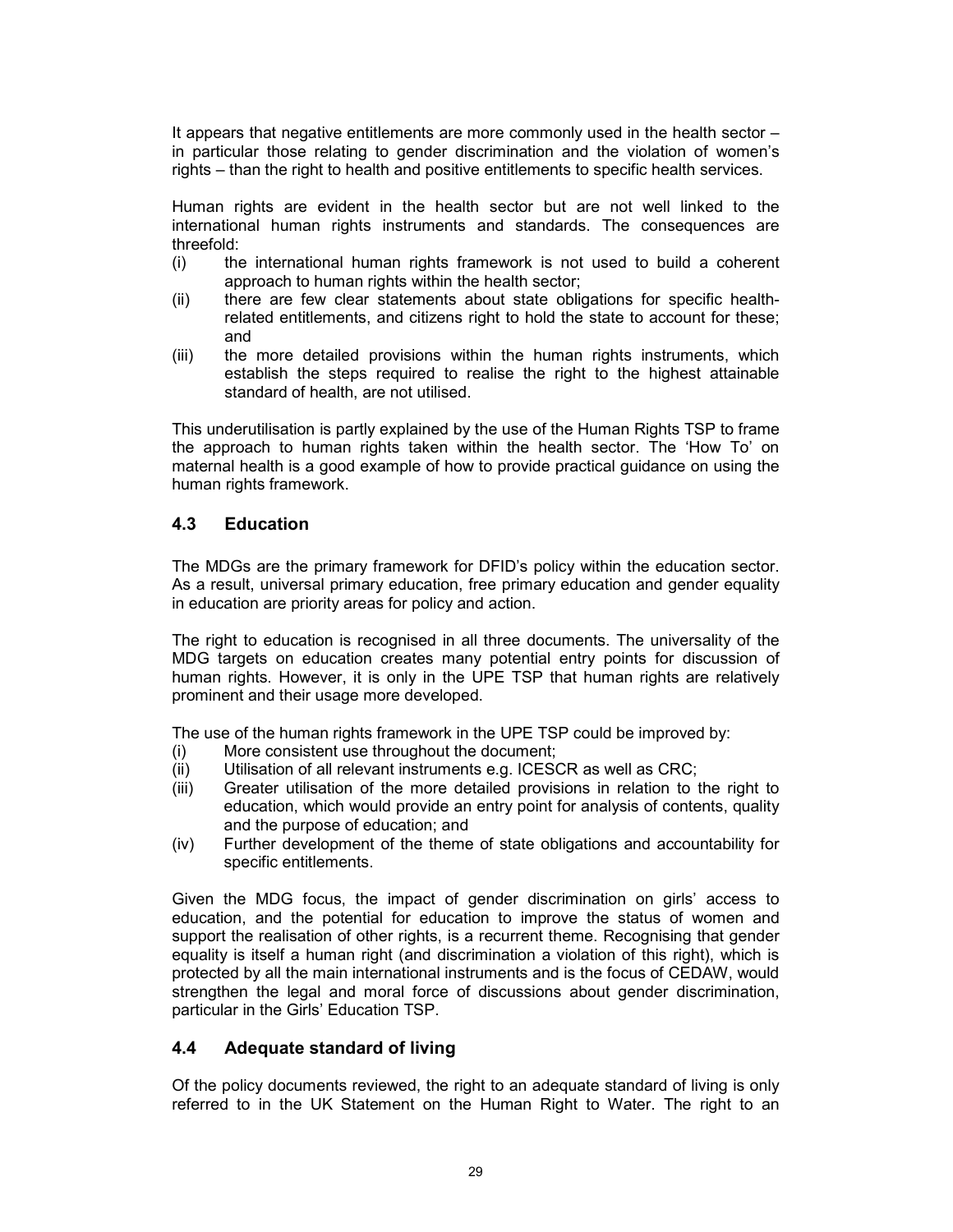It appears that negative entitlements are more commonly used in the health sector – in particular those relating to gender discrimination and the violation of women's rights – than the right to health and positive entitlements to specific health services.

Human rights are evident in the health sector but are not well linked to the international human rights instruments and standards. The consequences are threefold:

- (i) the international human rights framework is not used to build a coherent approach to human rights within the health sector;
- (ii) there are few clear statements about state obligations for specific healthrelated entitlements, and citizens right to hold the state to account for these; and
- (iii) the more detailed provisions within the human rights instruments, which establish the steps required to realise the right to the highest attainable standard of health, are not utilised.

This underutilisation is partly explained by the use of the Human Rights TSP to frame the approach to human rights taken within the health sector. The 'How To' on maternal health is a good example of how to provide practical guidance on using the human rights framework.

## 4.3 Education

The MDGs are the primary framework for DFID's policy within the education sector. As a result, universal primary education, free primary education and gender equality in education are priority areas for policy and action.

The right to education is recognised in all three documents. The universality of the MDG targets on education creates many potential entry points for discussion of human rights. However, it is only in the UPE TSP that human rights are relatively prominent and their usage more developed.

The use of the human rights framework in the UPE TSP could be improved by:

- (i) More consistent use throughout the document;
- (ii) Utilisation of all relevant instruments e.g. ICESCR as well as CRC;
- (iii) Greater utilisation of the more detailed provisions in relation to the right to education, which would provide an entry point for analysis of contents, quality and the purpose of education; and
- (iv) Further development of the theme of state obligations and accountability for specific entitlements.

Given the MDG focus, the impact of gender discrimination on girls' access to education, and the potential for education to improve the status of women and support the realisation of other rights, is a recurrent theme. Recognising that gender equality is itself a human right (and discrimination a violation of this right), which is protected by all the main international instruments and is the focus of CEDAW, would strengthen the legal and moral force of discussions about gender discrimination, particular in the Girls' Education TSP.

## 4.4 Adequate standard of living

Of the policy documents reviewed, the right to an adequate standard of living is only referred to in the UK Statement on the Human Right to Water. The right to an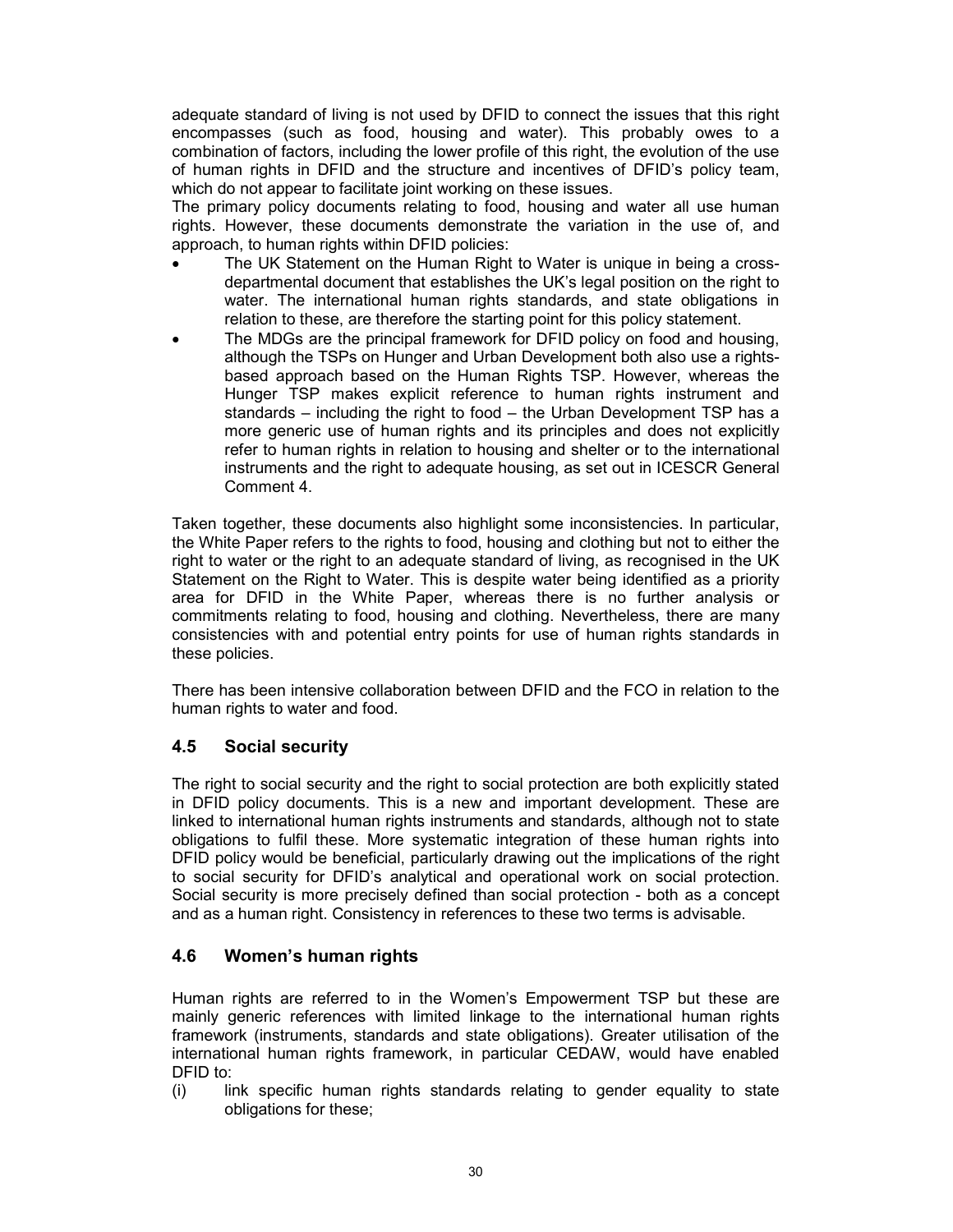adequate standard of living is not used by DFID to connect the issues that this right encompasses (such as food, housing and water). This probably owes to a combination of factors, including the lower profile of this right, the evolution of the use of human rights in DFID and the structure and incentives of DFID's policy team, which do not appear to facilitate joint working on these issues.

The primary policy documents relating to food, housing and water all use human rights. However, these documents demonstrate the variation in the use of, and approach, to human rights within DFID policies:

- The UK Statement on the Human Right to Water is unique in being a crossdepartmental document that establishes the UK's legal position on the right to water. The international human rights standards, and state obligations in relation to these, are therefore the starting point for this policy statement.
- The MDGs are the principal framework for DFID policy on food and housing, although the TSPs on Hunger and Urban Development both also use a rightsbased approach based on the Human Rights TSP. However, whereas the Hunger TSP makes explicit reference to human rights instrument and standards – including the right to food – the Urban Development TSP has a more generic use of human rights and its principles and does not explicitly refer to human rights in relation to housing and shelter or to the international instruments and the right to adequate housing, as set out in ICESCR General Comment 4.

Taken together, these documents also highlight some inconsistencies. In particular, the White Paper refers to the rights to food, housing and clothing but not to either the right to water or the right to an adequate standard of living, as recognised in the UK Statement on the Right to Water. This is despite water being identified as a priority area for DFID in the White Paper, whereas there is no further analysis or commitments relating to food, housing and clothing. Nevertheless, there are many consistencies with and potential entry points for use of human rights standards in these policies.

There has been intensive collaboration between DFID and the FCO in relation to the human rights to water and food.

## 4.5 Social security

The right to social security and the right to social protection are both explicitly stated in DFID policy documents. This is a new and important development. These are linked to international human rights instruments and standards, although not to state obligations to fulfil these. More systematic integration of these human rights into DFID policy would be beneficial, particularly drawing out the implications of the right to social security for DFID's analytical and operational work on social protection. Social security is more precisely defined than social protection - both as a concept and as a human right. Consistency in references to these two terms is advisable.

## 4.6 Women's human rights

Human rights are referred to in the Women's Empowerment TSP but these are mainly generic references with limited linkage to the international human rights framework (instruments, standards and state obligations). Greater utilisation of the international human rights framework, in particular CEDAW, would have enabled DFID to:

(i) link specific human rights standards relating to gender equality to state obligations for these;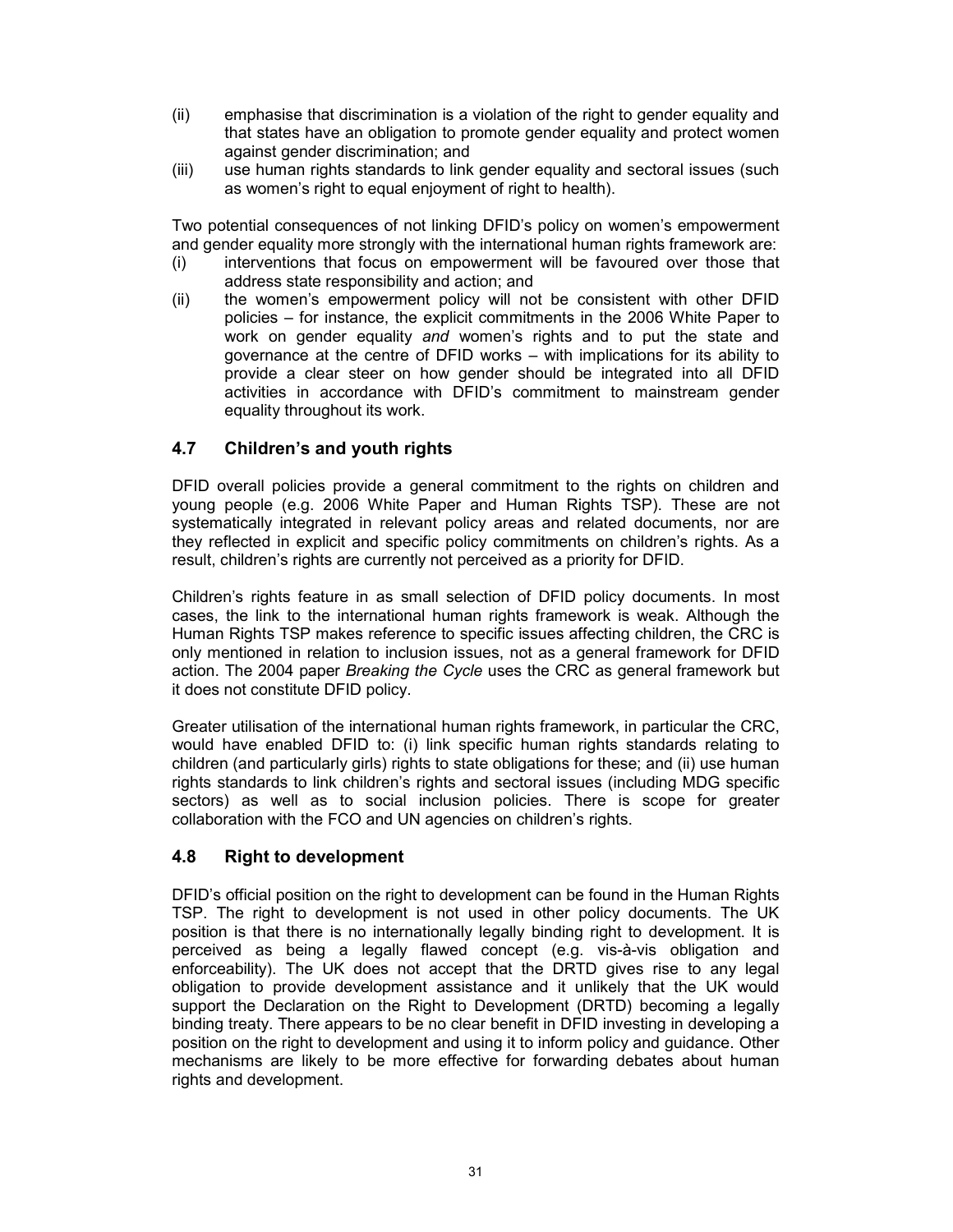- (ii) emphasise that discrimination is a violation of the right to gender equality and that states have an obligation to promote gender equality and protect women against gender discrimination; and
- (iii) use human rights standards to link gender equality and sectoral issues (such as women's right to equal enjoyment of right to health).

Two potential consequences of not linking DFID's policy on women's empowerment and gender equality more strongly with the international human rights framework are:

- (i) interventions that focus on empowerment will be favoured over those that address state responsibility and action; and
- (ii) the women's empowerment policy will not be consistent with other DFID policies – for instance, the explicit commitments in the 2006 White Paper to work on gender equality and women's rights and to put the state and governance at the centre of DFID works – with implications for its ability to provide a clear steer on how gender should be integrated into all DFID activities in accordance with DFID's commitment to mainstream gender equality throughout its work.

## 4.7 Children's and youth rights

DFID overall policies provide a general commitment to the rights on children and young people (e.g. 2006 White Paper and Human Rights TSP). These are not systematically integrated in relevant policy areas and related documents, nor are they reflected in explicit and specific policy commitments on children's rights. As a result, children's rights are currently not perceived as a priority for DFID.

Children's rights feature in as small selection of DFID policy documents. In most cases, the link to the international human rights framework is weak. Although the Human Rights TSP makes reference to specific issues affecting children, the CRC is only mentioned in relation to inclusion issues, not as a general framework for DFID action. The 2004 paper Breaking the Cycle uses the CRC as general framework but it does not constitute DFID policy.

Greater utilisation of the international human rights framework, in particular the CRC, would have enabled DFID to: (i) link specific human rights standards relating to children (and particularly girls) rights to state obligations for these; and (ii) use human rights standards to link children's rights and sectoral issues (including MDG specific sectors) as well as to social inclusion policies. There is scope for greater collaboration with the FCO and UN agencies on children's rights.

### 4.8 Right to development

DFID's official position on the right to development can be found in the Human Rights TSP. The right to development is not used in other policy documents. The UK position is that there is no internationally legally binding right to development. It is perceived as being a legally flawed concept (e.g. vis-à-vis obligation and enforceability). The UK does not accept that the DRTD gives rise to any legal obligation to provide development assistance and it unlikely that the UK would support the Declaration on the Right to Development (DRTD) becoming a legally binding treaty. There appears to be no clear benefit in DFID investing in developing a position on the right to development and using it to inform policy and guidance. Other mechanisms are likely to be more effective for forwarding debates about human rights and development.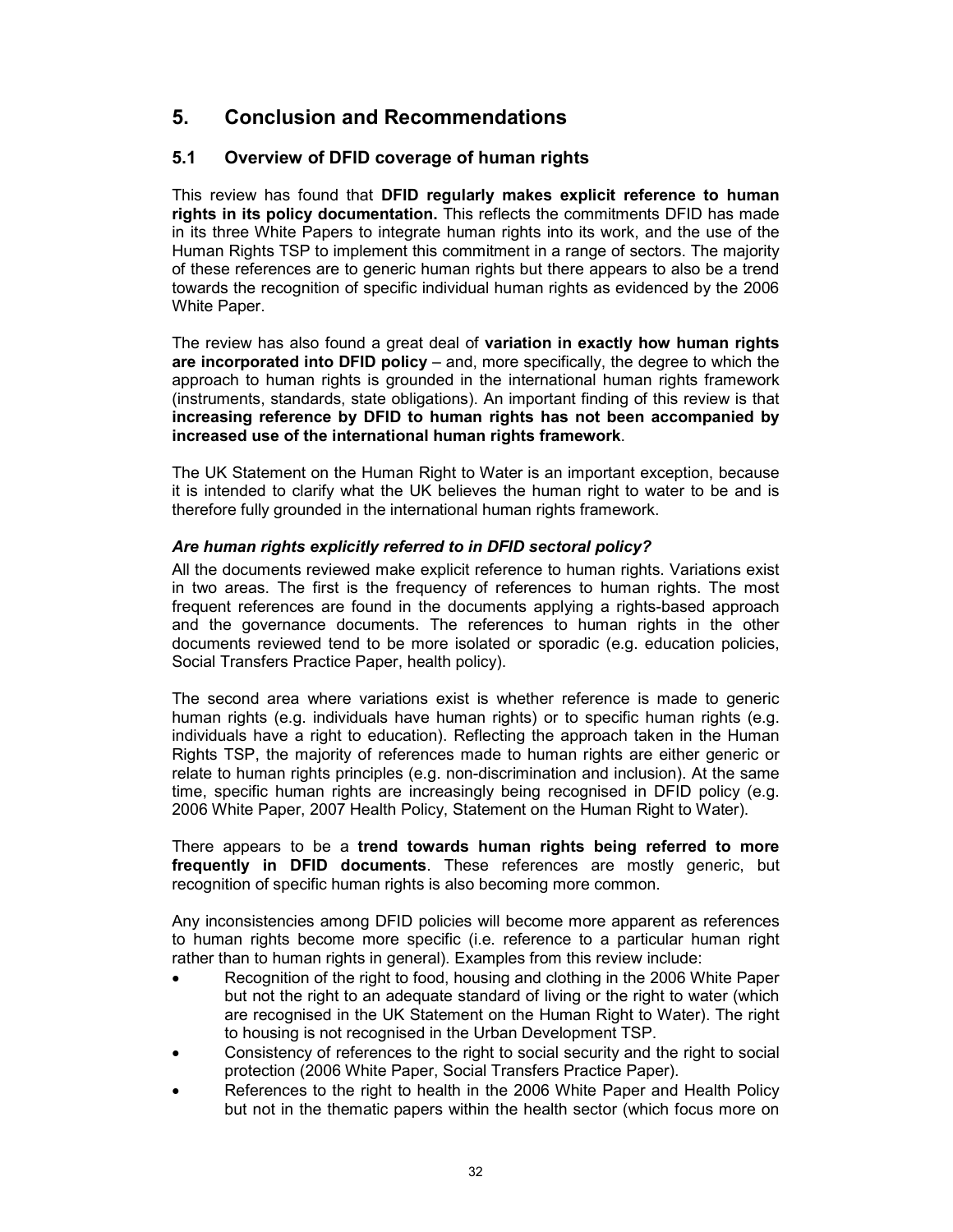## 5. Conclusion and Recommendations

## 5.1 Overview of DFID coverage of human rights

This review has found that DFID regularly makes explicit reference to human rights in its policy documentation. This reflects the commitments DFID has made in its three White Papers to integrate human rights into its work, and the use of the Human Rights TSP to implement this commitment in a range of sectors. The majority of these references are to generic human rights but there appears to also be a trend towards the recognition of specific individual human rights as evidenced by the 2006 White Paper.

The review has also found a great deal of variation in exactly how human rights are incorporated into DFID policy  $-$  and, more specifically, the degree to which the approach to human rights is grounded in the international human rights framework (instruments, standards, state obligations). An important finding of this review is that increasing reference by DFID to human rights has not been accompanied by increased use of the international human rights framework.

The UK Statement on the Human Right to Water is an important exception, because it is intended to clarify what the UK believes the human right to water to be and is therefore fully grounded in the international human rights framework.

### Are human rights explicitly referred to in DFID sectoral policy?

All the documents reviewed make explicit reference to human rights. Variations exist in two areas. The first is the frequency of references to human rights. The most frequent references are found in the documents applying a rights-based approach and the governance documents. The references to human rights in the other documents reviewed tend to be more isolated or sporadic (e.g. education policies, Social Transfers Practice Paper, health policy).

The second area where variations exist is whether reference is made to generic human rights (e.g. individuals have human rights) or to specific human rights (e.g. individuals have a right to education). Reflecting the approach taken in the Human Rights TSP, the majority of references made to human rights are either generic or relate to human rights principles (e.g. non-discrimination and inclusion). At the same time, specific human rights are increasingly being recognised in DFID policy (e.g. 2006 White Paper, 2007 Health Policy, Statement on the Human Right to Water).

There appears to be a trend towards human rights being referred to more frequently in DFID documents. These references are mostly generic, but recognition of specific human rights is also becoming more common.

Any inconsistencies among DFID policies will become more apparent as references to human rights become more specific (i.e. reference to a particular human right rather than to human rights in general). Examples from this review include:

- Recognition of the right to food, housing and clothing in the 2006 White Paper but not the right to an adequate standard of living or the right to water (which are recognised in the UK Statement on the Human Right to Water). The right to housing is not recognised in the Urban Development TSP.
- Consistency of references to the right to social security and the right to social protection (2006 White Paper, Social Transfers Practice Paper).
- References to the right to health in the 2006 White Paper and Health Policy but not in the thematic papers within the health sector (which focus more on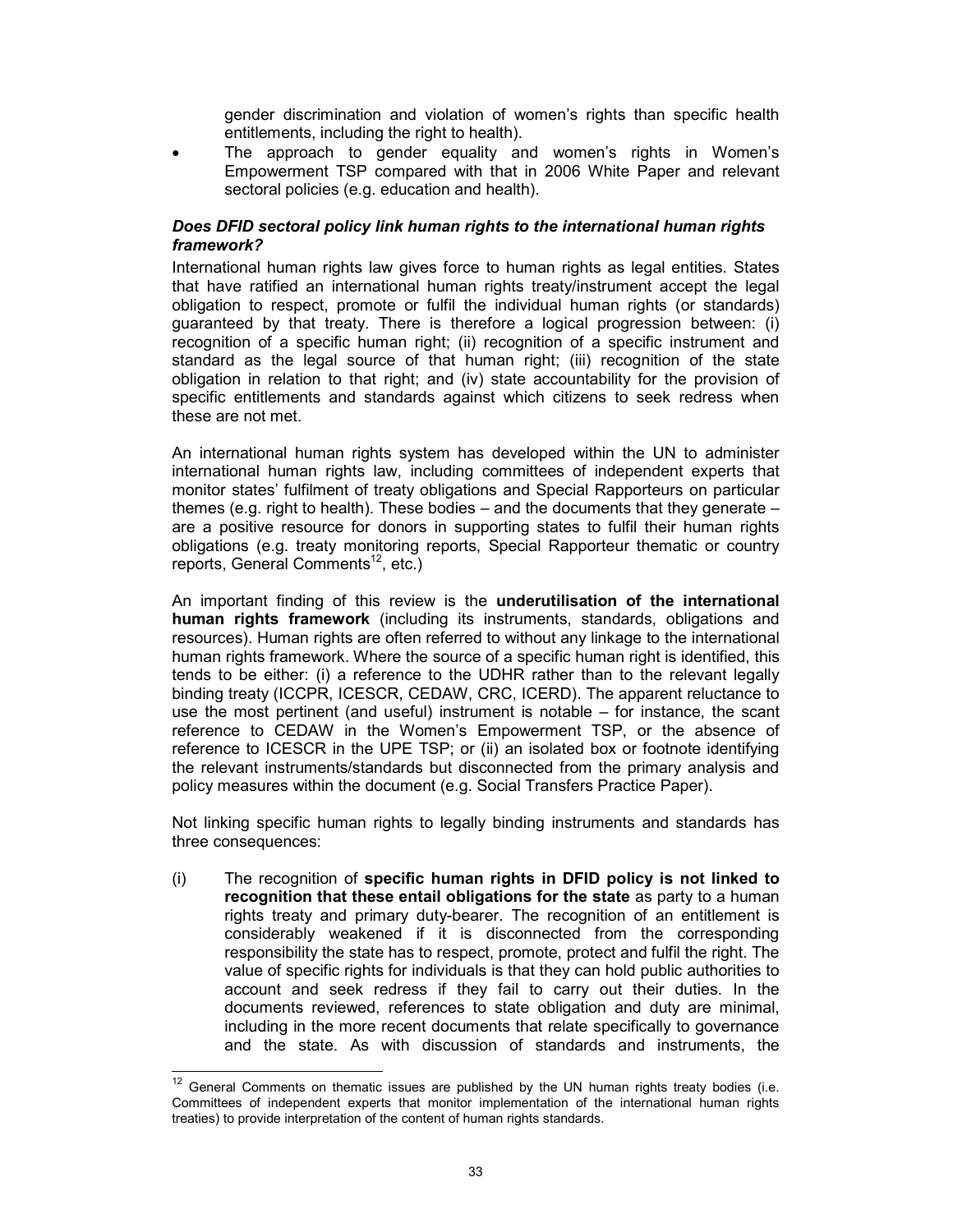gender discrimination and violation of women's rights than specific health entitlements, including the right to health).

The approach to gender equality and women's rights in Women's Empowerment TSP compared with that in 2006 White Paper and relevant sectoral policies (e.g. education and health).

### Does DFID sectoral policy link human rights to the international human rights framework?

International human rights law gives force to human rights as legal entities. States that have ratified an international human rights treaty/instrument accept the legal obligation to respect, promote or fulfil the individual human rights (or standards) guaranteed by that treaty. There is therefore a logical progression between: (i) recognition of a specific human right; (ii) recognition of a specific instrument and standard as the legal source of that human right; (iii) recognition of the state obligation in relation to that right; and (iv) state accountability for the provision of specific entitlements and standards against which citizens to seek redress when these are not met.

An international human rights system has developed within the UN to administer international human rights law, including committees of independent experts that monitor states' fulfilment of treaty obligations and Special Rapporteurs on particular themes (e.g. right to health). These bodies – and the documents that they generate – are a positive resource for donors in supporting states to fulfil their human rights obligations (e.g. treaty monitoring reports, Special Rapporteur thematic or country reports, General Comments<sup>12</sup>, etc.)

An important finding of this review is the underutilisation of the international human rights framework (including its instruments, standards, obligations and resources). Human rights are often referred to without any linkage to the international human rights framework. Where the source of a specific human right is identified, this tends to be either: (i) a reference to the UDHR rather than to the relevant legally binding treaty (ICCPR, ICESCR, CEDAW, CRC, ICERD). The apparent reluctance to use the most pertinent (and useful) instrument is notable – for instance, the scant reference to CEDAW in the Women's Empowerment TSP, or the absence of reference to ICESCR in the UPE TSP; or (ii) an isolated box or footnote identifying the relevant instruments/standards but disconnected from the primary analysis and policy measures within the document (e.g. Social Transfers Practice Paper).

Not linking specific human rights to legally binding instruments and standards has three consequences:

(i) The recognition of specific human rights in DFID policy is not linked to recognition that these entail obligations for the state as party to a human rights treaty and primary duty-bearer. The recognition of an entitlement is considerably weakened if it is disconnected from the corresponding responsibility the state has to respect, promote, protect and fulfil the right. The value of specific rights for individuals is that they can hold public authorities to account and seek redress if they fail to carry out their duties. In the documents reviewed, references to state obligation and duty are minimal, including in the more recent documents that relate specifically to governance and the state. As with discussion of standards and instruments, the

 $\overline{a}$  $12$  General Comments on thematic issues are published by the UN human rights treaty bodies (i.e. Committees of independent experts that monitor implementation of the international human rights treaties) to provide interpretation of the content of human rights standards.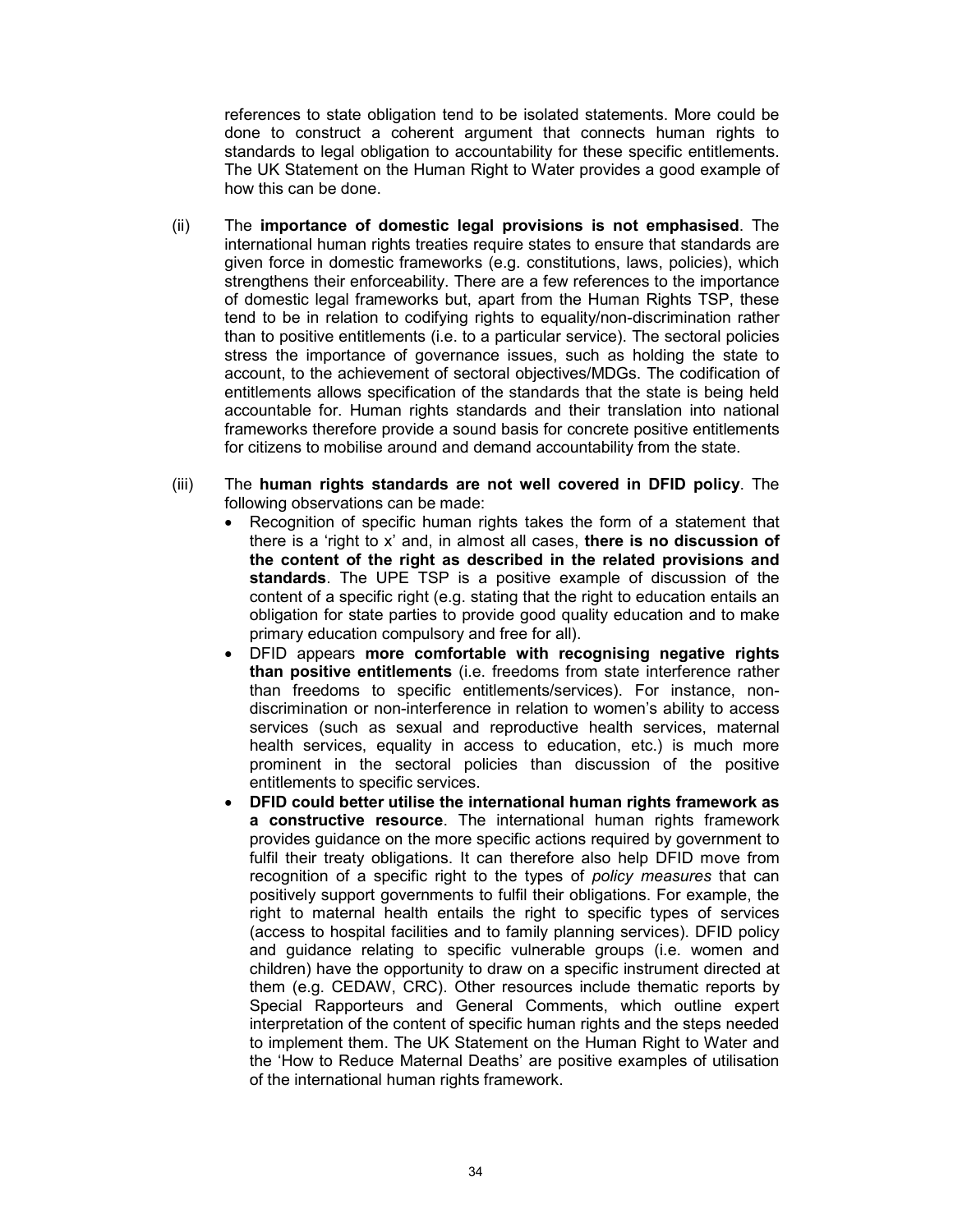references to state obligation tend to be isolated statements. More could be done to construct a coherent argument that connects human rights to standards to legal obligation to accountability for these specific entitlements. The UK Statement on the Human Right to Water provides a good example of how this can be done.

- (ii) The importance of domestic legal provisions is not emphasised. The international human rights treaties require states to ensure that standards are given force in domestic frameworks (e.g. constitutions, laws, policies), which strengthens their enforceability. There are a few references to the importance of domestic legal frameworks but, apart from the Human Rights TSP, these tend to be in relation to codifying rights to equality/non-discrimination rather than to positive entitlements (i.e. to a particular service). The sectoral policies stress the importance of governance issues, such as holding the state to account, to the achievement of sectoral objectives/MDGs. The codification of entitlements allows specification of the standards that the state is being held accountable for. Human rights standards and their translation into national frameworks therefore provide a sound basis for concrete positive entitlements for citizens to mobilise around and demand accountability from the state.
- (iii) The human rights standards are not well covered in DFID policy. The following observations can be made:
	- Recognition of specific human rights takes the form of a statement that there is a 'right to x' and, in almost all cases, there is no discussion of the content of the right as described in the related provisions and standards. The UPE TSP is a positive example of discussion of the content of a specific right (e.g. stating that the right to education entails an obligation for state parties to provide good quality education and to make primary education compulsory and free for all).
	- DFID appears more comfortable with recognising negative rights than positive entitlements (i.e. freedoms from state interference rather than freedoms to specific entitlements/services). For instance, nondiscrimination or non-interference in relation to women's ability to access services (such as sexual and reproductive health services, maternal health services, equality in access to education, etc.) is much more prominent in the sectoral policies than discussion of the positive entitlements to specific services.
	- DFID could better utilise the international human rights framework as a constructive resource. The international human rights framework provides guidance on the more specific actions required by government to fulfil their treaty obligations. It can therefore also help DFID move from recognition of a specific right to the types of policy measures that can positively support governments to fulfil their obligations. For example, the right to maternal health entails the right to specific types of services (access to hospital facilities and to family planning services). DFID policy and guidance relating to specific vulnerable groups (i.e. women and children) have the opportunity to draw on a specific instrument directed at them (e.g. CEDAW, CRC). Other resources include thematic reports by Special Rapporteurs and General Comments, which outline expert interpretation of the content of specific human rights and the steps needed to implement them. The UK Statement on the Human Right to Water and the 'How to Reduce Maternal Deaths' are positive examples of utilisation of the international human rights framework.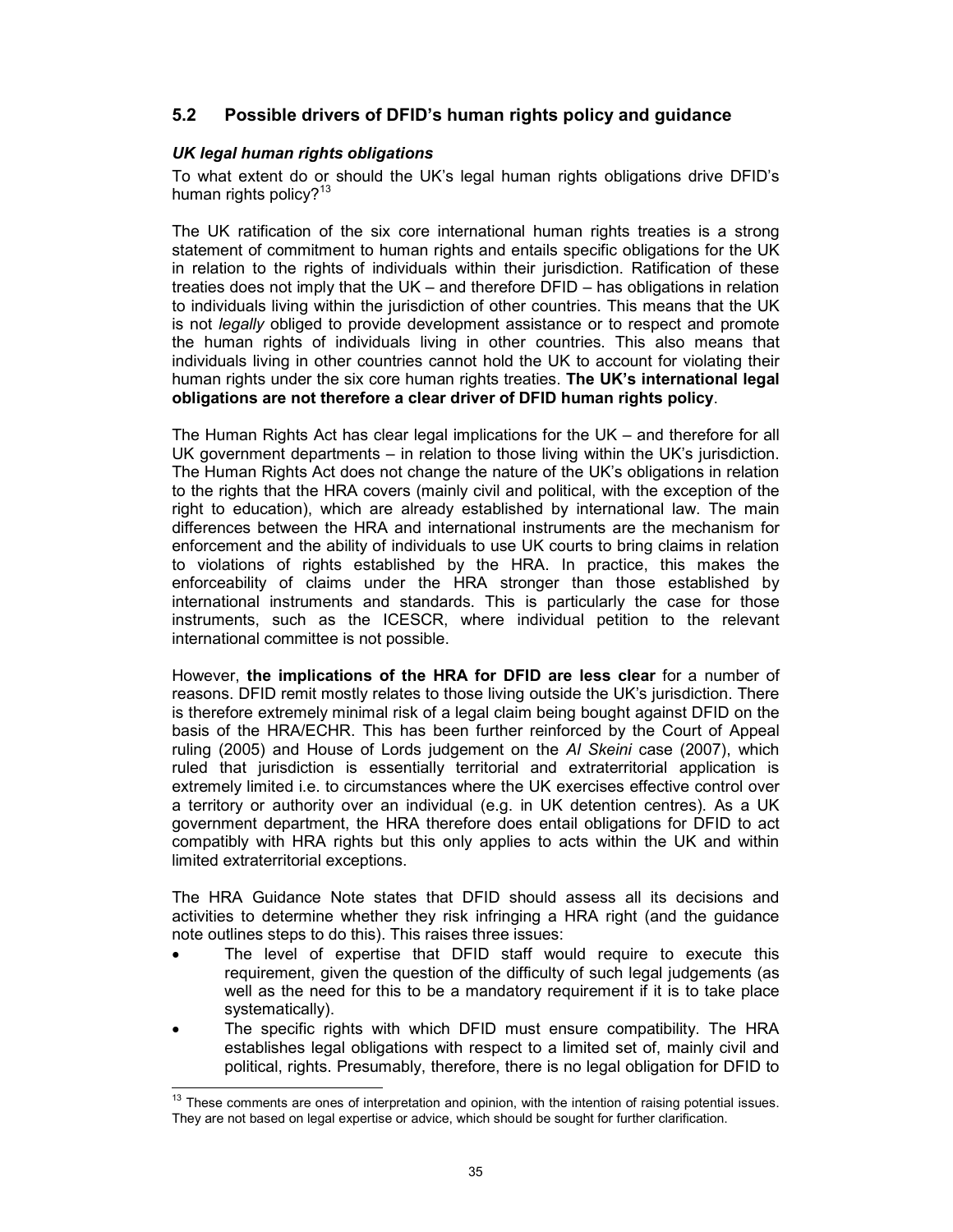## 5.2 Possible drivers of DFID's human rights policy and guidance

### UK legal human rights obligations

To what extent do or should the UK's legal human rights obligations drive DFID's human rights policy? $13$ 

The UK ratification of the six core international human rights treaties is a strong statement of commitment to human rights and entails specific obligations for the UK in relation to the rights of individuals within their jurisdiction. Ratification of these treaties does not imply that the UK – and therefore DFID – has obligations in relation to individuals living within the jurisdiction of other countries. This means that the UK is not *legally* obliged to provide development assistance or to respect and promote the human rights of individuals living in other countries. This also means that individuals living in other countries cannot hold the UK to account for violating their human rights under the six core human rights treaties. The UK's international legal obligations are not therefore a clear driver of DFID human rights policy.

The Human Rights Act has clear legal implications for the UK – and therefore for all UK government departments – in relation to those living within the UK's jurisdiction. The Human Rights Act does not change the nature of the UK's obligations in relation to the rights that the HRA covers (mainly civil and political, with the exception of the right to education), which are already established by international law. The main differences between the HRA and international instruments are the mechanism for enforcement and the ability of individuals to use UK courts to bring claims in relation to violations of rights established by the HRA. In practice, this makes the enforceability of claims under the HRA stronger than those established by international instruments and standards. This is particularly the case for those instruments, such as the ICESCR, where individual petition to the relevant international committee is not possible.

However, the implications of the HRA for DFID are less clear for a number of reasons. DFID remit mostly relates to those living outside the UK's jurisdiction. There is therefore extremely minimal risk of a legal claim being bought against DFID on the basis of the HRA/ECHR. This has been further reinforced by the Court of Appeal ruling (2005) and House of Lords judgement on the AI Skeini case (2007), which ruled that jurisdiction is essentially territorial and extraterritorial application is extremely limited i.e. to circumstances where the UK exercises effective control over a territory or authority over an individual (e.g. in UK detention centres). As a UK government department, the HRA therefore does entail obligations for DFID to act compatibly with HRA rights but this only applies to acts within the UK and within limited extraterritorial exceptions.

The HRA Guidance Note states that DFID should assess all its decisions and activities to determine whether they risk infringing a HRA right (and the guidance note outlines steps to do this). This raises three issues:

- The level of expertise that DFID staff would require to execute this requirement, given the question of the difficulty of such legal judgements (as well as the need for this to be a mandatory requirement if it is to take place systematically).
- The specific rights with which DFID must ensure compatibility. The HRA establishes legal obligations with respect to a limited set of, mainly civil and political, rights. Presumably, therefore, there is no legal obligation for DFID to

 $\overline{1}$  $13$  These comments are ones of interpretation and opinion, with the intention of raising potential issues. They are not based on legal expertise or advice, which should be sought for further clarification.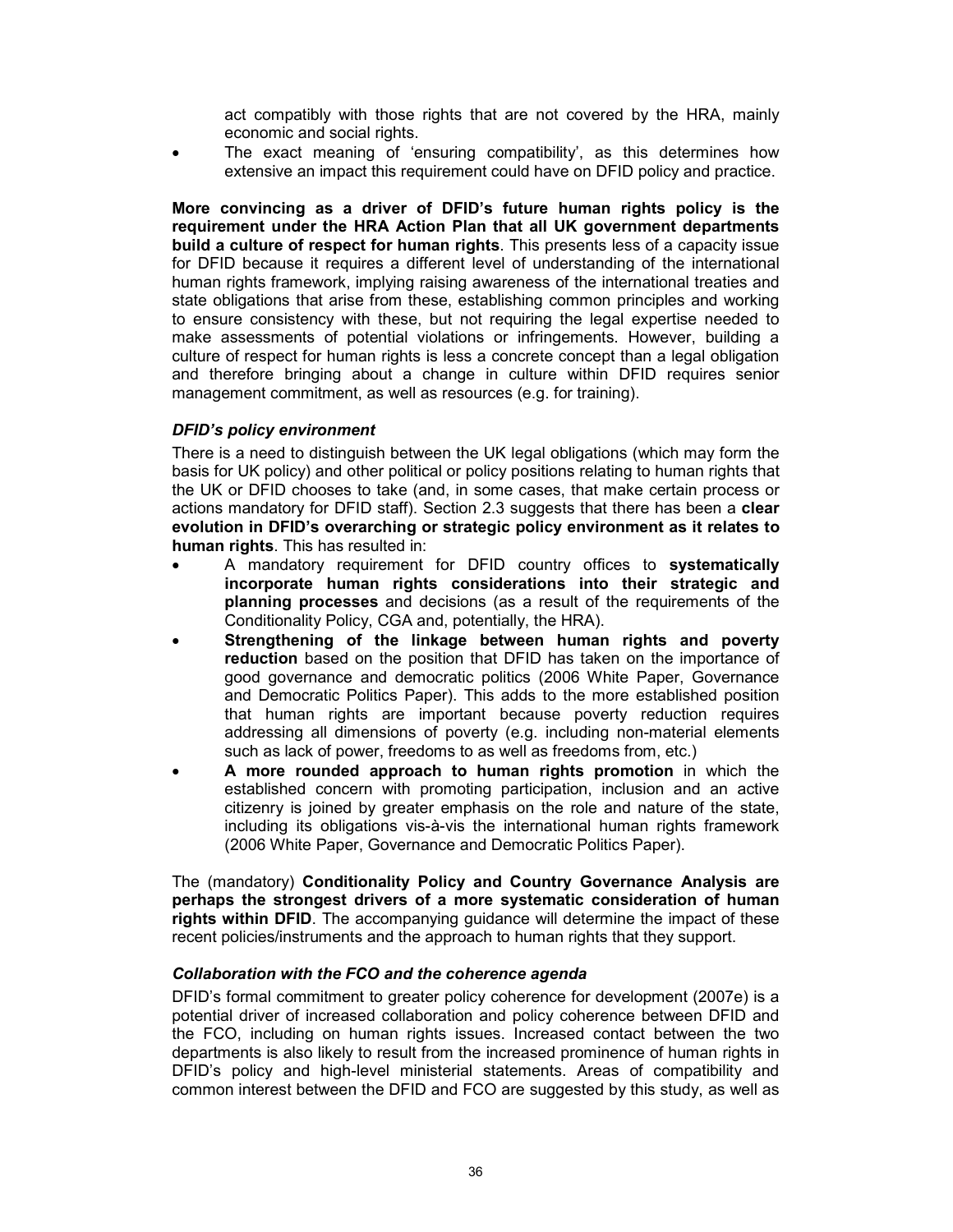act compatibly with those rights that are not covered by the HRA, mainly economic and social rights.

The exact meaning of 'ensuring compatibility', as this determines how extensive an impact this requirement could have on DFID policy and practice.

More convincing as a driver of DFID's future human rights policy is the requirement under the HRA Action Plan that all UK government departments build a culture of respect for human rights. This presents less of a capacity issue for DFID because it requires a different level of understanding of the international human rights framework, implying raising awareness of the international treaties and state obligations that arise from these, establishing common principles and working to ensure consistency with these, but not requiring the legal expertise needed to make assessments of potential violations or infringements. However, building a culture of respect for human rights is less a concrete concept than a legal obligation and therefore bringing about a change in culture within DFID requires senior management commitment, as well as resources (e.g. for training).

### DFID's policy environment

There is a need to distinguish between the UK legal obligations (which may form the basis for UK policy) and other political or policy positions relating to human rights that the UK or DFID chooses to take (and, in some cases, that make certain process or actions mandatory for DFID staff). Section 2.3 suggests that there has been a clear evolution in DFID's overarching or strategic policy environment as it relates to human rights. This has resulted in:

- A mandatory requirement for DFID country offices to systematically incorporate human rights considerations into their strategic and planning processes and decisions (as a result of the requirements of the Conditionality Policy, CGA and, potentially, the HRA).
- Strengthening of the linkage between human rights and poverty reduction based on the position that DFID has taken on the importance of good governance and democratic politics (2006 White Paper, Governance and Democratic Politics Paper). This adds to the more established position that human rights are important because poverty reduction requires addressing all dimensions of poverty (e.g. including non-material elements such as lack of power, freedoms to as well as freedoms from, etc.)
- A more rounded approach to human rights promotion in which the established concern with promoting participation, inclusion and an active citizenry is joined by greater emphasis on the role and nature of the state, including its obligations vis-à-vis the international human rights framework (2006 White Paper, Governance and Democratic Politics Paper).

The (mandatory) Conditionality Policy and Country Governance Analysis are perhaps the strongest drivers of a more systematic consideration of human rights within DFID. The accompanying guidance will determine the impact of these recent policies/instruments and the approach to human rights that they support.

#### Collaboration with the FCO and the coherence agenda

DFID's formal commitment to greater policy coherence for development (2007e) is a potential driver of increased collaboration and policy coherence between DFID and the FCO, including on human rights issues. Increased contact between the two departments is also likely to result from the increased prominence of human rights in DFID's policy and high-level ministerial statements. Areas of compatibility and common interest between the DFID and FCO are suggested by this study, as well as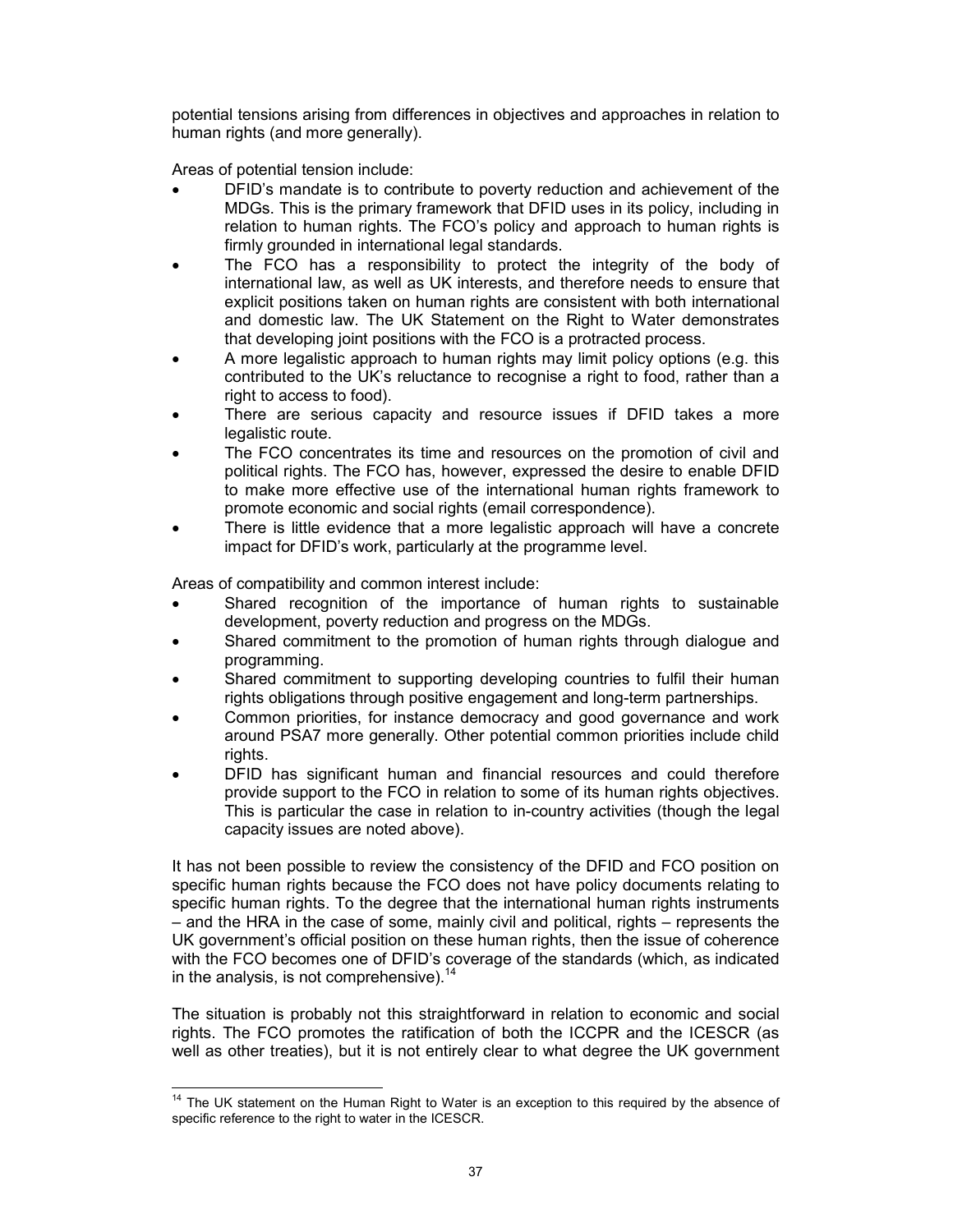potential tensions arising from differences in objectives and approaches in relation to human rights (and more generally).

Areas of potential tension include:

- DFID's mandate is to contribute to poverty reduction and achievement of the MDGs. This is the primary framework that DFID uses in its policy, including in relation to human rights. The FCO's policy and approach to human rights is firmly grounded in international legal standards.
- The FCO has a responsibility to protect the integrity of the body of international law, as well as UK interests, and therefore needs to ensure that explicit positions taken on human rights are consistent with both international and domestic law. The UK Statement on the Right to Water demonstrates that developing joint positions with the FCO is a protracted process.
- A more legalistic approach to human rights may limit policy options (e.g. this contributed to the UK's reluctance to recognise a right to food, rather than a right to access to food).
- There are serious capacity and resource issues if DFID takes a more legalistic route.
- The FCO concentrates its time and resources on the promotion of civil and political rights. The FCO has, however, expressed the desire to enable DFID to make more effective use of the international human rights framework to promote economic and social rights (email correspondence).
- There is little evidence that a more legalistic approach will have a concrete impact for DFID's work, particularly at the programme level.

Areas of compatibility and common interest include:

- Shared recognition of the importance of human rights to sustainable development, poverty reduction and progress on the MDGs.
- Shared commitment to the promotion of human rights through dialogue and programming.
- Shared commitment to supporting developing countries to fulfil their human rights obligations through positive engagement and long-term partnerships.
- Common priorities, for instance democracy and good governance and work around PSA7 more generally. Other potential common priorities include child rights.
- DFID has significant human and financial resources and could therefore provide support to the FCO in relation to some of its human rights objectives. This is particular the case in relation to in-country activities (though the legal capacity issues are noted above).

It has not been possible to review the consistency of the DFID and FCO position on specific human rights because the FCO does not have policy documents relating to specific human rights. To the degree that the international human rights instruments – and the HRA in the case of some, mainly civil and political, rights – represents the UK government's official position on these human rights, then the issue of coherence with the FCO becomes one of DFID's coverage of the standards (which, as indicated in the analysis, is not comprehensive). $14$ 

The situation is probably not this straightforward in relation to economic and social rights. The FCO promotes the ratification of both the ICCPR and the ICESCR (as well as other treaties), but it is not entirely clear to what degree the UK government

 $\frac{1}{2}$ <sup>14</sup> The UK statement on the Human Right to Water is an exception to this required by the absence of specific reference to the right to water in the ICESCR.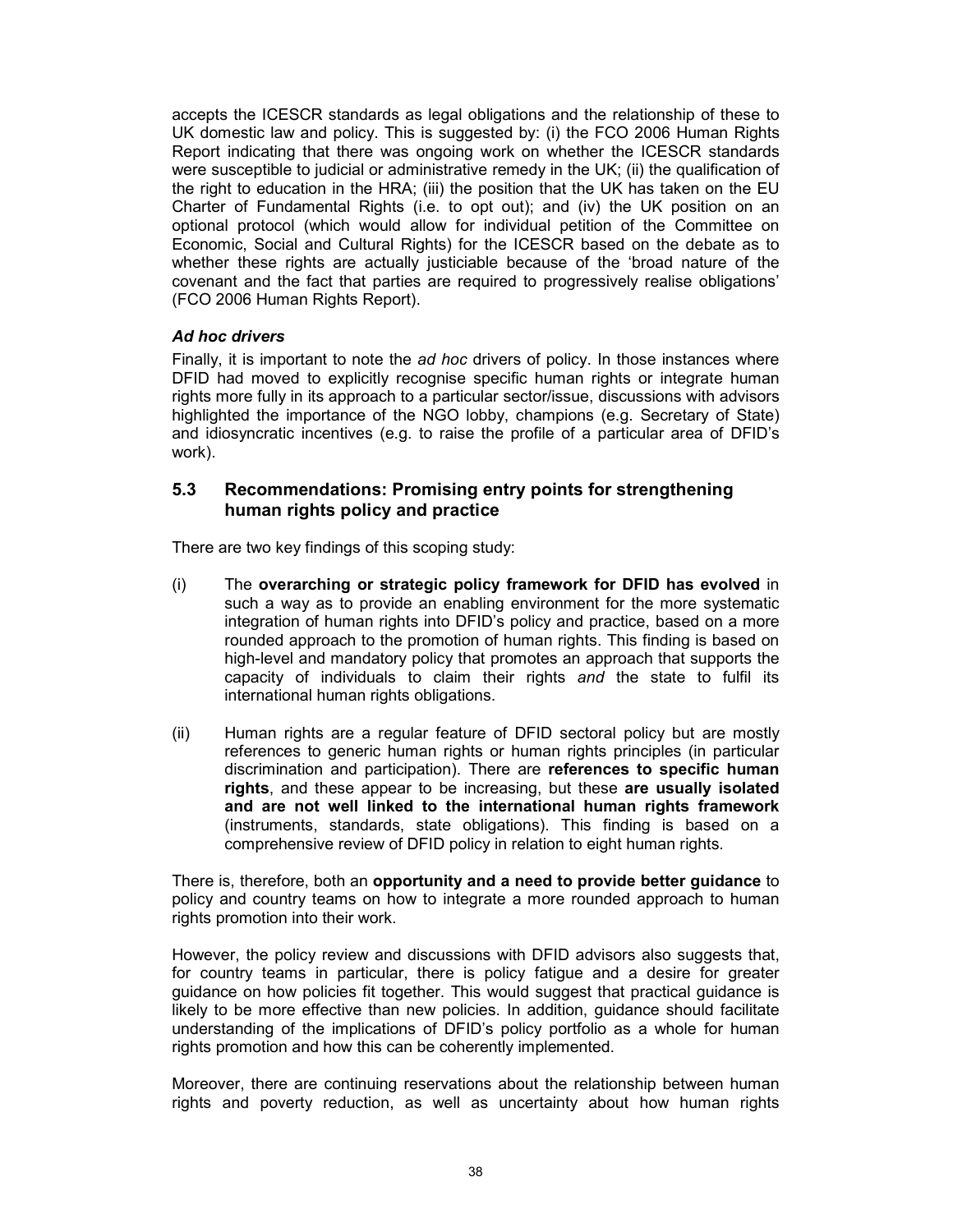accepts the ICESCR standards as legal obligations and the relationship of these to UK domestic law and policy. This is suggested by: (i) the FCO 2006 Human Rights Report indicating that there was ongoing work on whether the ICESCR standards were susceptible to judicial or administrative remedy in the UK; (ii) the qualification of the right to education in the HRA; (iii) the position that the UK has taken on the EU Charter of Fundamental Rights (i.e. to opt out); and (iv) the UK position on an optional protocol (which would allow for individual petition of the Committee on Economic, Social and Cultural Rights) for the ICESCR based on the debate as to whether these rights are actually justiciable because of the 'broad nature of the covenant and the fact that parties are required to progressively realise obligations' (FCO 2006 Human Rights Report).

## Ad hoc drivers

Finally, it is important to note the ad hoc drivers of policy. In those instances where DFID had moved to explicitly recognise specific human rights or integrate human rights more fully in its approach to a particular sector/issue, discussions with advisors highlighted the importance of the NGO lobby, champions (e.g. Secretary of State) and idiosyncratic incentives (e.g. to raise the profile of a particular area of DFID's work).

## 5.3 Recommendations: Promising entry points for strengthening human rights policy and practice

There are two key findings of this scoping study:

- (i) The overarching or strategic policy framework for DFID has evolved in such a way as to provide an enabling environment for the more systematic integration of human rights into DFID's policy and practice, based on a more rounded approach to the promotion of human rights. This finding is based on high-level and mandatory policy that promotes an approach that supports the capacity of individuals to claim their rights and the state to fulfil its international human rights obligations.
- (ii) Human rights are a regular feature of DFID sectoral policy but are mostly references to generic human rights or human rights principles (in particular discrimination and participation). There are references to specific human rights, and these appear to be increasing, but these are usually isolated and are not well linked to the international human rights framework (instruments, standards, state obligations). This finding is based on a comprehensive review of DFID policy in relation to eight human rights.

There is, therefore, both an opportunity and a need to provide better guidance to policy and country teams on how to integrate a more rounded approach to human rights promotion into their work.

However, the policy review and discussions with DFID advisors also suggests that, for country teams in particular, there is policy fatigue and a desire for greater guidance on how policies fit together. This would suggest that practical guidance is likely to be more effective than new policies. In addition, guidance should facilitate understanding of the implications of DFID's policy portfolio as a whole for human rights promotion and how this can be coherently implemented.

Moreover, there are continuing reservations about the relationship between human rights and poverty reduction, as well as uncertainty about how human rights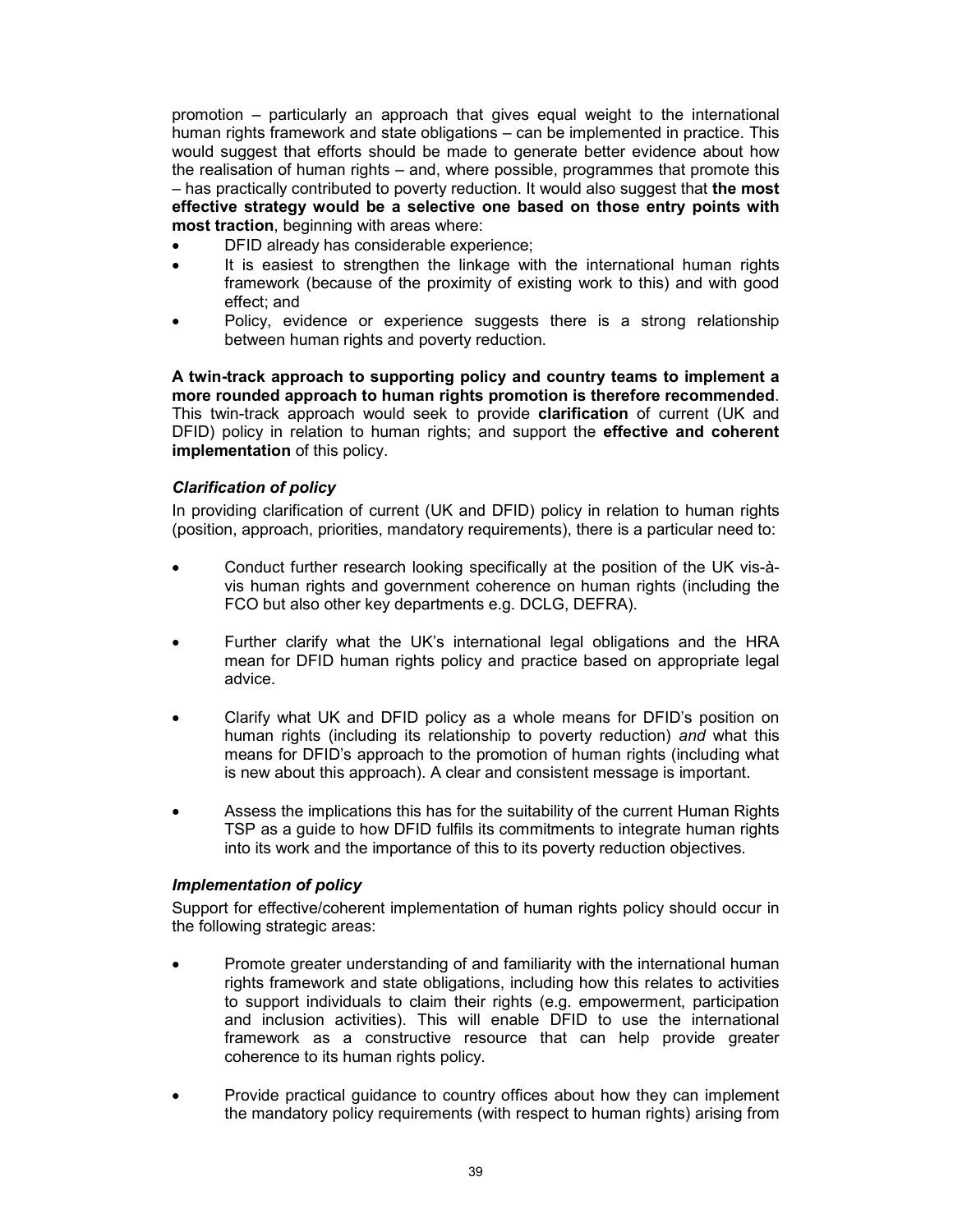promotion – particularly an approach that gives equal weight to the international human rights framework and state obligations – can be implemented in practice. This would suggest that efforts should be made to generate better evidence about how the realisation of human rights – and, where possible, programmes that promote this – has practically contributed to poverty reduction. It would also suggest that the most effective strategy would be a selective one based on those entry points with most traction, beginning with areas where:

- DFID already has considerable experience;
- It is easiest to strengthen the linkage with the international human rights framework (because of the proximity of existing work to this) and with good effect; and
- Policy, evidence or experience suggests there is a strong relationship between human rights and poverty reduction.

A twin-track approach to supporting policy and country teams to implement a more rounded approach to human rights promotion is therefore recommended. This twin-track approach would seek to provide clarification of current (UK and DFID) policy in relation to human rights; and support the effective and coherent implementation of this policy.

## Clarification of policy

In providing clarification of current (UK and DFID) policy in relation to human rights (position, approach, priorities, mandatory requirements), there is a particular need to:

- Conduct further research looking specifically at the position of the UK vis-àvis human rights and government coherence on human rights (including the FCO but also other key departments e.g. DCLG, DEFRA).
- Further clarify what the UK's international legal obligations and the HRA mean for DFID human rights policy and practice based on appropriate legal advice.
- Clarify what UK and DFID policy as a whole means for DFID's position on human rights (including its relationship to poverty reduction) and what this means for DFID's approach to the promotion of human rights (including what is new about this approach). A clear and consistent message is important.
- Assess the implications this has for the suitability of the current Human Rights TSP as a guide to how DFID fulfils its commitments to integrate human rights into its work and the importance of this to its poverty reduction objectives.

#### Implementation of policy

Support for effective/coherent implementation of human rights policy should occur in the following strategic areas:

- Promote greater understanding of and familiarity with the international human rights framework and state obligations, including how this relates to activities to support individuals to claim their rights (e.g. empowerment, participation and inclusion activities). This will enable DFID to use the international framework as a constructive resource that can help provide greater coherence to its human rights policy.
- Provide practical guidance to country offices about how they can implement the mandatory policy requirements (with respect to human rights) arising from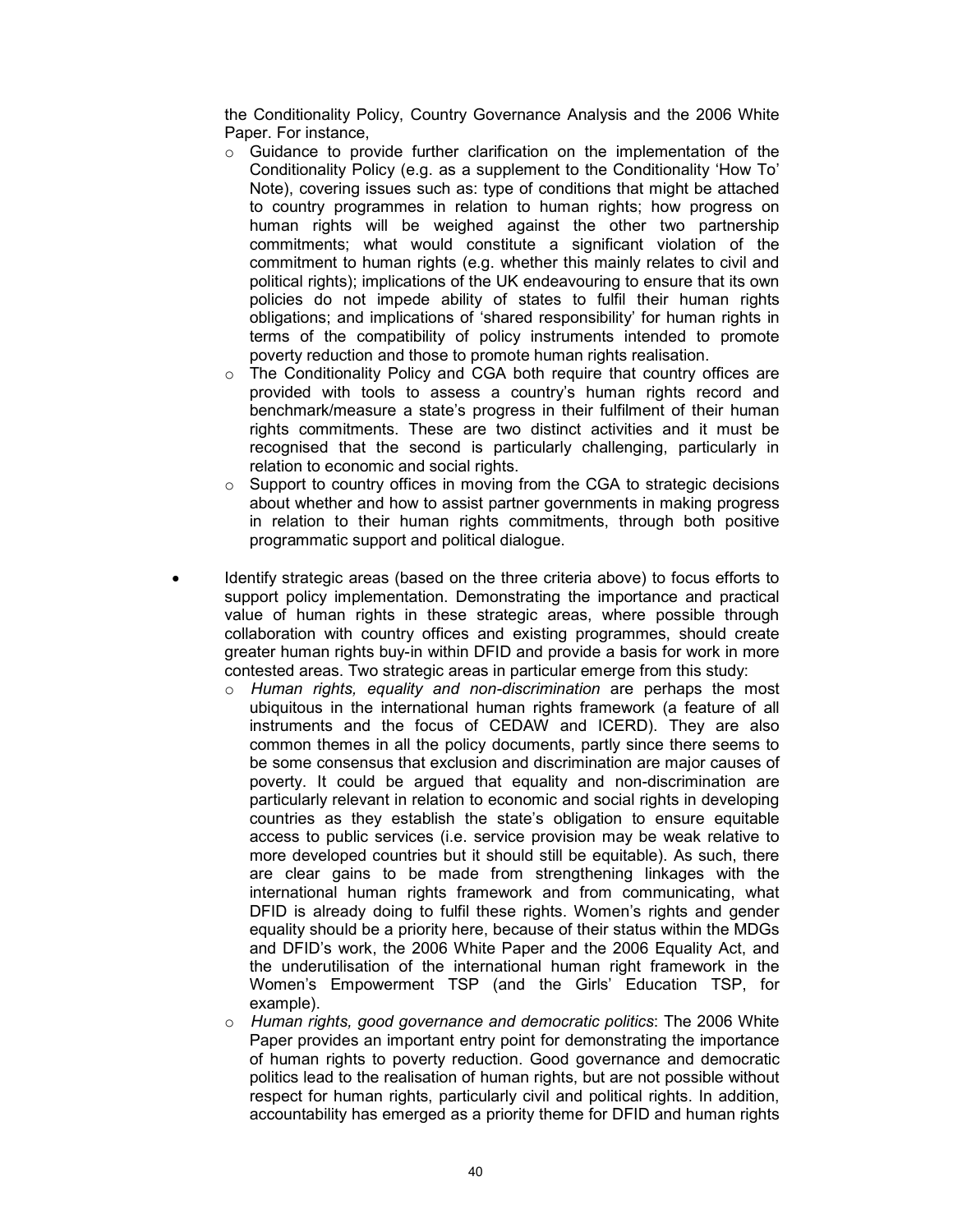the Conditionality Policy, Country Governance Analysis and the 2006 White Paper. For instance,

- $\circ$  Guidance to provide further clarification on the implementation of the Conditionality Policy (e.g. as a supplement to the Conditionality 'How To' Note), covering issues such as: type of conditions that might be attached to country programmes in relation to human rights; how progress on human rights will be weighed against the other two partnership commitments; what would constitute a significant violation of the commitment to human rights (e.g. whether this mainly relates to civil and political rights); implications of the UK endeavouring to ensure that its own policies do not impede ability of states to fulfil their human rights obligations; and implications of 'shared responsibility' for human rights in terms of the compatibility of policy instruments intended to promote poverty reduction and those to promote human rights realisation.
- $\circ$  The Conditionality Policy and CGA both require that country offices are provided with tools to assess a country's human rights record and benchmark/measure a state's progress in their fulfilment of their human rights commitments. These are two distinct activities and it must be recognised that the second is particularly challenging, particularly in relation to economic and social rights.
- $\circ$  Support to country offices in moving from the CGA to strategic decisions about whether and how to assist partner governments in making progress in relation to their human rights commitments, through both positive programmatic support and political dialogue.
- Identify strategic areas (based on the three criteria above) to focus efforts to support policy implementation. Demonstrating the importance and practical value of human rights in these strategic areas, where possible through collaboration with country offices and existing programmes, should create greater human rights buy-in within DFID and provide a basis for work in more contested areas. Two strategic areas in particular emerge from this study:
	- $\circ$  Human rights, equality and non-discrimination are perhaps the most ubiquitous in the international human rights framework (a feature of all instruments and the focus of CEDAW and ICERD). They are also common themes in all the policy documents, partly since there seems to be some consensus that exclusion and discrimination are major causes of poverty. It could be argued that equality and non-discrimination are particularly relevant in relation to economic and social rights in developing countries as they establish the state's obligation to ensure equitable access to public services (i.e. service provision may be weak relative to more developed countries but it should still be equitable). As such, there are clear gains to be made from strengthening linkages with the international human rights framework and from communicating, what DFID is already doing to fulfil these rights. Women's rights and gender equality should be a priority here, because of their status within the MDGs and DFID's work, the 2006 White Paper and the 2006 Equality Act, and the underutilisation of the international human right framework in the Women's Empowerment TSP (and the Girls' Education TSP, for example).
	- o Human rights, good governance and democratic politics: The 2006 White Paper provides an important entry point for demonstrating the importance of human rights to poverty reduction. Good governance and democratic politics lead to the realisation of human rights, but are not possible without respect for human rights, particularly civil and political rights. In addition, accountability has emerged as a priority theme for DFID and human rights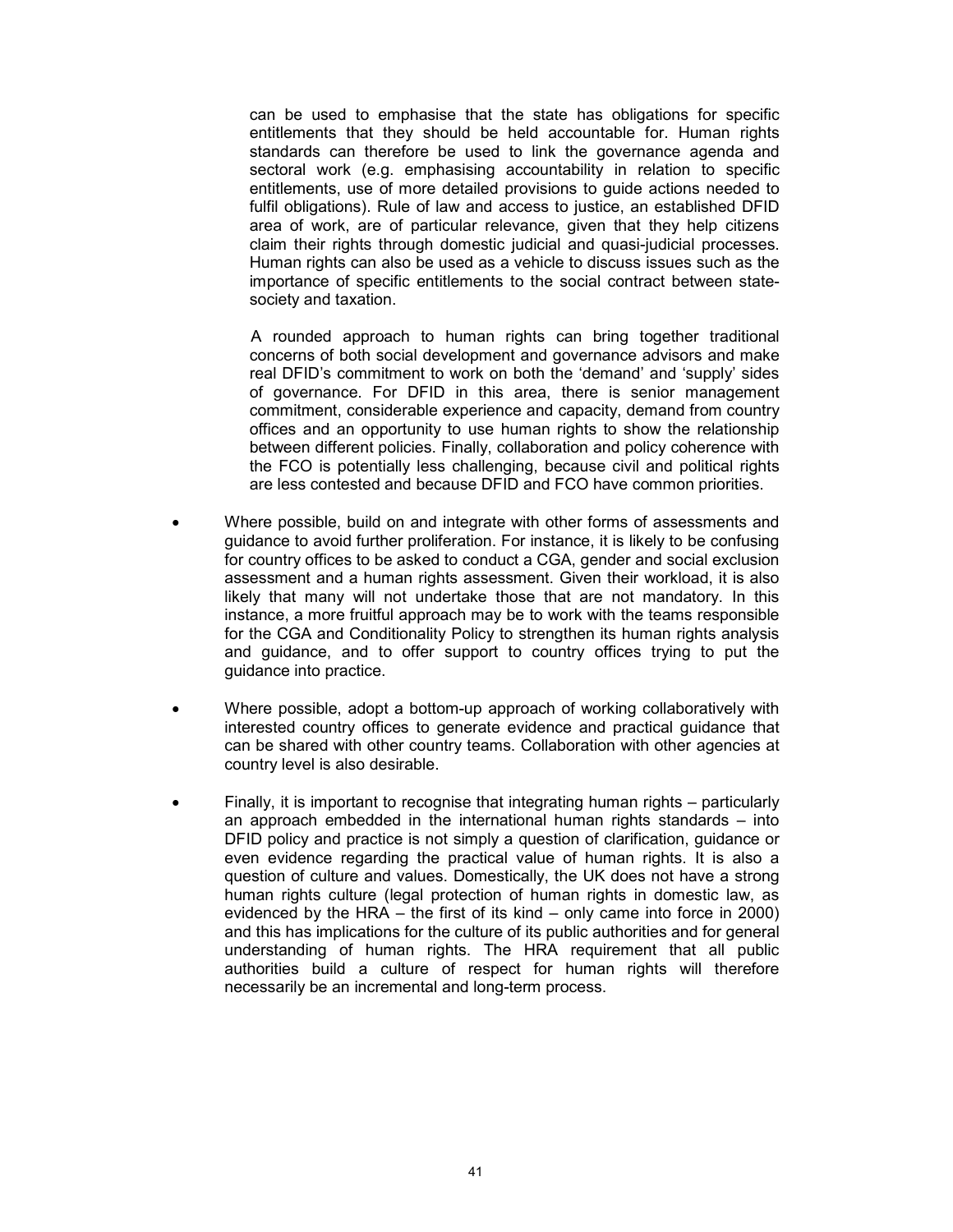can be used to emphasise that the state has obligations for specific entitlements that they should be held accountable for. Human rights standards can therefore be used to link the governance agenda and sectoral work (e.g. emphasising accountability in relation to specific entitlements, use of more detailed provisions to guide actions needed to fulfil obligations). Rule of law and access to justice, an established DFID area of work, are of particular relevance, given that they help citizens claim their rights through domestic judicial and quasi-judicial processes. Human rights can also be used as a vehicle to discuss issues such as the importance of specific entitlements to the social contract between statesociety and taxation.

A rounded approach to human rights can bring together traditional concerns of both social development and governance advisors and make real DFID's commitment to work on both the 'demand' and 'supply' sides of governance. For DFID in this area, there is senior management commitment, considerable experience and capacity, demand from country offices and an opportunity to use human rights to show the relationship between different policies. Finally, collaboration and policy coherence with the FCO is potentially less challenging, because civil and political rights are less contested and because DFID and FCO have common priorities.

- Where possible, build on and integrate with other forms of assessments and guidance to avoid further proliferation. For instance, it is likely to be confusing for country offices to be asked to conduct a CGA, gender and social exclusion assessment and a human rights assessment. Given their workload, it is also likely that many will not undertake those that are not mandatory. In this instance, a more fruitful approach may be to work with the teams responsible for the CGA and Conditionality Policy to strengthen its human rights analysis and guidance, and to offer support to country offices trying to put the guidance into practice.
- Where possible, adopt a bottom-up approach of working collaboratively with interested country offices to generate evidence and practical guidance that can be shared with other country teams. Collaboration with other agencies at country level is also desirable.
- Finally, it is important to recognise that integrating human rights particularly an approach embedded in the international human rights standards – into DFID policy and practice is not simply a question of clarification, guidance or even evidence regarding the practical value of human rights. It is also a question of culture and values. Domestically, the UK does not have a strong human rights culture (legal protection of human rights in domestic law, as evidenced by the HRA – the first of its kind – only came into force in 2000) and this has implications for the culture of its public authorities and for general understanding of human rights. The HRA requirement that all public authorities build a culture of respect for human rights will therefore necessarily be an incremental and long-term process.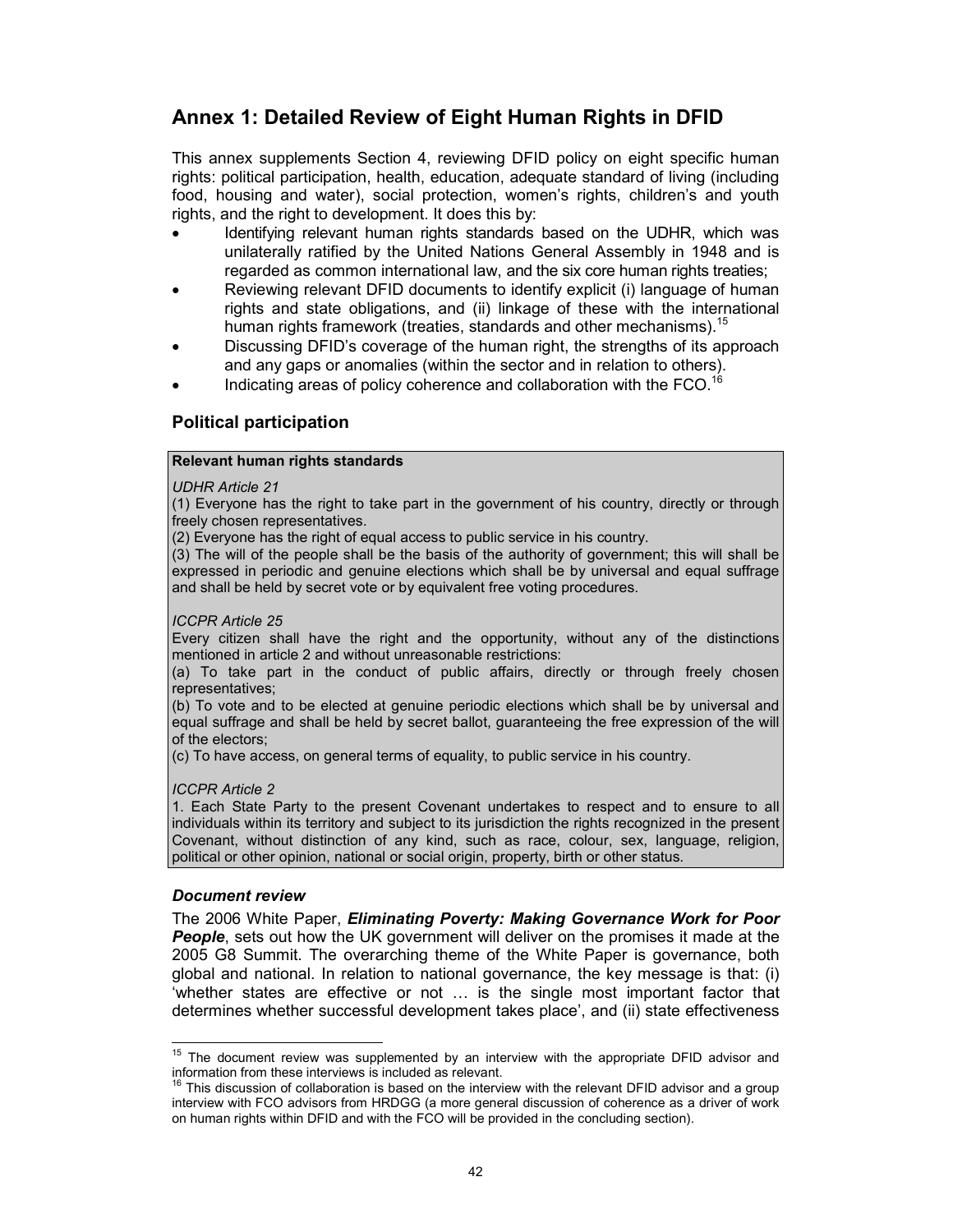# Annex 1: Detailed Review of Eight Human Rights in DFID

This annex supplements Section 4, reviewing DFID policy on eight specific human rights: political participation, health, education, adequate standard of living (including food, housing and water), social protection, women's rights, children's and youth rights, and the right to development. It does this by:

- Identifying relevant human rights standards based on the UDHR, which was unilaterally ratified by the United Nations General Assembly in 1948 and is regarded as common international law, and the six core human rights treaties;
- Reviewing relevant DFID documents to identify explicit (i) language of human rights and state obligations, and (ii) linkage of these with the international human rights framework (treaties, standards and other mechanisms).<sup>15</sup>
- Discussing DFID's coverage of the human right, the strengths of its approach and any gaps or anomalies (within the sector and in relation to others).
- Indicating areas of policy coherence and collaboration with the FCO.<sup>16</sup>

## Political participation

#### Relevant human rights standards

#### UDHR Article 21

(1) Everyone has the right to take part in the government of his country, directly or through freely chosen representatives.

(2) Everyone has the right of equal access to public service in his country.

(3) The will of the people shall be the basis of the authority of government; this will shall be expressed in periodic and genuine elections which shall be by universal and equal suffrage and shall be held by secret vote or by equivalent free voting procedures.

#### ICCPR Article 25

Every citizen shall have the right and the opportunity, without any of the distinctions mentioned in article 2 and without unreasonable restrictions:

(a) To take part in the conduct of public affairs, directly or through freely chosen representatives;

(b) To vote and to be elected at genuine periodic elections which shall be by universal and equal suffrage and shall be held by secret ballot, guaranteeing the free expression of the will of the electors;

(c) To have access, on general terms of equality, to public service in his country.

#### ICCPR Article 2

1. Each State Party to the present Covenant undertakes to respect and to ensure to all individuals within its territory and subject to its jurisdiction the rights recognized in the present Covenant, without distinction of any kind, such as race, colour, sex, language, religion, political or other opinion, national or social origin, property, birth or other status.

#### Document review

 $\frac{1}{2}$ 

The 2006 White Paper, Eliminating Poverty: Making Governance Work for Poor **People**, sets out how the UK government will deliver on the promises it made at the 2005 G8 Summit. The overarching theme of the White Paper is governance, both global and national. In relation to national governance, the key message is that: (i) 'whether states are effective or not … is the single most important factor that determines whether successful development takes place', and (ii) state effectiveness

 $15$  The document review was supplemented by an interview with the appropriate DFID advisor and information from these interviews is included as relevant.

<sup>&</sup>lt;sup>16</sup> This discussion of collaboration is based on the interview with the relevant DFID advisor and a group interview with FCO advisors from HRDGG (a more general discussion of coherence as a driver of work on human rights within DFID and with the FCO will be provided in the concluding section).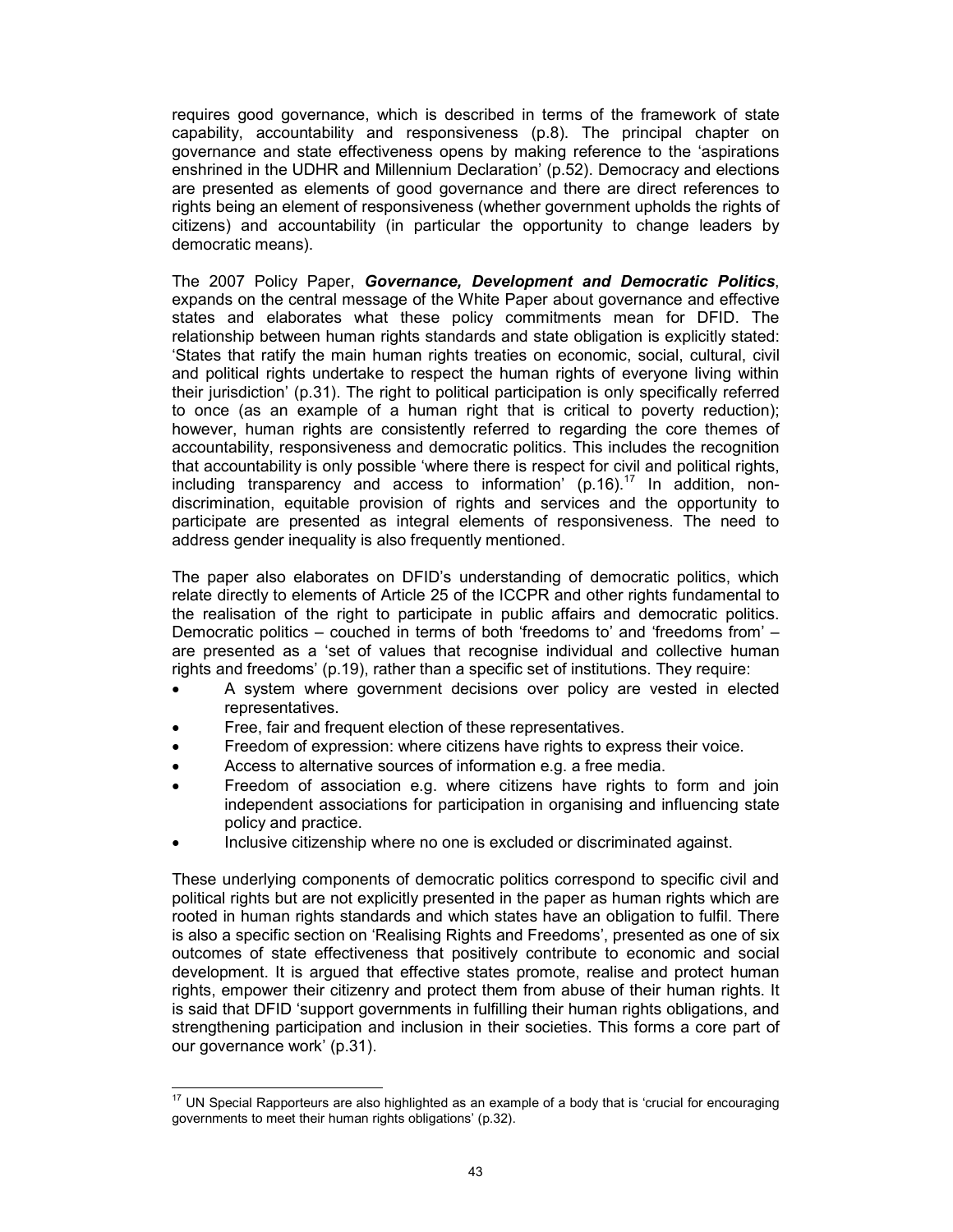requires good governance, which is described in terms of the framework of state capability, accountability and responsiveness (p.8). The principal chapter on governance and state effectiveness opens by making reference to the 'aspirations enshrined in the UDHR and Millennium Declaration' (p.52). Democracy and elections are presented as elements of good governance and there are direct references to rights being an element of responsiveness (whether government upholds the rights of citizens) and accountability (in particular the opportunity to change leaders by democratic means).

The 2007 Policy Paper, Governance, Development and Democratic Politics, expands on the central message of the White Paper about governance and effective states and elaborates what these policy commitments mean for DFID. The relationship between human rights standards and state obligation is explicitly stated: 'States that ratify the main human rights treaties on economic, social, cultural, civil and political rights undertake to respect the human rights of everyone living within their jurisdiction' (p.31). The right to political participation is only specifically referred to once (as an example of a human right that is critical to poverty reduction); however, human rights are consistently referred to regarding the core themes of accountability, responsiveness and democratic politics. This includes the recognition that accountability is only possible 'where there is respect for civil and political rights, including transparency and access to information' (p.16). $^{17}$  In addition, nondiscrimination, equitable provision of rights and services and the opportunity to participate are presented as integral elements of responsiveness. The need to address gender inequality is also frequently mentioned.

The paper also elaborates on DFID's understanding of democratic politics, which relate directly to elements of Article 25 of the ICCPR and other rights fundamental to the realisation of the right to participate in public affairs and democratic politics. Democratic politics – couched in terms of both 'freedoms to' and 'freedoms from' – are presented as a 'set of values that recognise individual and collective human rights and freedoms' (p.19), rather than a specific set of institutions. They require:

- A system where government decisions over policy are vested in elected representatives.
- Free, fair and frequent election of these representatives.
- Freedom of expression: where citizens have rights to express their voice.
- Access to alternative sources of information e.g. a free media.
- Freedom of association e.g. where citizens have rights to form and join independent associations for participation in organising and influencing state policy and practice.
- Inclusive citizenship where no one is excluded or discriminated against.

These underlying components of democratic politics correspond to specific civil and political rights but are not explicitly presented in the paper as human rights which are rooted in human rights standards and which states have an obligation to fulfil. There is also a specific section on 'Realising Rights and Freedoms', presented as one of six outcomes of state effectiveness that positively contribute to economic and social development. It is argued that effective states promote, realise and protect human rights, empower their citizenry and protect them from abuse of their human rights. It is said that DFID 'support governments in fulfilling their human rights obligations, and strengthening participation and inclusion in their societies. This forms a core part of our governance work' (p.31).

 $\frac{1}{2}$  $17$  UN Special Rapporteurs are also highlighted as an example of a body that is 'crucial for encouraging governments to meet their human rights obligations' (p.32).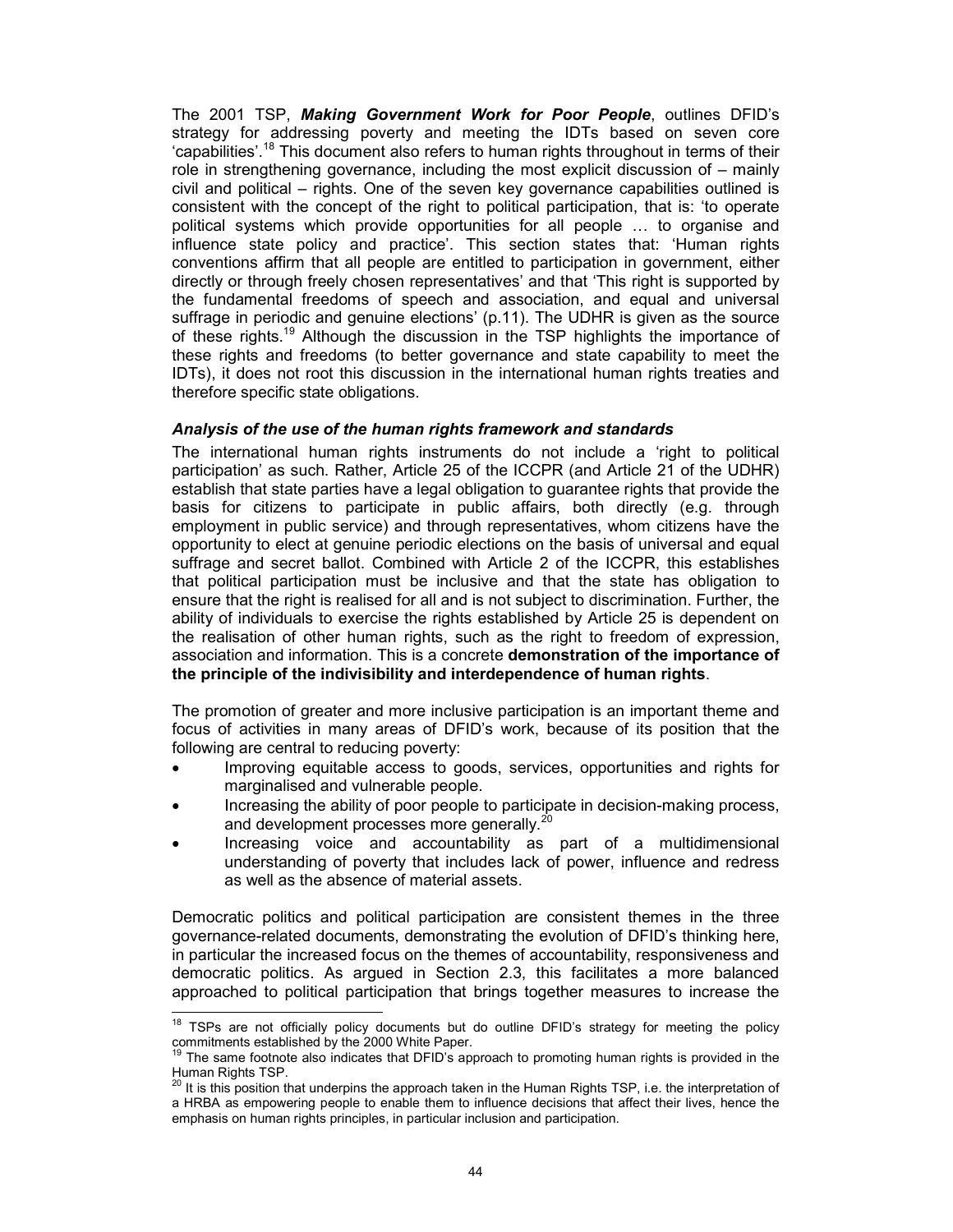The 2001 TSP, Making Government Work for Poor People, outlines DFID's strategy for addressing poverty and meeting the IDTs based on seven core 'capabilities'.<sup>18</sup> This document also refers to human rights throughout in terms of their role in strengthening governance, including the most explicit discussion of – mainly civil and political – rights. One of the seven key governance capabilities outlined is consistent with the concept of the right to political participation, that is: 'to operate political systems which provide opportunities for all people … to organise and influence state policy and practice'. This section states that: 'Human rights conventions affirm that all people are entitled to participation in government, either directly or through freely chosen representatives' and that 'This right is supported by the fundamental freedoms of speech and association, and equal and universal suffrage in periodic and genuine elections' (p.11). The UDHR is given as the source of these rights.<sup>19</sup> Although the discussion in the TSP highlights the importance of these rights and freedoms (to better governance and state capability to meet the IDTs), it does not root this discussion in the international human rights treaties and therefore specific state obligations.

## Analysis of the use of the human rights framework and standards

The international human rights instruments do not include a 'right to political participation' as such. Rather, Article 25 of the ICCPR (and Article 21 of the UDHR) establish that state parties have a legal obligation to guarantee rights that provide the basis for citizens to participate in public affairs, both directly (e.g. through employment in public service) and through representatives, whom citizens have the opportunity to elect at genuine periodic elections on the basis of universal and equal suffrage and secret ballot. Combined with Article 2 of the ICCPR, this establishes that political participation must be inclusive and that the state has obligation to ensure that the right is realised for all and is not subject to discrimination. Further, the ability of individuals to exercise the rights established by Article 25 is dependent on the realisation of other human rights, such as the right to freedom of expression, association and information. This is a concrete demonstration of the importance of the principle of the indivisibility and interdependence of human rights.

The promotion of greater and more inclusive participation is an important theme and focus of activities in many areas of DFID's work, because of its position that the following are central to reducing poverty:

- Improving equitable access to goods, services, opportunities and rights for marginalised and vulnerable people.
- Increasing the ability of poor people to participate in decision-making process, and development processes more generally.<sup>20</sup>
- Increasing voice and accountability as part of a multidimensional understanding of poverty that includes lack of power, influence and redress as well as the absence of material assets.

Democratic politics and political participation are consistent themes in the three governance-related documents, demonstrating the evolution of DFID's thinking here, in particular the increased focus on the themes of accountability, responsiveness and democratic politics. As argued in Section 2.3, this facilitates a more balanced approached to political participation that brings together measures to increase the

 $\overline{a}$  $18$  TSPs are not officially policy documents but do outline DFID's strategy for meeting the policy commitments established by the 2000 White Paper.

<sup>&</sup>lt;sup>19</sup> The same footnote also indicates that DFID's approach to promoting human rights is provided in the Human Rights TSP.

<sup>20</sup> It is this position that underpins the approach taken in the Human Rights TSP, i.e. the interpretation of a HRBA as empowering people to enable them to influence decisions that affect their lives, hence the emphasis on human rights principles, in particular inclusion and participation.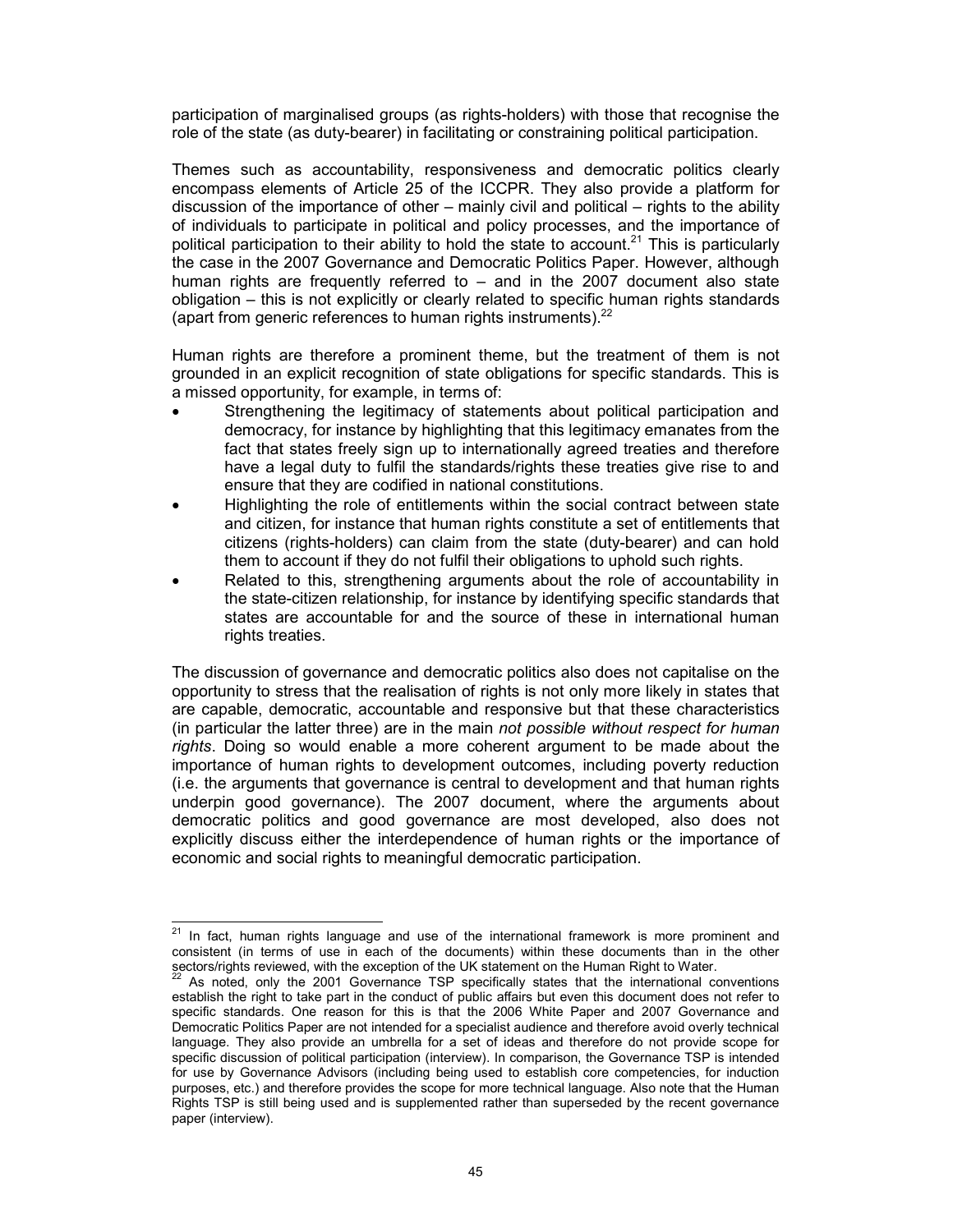participation of marginalised groups (as rights-holders) with those that recognise the role of the state (as duty-bearer) in facilitating or constraining political participation.

Themes such as accountability, responsiveness and democratic politics clearly encompass elements of Article 25 of the ICCPR. They also provide a platform for discussion of the importance of other – mainly civil and political – rights to the ability of individuals to participate in political and policy processes, and the importance of political participation to their ability to hold the state to account.<sup>21</sup> This is particularly the case in the 2007 Governance and Democratic Politics Paper. However, although human rights are frequently referred to – and in the 2007 document also state obligation – this is not explicitly or clearly related to specific human rights standards (apart from generic references to human rights instruments). $^{22}$ 

Human rights are therefore a prominent theme, but the treatment of them is not grounded in an explicit recognition of state obligations for specific standards. This is a missed opportunity, for example, in terms of:

- Strengthening the legitimacy of statements about political participation and democracy, for instance by highlighting that this legitimacy emanates from the fact that states freely sign up to internationally agreed treaties and therefore have a legal duty to fulfil the standards/rights these treaties give rise to and ensure that they are codified in national constitutions.
- Highlighting the role of entitlements within the social contract between state and citizen, for instance that human rights constitute a set of entitlements that citizens (rights-holders) can claim from the state (duty-bearer) and can hold them to account if they do not fulfil their obligations to uphold such rights.
- Related to this, strengthening arguments about the role of accountability in the state-citizen relationship, for instance by identifying specific standards that states are accountable for and the source of these in international human rights treaties.

The discussion of governance and democratic politics also does not capitalise on the opportunity to stress that the realisation of rights is not only more likely in states that are capable, democratic, accountable and responsive but that these characteristics (in particular the latter three) are in the main not possible without respect for human rights. Doing so would enable a more coherent argument to be made about the importance of human rights to development outcomes, including poverty reduction (i.e. the arguments that governance is central to development and that human rights underpin good governance). The 2007 document, where the arguments about democratic politics and good governance are most developed, also does not explicitly discuss either the interdependence of human rights or the importance of economic and social rights to meaningful democratic participation.

 $21$ In fact, human rights language and use of the international framework is more prominent and consistent (in terms of use in each of the documents) within these documents than in the other sectors/rights reviewed, with the exception of the UK statement on the Human Right to Water.

As noted, only the 2001 Governance TSP specifically states that the international conventions establish the right to take part in the conduct of public affairs but even this document does not refer to specific standards. One reason for this is that the 2006 White Paper and 2007 Governance and Democratic Politics Paper are not intended for a specialist audience and therefore avoid overly technical language. They also provide an umbrella for a set of ideas and therefore do not provide scope for specific discussion of political participation (interview). In comparison, the Governance TSP is intended for use by Governance Advisors (including being used to establish core competencies, for induction purposes, etc.) and therefore provides the scope for more technical language. Also note that the Human Rights TSP is still being used and is supplemented rather than superseded by the recent governance paper (interview).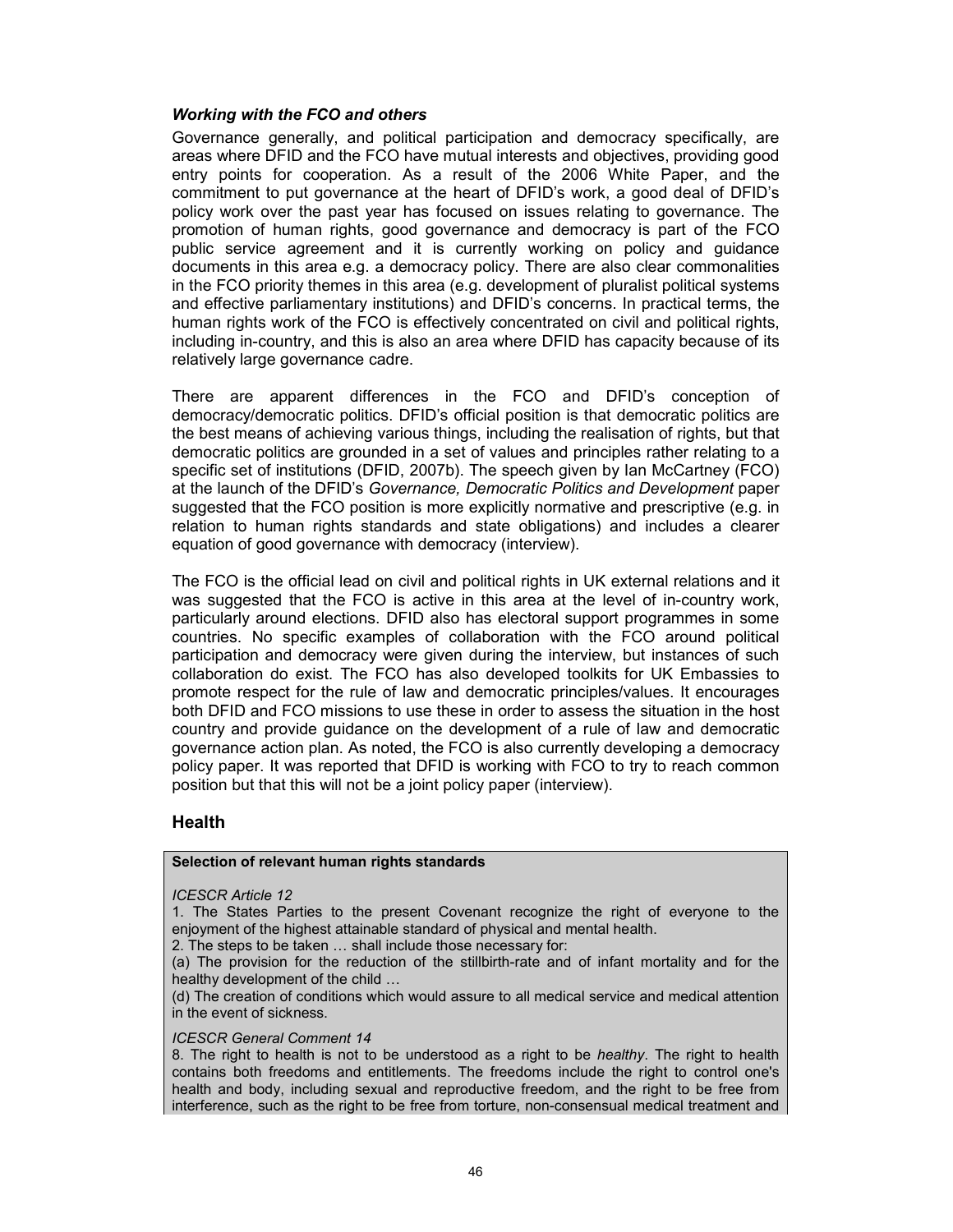#### Working with the FCO and others

Governance generally, and political participation and democracy specifically, are areas where DFID and the FCO have mutual interests and objectives, providing good entry points for cooperation. As a result of the 2006 White Paper, and the commitment to put governance at the heart of DFID's work, a good deal of DFID's policy work over the past year has focused on issues relating to governance. The promotion of human rights, good governance and democracy is part of the FCO public service agreement and it is currently working on policy and guidance documents in this area e.g. a democracy policy. There are also clear commonalities in the FCO priority themes in this area (e.g. development of pluralist political systems and effective parliamentary institutions) and DFID's concerns. In practical terms, the human rights work of the FCO is effectively concentrated on civil and political rights, including in-country, and this is also an area where DFID has capacity because of its relatively large governance cadre.

There are apparent differences in the FCO and DFID's conception of democracy/democratic politics. DFID's official position is that democratic politics are the best means of achieving various things, including the realisation of rights, but that democratic politics are grounded in a set of values and principles rather relating to a specific set of institutions (DFID, 2007b). The speech given by Ian McCartney (FCO) at the launch of the DFID's Governance, Democratic Politics and Development paper suggested that the FCO position is more explicitly normative and prescriptive (e.g. in relation to human rights standards and state obligations) and includes a clearer equation of good governance with democracy (interview).

The FCO is the official lead on civil and political rights in UK external relations and it was suggested that the FCO is active in this area at the level of in-country work, particularly around elections. DFID also has electoral support programmes in some countries. No specific examples of collaboration with the FCO around political participation and democracy were given during the interview, but instances of such collaboration do exist. The FCO has also developed toolkits for UK Embassies to promote respect for the rule of law and democratic principles/values. It encourages both DFID and FCO missions to use these in order to assess the situation in the host country and provide guidance on the development of a rule of law and democratic governance action plan. As noted, the FCO is also currently developing a democracy policy paper. It was reported that DFID is working with FCO to try to reach common position but that this will not be a joint policy paper (interview).

## **Health**

#### Selection of relevant human rights standards

#### ICESCR Article 12

1. The States Parties to the present Covenant recognize the right of everyone to the enjoyment of the highest attainable standard of physical and mental health.

2. The steps to be taken … shall include those necessary for:

(a) The provision for the reduction of the stillbirth-rate and of infant mortality and for the healthy development of the child …

(d) The creation of conditions which would assure to all medical service and medical attention in the event of sickness.

#### ICESCR General Comment 14

8. The right to health is not to be understood as a right to be *healthy*. The right to health contains both freedoms and entitlements. The freedoms include the right to control one's health and body, including sexual and reproductive freedom, and the right to be free from interference, such as the right to be free from torture, non-consensual medical treatment and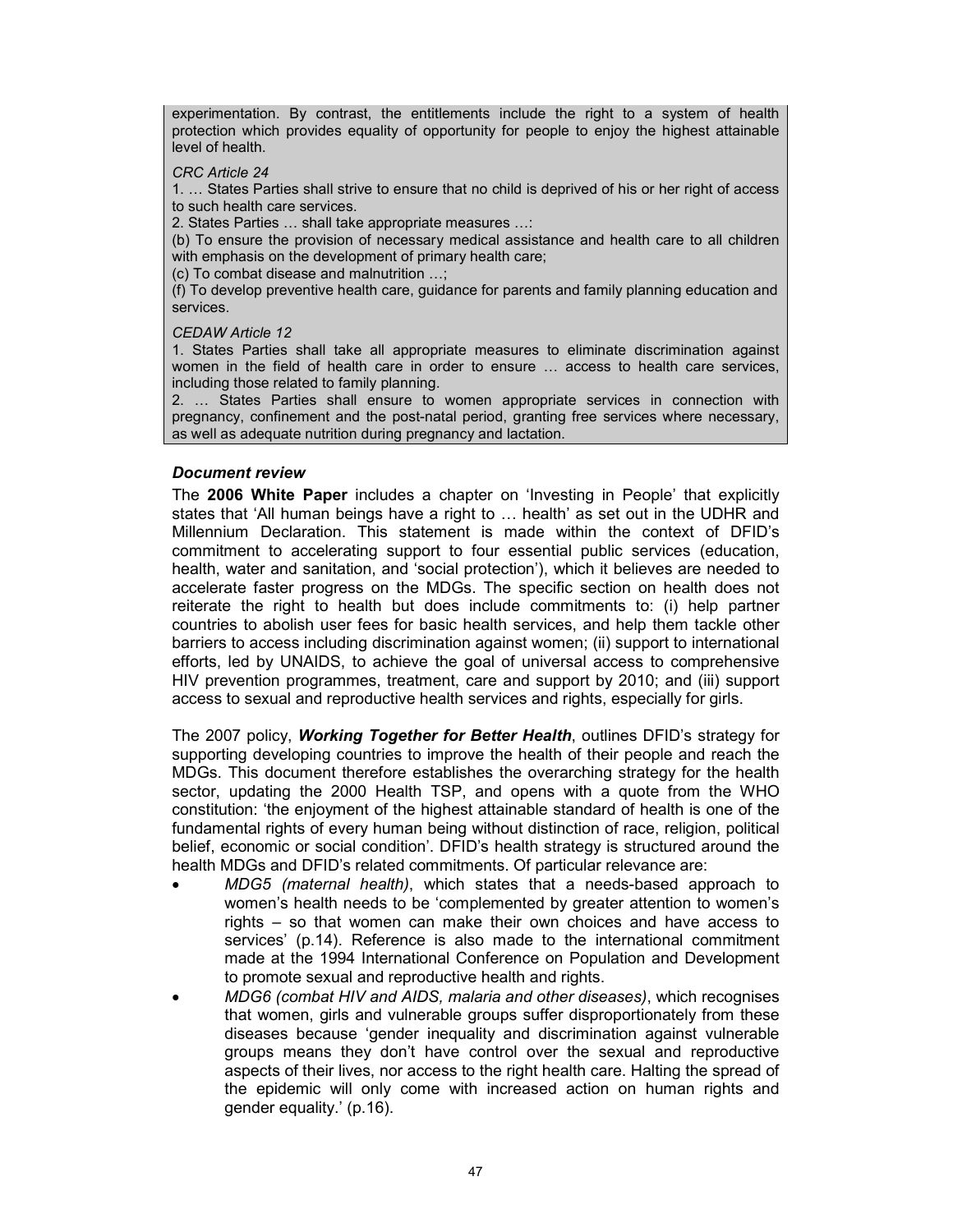experimentation. By contrast, the entitlements include the right to a system of health protection which provides equality of opportunity for people to enjoy the highest attainable level of health.

#### CRC Article 24

1. … States Parties shall strive to ensure that no child is deprived of his or her right of access to such health care services.

2. States Parties … shall take appropriate measures …:

(b) To ensure the provision of necessary medical assistance and health care to all children with emphasis on the development of primary health care;

(c) To combat disease and malnutrition …;

(f) To develop preventive health care, guidance for parents and family planning education and services.

CEDAW Article 12

1. States Parties shall take all appropriate measures to eliminate discrimination against women in the field of health care in order to ensure … access to health care services, including those related to family planning.

2. … States Parties shall ensure to women appropriate services in connection with pregnancy, confinement and the post-natal period, granting free services where necessary, as well as adequate nutrition during pregnancy and lactation.

## Document review

The 2006 White Paper includes a chapter on 'Investing in People' that explicitly states that 'All human beings have a right to … health' as set out in the UDHR and Millennium Declaration. This statement is made within the context of DFID's commitment to accelerating support to four essential public services (education, health, water and sanitation, and 'social protection'), which it believes are needed to accelerate faster progress on the MDGs. The specific section on health does not reiterate the right to health but does include commitments to: (i) help partner countries to abolish user fees for basic health services, and help them tackle other barriers to access including discrimination against women; (ii) support to international efforts, led by UNAIDS, to achieve the goal of universal access to comprehensive HIV prevention programmes, treatment, care and support by 2010; and (iii) support access to sexual and reproductive health services and rights, especially for girls.

The 2007 policy, **Working Together for Better Health**, outlines DFID's strategy for supporting developing countries to improve the health of their people and reach the MDGs. This document therefore establishes the overarching strategy for the health sector, updating the 2000 Health TSP, and opens with a quote from the WHO constitution: 'the enjoyment of the highest attainable standard of health is one of the fundamental rights of every human being without distinction of race, religion, political belief, economic or social condition'. DFID's health strategy is structured around the health MDGs and DFID's related commitments. Of particular relevance are:

- MDG5 (maternal health), which states that a needs-based approach to women's health needs to be 'complemented by greater attention to women's rights – so that women can make their own choices and have access to services' (p.14). Reference is also made to the international commitment made at the 1994 International Conference on Population and Development to promote sexual and reproductive health and rights.
- MDG6 (combat HIV and AIDS, malaria and other diseases), which recognises that women, girls and vulnerable groups suffer disproportionately from these diseases because 'gender inequality and discrimination against vulnerable groups means they don't have control over the sexual and reproductive aspects of their lives, nor access to the right health care. Halting the spread of the epidemic will only come with increased action on human rights and gender equality.' (p.16).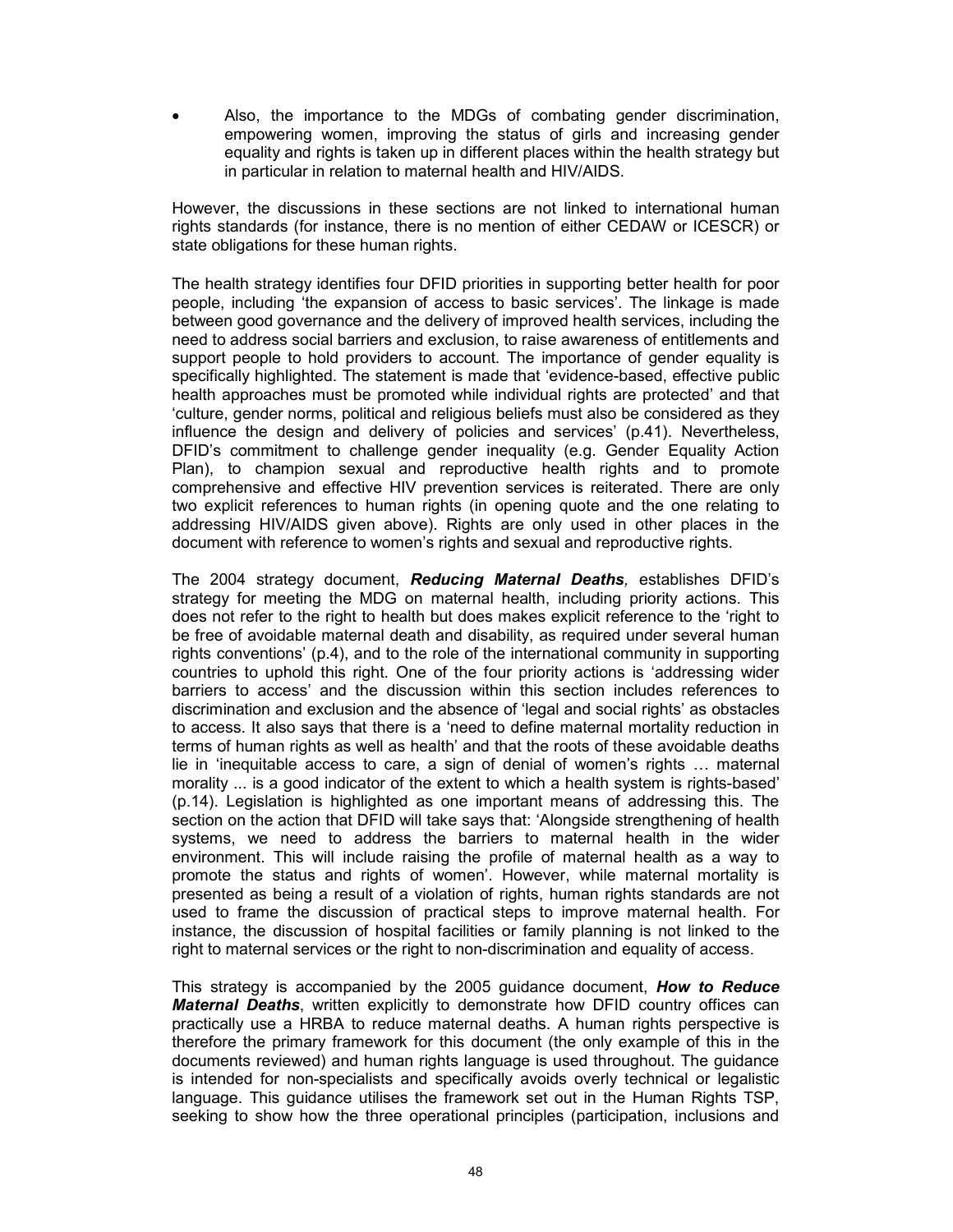Also, the importance to the MDGs of combating gender discrimination, empowering women, improving the status of girls and increasing gender equality and rights is taken up in different places within the health strategy but in particular in relation to maternal health and HIV/AIDS.

However, the discussions in these sections are not linked to international human rights standards (for instance, there is no mention of either CEDAW or ICESCR) or state obligations for these human rights.

The health strategy identifies four DFID priorities in supporting better health for poor people, including 'the expansion of access to basic services'. The linkage is made between good governance and the delivery of improved health services, including the need to address social barriers and exclusion, to raise awareness of entitlements and support people to hold providers to account. The importance of gender equality is specifically highlighted. The statement is made that 'evidence-based, effective public health approaches must be promoted while individual rights are protected' and that 'culture, gender norms, political and religious beliefs must also be considered as they influence the design and delivery of policies and services' (p.41). Nevertheless, DFID's commitment to challenge gender inequality (e.g. Gender Equality Action Plan), to champion sexual and reproductive health rights and to promote comprehensive and effective HIV prevention services is reiterated. There are only two explicit references to human rights (in opening quote and the one relating to addressing HIV/AIDS given above). Rights are only used in other places in the document with reference to women's rights and sexual and reproductive rights.

The 2004 strategy document, Reducing Maternal Deaths, establishes DFID's strategy for meeting the MDG on maternal health, including priority actions. This does not refer to the right to health but does makes explicit reference to the 'right to be free of avoidable maternal death and disability, as required under several human rights conventions' (p.4), and to the role of the international community in supporting countries to uphold this right. One of the four priority actions is 'addressing wider barriers to access' and the discussion within this section includes references to discrimination and exclusion and the absence of 'legal and social rights' as obstacles to access. It also says that there is a 'need to define maternal mortality reduction in terms of human rights as well as health' and that the roots of these avoidable deaths lie in 'inequitable access to care, a sign of denial of women's rights … maternal morality ... is a good indicator of the extent to which a health system is rights-based' (p.14). Legislation is highlighted as one important means of addressing this. The section on the action that DFID will take says that: 'Alongside strengthening of health systems, we need to address the barriers to maternal health in the wider environment. This will include raising the profile of maternal health as a way to promote the status and rights of women'. However, while maternal mortality is presented as being a result of a violation of rights, human rights standards are not used to frame the discussion of practical steps to improve maternal health. For instance, the discussion of hospital facilities or family planning is not linked to the right to maternal services or the right to non-discrimination and equality of access.

This strategy is accompanied by the 2005 guidance document, **How to Reduce Maternal Deaths**, written explicitly to demonstrate how DFID country offices can practically use a HRBA to reduce maternal deaths. A human rights perspective is therefore the primary framework for this document (the only example of this in the documents reviewed) and human rights language is used throughout. The guidance is intended for non-specialists and specifically avoids overly technical or legalistic language. This guidance utilises the framework set out in the Human Rights TSP, seeking to show how the three operational principles (participation, inclusions and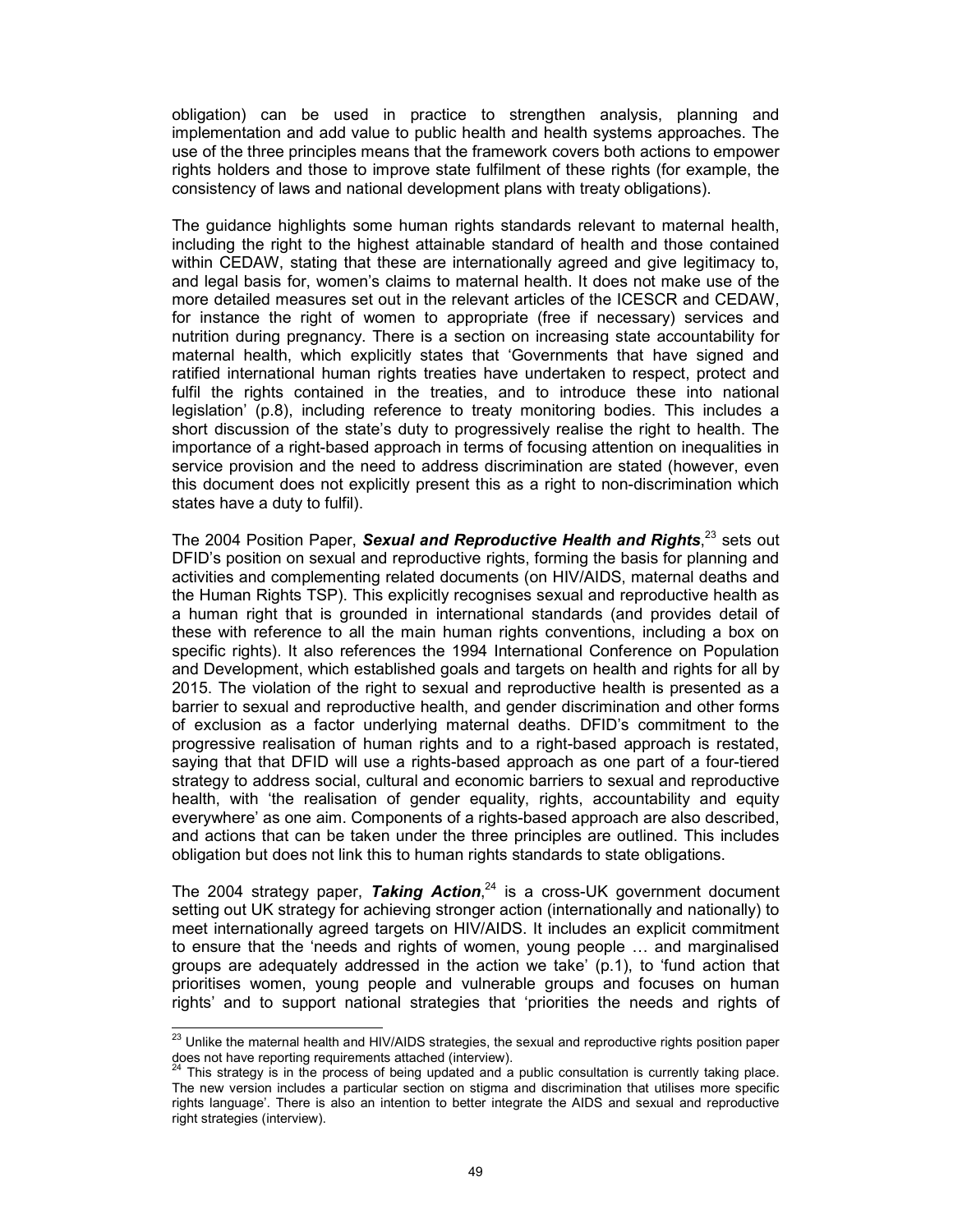obligation) can be used in practice to strengthen analysis, planning and implementation and add value to public health and health systems approaches. The use of the three principles means that the framework covers both actions to empower rights holders and those to improve state fulfilment of these rights (for example, the consistency of laws and national development plans with treaty obligations).

The guidance highlights some human rights standards relevant to maternal health, including the right to the highest attainable standard of health and those contained within CEDAW, stating that these are internationally agreed and give legitimacy to, and legal basis for, women's claims to maternal health. It does not make use of the more detailed measures set out in the relevant articles of the ICESCR and CEDAW, for instance the right of women to appropriate (free if necessary) services and nutrition during pregnancy. There is a section on increasing state accountability for maternal health, which explicitly states that 'Governments that have signed and ratified international human rights treaties have undertaken to respect, protect and fulfil the rights contained in the treaties, and to introduce these into national legislation' (p.8), including reference to treaty monitoring bodies. This includes a short discussion of the state's duty to progressively realise the right to health. The importance of a right-based approach in terms of focusing attention on inequalities in service provision and the need to address discrimination are stated (however, even this document does not explicitly present this as a right to non-discrimination which states have a duty to fulfil).

The 2004 Position Paper, Sexual and Reproductive Health and Rights,<sup>23</sup> sets out DFID's position on sexual and reproductive rights, forming the basis for planning and activities and complementing related documents (on HIV/AIDS, maternal deaths and the Human Rights TSP). This explicitly recognises sexual and reproductive health as a human right that is grounded in international standards (and provides detail of these with reference to all the main human rights conventions, including a box on specific rights). It also references the 1994 International Conference on Population and Development, which established goals and targets on health and rights for all by 2015. The violation of the right to sexual and reproductive health is presented as a barrier to sexual and reproductive health, and gender discrimination and other forms of exclusion as a factor underlying maternal deaths. DFID's commitment to the progressive realisation of human rights and to a right-based approach is restated, saying that that DFID will use a rights-based approach as one part of a four-tiered strategy to address social, cultural and economic barriers to sexual and reproductive health, with 'the realisation of gender equality, rights, accountability and equity everywhere' as one aim. Components of a rights-based approach are also described, and actions that can be taken under the three principles are outlined. This includes obligation but does not link this to human rights standards to state obligations.

The 2004 strategy paper, Taking Action, $24$  is a cross-UK government document setting out UK strategy for achieving stronger action (internationally and nationally) to meet internationally agreed targets on HIV/AIDS. It includes an explicit commitment to ensure that the 'needs and rights of women, young people … and marginalised groups are adequately addressed in the action we take' (p.1), to 'fund action that prioritises women, young people and vulnerable groups and focuses on human rights' and to support national strategies that 'priorities the needs and rights of

 $\overline{a}$  $^{23}$  Unlike the maternal health and HIV/AIDS strategies, the sexual and reproductive rights position paper does not have reporting requirements attached (interview).

This strategy is in the process of being updated and a public consultation is currently taking place. The new version includes a particular section on stigma and discrimination that utilises more specific rights language'. There is also an intention to better integrate the AIDS and sexual and reproductive right strategies (interview).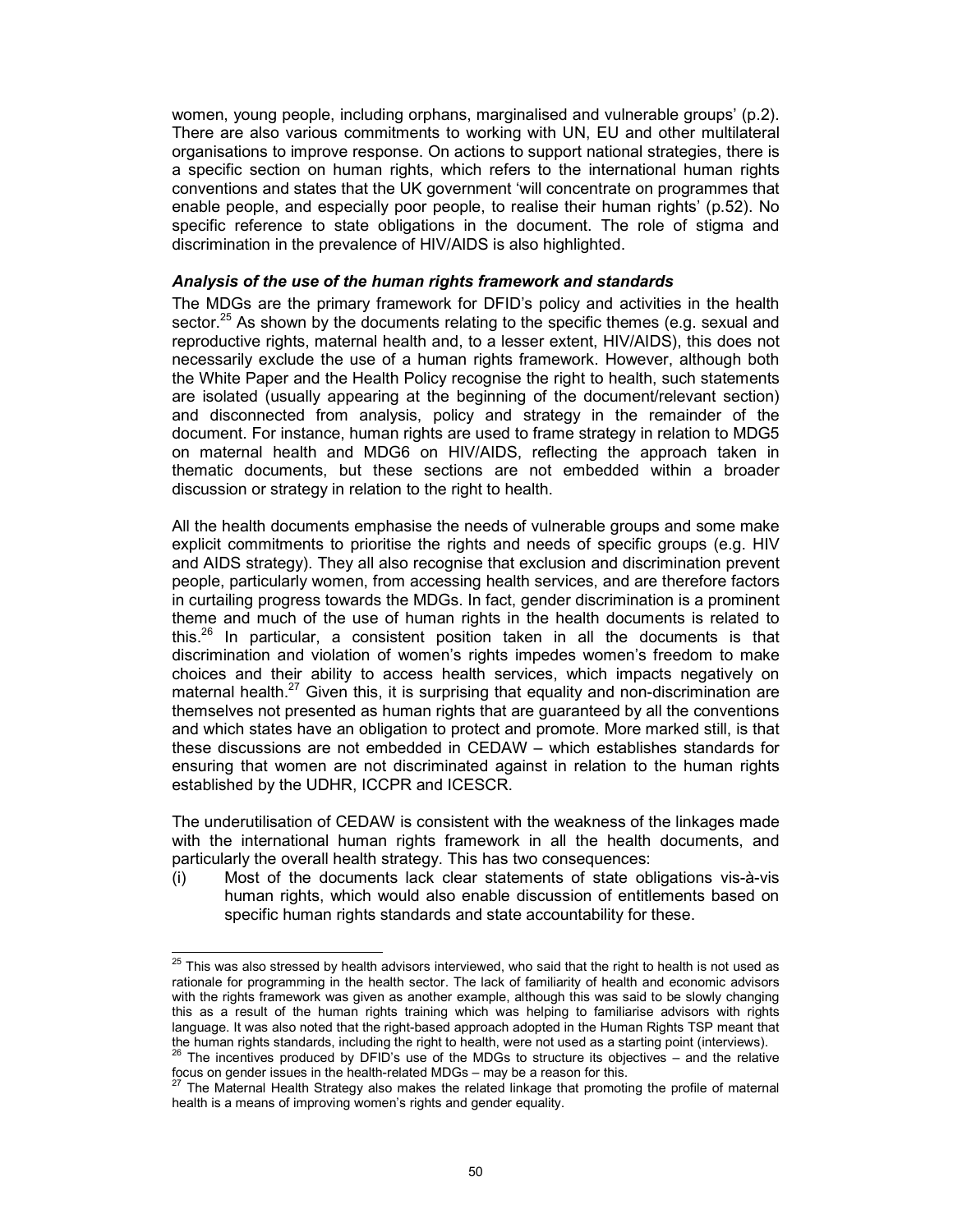women, young people, including orphans, marginalised and vulnerable groups' (p.2). There are also various commitments to working with UN, EU and other multilateral organisations to improve response. On actions to support national strategies, there is a specific section on human rights, which refers to the international human rights conventions and states that the UK government 'will concentrate on programmes that enable people, and especially poor people, to realise their human rights' (p.52). No specific reference to state obligations in the document. The role of stigma and discrimination in the prevalence of HIV/AIDS is also highlighted.

## Analysis of the use of the human rights framework and standards

The MDGs are the primary framework for DFID's policy and activities in the health sector.<sup>25</sup> As shown by the documents relating to the specific themes (e.g. sexual and reproductive rights, maternal health and, to a lesser extent, HIV/AIDS), this does not necessarily exclude the use of a human rights framework. However, although both the White Paper and the Health Policy recognise the right to health, such statements are isolated (usually appearing at the beginning of the document/relevant section) and disconnected from analysis, policy and strategy in the remainder of the document. For instance, human rights are used to frame strategy in relation to MDG5 on maternal health and MDG6 on HIV/AIDS, reflecting the approach taken in thematic documents, but these sections are not embedded within a broader discussion or strategy in relation to the right to health.

All the health documents emphasise the needs of vulnerable groups and some make explicit commitments to prioritise the rights and needs of specific groups (e.g. HIV and AIDS strategy). They all also recognise that exclusion and discrimination prevent people, particularly women, from accessing health services, and are therefore factors in curtailing progress towards the MDGs. In fact, gender discrimination is a prominent theme and much of the use of human rights in the health documents is related to this.<sup>26</sup> In particular, a consistent position taken in all the documents is that discrimination and violation of women's rights impedes women's freedom to make choices and their ability to access health services, which impacts negatively on maternal health. $27$  Given this, it is surprising that equality and non-discrimination are themselves not presented as human rights that are guaranteed by all the conventions and which states have an obligation to protect and promote. More marked still, is that these discussions are not embedded in CEDAW – which establishes standards for ensuring that women are not discriminated against in relation to the human rights established by the UDHR, ICCPR and ICESCR.

The underutilisation of CEDAW is consistent with the weakness of the linkages made with the international human rights framework in all the health documents, and particularly the overall health strategy. This has two consequences:

(i) Most of the documents lack clear statements of state obligations vis-à-vis human rights, which would also enable discussion of entitlements based on specific human rights standards and state accountability for these.

 $\frac{1}{2}$ 

 $^{25}$  This was also stressed by health advisors interviewed, who said that the right to health is not used as rationale for programming in the health sector. The lack of familiarity of health and economic advisors with the rights framework was given as another example, although this was said to be slowly changing this as a result of the human rights training which was helping to familiarise advisors with rights language. It was also noted that the right-based approach adopted in the Human Rights TSP meant that the human rights standards, including the right to health, were not used as a starting point (interviews).

 $^{26}$  The incentives produced by DFID's use of the MDGs to structure its objectives – and the relative focus on gender issues in the health-related MDGs – may be a reason for this.<br><sup>27</sup> The Maternal Health Circle is

<sup>27</sup> The Maternal Health Strategy also makes the related linkage that promoting the profile of maternal health is a means of improving women's rights and gender equality.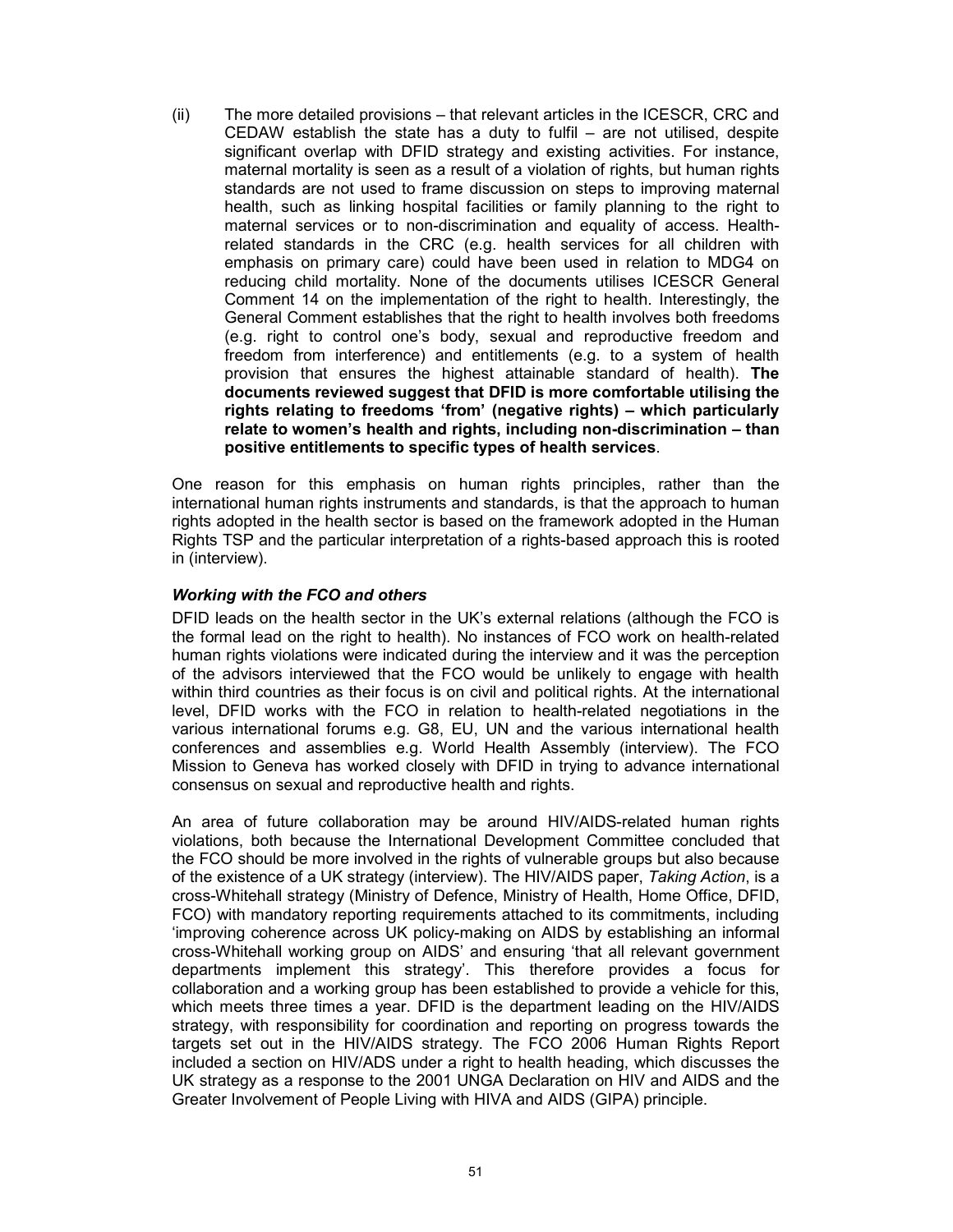(ii) The more detailed provisions – that relevant articles in the ICESCR, CRC and CEDAW establish the state has a duty to fulfil – are not utilised, despite significant overlap with DFID strategy and existing activities. For instance, maternal mortality is seen as a result of a violation of rights, but human rights standards are not used to frame discussion on steps to improving maternal health, such as linking hospital facilities or family planning to the right to maternal services or to non-discrimination and equality of access. Healthrelated standards in the CRC (e.g. health services for all children with emphasis on primary care) could have been used in relation to MDG4 on reducing child mortality. None of the documents utilises ICESCR General Comment 14 on the implementation of the right to health. Interestingly, the General Comment establishes that the right to health involves both freedoms (e.g. right to control one's body, sexual and reproductive freedom and freedom from interference) and entitlements (e.g. to a system of health provision that ensures the highest attainable standard of health). The documents reviewed suggest that DFID is more comfortable utilising the rights relating to freedoms 'from' (negative rights) – which particularly relate to women's health and rights, including non-discrimination – than positive entitlements to specific types of health services.

One reason for this emphasis on human rights principles, rather than the international human rights instruments and standards, is that the approach to human rights adopted in the health sector is based on the framework adopted in the Human Rights TSP and the particular interpretation of a rights-based approach this is rooted in (interview).

## Working with the FCO and others

DFID leads on the health sector in the UK's external relations (although the FCO is the formal lead on the right to health). No instances of FCO work on health-related human rights violations were indicated during the interview and it was the perception of the advisors interviewed that the FCO would be unlikely to engage with health within third countries as their focus is on civil and political rights. At the international level, DFID works with the FCO in relation to health-related negotiations in the various international forums e.g. G8, EU, UN and the various international health conferences and assemblies e.g. World Health Assembly (interview). The FCO Mission to Geneva has worked closely with DFID in trying to advance international consensus on sexual and reproductive health and rights.

An area of future collaboration may be around HIV/AIDS-related human rights violations, both because the International Development Committee concluded that the FCO should be more involved in the rights of vulnerable groups but also because of the existence of a UK strategy (interview). The HIV/AIDS paper, Taking Action, is a cross-Whitehall strategy (Ministry of Defence, Ministry of Health, Home Office, DFID, FCO) with mandatory reporting requirements attached to its commitments, including 'improving coherence across UK policy-making on AIDS by establishing an informal cross-Whitehall working group on AIDS' and ensuring 'that all relevant government departments implement this strategy'. This therefore provides a focus for collaboration and a working group has been established to provide a vehicle for this, which meets three times a year. DFID is the department leading on the HIV/AIDS strategy, with responsibility for coordination and reporting on progress towards the targets set out in the HIV/AIDS strategy. The FCO 2006 Human Rights Report included a section on HIV/ADS under a right to health heading, which discusses the UK strategy as a response to the 2001 UNGA Declaration on HIV and AIDS and the Greater Involvement of People Living with HIVA and AIDS (GIPA) principle.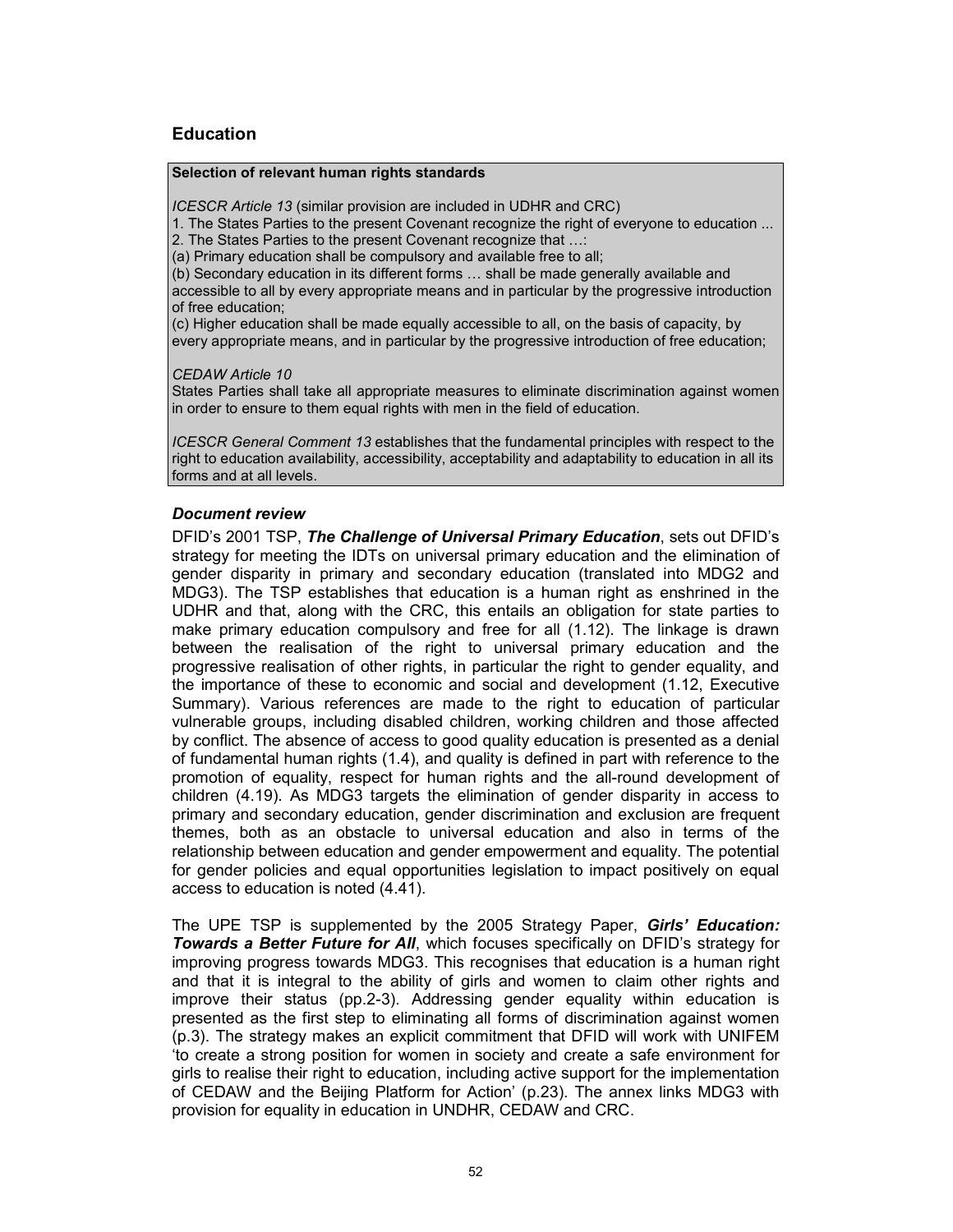## **Education**

#### Selection of relevant human rights standards

ICESCR Article 13 (similar provision are included in UDHR and CRC)

1. The States Parties to the present Covenant recognize the right of everyone to education ...

2. The States Parties to the present Covenant recognize that …:

(a) Primary education shall be compulsory and available free to all;

(b) Secondary education in its different forms … shall be made generally available and accessible to all by every appropriate means and in particular by the progressive introduction of free education;

(c) Higher education shall be made equally accessible to all, on the basis of capacity, by every appropriate means, and in particular by the progressive introduction of free education;

CEDAW Article 10

States Parties shall take all appropriate measures to eliminate discrimination against women in order to ensure to them equal rights with men in the field of education.

ICESCR General Comment 13 establishes that the fundamental principles with respect to the right to education availability, accessibility, acceptability and adaptability to education in all its forms and at all levels.

## Document review

DFID's 2001 TSP, The Challenge of Universal Primary Education, sets out DFID's strategy for meeting the IDTs on universal primary education and the elimination of gender disparity in primary and secondary education (translated into MDG2 and MDG3). The TSP establishes that education is a human right as enshrined in the UDHR and that, along with the CRC, this entails an obligation for state parties to make primary education compulsory and free for all (1.12). The linkage is drawn between the realisation of the right to universal primary education and the progressive realisation of other rights, in particular the right to gender equality, and the importance of these to economic and social and development (1.12, Executive Summary). Various references are made to the right to education of particular vulnerable groups, including disabled children, working children and those affected by conflict. The absence of access to good quality education is presented as a denial of fundamental human rights (1.4), and quality is defined in part with reference to the promotion of equality, respect for human rights and the all-round development of children (4.19). As MDG3 targets the elimination of gender disparity in access to primary and secondary education, gender discrimination and exclusion are frequent themes, both as an obstacle to universal education and also in terms of the relationship between education and gender empowerment and equality. The potential for gender policies and equal opportunities legislation to impact positively on equal access to education is noted (4.41).

The UPE TSP is supplemented by the 2005 Strategy Paper, Girls' Education: Towards a Better Future for All, which focuses specifically on DFID's strategy for improving progress towards MDG3. This recognises that education is a human right and that it is integral to the ability of girls and women to claim other rights and improve their status (pp.2-3). Addressing gender equality within education is presented as the first step to eliminating all forms of discrimination against women (p.3). The strategy makes an explicit commitment that DFID will work with UNIFEM 'to create a strong position for women in society and create a safe environment for girls to realise their right to education, including active support for the implementation of CEDAW and the Beijing Platform for Action' (p.23). The annex links MDG3 with provision for equality in education in UNDHR, CEDAW and CRC.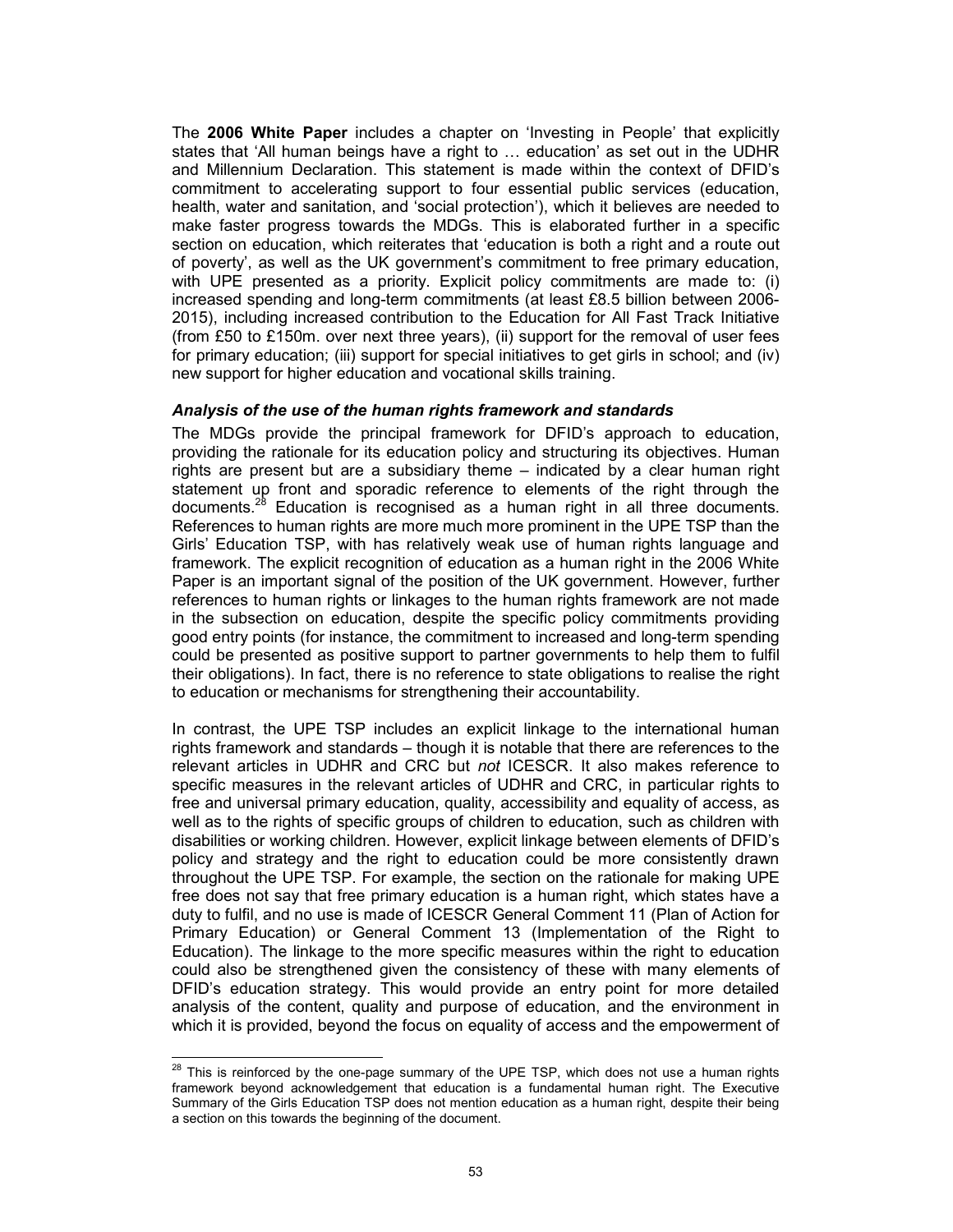The 2006 White Paper includes a chapter on 'Investing in People' that explicitly states that 'All human beings have a right to … education' as set out in the UDHR and Millennium Declaration. This statement is made within the context of DFID's commitment to accelerating support to four essential public services (education, health, water and sanitation, and 'social protection'), which it believes are needed to make faster progress towards the MDGs. This is elaborated further in a specific section on education, which reiterates that 'education is both a right and a route out of poverty', as well as the UK government's commitment to free primary education, with UPE presented as a priority. Explicit policy commitments are made to: (i) increased spending and long-term commitments (at least £8.5 billion between 2006- 2015), including increased contribution to the Education for All Fast Track Initiative (from £50 to £150m. over next three years), (ii) support for the removal of user fees for primary education; (iii) support for special initiatives to get girls in school; and (iv) new support for higher education and vocational skills training.

#### Analysis of the use of the human rights framework and standards

The MDGs provide the principal framework for DFID's approach to education, providing the rationale for its education policy and structuring its objectives. Human rights are present but are a subsidiary theme – indicated by a clear human right statement up front and sporadic reference to elements of the right through the documents.<sup>28</sup> Education is recognised as a human right in all three documents. References to human rights are more much more prominent in the UPE TSP than the Girls' Education TSP, with has relatively weak use of human rights language and framework. The explicit recognition of education as a human right in the 2006 White Paper is an important signal of the position of the UK government. However, further references to human rights or linkages to the human rights framework are not made in the subsection on education, despite the specific policy commitments providing good entry points (for instance, the commitment to increased and long-term spending could be presented as positive support to partner governments to help them to fulfil their obligations). In fact, there is no reference to state obligations to realise the right to education or mechanisms for strengthening their accountability.

In contrast, the UPE TSP includes an explicit linkage to the international human rights framework and standards – though it is notable that there are references to the relevant articles in UDHR and CRC but not ICESCR. It also makes reference to specific measures in the relevant articles of UDHR and CRC, in particular rights to free and universal primary education, quality, accessibility and equality of access, as well as to the rights of specific groups of children to education, such as children with disabilities or working children. However, explicit linkage between elements of DFID's policy and strategy and the right to education could be more consistently drawn throughout the UPE TSP. For example, the section on the rationale for making UPE free does not say that free primary education is a human right, which states have a duty to fulfil, and no use is made of ICESCR General Comment 11 (Plan of Action for Primary Education) or General Comment 13 (Implementation of the Right to Education). The linkage to the more specific measures within the right to education could also be strengthened given the consistency of these with many elements of DFID's education strategy. This would provide an entry point for more detailed analysis of the content, quality and purpose of education, and the environment in which it is provided, beyond the focus on equality of access and the empowerment of

 $\overline{a}$ 

 $28$  This is reinforced by the one-page summary of the UPE TSP, which does not use a human rights framework beyond acknowledgement that education is a fundamental human right. The Executive Summary of the Girls Education TSP does not mention education as a human right, despite their being a section on this towards the beginning of the document.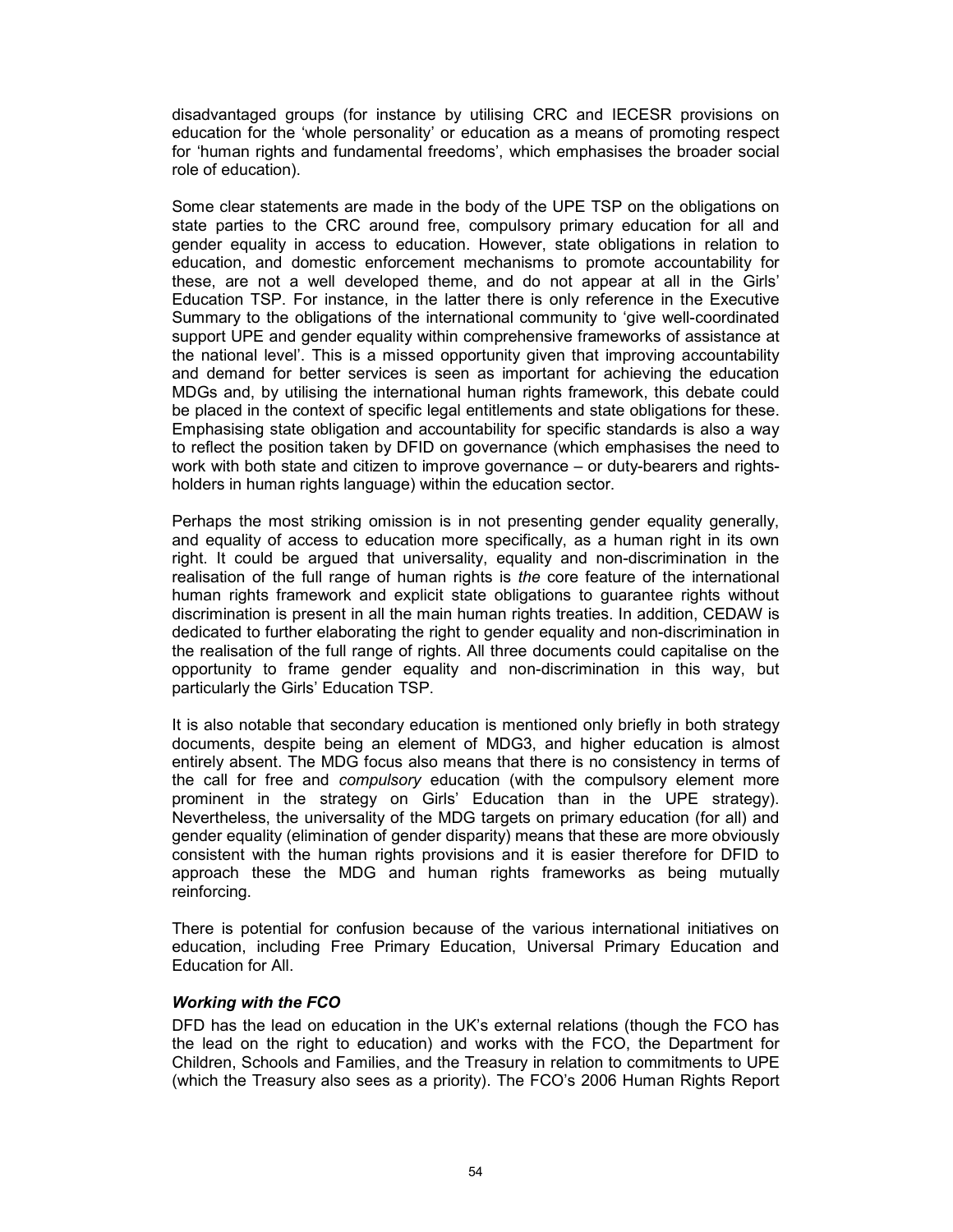disadvantaged groups (for instance by utilising CRC and IECESR provisions on education for the 'whole personality' or education as a means of promoting respect for 'human rights and fundamental freedoms', which emphasises the broader social role of education).

Some clear statements are made in the body of the UPE TSP on the obligations on state parties to the CRC around free, compulsory primary education for all and gender equality in access to education. However, state obligations in relation to education, and domestic enforcement mechanisms to promote accountability for these, are not a well developed theme, and do not appear at all in the Girls' Education TSP. For instance, in the latter there is only reference in the Executive Summary to the obligations of the international community to 'give well-coordinated support UPE and gender equality within comprehensive frameworks of assistance at the national level'. This is a missed opportunity given that improving accountability and demand for better services is seen as important for achieving the education MDGs and, by utilising the international human rights framework, this debate could be placed in the context of specific legal entitlements and state obligations for these. Emphasising state obligation and accountability for specific standards is also a way to reflect the position taken by DFID on governance (which emphasises the need to work with both state and citizen to improve governance – or duty-bearers and rightsholders in human rights language) within the education sector.

Perhaps the most striking omission is in not presenting gender equality generally, and equality of access to education more specifically, as a human right in its own right. It could be argued that universality, equality and non-discrimination in the realisation of the full range of human rights is the core feature of the international human rights framework and explicit state obligations to guarantee rights without discrimination is present in all the main human rights treaties. In addition, CEDAW is dedicated to further elaborating the right to gender equality and non-discrimination in the realisation of the full range of rights. All three documents could capitalise on the opportunity to frame gender equality and non-discrimination in this way, but particularly the Girls' Education TSP.

It is also notable that secondary education is mentioned only briefly in both strategy documents, despite being an element of MDG3, and higher education is almost entirely absent. The MDG focus also means that there is no consistency in terms of the call for free and compulsory education (with the compulsory element more prominent in the strategy on Girls' Education than in the UPE strategy). Nevertheless, the universality of the MDG targets on primary education (for all) and gender equality (elimination of gender disparity) means that these are more obviously consistent with the human rights provisions and it is easier therefore for DFID to approach these the MDG and human rights frameworks as being mutually reinforcing.

There is potential for confusion because of the various international initiatives on education, including Free Primary Education, Universal Primary Education and Education for All.

#### Working with the FCO

DFD has the lead on education in the UK's external relations (though the FCO has the lead on the right to education) and works with the FCO, the Department for Children, Schools and Families, and the Treasury in relation to commitments to UPE (which the Treasury also sees as a priority). The FCO's 2006 Human Rights Report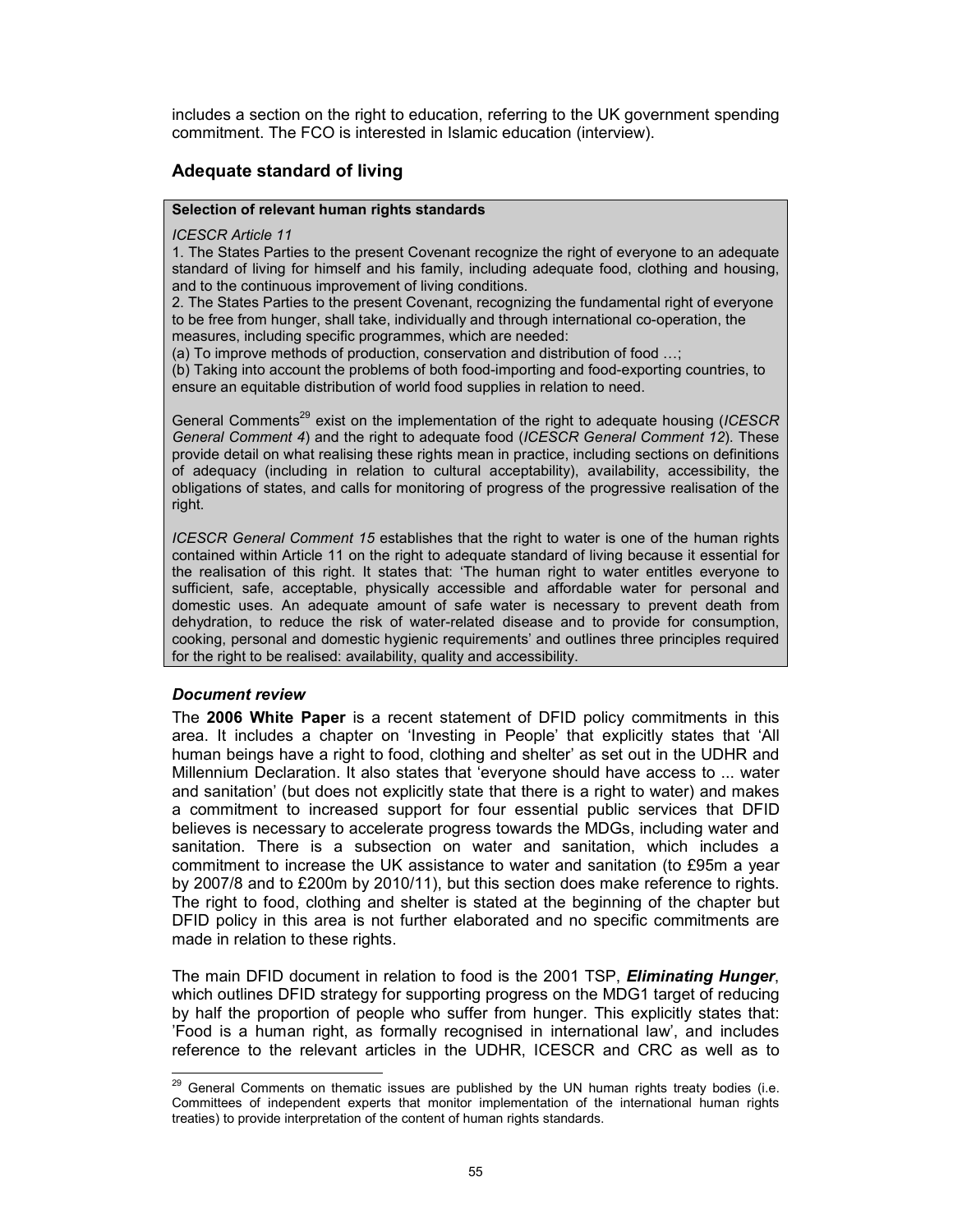includes a section on the right to education, referring to the UK government spending commitment. The FCO is interested in Islamic education (interview).

## Adequate standard of living

#### Selection of relevant human rights standards

#### ICESCR Article 11

1. The States Parties to the present Covenant recognize the right of everyone to an adequate standard of living for himself and his family, including adequate food, clothing and housing, and to the continuous improvement of living conditions.

2. The States Parties to the present Covenant, recognizing the fundamental right of everyone to be free from hunger, shall take, individually and through international co-operation, the measures, including specific programmes, which are needed:

(a) To improve methods of production, conservation and distribution of food …;

(b) Taking into account the problems of both food-importing and food-exporting countries, to ensure an equitable distribution of world food supplies in relation to need.

General Comments<sup>29</sup> exist on the implementation of the right to adequate housing (ICESCR General Comment 4) and the right to adequate food (ICESCR General Comment 12). These provide detail on what realising these rights mean in practice, including sections on definitions of adequacy (including in relation to cultural acceptability), availability, accessibility, the obligations of states, and calls for monitoring of progress of the progressive realisation of the right.

ICESCR General Comment 15 establishes that the right to water is one of the human rights contained within Article 11 on the right to adequate standard of living because it essential for the realisation of this right. It states that: 'The human right to water entitles everyone to sufficient, safe, acceptable, physically accessible and affordable water for personal and domestic uses. An adequate amount of safe water is necessary to prevent death from dehydration, to reduce the risk of water-related disease and to provide for consumption, cooking, personal and domestic hygienic requirements' and outlines three principles required for the right to be realised: availability, quality and accessibility.

## Document review

The 2006 White Paper is a recent statement of DFID policy commitments in this area. It includes a chapter on 'Investing in People' that explicitly states that 'All human beings have a right to food, clothing and shelter' as set out in the UDHR and Millennium Declaration. It also states that 'everyone should have access to ... water and sanitation' (but does not explicitly state that there is a right to water) and makes a commitment to increased support for four essential public services that DFID believes is necessary to accelerate progress towards the MDGs, including water and sanitation. There is a subsection on water and sanitation, which includes a commitment to increase the UK assistance to water and sanitation (to £95m a year by 2007/8 and to £200m by 2010/11), but this section does make reference to rights. The right to food, clothing and shelter is stated at the beginning of the chapter but DFID policy in this area is not further elaborated and no specific commitments are made in relation to these rights.

The main DFID document in relation to food is the 2001 TSP, Eliminating Hunger, which outlines DFID strategy for supporting progress on the MDG1 target of reducing by half the proportion of people who suffer from hunger. This explicitly states that: 'Food is a human right, as formally recognised in international law', and includes reference to the relevant articles in the UDHR, ICESCR and CRC as well as to

 $\overline{a}$  $^{29}$  General Comments on thematic issues are published by the UN human rights treaty bodies (i.e. Committees of independent experts that monitor implementation of the international human rights treaties) to provide interpretation of the content of human rights standards.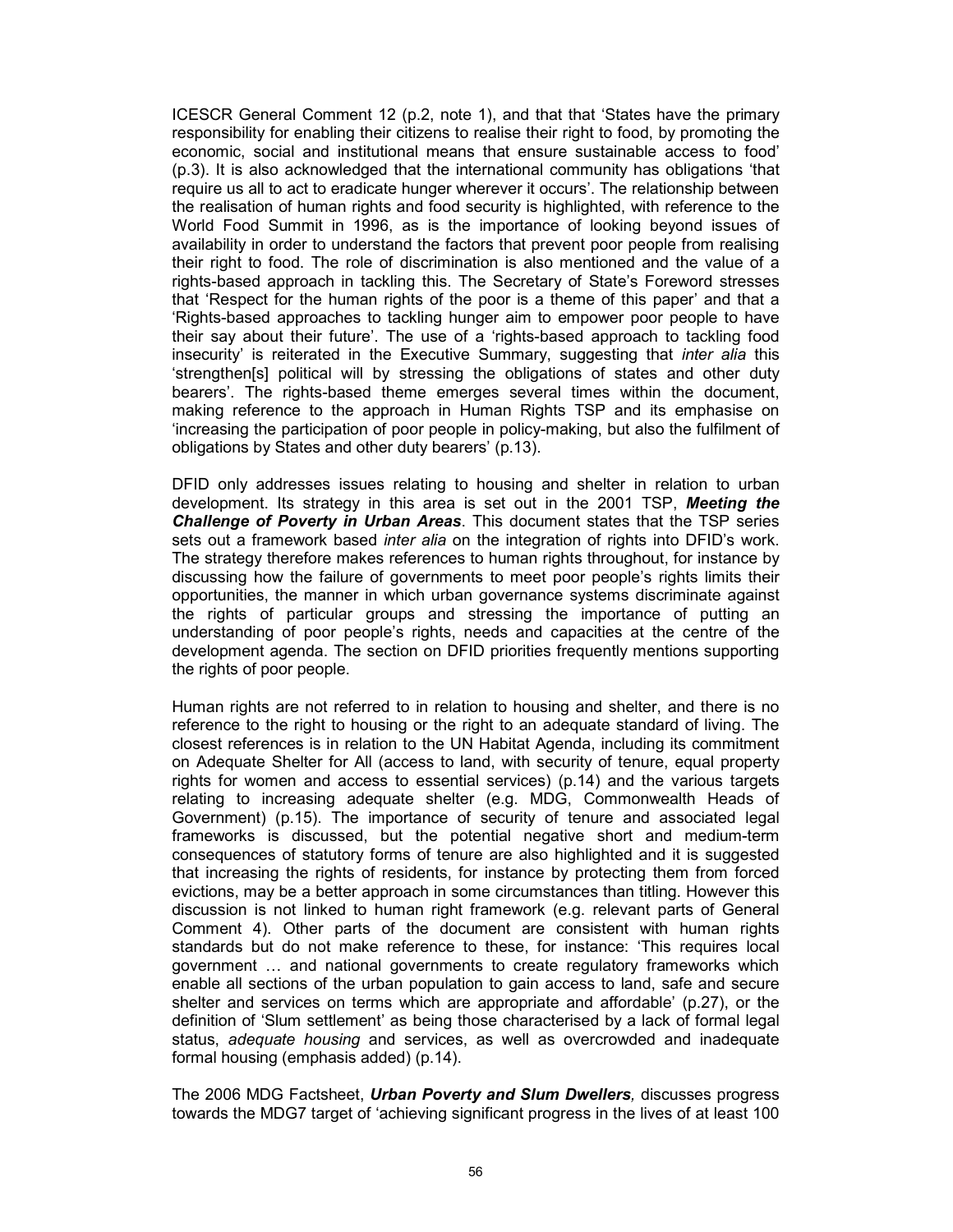ICESCR General Comment 12 (p.2, note 1), and that that 'States have the primary responsibility for enabling their citizens to realise their right to food, by promoting the economic, social and institutional means that ensure sustainable access to food' (p.3). It is also acknowledged that the international community has obligations 'that require us all to act to eradicate hunger wherever it occurs'. The relationship between the realisation of human rights and food security is highlighted, with reference to the World Food Summit in 1996, as is the importance of looking beyond issues of availability in order to understand the factors that prevent poor people from realising their right to food. The role of discrimination is also mentioned and the value of a rights-based approach in tackling this. The Secretary of State's Foreword stresses that 'Respect for the human rights of the poor is a theme of this paper' and that a 'Rights-based approaches to tackling hunger aim to empower poor people to have their say about their future'. The use of a 'rights-based approach to tackling food insecurity' is reiterated in the Executive Summary, suggesting that inter alia this 'strengthen[s] political will by stressing the obligations of states and other duty bearers'. The rights-based theme emerges several times within the document, making reference to the approach in Human Rights TSP and its emphasise on 'increasing the participation of poor people in policy-making, but also the fulfilment of obligations by States and other duty bearers' (p.13).

DFID only addresses issues relating to housing and shelter in relation to urban development. Its strategy in this area is set out in the 2001 TSP, Meeting the Challenge of Poverty in Urban Areas. This document states that the TSP series sets out a framework based inter alia on the integration of rights into DFID's work. The strategy therefore makes references to human rights throughout, for instance by discussing how the failure of governments to meet poor people's rights limits their opportunities, the manner in which urban governance systems discriminate against the rights of particular groups and stressing the importance of putting an understanding of poor people's rights, needs and capacities at the centre of the development agenda. The section on DFID priorities frequently mentions supporting the rights of poor people.

Human rights are not referred to in relation to housing and shelter, and there is no reference to the right to housing or the right to an adequate standard of living. The closest references is in relation to the UN Habitat Agenda, including its commitment on Adequate Shelter for All (access to land, with security of tenure, equal property rights for women and access to essential services) (p.14) and the various targets relating to increasing adequate shelter (e.g. MDG, Commonwealth Heads of Government) (p.15). The importance of security of tenure and associated legal frameworks is discussed, but the potential negative short and medium-term consequences of statutory forms of tenure are also highlighted and it is suggested that increasing the rights of residents, for instance by protecting them from forced evictions, may be a better approach in some circumstances than titling. However this discussion is not linked to human right framework (e.g. relevant parts of General Comment 4). Other parts of the document are consistent with human rights standards but do not make reference to these, for instance: 'This requires local government … and national governments to create regulatory frameworks which enable all sections of the urban population to gain access to land, safe and secure shelter and services on terms which are appropriate and affordable' (p.27), or the definition of 'Slum settlement' as being those characterised by a lack of formal legal status, adequate housing and services, as well as overcrowded and inadequate formal housing (emphasis added) (p.14).

The 2006 MDG Factsheet, Urban Poverty and Slum Dwellers, discusses progress towards the MDG7 target of 'achieving significant progress in the lives of at least 100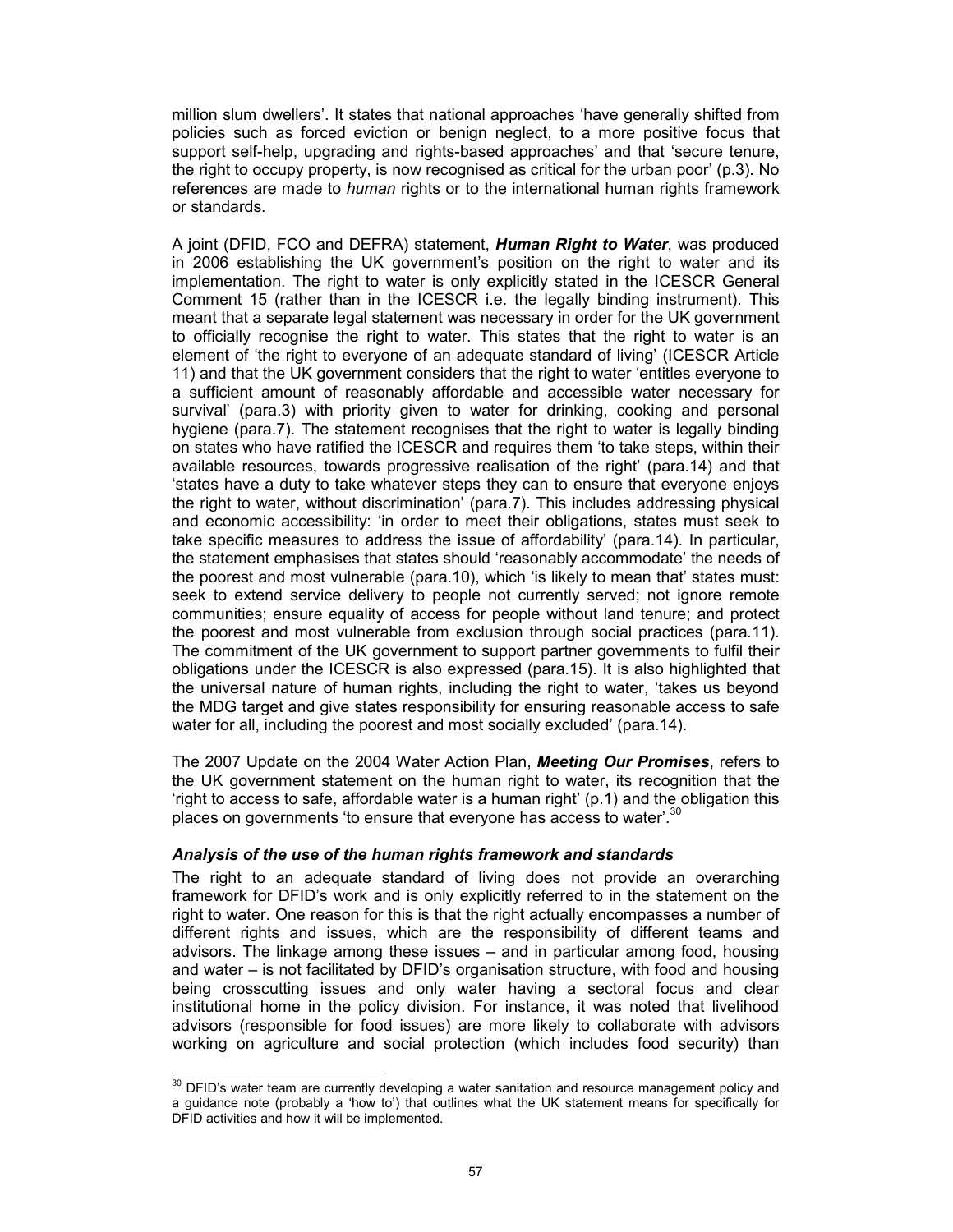million slum dwellers'. It states that national approaches 'have generally shifted from policies such as forced eviction or benign neglect, to a more positive focus that support self-help, upgrading and rights-based approaches' and that 'secure tenure, the right to occupy property, is now recognised as critical for the urban poor' (p.3). No references are made to *human* rights or to the international human rights framework or standards.

A joint (DFID, FCO and DEFRA) statement, **Human Right to Water**, was produced in 2006 establishing the UK government's position on the right to water and its implementation. The right to water is only explicitly stated in the ICESCR General Comment 15 (rather than in the ICESCR i.e. the legally binding instrument). This meant that a separate legal statement was necessary in order for the UK government to officially recognise the right to water. This states that the right to water is an element of 'the right to everyone of an adequate standard of living' (ICESCR Article 11) and that the UK government considers that the right to water 'entitles everyone to a sufficient amount of reasonably affordable and accessible water necessary for survival' (para.3) with priority given to water for drinking, cooking and personal hygiene (para.7). The statement recognises that the right to water is legally binding on states who have ratified the ICESCR and requires them 'to take steps, within their available resources, towards progressive realisation of the right' (para.14) and that 'states have a duty to take whatever steps they can to ensure that everyone enjoys the right to water, without discrimination' (para.7). This includes addressing physical and economic accessibility: 'in order to meet their obligations, states must seek to take specific measures to address the issue of affordability' (para.14). In particular, the statement emphasises that states should 'reasonably accommodate' the needs of the poorest and most vulnerable (para.10), which 'is likely to mean that' states must: seek to extend service delivery to people not currently served; not ignore remote communities; ensure equality of access for people without land tenure; and protect the poorest and most vulnerable from exclusion through social practices (para.11). The commitment of the UK government to support partner governments to fulfil their obligations under the ICESCR is also expressed (para.15). It is also highlighted that the universal nature of human rights, including the right to water, 'takes us beyond the MDG target and give states responsibility for ensuring reasonable access to safe water for all, including the poorest and most socially excluded' (para.14).

The 2007 Update on the 2004 Water Action Plan, Meeting Our Promises, refers to the UK government statement on the human right to water, its recognition that the 'right to access to safe, affordable water is a human right' (p.1) and the obligation this places on governments 'to ensure that everyone has access to water'.<sup>30</sup>

#### Analysis of the use of the human rights framework and standards

The right to an adequate standard of living does not provide an overarching framework for DFID's work and is only explicitly referred to in the statement on the right to water. One reason for this is that the right actually encompasses a number of different rights and issues, which are the responsibility of different teams and advisors. The linkage among these issues – and in particular among food, housing and water – is not facilitated by DFID's organisation structure, with food and housing being crosscutting issues and only water having a sectoral focus and clear institutional home in the policy division. For instance, it was noted that livelihood advisors (responsible for food issues) are more likely to collaborate with advisors working on agriculture and social protection (which includes food security) than

 $\overline{a}$  $30$  DFID's water team are currently developing a water sanitation and resource management policy and a guidance note (probably a 'how to') that outlines what the UK statement means for specifically for DFID activities and how it will be implemented.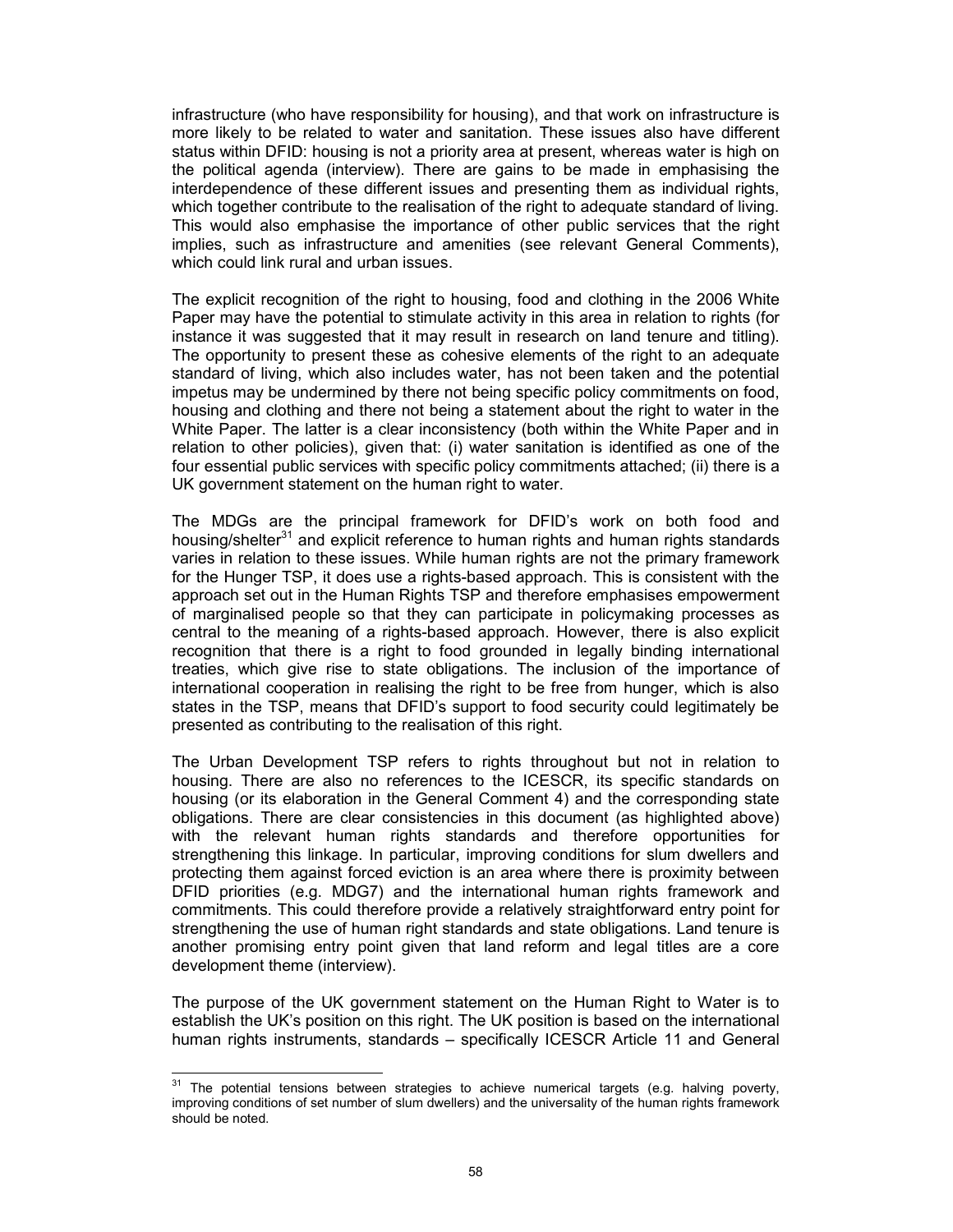infrastructure (who have responsibility for housing), and that work on infrastructure is more likely to be related to water and sanitation. These issues also have different status within DFID: housing is not a priority area at present, whereas water is high on the political agenda (interview). There are gains to be made in emphasising the interdependence of these different issues and presenting them as individual rights, which together contribute to the realisation of the right to adequate standard of living. This would also emphasise the importance of other public services that the right implies, such as infrastructure and amenities (see relevant General Comments), which could link rural and urban issues.

The explicit recognition of the right to housing, food and clothing in the 2006 White Paper may have the potential to stimulate activity in this area in relation to rights (for instance it was suggested that it may result in research on land tenure and titling). The opportunity to present these as cohesive elements of the right to an adequate standard of living, which also includes water, has not been taken and the potential impetus may be undermined by there not being specific policy commitments on food, housing and clothing and there not being a statement about the right to water in the White Paper. The latter is a clear inconsistency (both within the White Paper and in relation to other policies), given that: (i) water sanitation is identified as one of the four essential public services with specific policy commitments attached; (ii) there is a UK government statement on the human right to water.

The MDGs are the principal framework for DFID's work on both food and housing/shelter<sup>31</sup> and explicit reference to human rights and human rights standards varies in relation to these issues. While human rights are not the primary framework for the Hunger TSP, it does use a rights-based approach. This is consistent with the approach set out in the Human Rights TSP and therefore emphasises empowerment of marginalised people so that they can participate in policymaking processes as central to the meaning of a rights-based approach. However, there is also explicit recognition that there is a right to food grounded in legally binding international treaties, which give rise to state obligations. The inclusion of the importance of international cooperation in realising the right to be free from hunger, which is also states in the TSP, means that DFID's support to food security could legitimately be presented as contributing to the realisation of this right.

The Urban Development TSP refers to rights throughout but not in relation to housing. There are also no references to the ICESCR, its specific standards on housing (or its elaboration in the General Comment 4) and the corresponding state obligations. There are clear consistencies in this document (as highlighted above) with the relevant human rights standards and therefore opportunities for strengthening this linkage. In particular, improving conditions for slum dwellers and protecting them against forced eviction is an area where there is proximity between DFID priorities (e.g. MDG7) and the international human rights framework and commitments. This could therefore provide a relatively straightforward entry point for strengthening the use of human right standards and state obligations. Land tenure is another promising entry point given that land reform and legal titles are a core development theme (interview).

The purpose of the UK government statement on the Human Right to Water is to establish the UK's position on this right. The UK position is based on the international human rights instruments, standards – specifically ICESCR Article 11 and General

 $\overline{a}$  $31$  The potential tensions between strategies to achieve numerical targets (e.g. halving poverty, improving conditions of set number of slum dwellers) and the universality of the human rights framework should be noted.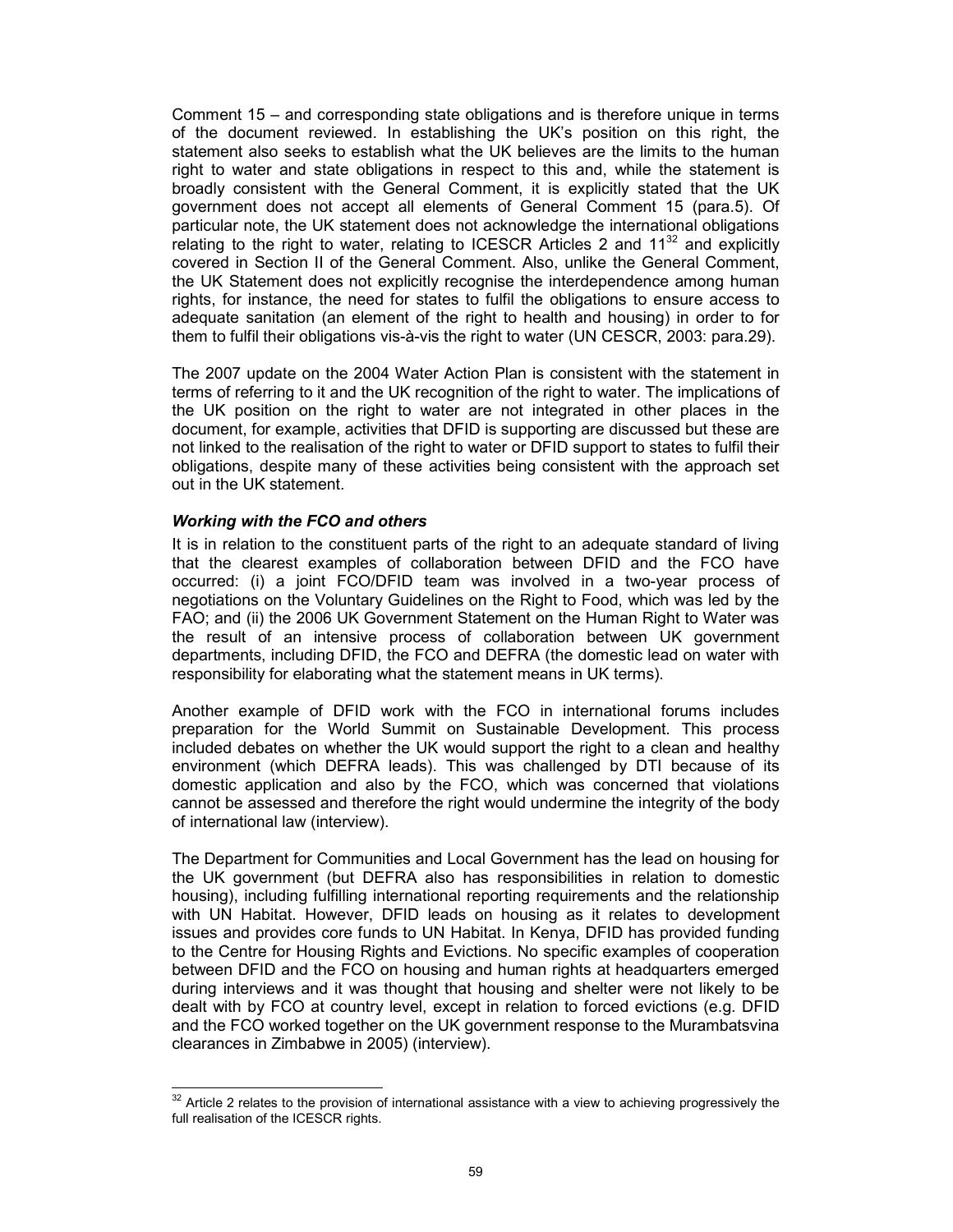Comment 15 – and corresponding state obligations and is therefore unique in terms of the document reviewed. In establishing the UK's position on this right, the statement also seeks to establish what the UK believes are the limits to the human right to water and state obligations in respect to this and, while the statement is broadly consistent with the General Comment, it is explicitly stated that the UK government does not accept all elements of General Comment 15 (para.5). Of particular note, the UK statement does not acknowledge the international obligations relating to the right to water, relating to ICESCR Articles 2 and  $11^{32}$  and explicitly covered in Section II of the General Comment. Also, unlike the General Comment, the UK Statement does not explicitly recognise the interdependence among human rights, for instance, the need for states to fulfil the obligations to ensure access to adequate sanitation (an element of the right to health and housing) in order to for them to fulfil their obligations vis-à-vis the right to water (UN CESCR, 2003: para.29).

The 2007 update on the 2004 Water Action Plan is consistent with the statement in terms of referring to it and the UK recognition of the right to water. The implications of the UK position on the right to water are not integrated in other places in the document, for example, activities that DFID is supporting are discussed but these are not linked to the realisation of the right to water or DFID support to states to fulfil their obligations, despite many of these activities being consistent with the approach set out in the UK statement.

## Working with the FCO and others

It is in relation to the constituent parts of the right to an adequate standard of living that the clearest examples of collaboration between DFID and the FCO have occurred: (i) a joint FCO/DFID team was involved in a two-year process of negotiations on the Voluntary Guidelines on the Right to Food, which was led by the FAO; and (ii) the 2006 UK Government Statement on the Human Right to Water was the result of an intensive process of collaboration between UK government departments, including DFID, the FCO and DEFRA (the domestic lead on water with responsibility for elaborating what the statement means in UK terms).

Another example of DFID work with the FCO in international forums includes preparation for the World Summit on Sustainable Development. This process included debates on whether the UK would support the right to a clean and healthy environment (which DEFRA leads). This was challenged by DTI because of its domestic application and also by the FCO, which was concerned that violations cannot be assessed and therefore the right would undermine the integrity of the body of international law (interview).

The Department for Communities and Local Government has the lead on housing for the UK government (but DEFRA also has responsibilities in relation to domestic housing), including fulfilling international reporting requirements and the relationship with UN Habitat. However, DFID leads on housing as it relates to development issues and provides core funds to UN Habitat. In Kenya, DFID has provided funding to the Centre for Housing Rights and Evictions. No specific examples of cooperation between DFID and the FCO on housing and human rights at headquarters emerged during interviews and it was thought that housing and shelter were not likely to be dealt with by FCO at country level, except in relation to forced evictions (e.g. DFID and the FCO worked together on the UK government response to the Murambatsvina clearances in Zimbabwe in 2005) (interview).

 $\overline{a}$  $32$  Article 2 relates to the provision of international assistance with a view to achieving progressively the full realisation of the ICESCR rights.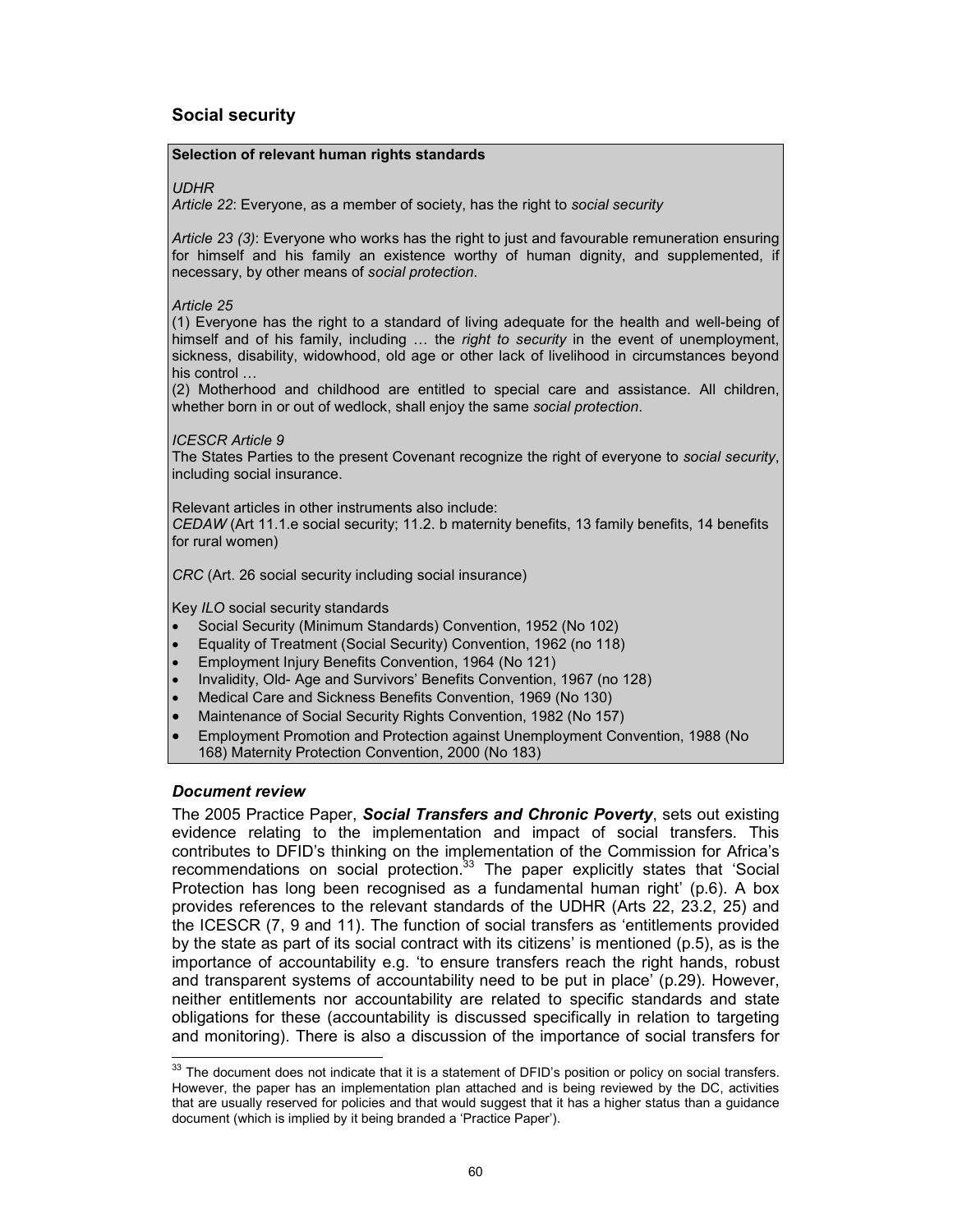## Social security

#### Selection of relevant human rights standards

#### UDHR

Article 22: Everyone, as a member of society, has the right to social security

Article 23 (3): Everyone who works has the right to just and favourable remuneration ensuring for himself and his family an existence worthy of human dignity, and supplemented, if necessary, by other means of social protection.

Article 25

(1) Everyone has the right to a standard of living adequate for the health and well-being of himself and of his family, including ... the right to security in the event of unemployment, sickness, disability, widowhood, old age or other lack of livelihood in circumstances beyond his control …

(2) Motherhood and childhood are entitled to special care and assistance. All children, whether born in or out of wedlock, shall enjoy the same social protection.

#### ICESCR Article 9

The States Parties to the present Covenant recognize the right of everyone to social security, including social insurance.

Relevant articles in other instruments also include:

CEDAW (Art 11.1.e social security; 11.2. b maternity benefits, 13 family benefits, 14 benefits for rural women)

CRC (Art. 26 social security including social insurance)

Key ILO social security standards

- Social Security (Minimum Standards) Convention, 1952 (No 102)
- Equality of Treatment (Social Security) Convention, 1962 (no 118)
- Employment Injury Benefits Convention, 1964 (No 121)
- Invalidity, Old- Age and Survivors' Benefits Convention, 1967 (no 128)
- Medical Care and Sickness Benefits Convention, 1969 (No 130)
- Maintenance of Social Security Rights Convention, 1982 (No 157)
- Employment Promotion and Protection against Unemployment Convention, 1988 (No 168) Maternity Protection Convention, 2000 (No 183)

#### Document review

 $\overline{1}$ 

The 2005 Practice Paper, Social Transfers and Chronic Poverty, sets out existing evidence relating to the implementation and impact of social transfers. This contributes to DFID's thinking on the implementation of the Commission for Africa's recommendations on social protection.<sup>33</sup> The paper explicitly states that 'Social Protection has long been recognised as a fundamental human right' (p.6). A box provides references to the relevant standards of the UDHR (Arts 22, 23.2, 25) and the ICESCR (7, 9 and 11). The function of social transfers as 'entitlements provided by the state as part of its social contract with its citizens' is mentioned (p.5), as is the importance of accountability e.g. 'to ensure transfers reach the right hands, robust and transparent systems of accountability need to be put in place' (p.29). However, neither entitlements nor accountability are related to specific standards and state obligations for these (accountability is discussed specifically in relation to targeting and monitoring). There is also a discussion of the importance of social transfers for

 $33$  The document does not indicate that it is a statement of DFID's position or policy on social transfers. However, the paper has an implementation plan attached and is being reviewed by the DC, activities that are usually reserved for policies and that would suggest that it has a higher status than a guidance document (which is implied by it being branded a 'Practice Paper').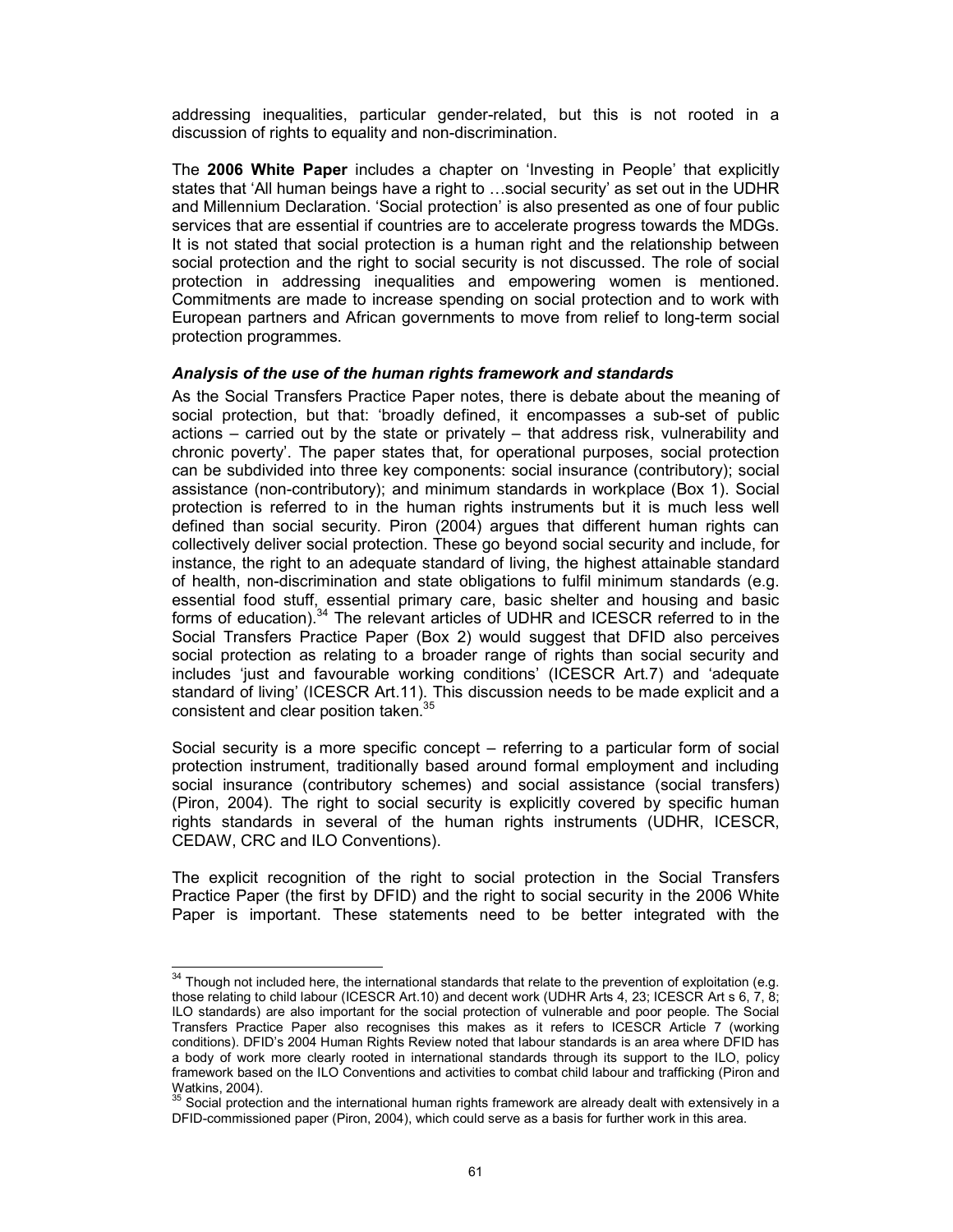addressing inequalities, particular gender-related, but this is not rooted in a discussion of rights to equality and non-discrimination.

The 2006 White Paper includes a chapter on 'Investing in People' that explicitly states that 'All human beings have a right to …social security' as set out in the UDHR and Millennium Declaration. 'Social protection' is also presented as one of four public services that are essential if countries are to accelerate progress towards the MDGs. It is not stated that social protection is a human right and the relationship between social protection and the right to social security is not discussed. The role of social protection in addressing inequalities and empowering women is mentioned. Commitments are made to increase spending on social protection and to work with European partners and African governments to move from relief to long-term social protection programmes.

#### Analysis of the use of the human rights framework and standards

As the Social Transfers Practice Paper notes, there is debate about the meaning of social protection, but that: 'broadly defined, it encompasses a sub-set of public actions – carried out by the state or privately – that address risk, vulnerability and chronic poverty'. The paper states that, for operational purposes, social protection can be subdivided into three key components: social insurance (contributory); social assistance (non-contributory); and minimum standards in workplace (Box 1). Social protection is referred to in the human rights instruments but it is much less well defined than social security. Piron (2004) argues that different human rights can collectively deliver social protection. These go beyond social security and include, for instance, the right to an adequate standard of living, the highest attainable standard of health, non-discrimination and state obligations to fulfil minimum standards (e.g. essential food stuff, essential primary care, basic shelter and housing and basic forms of education). $34$  The relevant articles of UDHR and ICESCR referred to in the Social Transfers Practice Paper (Box 2) would suggest that DFID also perceives social protection as relating to a broader range of rights than social security and includes 'just and favourable working conditions' (ICESCR Art.7) and 'adequate standard of living' (ICESCR Art.11). This discussion needs to be made explicit and a consistent and clear position taken.<sup>35</sup>

Social security is a more specific concept – referring to a particular form of social protection instrument, traditionally based around formal employment and including social insurance (contributory schemes) and social assistance (social transfers) (Piron, 2004). The right to social security is explicitly covered by specific human rights standards in several of the human rights instruments (UDHR, ICESCR, CEDAW, CRC and ILO Conventions).

The explicit recognition of the right to social protection in the Social Transfers Practice Paper (the first by DFID) and the right to social security in the 2006 White Paper is important. These statements need to be better integrated with the

 $\frac{1}{2}$ 

 $34$  Though not included here, the international standards that relate to the prevention of exploitation (e.g. those relating to child labour (ICESCR Art.10) and decent work (UDHR Arts 4, 23; ICESCR Art s 6, 7, 8; ILO standards) are also important for the social protection of vulnerable and poor people. The Social Transfers Practice Paper also recognises this makes as it refers to ICESCR Article 7 (working conditions). DFID's 2004 Human Rights Review noted that labour standards is an area where DFID has a body of work more clearly rooted in international standards through its support to the ILO, policy framework based on the ILO Conventions and activities to combat child labour and trafficking (Piron and Watkins, 2004).

 $35$  Social protection and the international human rights framework are already dealt with extensively in a DFID-commissioned paper (Piron, 2004), which could serve as a basis for further work in this area.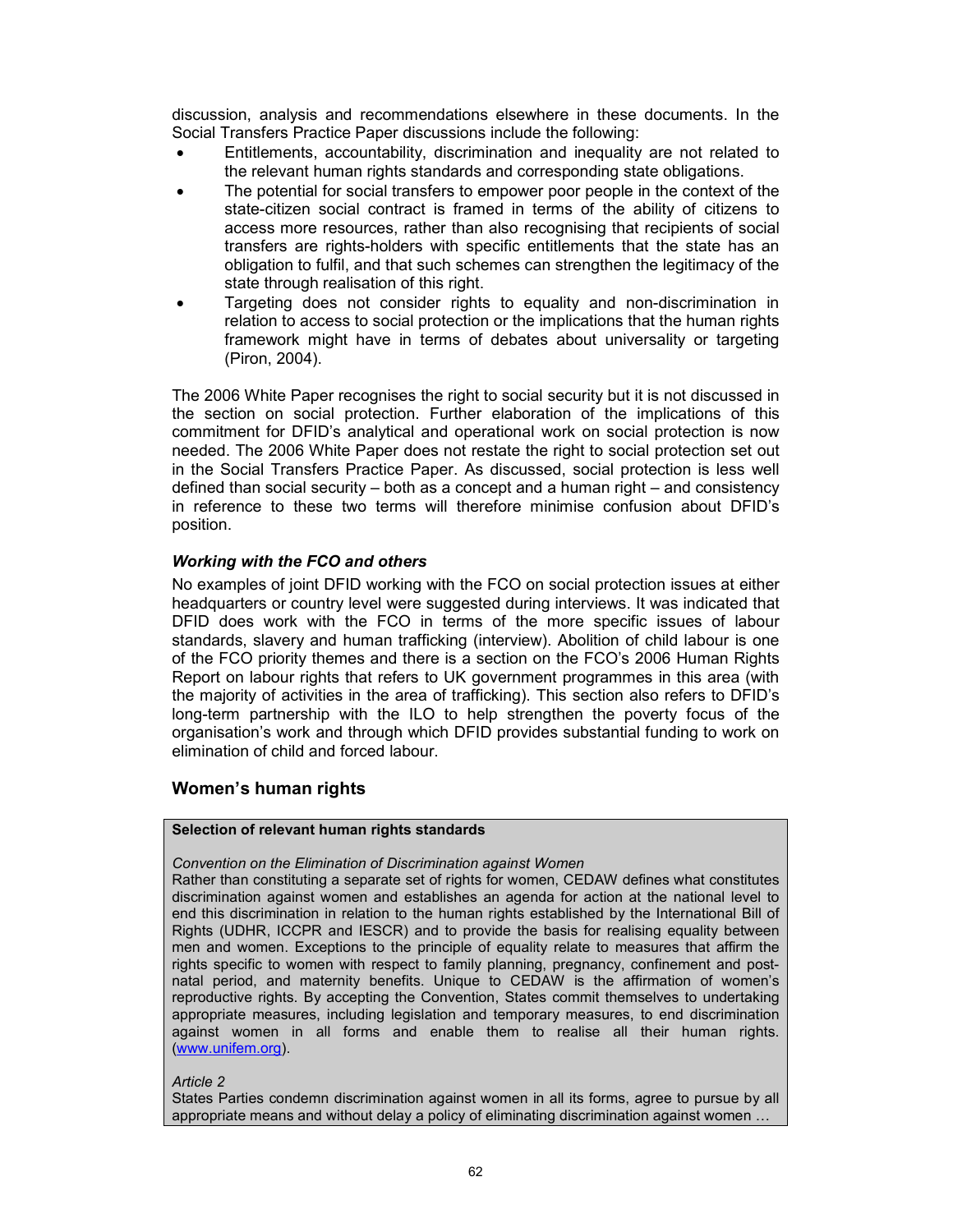discussion, analysis and recommendations elsewhere in these documents. In the Social Transfers Practice Paper discussions include the following:

- Entitlements, accountability, discrimination and inequality are not related to the relevant human rights standards and corresponding state obligations.
- The potential for social transfers to empower poor people in the context of the state-citizen social contract is framed in terms of the ability of citizens to access more resources, rather than also recognising that recipients of social transfers are rights-holders with specific entitlements that the state has an obligation to fulfil, and that such schemes can strengthen the legitimacy of the state through realisation of this right.
- Targeting does not consider rights to equality and non-discrimination in relation to access to social protection or the implications that the human rights framework might have in terms of debates about universality or targeting (Piron, 2004).

The 2006 White Paper recognises the right to social security but it is not discussed in the section on social protection. Further elaboration of the implications of this commitment for DFID's analytical and operational work on social protection is now needed. The 2006 White Paper does not restate the right to social protection set out in the Social Transfers Practice Paper. As discussed, social protection is less well defined than social security – both as a concept and a human right – and consistency in reference to these two terms will therefore minimise confusion about DFID's position.

## Working with the FCO and others

No examples of joint DFID working with the FCO on social protection issues at either headquarters or country level were suggested during interviews. It was indicated that DFID does work with the FCO in terms of the more specific issues of labour standards, slavery and human trafficking (interview). Abolition of child labour is one of the FCO priority themes and there is a section on the FCO's 2006 Human Rights Report on labour rights that refers to UK government programmes in this area (with the majority of activities in the area of trafficking). This section also refers to DFID's long-term partnership with the ILO to help strengthen the poverty focus of the organisation's work and through which DFID provides substantial funding to work on elimination of child and forced labour.

## Women's human rights

#### Selection of relevant human rights standards

#### Convention on the Elimination of Discrimination against Women

Rather than constituting a separate set of rights for women, CEDAW defines what constitutes discrimination against women and establishes an agenda for action at the national level to end this discrimination in relation to the human rights established by the International Bill of Rights (UDHR, ICCPR and IESCR) and to provide the basis for realising equality between men and women. Exceptions to the principle of equality relate to measures that affirm the rights specific to women with respect to family planning, pregnancy, confinement and postnatal period, and maternity benefits. Unique to CEDAW is the affirmation of women's reproductive rights. By accepting the Convention, States commit themselves to undertaking appropriate measures, including legislation and temporary measures, to end discrimination against women in all forms and enable them to realise all their human rights. (www.unifem.org).

#### Article 2

States Parties condemn discrimination against women in all its forms, agree to pursue by all appropriate means and without delay a policy of eliminating discrimination against women …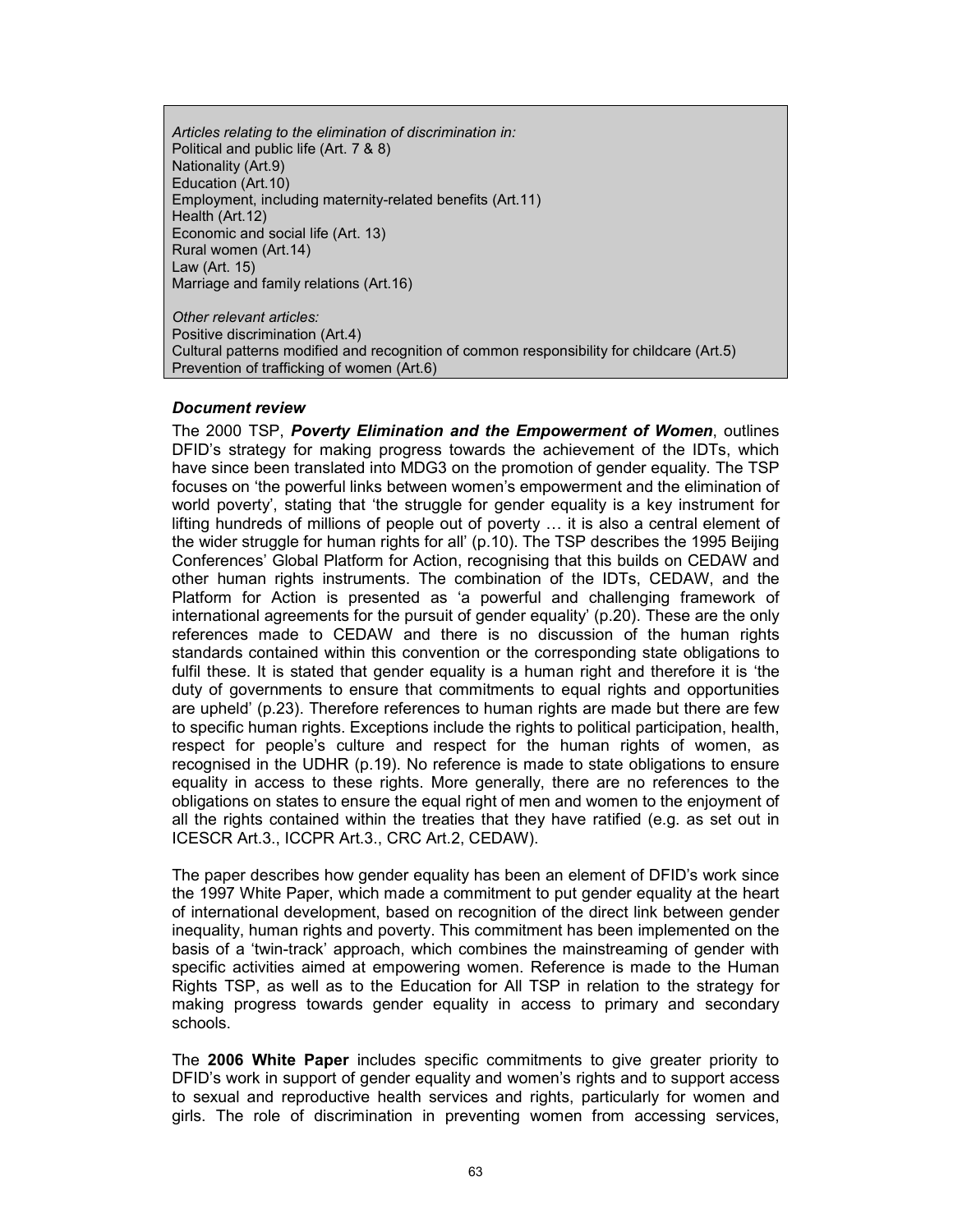Articles relating to the elimination of discrimination in: Political and public life (Art. 7 & 8) Nationality (Art.9) Education (Art.10) Employment, including maternity-related benefits (Art.11) Health (Art.12) Economic and social life (Art. 13) Rural women (Art.14) Law (Art. 15) Marriage and family relations (Art.16)

Other relevant articles: Positive discrimination (Art.4) Cultural patterns modified and recognition of common responsibility for childcare (Art.5) Prevention of trafficking of women (Art.6)

#### Document review

The 2000 TSP, Poverty Elimination and the Empowerment of Women, outlines DFID's strategy for making progress towards the achievement of the IDTs, which have since been translated into MDG3 on the promotion of gender equality. The TSP focuses on 'the powerful links between women's empowerment and the elimination of world poverty', stating that 'the struggle for gender equality is a key instrument for lifting hundreds of millions of people out of poverty … it is also a central element of the wider struggle for human rights for all' (p.10). The TSP describes the 1995 Beijing Conferences' Global Platform for Action, recognising that this builds on CEDAW and other human rights instruments. The combination of the IDTs, CEDAW, and the Platform for Action is presented as 'a powerful and challenging framework of international agreements for the pursuit of gender equality' (p.20). These are the only references made to CEDAW and there is no discussion of the human rights standards contained within this convention or the corresponding state obligations to fulfil these. It is stated that gender equality is a human right and therefore it is 'the duty of governments to ensure that commitments to equal rights and opportunities are upheld' (p.23). Therefore references to human rights are made but there are few to specific human rights. Exceptions include the rights to political participation, health, respect for people's culture and respect for the human rights of women, as recognised in the UDHR (p.19). No reference is made to state obligations to ensure equality in access to these rights. More generally, there are no references to the obligations on states to ensure the equal right of men and women to the enjoyment of all the rights contained within the treaties that they have ratified (e.g. as set out in ICESCR Art.3., ICCPR Art.3., CRC Art.2, CEDAW).

The paper describes how gender equality has been an element of DFID's work since the 1997 White Paper, which made a commitment to put gender equality at the heart of international development, based on recognition of the direct link between gender inequality, human rights and poverty. This commitment has been implemented on the basis of a 'twin-track' approach, which combines the mainstreaming of gender with specific activities aimed at empowering women. Reference is made to the Human Rights TSP, as well as to the Education for All TSP in relation to the strategy for making progress towards gender equality in access to primary and secondary schools.

The 2006 White Paper includes specific commitments to give greater priority to DFID's work in support of gender equality and women's rights and to support access to sexual and reproductive health services and rights, particularly for women and girls. The role of discrimination in preventing women from accessing services,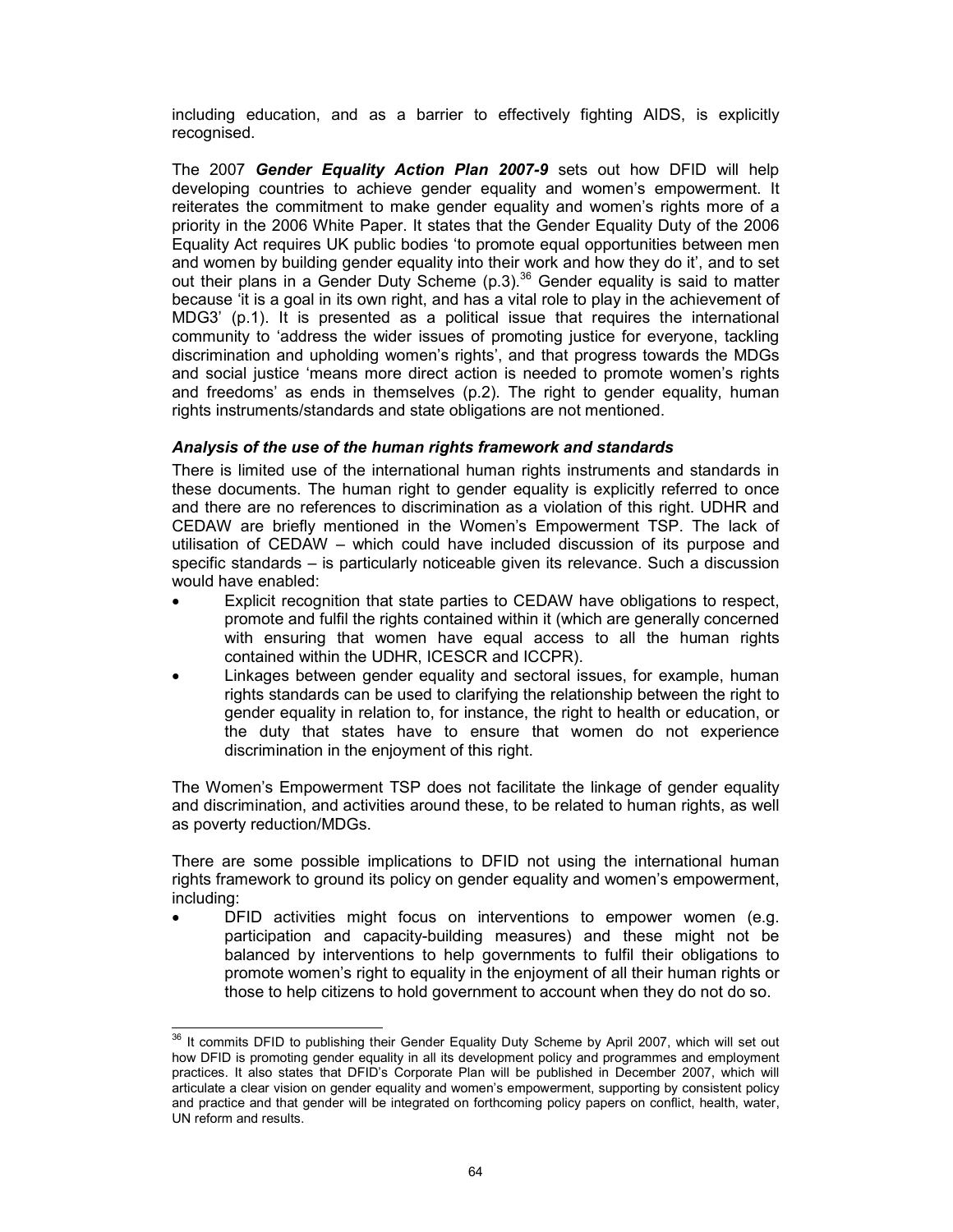including education, and as a barrier to effectively fighting AIDS, is explicitly recognised.

The 2007 Gender Equality Action Plan 2007-9 sets out how DFID will help developing countries to achieve gender equality and women's empowerment. It reiterates the commitment to make gender equality and women's rights more of a priority in the 2006 White Paper. It states that the Gender Equality Duty of the 2006 Equality Act requires UK public bodies 'to promote equal opportunities between men and women by building gender equality into their work and how they do it', and to set out their plans in a Gender Duty Scheme  $(p.3)^{36}$  Gender equality is said to matter because 'it is a goal in its own right, and has a vital role to play in the achievement of MDG3' (p.1). It is presented as a political issue that requires the international community to 'address the wider issues of promoting justice for everyone, tackling discrimination and upholding women's rights', and that progress towards the MDGs and social justice 'means more direct action is needed to promote women's rights and freedoms' as ends in themselves (p.2). The right to gender equality, human rights instruments/standards and state obligations are not mentioned.

## Analysis of the use of the human rights framework and standards

There is limited use of the international human rights instruments and standards in these documents. The human right to gender equality is explicitly referred to once and there are no references to discrimination as a violation of this right. UDHR and CEDAW are briefly mentioned in the Women's Empowerment TSP. The lack of utilisation of CEDAW – which could have included discussion of its purpose and specific standards – is particularly noticeable given its relevance. Such a discussion would have enabled:

- Explicit recognition that state parties to CEDAW have obligations to respect, promote and fulfil the rights contained within it (which are generally concerned with ensuring that women have equal access to all the human rights contained within the UDHR, ICESCR and ICCPR).
- Linkages between gender equality and sectoral issues, for example, human rights standards can be used to clarifying the relationship between the right to gender equality in relation to, for instance, the right to health or education, or the duty that states have to ensure that women do not experience discrimination in the enjoyment of this right.

The Women's Empowerment TSP does not facilitate the linkage of gender equality and discrimination, and activities around these, to be related to human rights, as well as poverty reduction/MDGs.

There are some possible implications to DFID not using the international human rights framework to ground its policy on gender equality and women's empowerment, including:

• DFID activities might focus on interventions to empower women (e.g. participation and capacity-building measures) and these might not be balanced by interventions to help governments to fulfil their obligations to promote women's right to equality in the enjoyment of all their human rights or those to help citizens to hold government to account when they do not do so.

 $\overline{a}$ 

 $36$  It commits DFID to publishing their Gender Equality Duty Scheme by April 2007, which will set out how DFID is promoting gender equality in all its development policy and programmes and employment practices. It also states that DFID's Corporate Plan will be published in December 2007, which will articulate a clear vision on gender equality and women's empowerment, supporting by consistent policy and practice and that gender will be integrated on forthcoming policy papers on conflict, health, water, UN reform and results.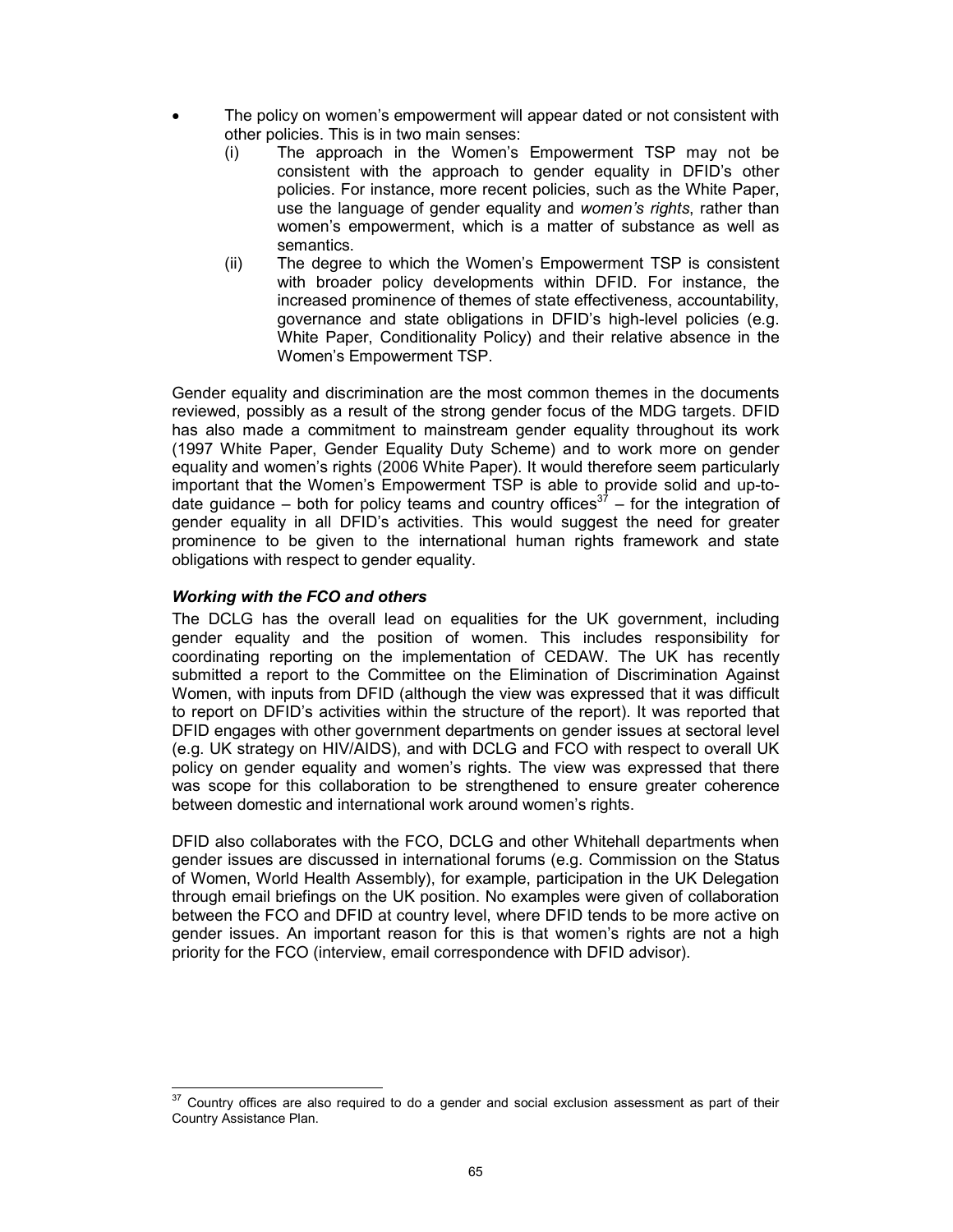- The policy on women's empowerment will appear dated or not consistent with other policies. This is in two main senses:
	- (i) The approach in the Women's Empowerment TSP may not be consistent with the approach to gender equality in DFID's other policies. For instance, more recent policies, such as the White Paper, use the language of gender equality and women's rights, rather than women's empowerment, which is a matter of substance as well as semantics.
	- (ii) The degree to which the Women's Empowerment TSP is consistent with broader policy developments within DFID. For instance, the increased prominence of themes of state effectiveness, accountability, governance and state obligations in DFID's high-level policies (e.g. White Paper, Conditionality Policy) and their relative absence in the Women's Empowerment TSP.

Gender equality and discrimination are the most common themes in the documents reviewed, possibly as a result of the strong gender focus of the MDG targets. DFID has also made a commitment to mainstream gender equality throughout its work (1997 White Paper, Gender Equality Duty Scheme) and to work more on gender equality and women's rights (2006 White Paper). It would therefore seem particularly important that the Women's Empowerment TSP is able to provide solid and up-todate guidance – both for policy teams and country offices<sup>37</sup> – for the integration of gender equality in all DFID's activities. This would suggest the need for greater prominence to be given to the international human rights framework and state obligations with respect to gender equality.

## Working with the FCO and others

The DCLG has the overall lead on equalities for the UK government, including gender equality and the position of women. This includes responsibility for coordinating reporting on the implementation of CEDAW. The UK has recently submitted a report to the Committee on the Elimination of Discrimination Against Women, with inputs from DFID (although the view was expressed that it was difficult to report on DFID's activities within the structure of the report). It was reported that DFID engages with other government departments on gender issues at sectoral level (e.g. UK strategy on HIV/AIDS), and with DCLG and FCO with respect to overall UK policy on gender equality and women's rights. The view was expressed that there was scope for this collaboration to be strengthened to ensure greater coherence between domestic and international work around women's rights.

DFID also collaborates with the FCO, DCLG and other Whitehall departments when gender issues are discussed in international forums (e.g. Commission on the Status of Women, World Health Assembly), for example, participation in the UK Delegation through email briefings on the UK position. No examples were given of collaboration between the FCO and DFID at country level, where DFID tends to be more active on gender issues. An important reason for this is that women's rights are not a high priority for the FCO (interview, email correspondence with DFID advisor).

 $\overline{a}$  $37$  Country offices are also required to do a gender and social exclusion assessment as part of their Country Assistance Plan.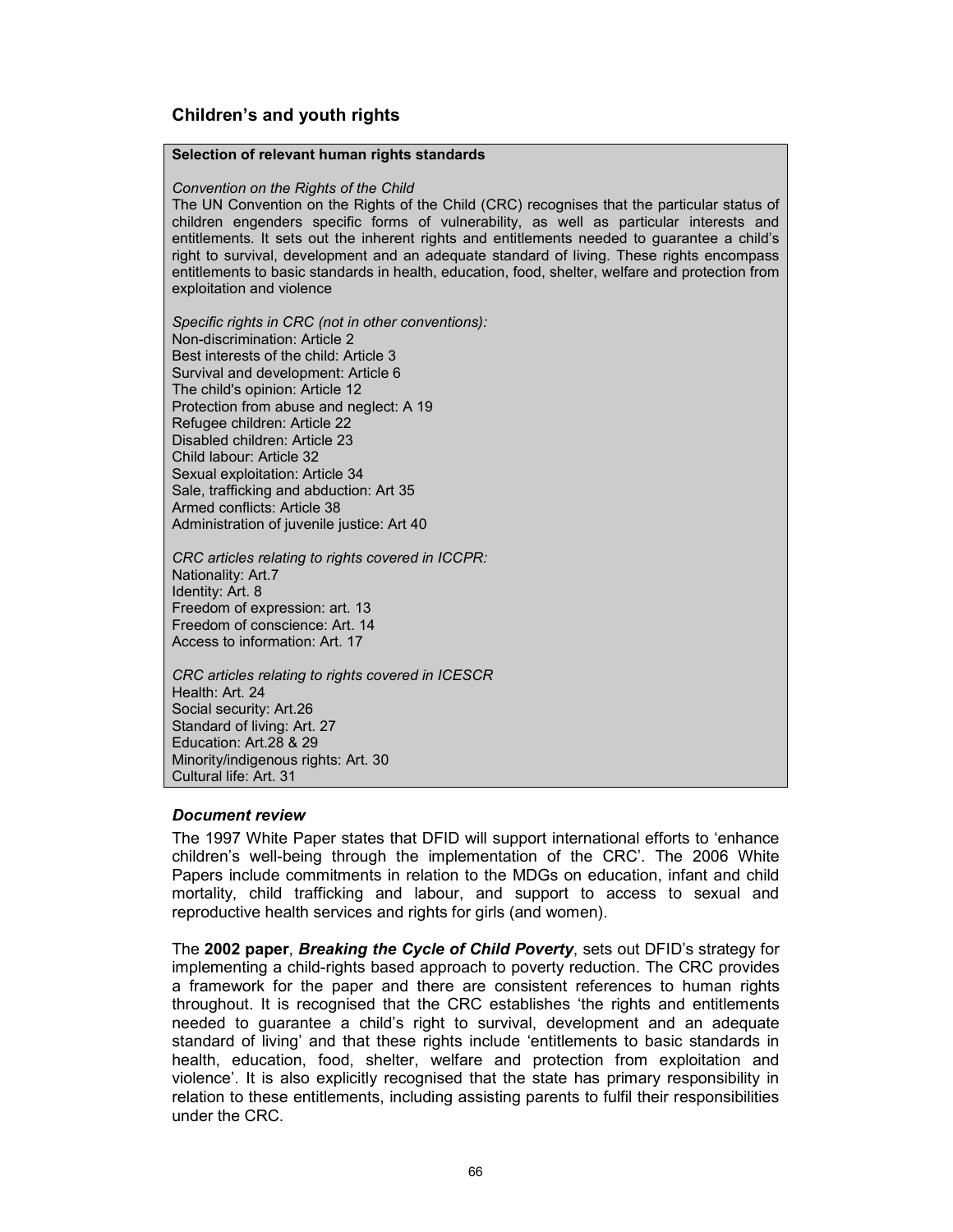## Children's and youth rights

#### Selection of relevant human rights standards

#### Convention on the Rights of the Child

The UN Convention on the Rights of the Child (CRC) recognises that the particular status of children engenders specific forms of vulnerability, as well as particular interests and entitlements. It sets out the inherent rights and entitlements needed to guarantee a child's right to survival, development and an adequate standard of living. These rights encompass entitlements to basic standards in health, education, food, shelter, welfare and protection from exploitation and violence

Specific rights in CRC (not in other conventions): Non-discrimination: Article 2 Best interests of the child: Article 3 Survival and development: Article 6 The child's opinion: Article 12 Protection from abuse and neglect: A 19 Refugee children: Article 22 Disabled children: Article 23 Child labour: Article 32 Sexual exploitation: Article 34 Sale, trafficking and abduction: Art 35 Armed conflicts: Article 38 Administration of juvenile justice: Art 40

CRC articles relating to rights covered in ICCPR: Nationality: Art.7 Identity: Art. 8 Freedom of expression: art. 13 Freedom of conscience: Art. 14 Access to information: Art. 17

CRC articles relating to rights covered in ICESCR Health: Art. 24 Social security: Art.26 Standard of living: Art. 27 Education: Art.28 & 29 Minority/indigenous rights: Art. 30 Cultural life: Art. 31

#### Document review

The 1997 White Paper states that DFID will support international efforts to 'enhance children's well-being through the implementation of the CRC'. The 2006 White Papers include commitments in relation to the MDGs on education, infant and child mortality, child trafficking and labour, and support to access to sexual and reproductive health services and rights for girls (and women).

The 2002 paper, Breaking the Cycle of Child Poverty, sets out DFID's strategy for implementing a child-rights based approach to poverty reduction. The CRC provides a framework for the paper and there are consistent references to human rights throughout. It is recognised that the CRC establishes 'the rights and entitlements needed to guarantee a child's right to survival, development and an adequate standard of living' and that these rights include 'entitlements to basic standards in health, education, food, shelter, welfare and protection from exploitation and violence'. It is also explicitly recognised that the state has primary responsibility in relation to these entitlements, including assisting parents to fulfil their responsibilities under the CRC.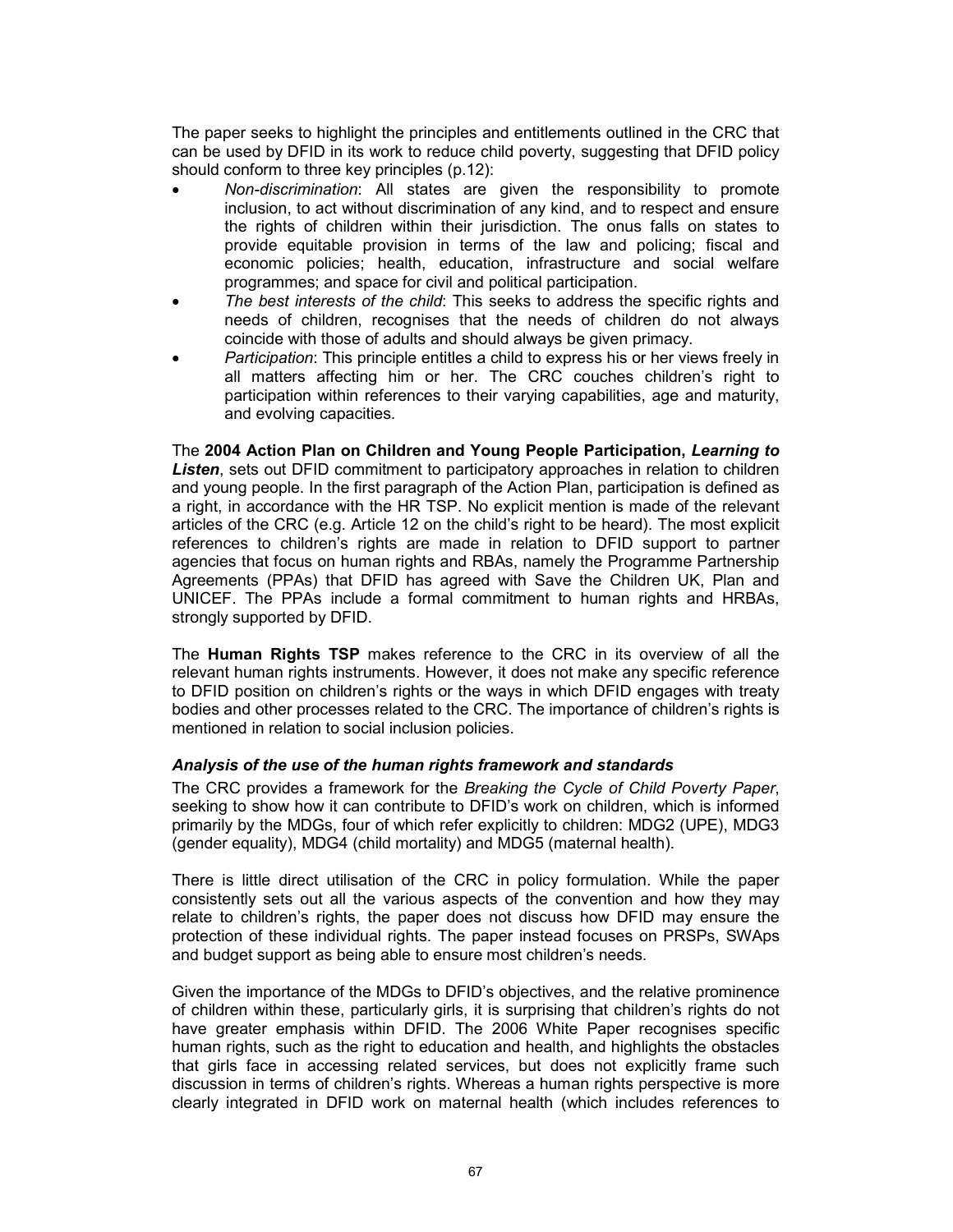The paper seeks to highlight the principles and entitlements outlined in the CRC that can be used by DFID in its work to reduce child poverty, suggesting that DFID policy should conform to three key principles (p.12):

- Non-discrimination: All states are given the responsibility to promote inclusion, to act without discrimination of any kind, and to respect and ensure the rights of children within their jurisdiction. The onus falls on states to provide equitable provision in terms of the law and policing; fiscal and economic policies; health, education, infrastructure and social welfare programmes; and space for civil and political participation.
- The best interests of the child: This seeks to address the specific rights and needs of children, recognises that the needs of children do not always coincide with those of adults and should always be given primacy.
- Participation: This principle entitles a child to express his or her views freely in all matters affecting him or her. The CRC couches children's right to participation within references to their varying capabilities, age and maturity, and evolving capacities.

The 2004 Action Plan on Children and Young People Participation, Learning to Listen, sets out DFID commitment to participatory approaches in relation to children and young people. In the first paragraph of the Action Plan, participation is defined as a right, in accordance with the HR TSP. No explicit mention is made of the relevant articles of the CRC (e.g. Article 12 on the child's right to be heard). The most explicit references to children's rights are made in relation to DFID support to partner agencies that focus on human rights and RBAs, namely the Programme Partnership Agreements (PPAs) that DFID has agreed with Save the Children UK, Plan and UNICEF. The PPAs include a formal commitment to human rights and HRBAs, strongly supported by DFID.

The Human Rights TSP makes reference to the CRC in its overview of all the relevant human rights instruments. However, it does not make any specific reference to DFID position on children's rights or the ways in which DFID engages with treaty bodies and other processes related to the CRC. The importance of children's rights is mentioned in relation to social inclusion policies.

#### Analysis of the use of the human rights framework and standards

The CRC provides a framework for the Breaking the Cycle of Child Poverty Paper, seeking to show how it can contribute to DFID's work on children, which is informed primarily by the MDGs, four of which refer explicitly to children: MDG2 (UPE), MDG3 (gender equality), MDG4 (child mortality) and MDG5 (maternal health).

There is little direct utilisation of the CRC in policy formulation. While the paper consistently sets out all the various aspects of the convention and how they may relate to children's rights, the paper does not discuss how DFID may ensure the protection of these individual rights. The paper instead focuses on PRSPs, SWAps and budget support as being able to ensure most children's needs.

Given the importance of the MDGs to DFID's objectives, and the relative prominence of children within these, particularly girls, it is surprising that children's rights do not have greater emphasis within DFID. The 2006 White Paper recognises specific human rights, such as the right to education and health, and highlights the obstacles that girls face in accessing related services, but does not explicitly frame such discussion in terms of children's rights. Whereas a human rights perspective is more clearly integrated in DFID work on maternal health (which includes references to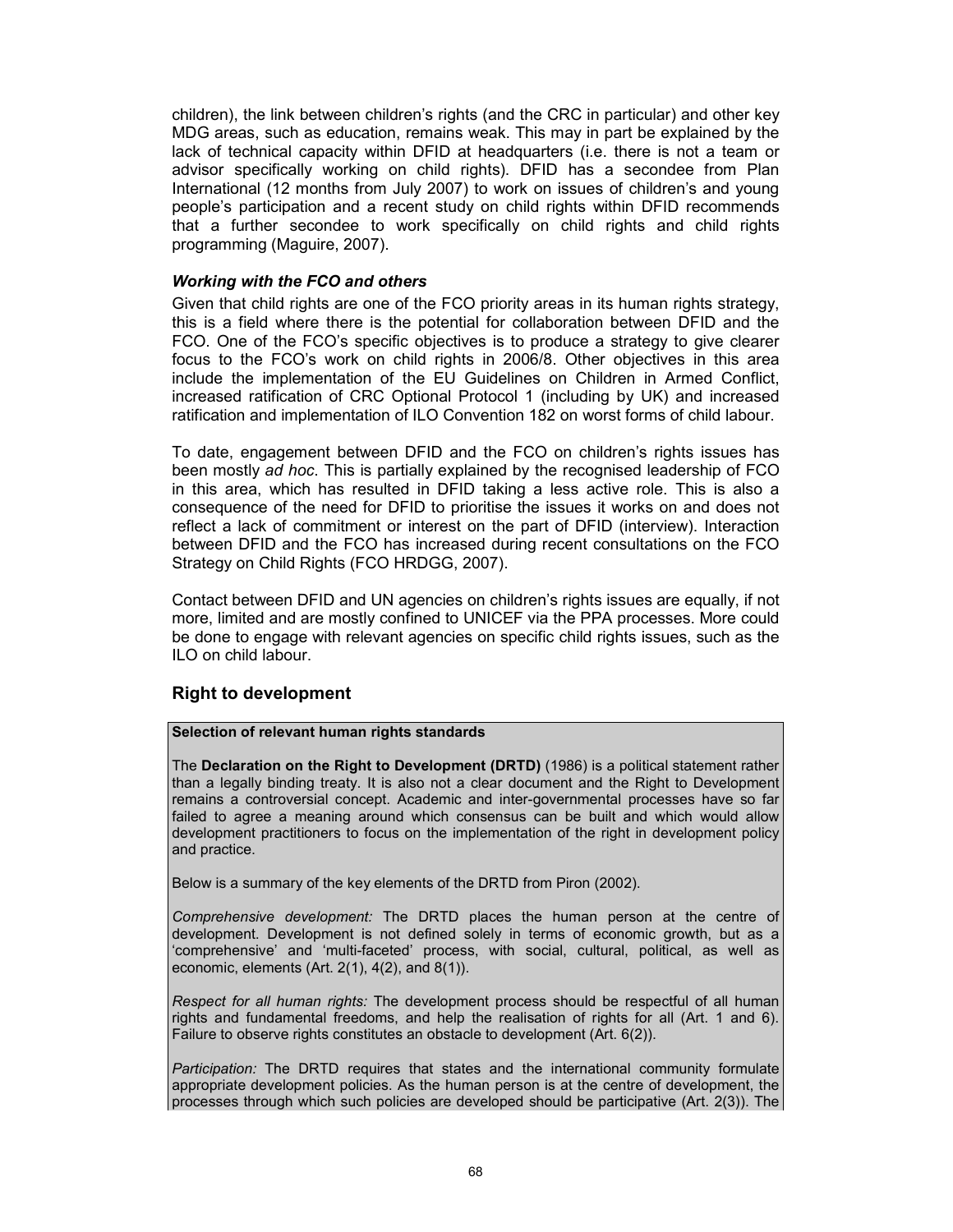children), the link between children's rights (and the CRC in particular) and other key MDG areas, such as education, remains weak. This may in part be explained by the lack of technical capacity within DFID at headquarters (i.e. there is not a team or advisor specifically working on child rights). DFID has a secondee from Plan International (12 months from July 2007) to work on issues of children's and young people's participation and a recent study on child rights within DFID recommends that a further secondee to work specifically on child rights and child rights programming (Maguire, 2007).

#### Working with the FCO and others

Given that child rights are one of the FCO priority areas in its human rights strategy, this is a field where there is the potential for collaboration between DFID and the FCO. One of the FCO's specific objectives is to produce a strategy to give clearer focus to the FCO's work on child rights in 2006/8. Other objectives in this area include the implementation of the EU Guidelines on Children in Armed Conflict, increased ratification of CRC Optional Protocol 1 (including by UK) and increased ratification and implementation of ILO Convention 182 on worst forms of child labour.

To date, engagement between DFID and the FCO on children's rights issues has been mostly ad hoc. This is partially explained by the recognised leadership of FCO in this area, which has resulted in DFID taking a less active role. This is also a consequence of the need for DFID to prioritise the issues it works on and does not reflect a lack of commitment or interest on the part of DFID (interview). Interaction between DFID and the FCO has increased during recent consultations on the FCO Strategy on Child Rights (FCO HRDGG, 2007).

Contact between DFID and UN agencies on children's rights issues are equally, if not more, limited and are mostly confined to UNICEF via the PPA processes. More could be done to engage with relevant agencies on specific child rights issues, such as the ILO on child labour.

## Right to development

#### Selection of relevant human rights standards

The Declaration on the Right to Development (DRTD) (1986) is a political statement rather than a legally binding treaty. It is also not a clear document and the Right to Development remains a controversial concept. Academic and inter-governmental processes have so far failed to agree a meaning around which consensus can be built and which would allow development practitioners to focus on the implementation of the right in development policy and practice.

Below is a summary of the key elements of the DRTD from Piron (2002).

Comprehensive development: The DRTD places the human person at the centre of development. Development is not defined solely in terms of economic growth, but as a 'comprehensive' and 'multi-faceted' process, with social, cultural, political, as well as economic, elements (Art. 2(1), 4(2), and 8(1)).

Respect for all human rights: The development process should be respectful of all human rights and fundamental freedoms, and help the realisation of rights for all (Art. 1 and 6). Failure to observe rights constitutes an obstacle to development (Art. 6(2)).

Participation: The DRTD requires that states and the international community formulate appropriate development policies. As the human person is at the centre of development, the processes through which such policies are developed should be participative (Art. 2(3)). The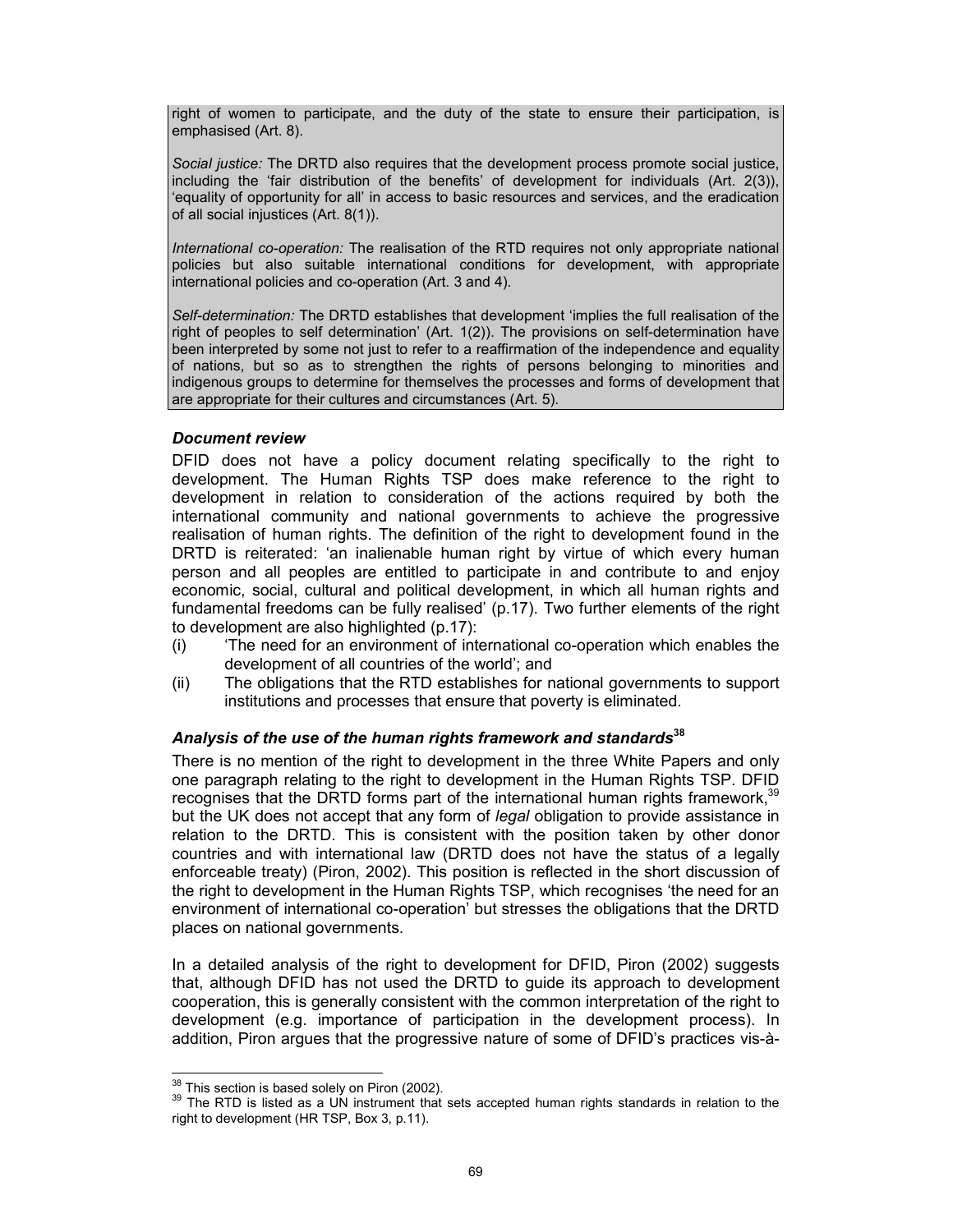right of women to participate, and the duty of the state to ensure their participation, is emphasised (Art. 8).

Social justice: The DRTD also requires that the development process promote social justice, including the 'fair distribution of the benefits' of development for individuals (Art. 2(3)), 'equality of opportunity for all' in access to basic resources and services, and the eradication of all social injustices (Art. 8(1)).

International co-operation: The realisation of the RTD requires not only appropriate national policies but also suitable international conditions for development, with appropriate international policies and co-operation (Art. 3 and 4).

Self-determination: The DRTD establishes that development 'implies the full realisation of the right of peoples to self determination' (Art. 1(2)). The provisions on self-determination have been interpreted by some not just to refer to a reaffirmation of the independence and equality of nations, but so as to strengthen the rights of persons belonging to minorities and indigenous groups to determine for themselves the processes and forms of development that are appropriate for their cultures and circumstances (Art. 5).

#### Document review

DFID does not have a policy document relating specifically to the right to development. The Human Rights TSP does make reference to the right to development in relation to consideration of the actions required by both the international community and national governments to achieve the progressive realisation of human rights. The definition of the right to development found in the DRTD is reiterated: 'an inalienable human right by virtue of which every human person and all peoples are entitled to participate in and contribute to and enjoy economic, social, cultural and political development, in which all human rights and fundamental freedoms can be fully realised' (p.17). Two further elements of the right to development are also highlighted (p.17):

- (i) 'The need for an environment of international co-operation which enables the development of all countries of the world'; and
- (ii) The obligations that the RTD establishes for national governments to support institutions and processes that ensure that poverty is eliminated.

## Analysis of the use of the human rights framework and standards $38$

There is no mention of the right to development in the three White Papers and only one paragraph relating to the right to development in the Human Rights TSP. DFID recognises that the DRTD forms part of the international human rights framework, $39$ but the UK does not accept that any form of legal obligation to provide assistance in relation to the DRTD. This is consistent with the position taken by other donor countries and with international law (DRTD does not have the status of a legally enforceable treaty) (Piron, 2002). This position is reflected in the short discussion of the right to development in the Human Rights TSP, which recognises 'the need for an environment of international co-operation' but stresses the obligations that the DRTD places on national governments.

In a detailed analysis of the right to development for DFID, Piron (2002) suggests that, although DFID has not used the DRTD to guide its approach to development cooperation, this is generally consistent with the common interpretation of the right to development (e.g. importance of participation in the development process). In addition, Piron argues that the progressive nature of some of DFID's practices vis-à-

 $\overline{a}$  $\frac{38}{10}$  This section is based solely on Piron (2002).

<sup>&</sup>lt;sup>39</sup> The RTD is listed as a UN instrument that sets accepted human rights standards in relation to the right to development (HR TSP, Box 3, p.11).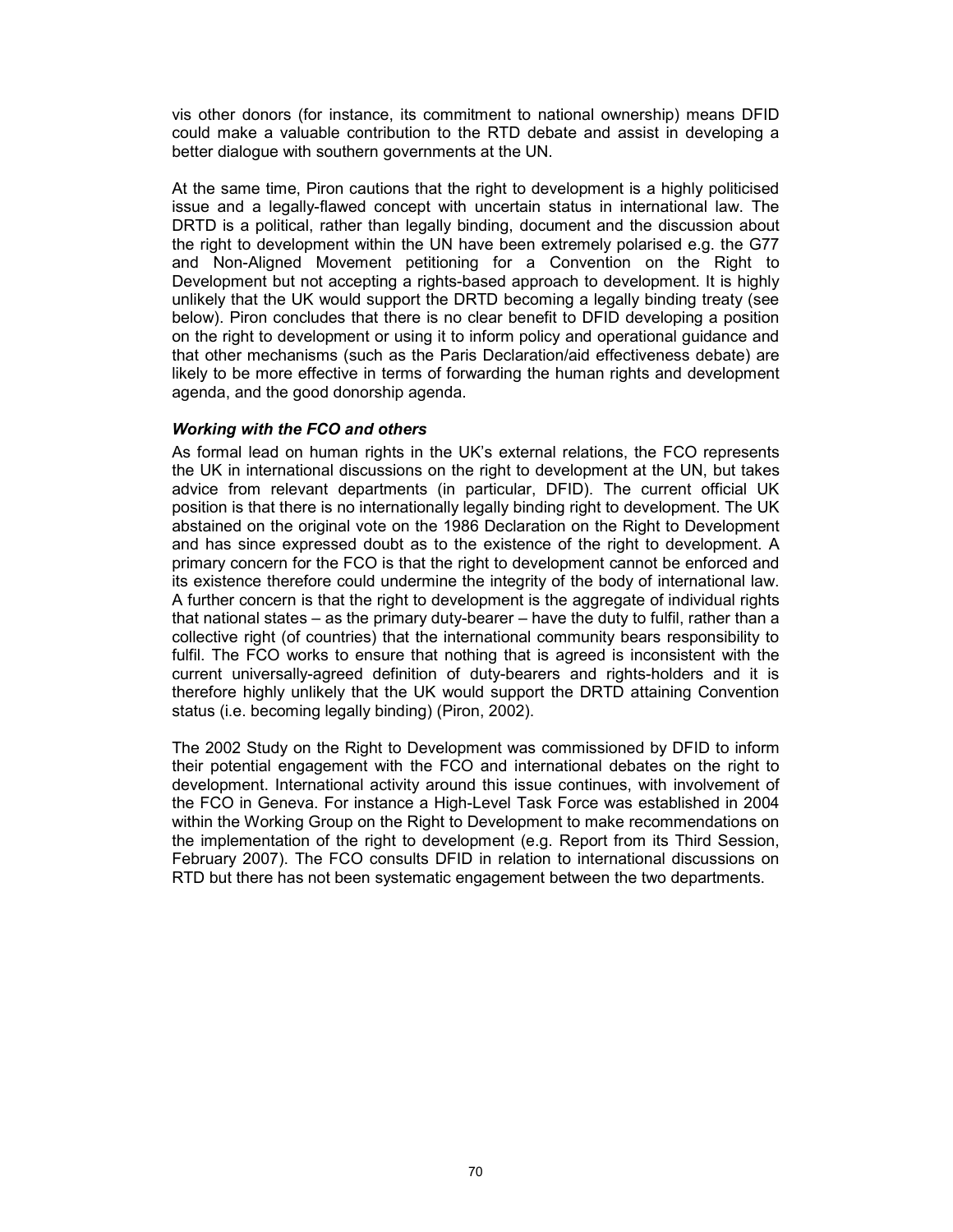vis other donors (for instance, its commitment to national ownership) means DFID could make a valuable contribution to the RTD debate and assist in developing a better dialogue with southern governments at the UN.

At the same time, Piron cautions that the right to development is a highly politicised issue and a legally-flawed concept with uncertain status in international law. The DRTD is a political, rather than legally binding, document and the discussion about the right to development within the UN have been extremely polarised e.g. the G77 and Non-Aligned Movement petitioning for a Convention on the Right to Development but not accepting a rights-based approach to development. It is highly unlikely that the UK would support the DRTD becoming a legally binding treaty (see below). Piron concludes that there is no clear benefit to DFID developing a position on the right to development or using it to inform policy and operational guidance and that other mechanisms (such as the Paris Declaration/aid effectiveness debate) are likely to be more effective in terms of forwarding the human rights and development agenda, and the good donorship agenda.

## Working with the FCO and others

As formal lead on human rights in the UK's external relations, the FCO represents the UK in international discussions on the right to development at the UN, but takes advice from relevant departments (in particular, DFID). The current official UK position is that there is no internationally legally binding right to development. The UK abstained on the original vote on the 1986 Declaration on the Right to Development and has since expressed doubt as to the existence of the right to development. A primary concern for the FCO is that the right to development cannot be enforced and its existence therefore could undermine the integrity of the body of international law. A further concern is that the right to development is the aggregate of individual rights that national states – as the primary duty-bearer – have the duty to fulfil, rather than a collective right (of countries) that the international community bears responsibility to fulfil. The FCO works to ensure that nothing that is agreed is inconsistent with the current universally-agreed definition of duty-bearers and rights-holders and it is therefore highly unlikely that the UK would support the DRTD attaining Convention status (i.e. becoming legally binding) (Piron, 2002).

The 2002 Study on the Right to Development was commissioned by DFID to inform their potential engagement with the FCO and international debates on the right to development. International activity around this issue continues, with involvement of the FCO in Geneva. For instance a High-Level Task Force was established in 2004 within the Working Group on the Right to Development to make recommendations on the implementation of the right to development (e.g. Report from its Third Session, February 2007). The FCO consults DFID in relation to international discussions on RTD but there has not been systematic engagement between the two departments.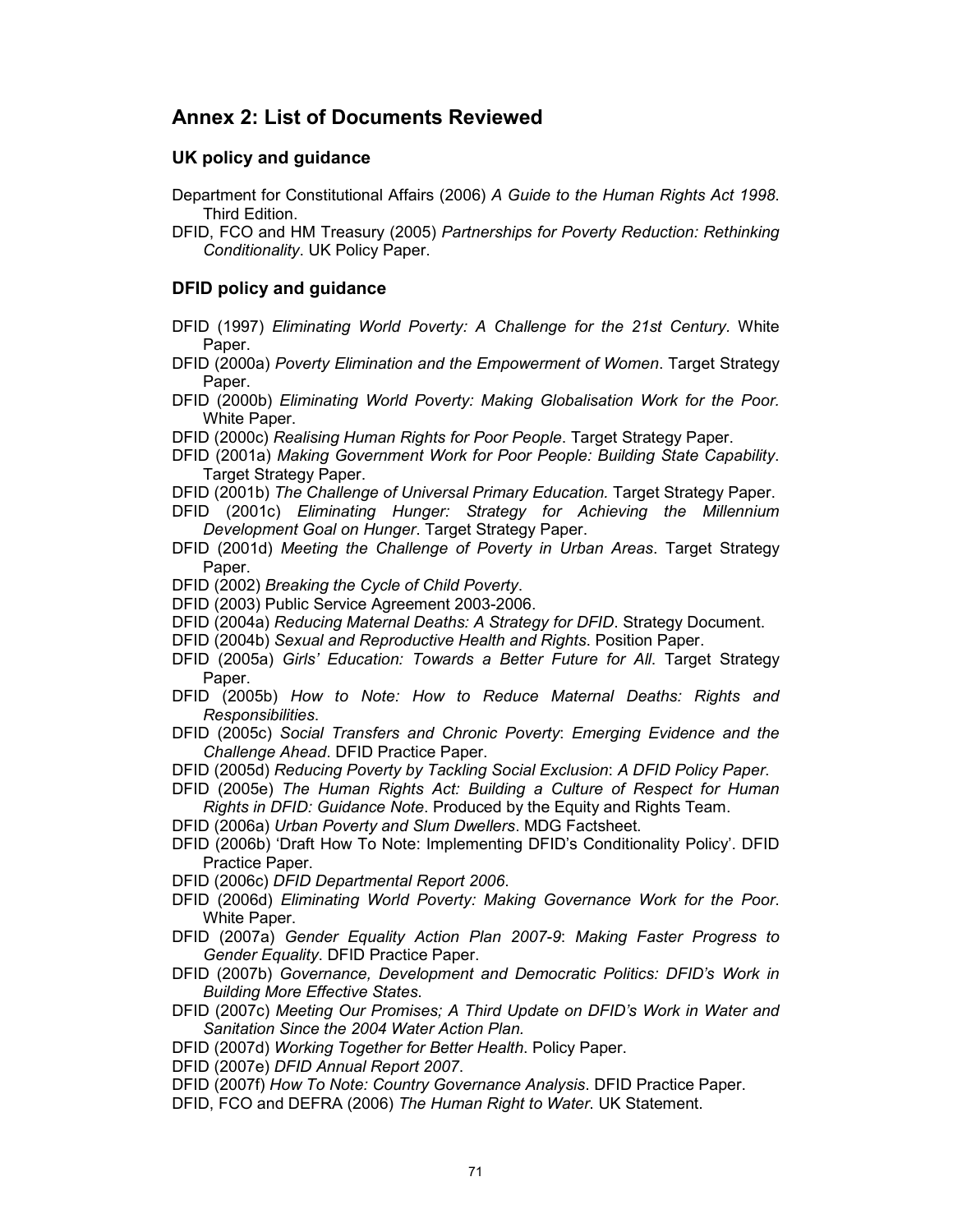# Annex 2: List of Documents Reviewed

## UK policy and guidance

- Department for Constitutional Affairs (2006) A Guide to the Human Rights Act 1998. Third Edition.
- DFID, FCO and HM Treasury (2005) Partnerships for Poverty Reduction: Rethinking Conditionality. UK Policy Paper.

## DFID policy and guidance

- DFID (1997) Eliminating World Poverty: A Challenge for the 21st Century. White Paper.
- DFID (2000a) Poverty Elimination and the Empowerment of Women. Target Strategy Paper.
- DFID (2000b) Eliminating World Poverty: Making Globalisation Work for the Poor. White Paper.
- DFID (2000c) Realising Human Rights for Poor People. Target Strategy Paper.
- DFID (2001a) Making Government Work for Poor People: Building State Capability. Target Strategy Paper.
- DFID (2001b) The Challenge of Universal Primary Education. Target Strategy Paper.
- DFID (2001c) Eliminating Hunger: Strategy for Achieving the Millennium Development Goal on Hunger. Target Strategy Paper.
- DFID (2001d) Meeting the Challenge of Poverty in Urban Areas. Target Strategy Paper.
- DFID (2002) Breaking the Cycle of Child Poverty.
- DFID (2003) Public Service Agreement 2003-2006.
- DFID (2004a) Reducing Maternal Deaths: A Strategy for DFID. Strategy Document.
- DFID (2004b) Sexual and Reproductive Health and Rights. Position Paper.
- DFID (2005a) Girls' Education: Towards a Better Future for All. Target Strategy Paper.
- DFID (2005b) How to Note: How to Reduce Maternal Deaths: Rights and Responsibilities.
- DFID (2005c) Social Transfers and Chronic Poverty: Emerging Evidence and the Challenge Ahead. DFID Practice Paper.
- DFID (2005d) Reducing Poverty by Tackling Social Exclusion: A DFID Policy Paper.
- DFID (2005e) The Human Rights Act: Building a Culture of Respect for Human Rights in DFID: Guidance Note. Produced by the Equity and Rights Team.
- DFID (2006a) Urban Poverty and Slum Dwellers. MDG Factsheet.
- DFID (2006b) 'Draft How To Note: Implementing DFID's Conditionality Policy'. DFID Practice Paper.
- DFID (2006c) DFID Departmental Report 2006.
- DFID (2006d) Eliminating World Poverty: Making Governance Work for the Poor. White Paper.
- DFID (2007a) Gender Equality Action Plan 2007-9: Making Faster Progress to Gender Equality. DFID Practice Paper.
- DFID (2007b) Governance, Development and Democratic Politics: DFID's Work in Building More Effective States.
- DFID (2007c) Meeting Our Promises; A Third Update on DFID's Work in Water and Sanitation Since the 2004 Water Action Plan.
- DFID (2007d) Working Together for Better Health. Policy Paper.
- DFID (2007e) DFID Annual Report 2007.
- DFID (2007f) How To Note: Country Governance Analysis. DFID Practice Paper.
- DFID, FCO and DEFRA (2006) The Human Right to Water. UK Statement.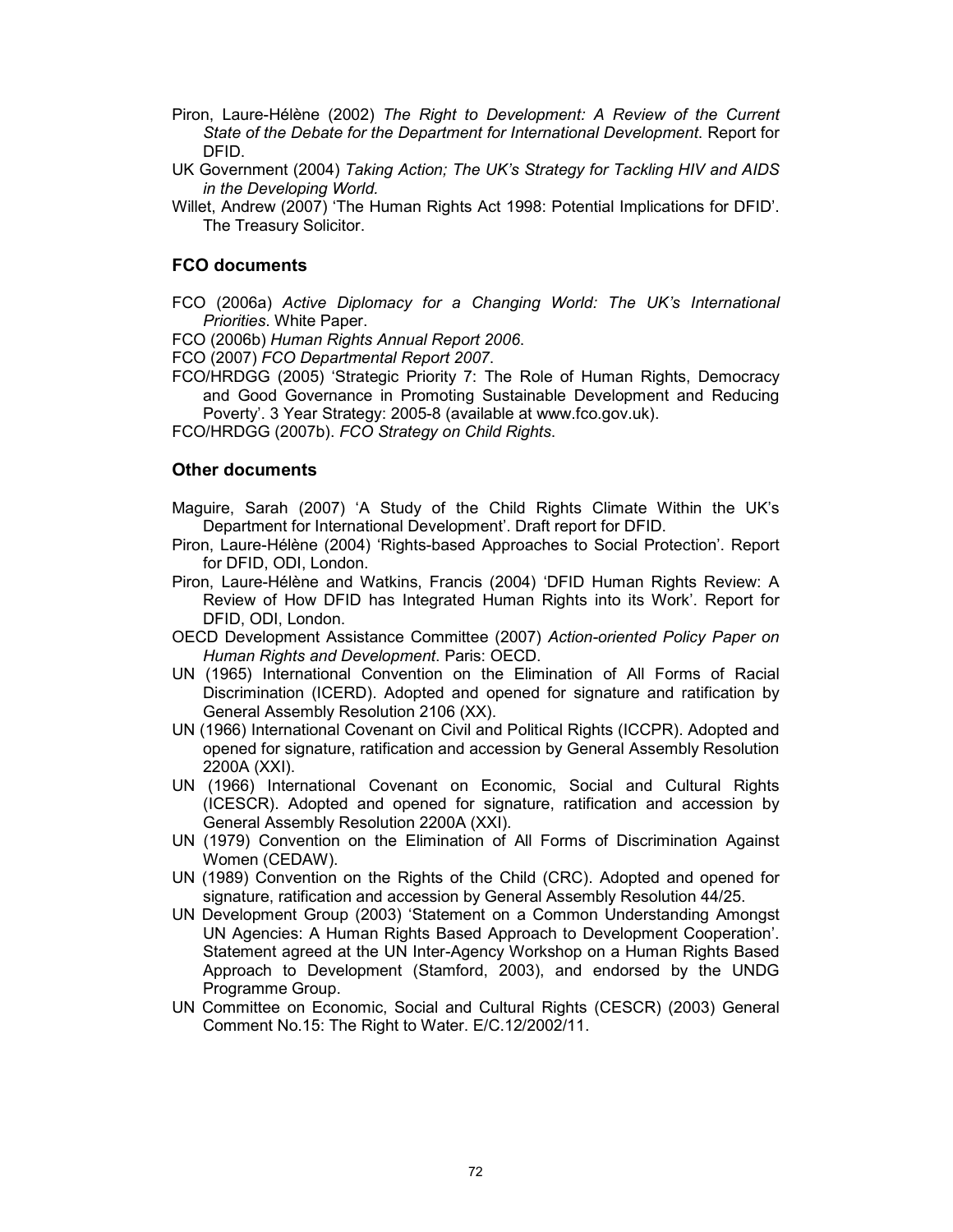- Piron, Laure-Hélène (2002) The Right to Development: A Review of the Current State of the Debate for the Department for International Development. Report for DFID.
- UK Government (2004) Taking Action; The UK's Strategy for Tackling HIV and AIDS in the Developing World.
- Willet, Andrew (2007) 'The Human Rights Act 1998: Potential Implications for DFID'. The Treasury Solicitor.

## FCO documents

FCO (2006a) Active Diplomacy for a Changing World: The UK's International Priorities. White Paper.

FCO (2006b) Human Rights Annual Report 2006.

FCO (2007) FCO Departmental Report 2007.

FCO/HRDGG (2005) 'Strategic Priority 7: The Role of Human Rights, Democracy and Good Governance in Promoting Sustainable Development and Reducing Poverty'. 3 Year Strategy: 2005-8 (available at www.fco.gov.uk).

FCO/HRDGG (2007b). FCO Strategy on Child Rights.

## Other documents

Maguire, Sarah (2007) 'A Study of the Child Rights Climate Within the UK's Department for International Development'. Draft report for DFID.

- Piron, Laure-Hélène (2004) 'Rights-based Approaches to Social Protection'. Report for DFID, ODI, London.
- Piron, Laure-Hélène and Watkins, Francis (2004) 'DFID Human Rights Review: A Review of How DFID has Integrated Human Rights into its Work'. Report for DFID, ODI, London.
- OECD Development Assistance Committee (2007) Action-oriented Policy Paper on Human Rights and Development. Paris: OECD.
- UN (1965) International Convention on the Elimination of All Forms of Racial Discrimination (ICERD). Adopted and opened for signature and ratification by General Assembly Resolution 2106 (XX).
- UN (1966) International Covenant on Civil and Political Rights (ICCPR). Adopted and opened for signature, ratification and accession by General Assembly Resolution 2200A (XXI).
- UN (1966) International Covenant on Economic, Social and Cultural Rights (ICESCR). Adopted and opened for signature, ratification and accession by General Assembly Resolution 2200A (XXI).
- UN (1979) Convention on the Elimination of All Forms of Discrimination Against Women (CEDAW).
- UN (1989) Convention on the Rights of the Child (CRC). Adopted and opened for signature, ratification and accession by General Assembly Resolution 44/25.
- UN Development Group (2003) 'Statement on a Common Understanding Amongst UN Agencies: A Human Rights Based Approach to Development Cooperation'. Statement agreed at the UN Inter-Agency Workshop on a Human Rights Based Approach to Development (Stamford, 2003), and endorsed by the UNDG Programme Group.
- UN Committee on Economic, Social and Cultural Rights (CESCR) (2003) General Comment No.15: The Right to Water. E/C.12/2002/11.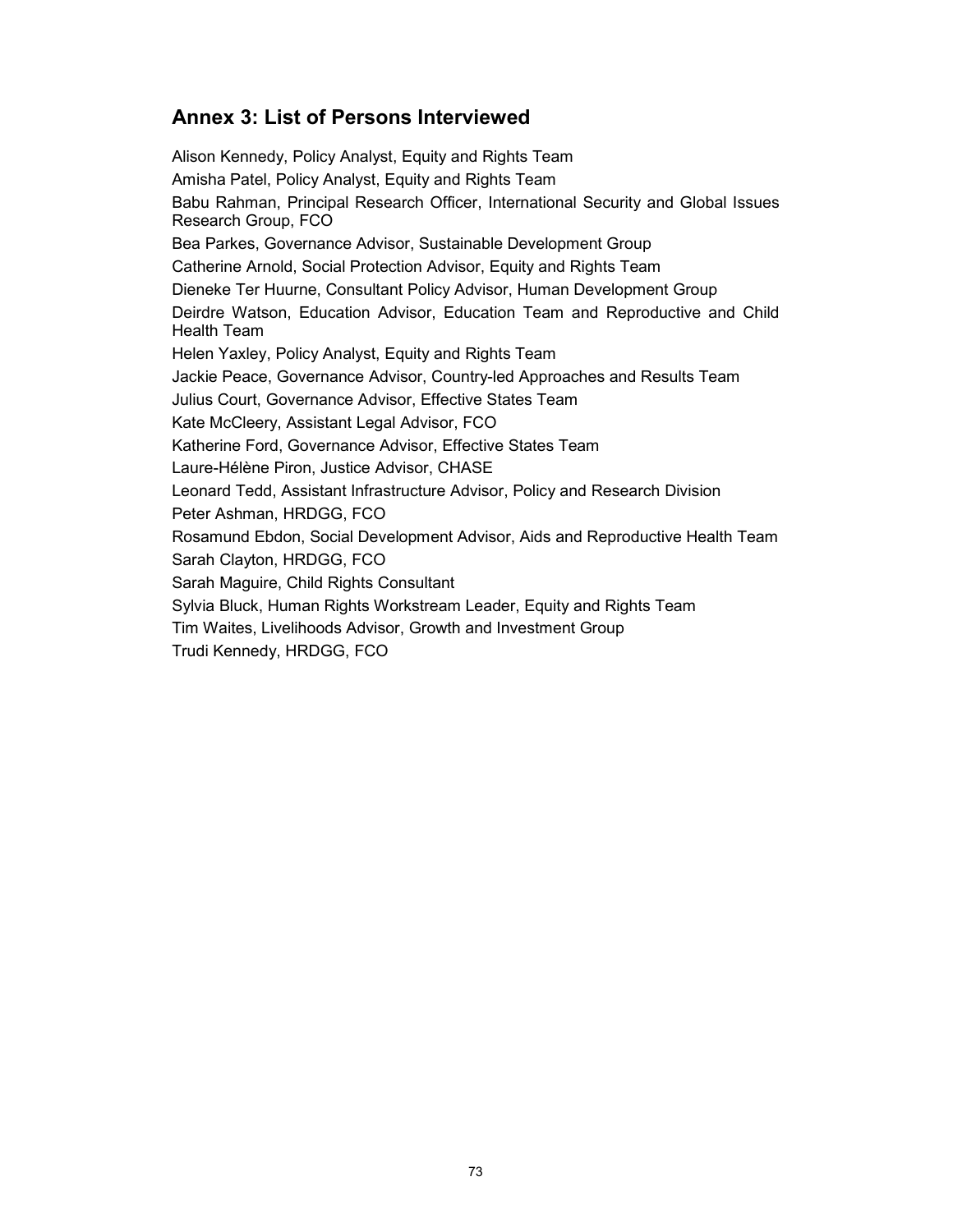# Annex 3: List of Persons Interviewed

Alison Kennedy, Policy Analyst, Equity and Rights Team Amisha Patel, Policy Analyst, Equity and Rights Team Babu Rahman, Principal Research Officer, International Security and Global Issues Research Group, FCO Bea Parkes, Governance Advisor, Sustainable Development Group Catherine Arnold, Social Protection Advisor, Equity and Rights Team Dieneke Ter Huurne, Consultant Policy Advisor, Human Development Group Deirdre Watson, Education Advisor, Education Team and Reproductive and Child Health Team Helen Yaxley, Policy Analyst, Equity and Rights Team Jackie Peace, Governance Advisor, Country-led Approaches and Results Team Julius Court, Governance Advisor, Effective States Team Kate McCleery, Assistant Legal Advisor, FCO Katherine Ford, Governance Advisor, Effective States Team Laure-Hélène Piron, Justice Advisor, CHASE Leonard Tedd, Assistant Infrastructure Advisor, Policy and Research Division Peter Ashman, HRDGG, FCO Rosamund Ebdon, Social Development Advisor, Aids and Reproductive Health Team Sarah Clayton, HRDGG, FCO Sarah Maguire, Child Rights Consultant Sylvia Bluck, Human Rights Workstream Leader, Equity and Rights Team Tim Waites, Livelihoods Advisor, Growth and Investment Group Trudi Kennedy, HRDGG, FCO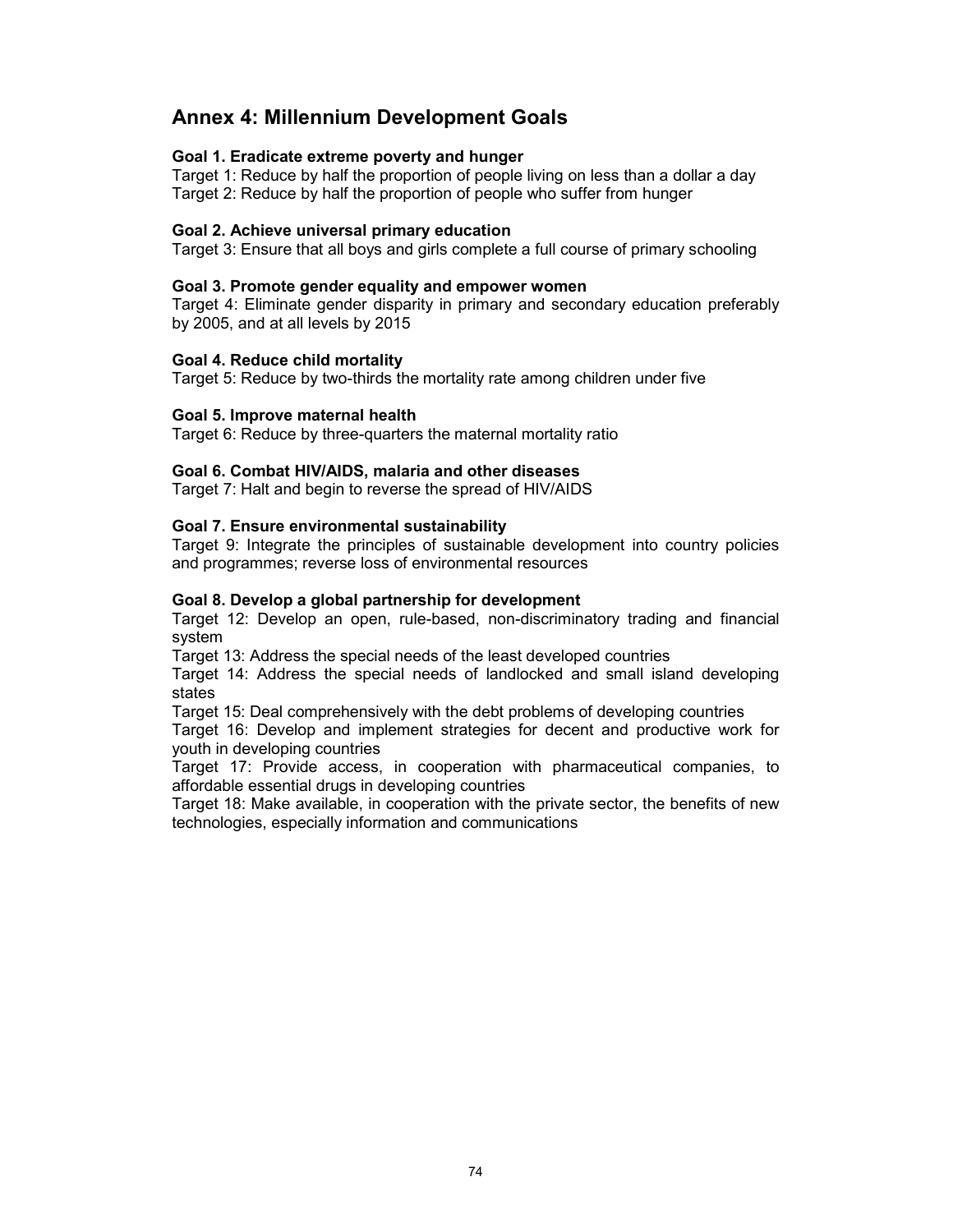### Annex 4: Millennium Development Goals

### Goal 1. Eradicate extreme poverty and hunger

Target 1: Reduce by half the proportion of people living on less than a dollar a day Target 2: Reduce by half the proportion of people who suffer from hunger

#### Goal 2. Achieve universal primary education

Target 3: Ensure that all boys and girls complete a full course of primary schooling

#### Goal 3. Promote gender equality and empower women

Target 4: Eliminate gender disparity in primary and secondary education preferably by 2005, and at all levels by 2015

#### Goal 4. Reduce child mortality

Target 5: Reduce by two-thirds the mortality rate among children under five

#### Goal 5. Improve maternal health

Target 6: Reduce by three-quarters the maternal mortality ratio

#### Goal 6. Combat HIV/AIDS, malaria and other diseases

Target 7: Halt and begin to reverse the spread of HIV/AIDS

#### Goal 7. Ensure environmental sustainability

Target 9: Integrate the principles of sustainable development into country policies and programmes; reverse loss of environmental resources

#### Goal 8. Develop a global partnership for development

Target 12: Develop an open, rule-based, non-discriminatory trading and financial system

Target 13: Address the special needs of the least developed countries

Target 14: Address the special needs of landlocked and small island developing states

Target 15: Deal comprehensively with the debt problems of developing countries

Target 16: Develop and implement strategies for decent and productive work for youth in developing countries

Target 17: Provide access, in cooperation with pharmaceutical companies, to affordable essential drugs in developing countries

Target 18: Make available, in cooperation with the private sector, the benefits of new technologies, especially information and communications